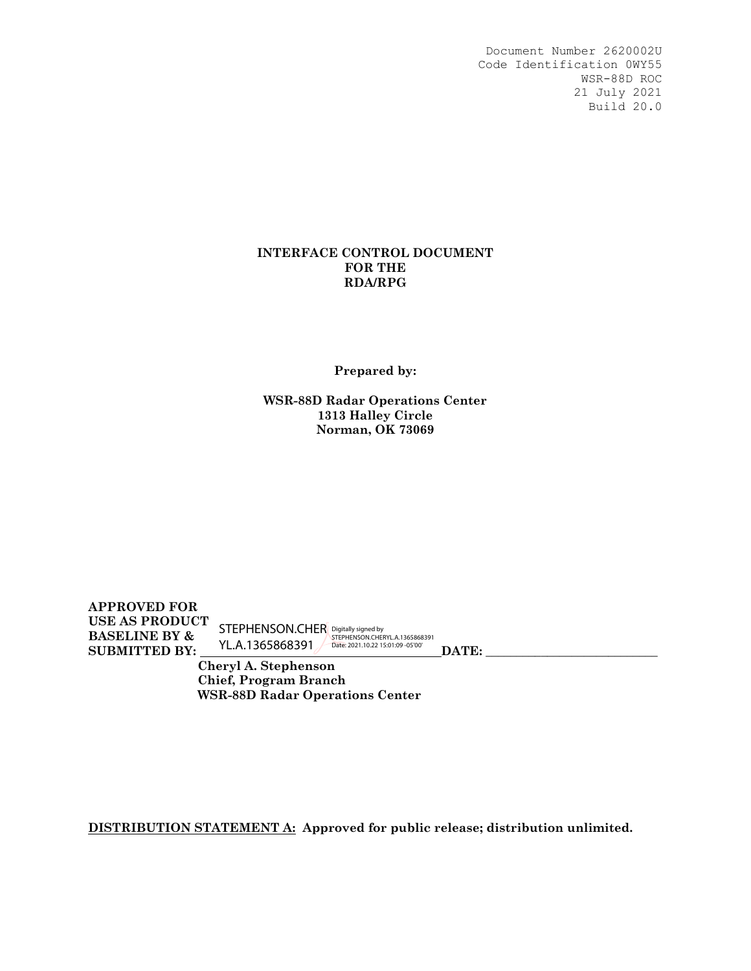### **INTERFACE CONTROL DOCUMENT FOR THE RDA/RPG**

**Prepared by:** 

**WSR-88D Radar Operations Center 1313 Halley Circle Norman, OK 73069**

**APPROVED FOR USE AS PRODUCT BASELINE BY & SUBMITTED BY: DATE: \_\_\_\_\_\_\_\_\_\_\_\_\_\_\_\_\_\_\_\_\_\_\_\_\_\_\_\_**  STEPHENSON.CHER YL.A.1365868391 Digitally signed by STEPHENSON.CHERYL.A.1365868391 Date: 2021.10.22 15:01:09 -05'00'

 **Cheryl A. Stephenson Chief, Program Branch WSR-88D Radar Operations Center**

**DISTRIBUTION STATEMENT A: Approved for public release; distribution unlimited.**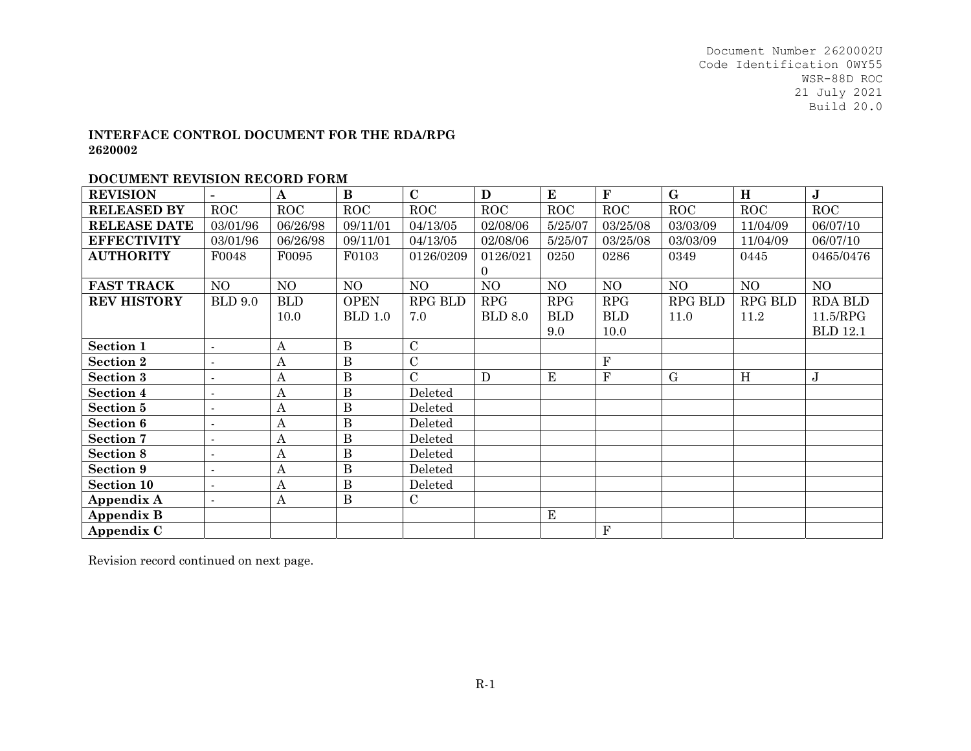#### **INTERFACE CONTROL DOCUMENT FOR THE RDA/RPG 2620002**

#### **DOCUMENT REVISION RECORD FORM**

| <b>REVISION</b>     |                          | $\mathbf A$      | $\bf{B}$       | $\mathbf C$    | D              | ${\bf E}$   | ${\bf F}$      | $\mathbf G$    | H              | $\bf J$         |
|---------------------|--------------------------|------------------|----------------|----------------|----------------|-------------|----------------|----------------|----------------|-----------------|
| <b>RELEASED BY</b>  | <b>ROC</b>               | <b>ROC</b>       | <b>ROC</b>     | ROC            | <b>ROC</b>     | <b>ROC</b>  | <b>ROC</b>     | <b>ROC</b>     | ROC            | <b>ROC</b>      |
| <b>RELEASE DATE</b> | 03/01/96                 | 06/26/98         | 09/11/01       | 04/13/05       | 02/08/06       | 5/25/07     | 03/25/08       | 03/03/09       | 11/04/09       | 06/07/10        |
| <b>EFFECTIVITY</b>  | 03/01/96                 | 06/26/98         | 09/11/01       | 04/13/05       | 02/08/06       | 5/25/07     | 03/25/08       | 03/03/09       | 11/04/09       | 06/07/10        |
| <b>AUTHORITY</b>    | F0048                    | F0095            | F0103          | 0126/0209      | 0126/021       | 0250        | 0286           | 0349           | 0445           | 0465/0476       |
|                     |                          |                  |                |                | $\Omega$       |             |                |                |                |                 |
| <b>FAST TRACK</b>   | NO                       | NO               | NO             | N <sub>O</sub> | NO             | NO          | N <sub>O</sub> | NO.            | NO             | NO              |
| <b>REV HISTORY</b>  | <b>BLD 9.0</b>           | <b>BLD</b>       | <b>OPEN</b>    | <b>RPG BLD</b> | RPG            | <b>RPG</b>  | <b>RPG</b>     | <b>RPG BLD</b> | <b>RPG BLD</b> | <b>RDA BLD</b>  |
|                     |                          | 10.0             | <b>BLD</b> 1.0 | 7.0            | <b>BLD 8.0</b> | <b>BLD</b>  | <b>BLD</b>     | 11.0           | 11.2           | 11.5/RPG        |
|                     |                          |                  |                |                |                | 9.0         | 10.0           |                |                | <b>BLD</b> 12.1 |
| <b>Section 1</b>    | $\blacksquare$           | A                | $\bf{B}$       | $\mathbf C$    |                |             |                |                |                |                 |
| <b>Section 2</b>    | $\blacksquare$           | A                | B              | $\overline{C}$ |                |             | ${\bf F}$      |                |                |                 |
| <b>Section 3</b>    |                          | Α                | $\bf{B}$       | $\overline{C}$ | D              | ${\bf E}$   | ${\bf F}$      | G              | H              | J               |
| <b>Section 4</b>    |                          | А                | $\mathbf{B}$   | Deleted        |                |             |                |                |                |                 |
| <b>Section 5</b>    | $\blacksquare$           | $\boldsymbol{A}$ | $\, {\bf B}$   | Deleted        |                |             |                |                |                |                 |
| <b>Section 6</b>    | $\overline{a}$           | A                | B              | Deleted        |                |             |                |                |                |                 |
| <b>Section 7</b>    | $\overline{\phantom{a}}$ | A                | $\bf{B}$       | Deleted        |                |             |                |                |                |                 |
| <b>Section 8</b>    | $\blacksquare$           | А                | B              | Deleted        |                |             |                |                |                |                 |
| <b>Section 9</b>    | $\blacksquare$           | А                | B              | Deleted        |                |             |                |                |                |                 |
| <b>Section 10</b>   |                          | A                | B              | Deleted        |                |             |                |                |                |                 |
| Appendix A          | $\blacksquare$           | A                | B              | $\mathcal C$   |                |             |                |                |                |                 |
| <b>Appendix B</b>   |                          |                  |                |                |                | $\mathbf E$ |                |                |                |                 |
| Appendix C          |                          |                  |                |                |                |             | ${\bf F}$      |                |                |                 |

Revision record continued on next page.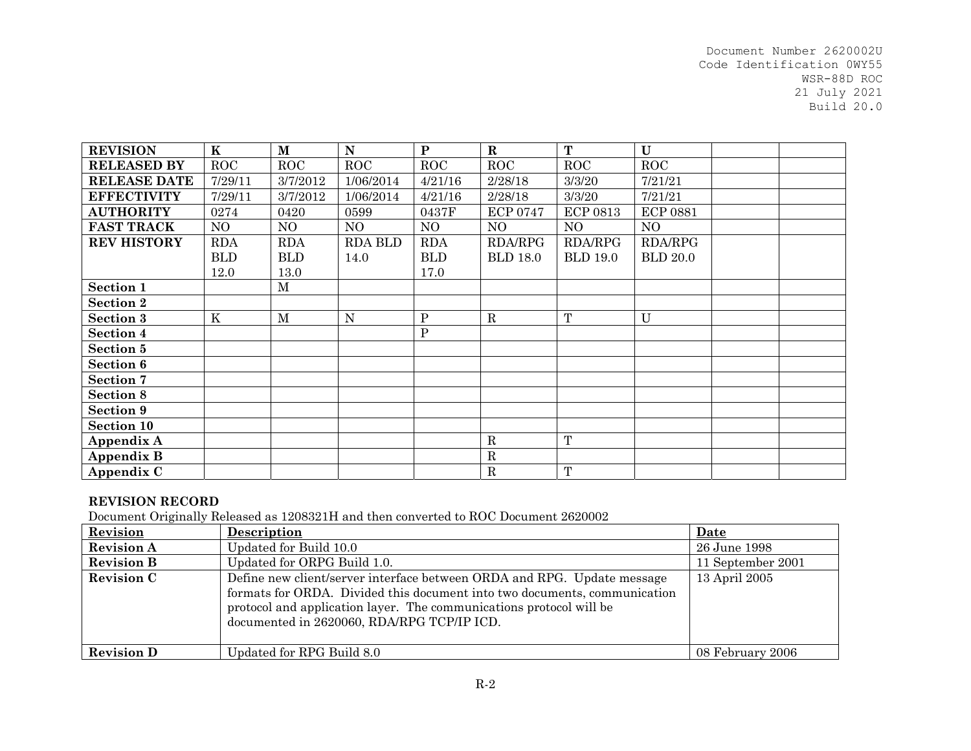| <b>REVISION</b>     | $\mathbf K$ | $\mathbf M$  | ${\bf N}$      | ${\bf P}$    | $\mathbf R$     | T               | $\mathbf U$     |  |
|---------------------|-------------|--------------|----------------|--------------|-----------------|-----------------|-----------------|--|
| <b>RELEASED BY</b>  | <b>ROC</b>  | <b>ROC</b>   | ROC            | <b>ROC</b>   | <b>ROC</b>      | <b>ROC</b>      | <b>ROC</b>      |  |
| <b>RELEASE DATE</b> | 7/29/11     | 3/7/2012     | 1/06/2014      | 4/21/16      | 2/28/18         | 3/3/20          | 7/21/21         |  |
| <b>EFFECTIVITY</b>  | 7/29/11     | 3/7/2012     | 1/06/2014      | 4/21/16      | 2/28/18         | 3/3/20          | 7/21/21         |  |
| <b>AUTHORITY</b>    | 0274        | 0420         | 0599           | 0437F        | <b>ECP 0747</b> | <b>ECP 0813</b> | <b>ECP 0881</b> |  |
| <b>FAST TRACK</b>   | NO          | NO           | N <sub>O</sub> | NO           | NO              | NO              | NO              |  |
| <b>REV HISTORY</b>  | <b>RDA</b>  | <b>RDA</b>   | <b>RDA BLD</b> | <b>RDA</b>   | <b>RDA/RPG</b>  | <b>RDA/RPG</b>  | <b>RDA/RPG</b>  |  |
|                     | <b>BLD</b>  | <b>BLD</b>   | 14.0           | <b>BLD</b>   | <b>BLD 18.0</b> | <b>BLD 19.0</b> | <b>BLD</b> 20.0 |  |
|                     | 12.0        | 13.0         |                | 17.0         |                 |                 |                 |  |
| Section 1           |             | $\mathbf M$  |                |              |                 |                 |                 |  |
| <b>Section 2</b>    |             |              |                |              |                 |                 |                 |  |
| <b>Section 3</b>    | $\rm K$     | $\mathbf{M}$ | N              | $\mathbf{P}$ | ${\bf R}$       | $\mathbf T$     | $\mathbf U$     |  |
| <b>Section 4</b>    |             |              |                | $\mathbf{P}$ |                 |                 |                 |  |
| Section 5           |             |              |                |              |                 |                 |                 |  |
| Section 6           |             |              |                |              |                 |                 |                 |  |
| Section 7           |             |              |                |              |                 |                 |                 |  |
| Section 8           |             |              |                |              |                 |                 |                 |  |
| Section 9           |             |              |                |              |                 |                 |                 |  |
| <b>Section 10</b>   |             |              |                |              |                 |                 |                 |  |
| Appendix A          |             |              |                |              | ${\bf R}$       | T               |                 |  |
| <b>Appendix B</b>   |             |              |                |              | ${\bf R}$       |                 |                 |  |
| Appendix C          |             |              |                |              | ${\bf R}$       | $\mathbf T$     |                 |  |

#### **REVISION RECORD**

Document Originally Released as 1208321H and then converted to ROC Document 2620002

| Revision          | Description                                                                                                                                                                                                                                                               | Date              |
|-------------------|---------------------------------------------------------------------------------------------------------------------------------------------------------------------------------------------------------------------------------------------------------------------------|-------------------|
| <b>Revision A</b> | Updated for Build 10.0                                                                                                                                                                                                                                                    | 26 June 1998      |
| <b>Revision B</b> | Updated for ORPG Build 1.0.                                                                                                                                                                                                                                               | 11 September 2001 |
| <b>Revision C</b> | Define new client/server interface between ORDA and RPG. Update message<br>formats for ORDA. Divided this document into two documents, communication<br>protocol and application layer. The communications protocol will be<br>documented in 2620060, RDA/RPG TCP/IP ICD. | 13 April 2005     |
| <b>Revision D</b> | Updated for RPG Build 8.0                                                                                                                                                                                                                                                 | 08 February 2006  |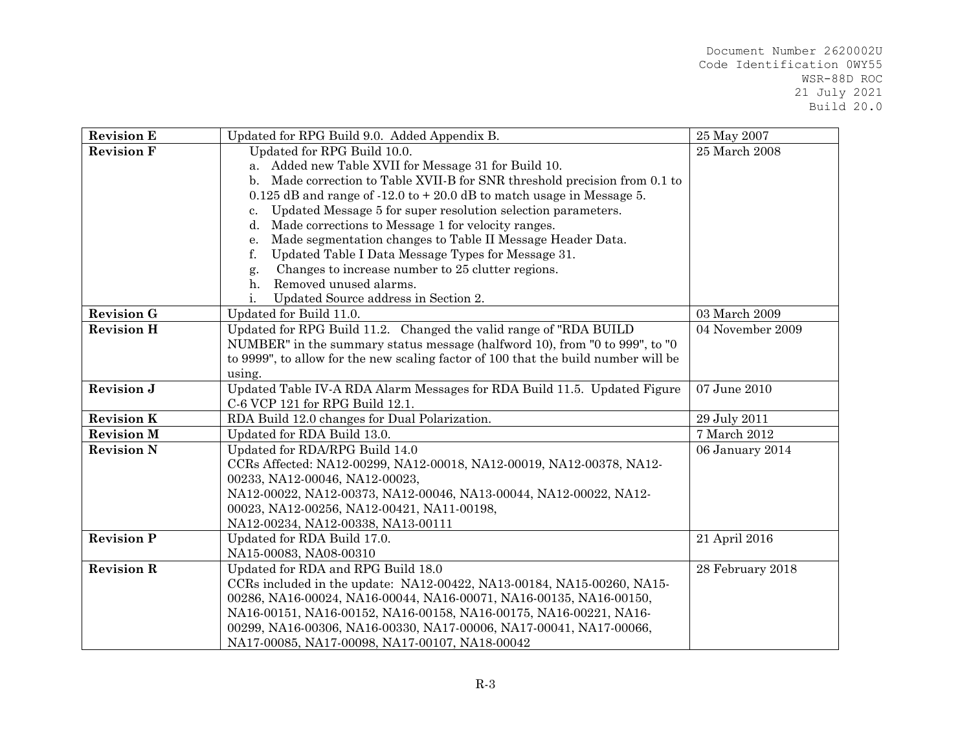| <b>Revision E</b> | Updated for RPG Build 9.0. Added Appendix B.                                       | 25 May 2007      |
|-------------------|------------------------------------------------------------------------------------|------------------|
| <b>Revision F</b> | Updated for RPG Build 10.0.                                                        | 25 March 2008    |
|                   | a. Added new Table XVII for Message 31 for Build 10.                               |                  |
|                   | b. Made correction to Table XVII-B for SNR threshold precision from 0.1 to         |                  |
|                   | $0.125$ dB and range of $-12.0$ to $+20.0$ dB to match usage in Message 5.         |                  |
|                   | Updated Message 5 for super resolution selection parameters.<br>c.                 |                  |
|                   | Made corrections to Message 1 for velocity ranges.<br>d.                           |                  |
|                   | Made segmentation changes to Table II Message Header Data.<br>е.                   |                  |
|                   | Updated Table I Data Message Types for Message 31.<br>f.                           |                  |
|                   | Changes to increase number to 25 clutter regions.<br>g.                            |                  |
|                   | Removed unused alarms.<br>$h_{\cdot}$                                              |                  |
|                   | Updated Source address in Section 2.<br>i.                                         |                  |
| <b>Revision G</b> | Updated for Build 11.0.                                                            | 03 March 2009    |
| <b>Revision H</b> | Updated for RPG Build 11.2. Changed the valid range of "RDA BUILD"                 | 04 November 2009 |
|                   | NUMBER" in the summary status message (halfword 10), from "0 to 999", to "0        |                  |
|                   | to 9999", to allow for the new scaling factor of 100 that the build number will be |                  |
|                   | using.                                                                             |                  |
| <b>Revision J</b> | Updated Table IV-A RDA Alarm Messages for RDA Build 11.5. Updated Figure           | 07 June 2010     |
|                   | C-6 VCP 121 for RPG Build 12.1.                                                    |                  |
| <b>Revision K</b> | RDA Build 12.0 changes for Dual Polarization.                                      | 29 July 2011     |
| <b>Revision M</b> | Updated for RDA Build 13.0.                                                        | 7 March 2012     |
| <b>Revision N</b> | Updated for RDA/RPG Build 14.0                                                     | 06 January 2014  |
|                   | CCRs Affected: NA12-00299, NA12-00018, NA12-00019, NA12-00378, NA12-               |                  |
|                   | 00233, NA12-00046, NA12-00023,                                                     |                  |
|                   | NA12-00022, NA12-00373, NA12-00046, NA13-00044, NA12-00022, NA12-                  |                  |
|                   | 00023, NA12-00256, NA12-00421, NA11-00198,                                         |                  |
|                   | NA12-00234, NA12-00338, NA13-00111                                                 |                  |
| <b>Revision P</b> | Updated for RDA Build 17.0.                                                        | 21 April 2016    |
|                   | NA15-00083, NA08-00310                                                             |                  |
| <b>Revision R</b> | Updated for RDA and RPG Build 18.0                                                 | 28 February 2018 |
|                   | CCRs included in the update: NA12-00422, NA13-00184, NA15-00260, NA15-             |                  |
|                   | 00286, NA16-00024, NA16-00044, NA16-00071, NA16-00135, NA16-00150,                 |                  |
|                   | NA16-00151, NA16-00152, NA16-00158, NA16-00175, NA16-00221, NA16-                  |                  |
|                   | 00299, NA16-00306, NA16-00330, NA17-00006, NA17-00041, NA17-00066,                 |                  |
|                   | NA17-00085, NA17-00098, NA17-00107, NA18-00042                                     |                  |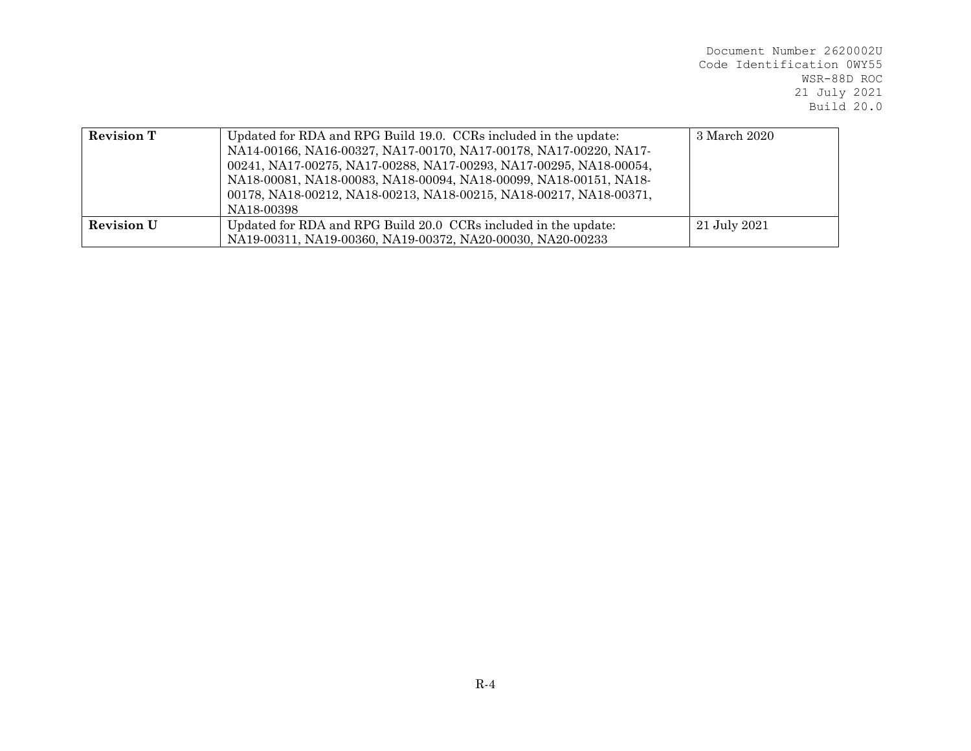| <b>Revision T</b> | Updated for RDA and RPG Build 19.0. CCRs included in the update:<br>NA14-00166, NA16-00327, NA17-00170, NA17-00178, NA17-00220, NA17-<br>00241, NA17-00275, NA17-00288, NA17-00293, NA17-00295, NA18-00054,<br>NA18-00081, NA18-00083, NA18-00094, NA18-00099, NA18-00151, NA18-<br>00178, NA18-00212, NA18-00213, NA18-00215, NA18-00217, NA18-00371,<br>NA18-00398 | 3 March 2020 |
|-------------------|----------------------------------------------------------------------------------------------------------------------------------------------------------------------------------------------------------------------------------------------------------------------------------------------------------------------------------------------------------------------|--------------|
| <b>Revision U</b> | Updated for RDA and RPG Build 20.0 CCRs included in the update:<br>NA19-00311, NA19-00360, NA19-00372, NA20-00030, NA20-00233                                                                                                                                                                                                                                        | 21 July 2021 |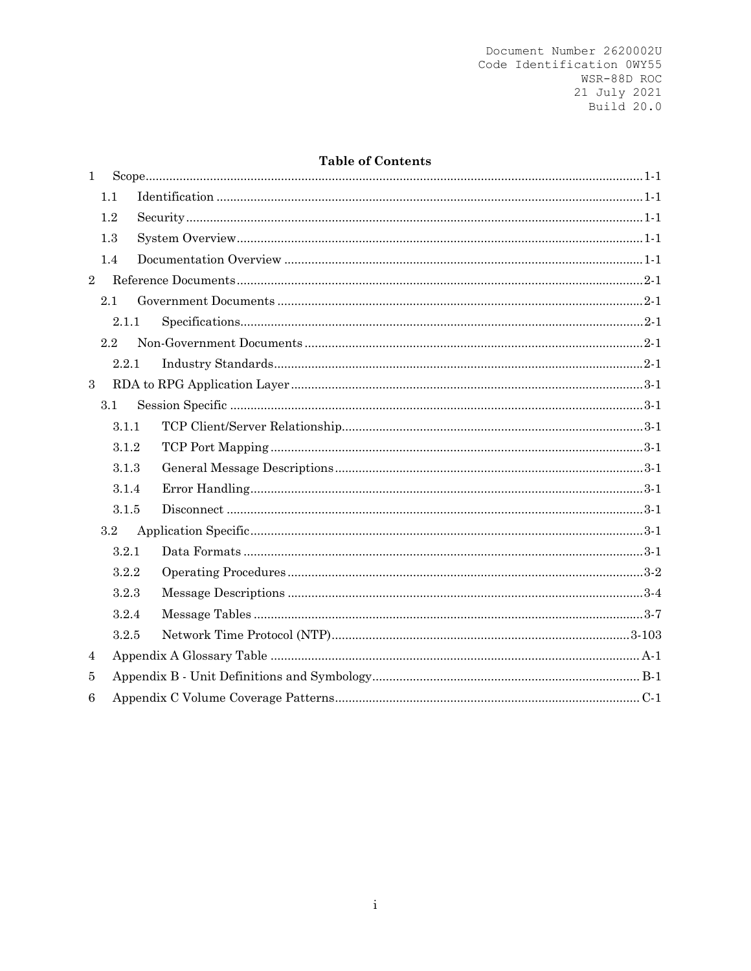### **Table of Contents**

| $\mathbf{1}$   |         |  |  |  |  |
|----------------|---------|--|--|--|--|
|                | 1.1     |  |  |  |  |
|                | 1.2     |  |  |  |  |
|                | 1.3     |  |  |  |  |
|                | 1.4     |  |  |  |  |
| $\overline{2}$ |         |  |  |  |  |
|                | 2.1     |  |  |  |  |
|                | 2.1.1   |  |  |  |  |
|                | 2.2     |  |  |  |  |
|                | 2.2.1   |  |  |  |  |
| 3              |         |  |  |  |  |
|                | 3.1     |  |  |  |  |
|                | 3.1.1   |  |  |  |  |
|                | 3.1.2   |  |  |  |  |
|                | 3.1.3   |  |  |  |  |
|                | 3.1.4   |  |  |  |  |
|                | 3.1.5   |  |  |  |  |
|                | $3.2\,$ |  |  |  |  |
|                | 3.2.1   |  |  |  |  |
|                | 3.2.2   |  |  |  |  |
|                | 3.2.3   |  |  |  |  |
|                | 3.2.4   |  |  |  |  |
|                | 3.2.5   |  |  |  |  |
| 4              |         |  |  |  |  |
| 5              |         |  |  |  |  |
| 6              |         |  |  |  |  |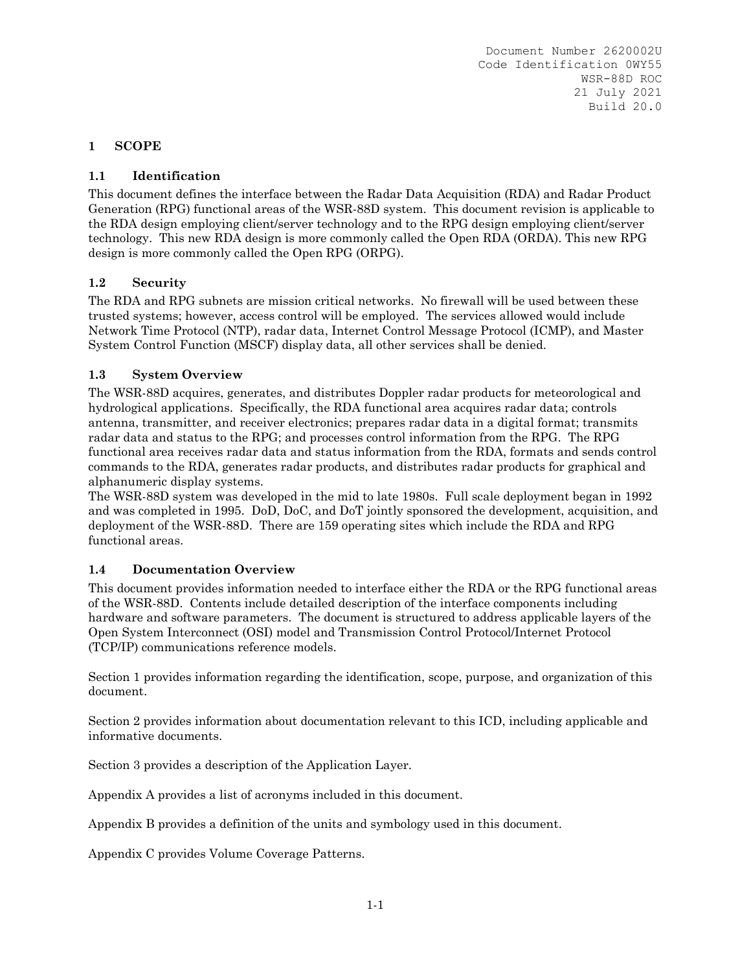## **1 SCOPE**

## **1.1 Identification**

This document defines the interface between the Radar Data Acquisition (RDA) and Radar Product Generation (RPG) functional areas of the WSR-88D system. This document revision is applicable to the RDA design employing client/server technology and to the RPG design employing client/server technology. This new RDA design is more commonly called the Open RDA (ORDA). This new RPG design is more commonly called the Open RPG (ORPG).

#### **1.2 Security**

The RDA and RPG subnets are mission critical networks. No firewall will be used between these trusted systems; however, access control will be employed. The services allowed would include Network Time Protocol (NTP), radar data, Internet Control Message Protocol (ICMP), and Master System Control Function (MSCF) display data, all other services shall be denied.

#### **1.3 System Overview**

The WSR-88D acquires, generates, and distributes Doppler radar products for meteorological and hydrological applications. Specifically, the RDA functional area acquires radar data; controls antenna, transmitter, and receiver electronics; prepares radar data in a digital format; transmits radar data and status to the RPG; and processes control information from the RPG. The RPG functional area receives radar data and status information from the RDA, formats and sends control commands to the RDA, generates radar products, and distributes radar products for graphical and alphanumeric display systems.

The WSR-88D system was developed in the mid to late 1980s. Full scale deployment began in 1992 and was completed in 1995. DoD, DoC, and DoT jointly sponsored the development, acquisition, and deployment of the WSR-88D. There are 159 operating sites which include the RDA and RPG functional areas.

#### **1.4 Documentation Overview**

This document provides information needed to interface either the RDA or the RPG functional areas of the WSR-88D. Contents include detailed description of the interface components including hardware and software parameters. The document is structured to address applicable layers of the Open System Interconnect (OSI) model and Transmission Control Protocol/Internet Protocol (TCP/IP) communications reference models.

Section 1 provides information regarding the identification, scope, purpose, and organization of this document.

Section 2 provides information about documentation relevant to this ICD, including applicable and informative documents.

Section 3 provides a description of the Application Layer.

Appendix A provides a list of acronyms included in this document.

Appendix B provides a definition of the units and symbology used in this document.

Appendix C provides Volume Coverage Patterns.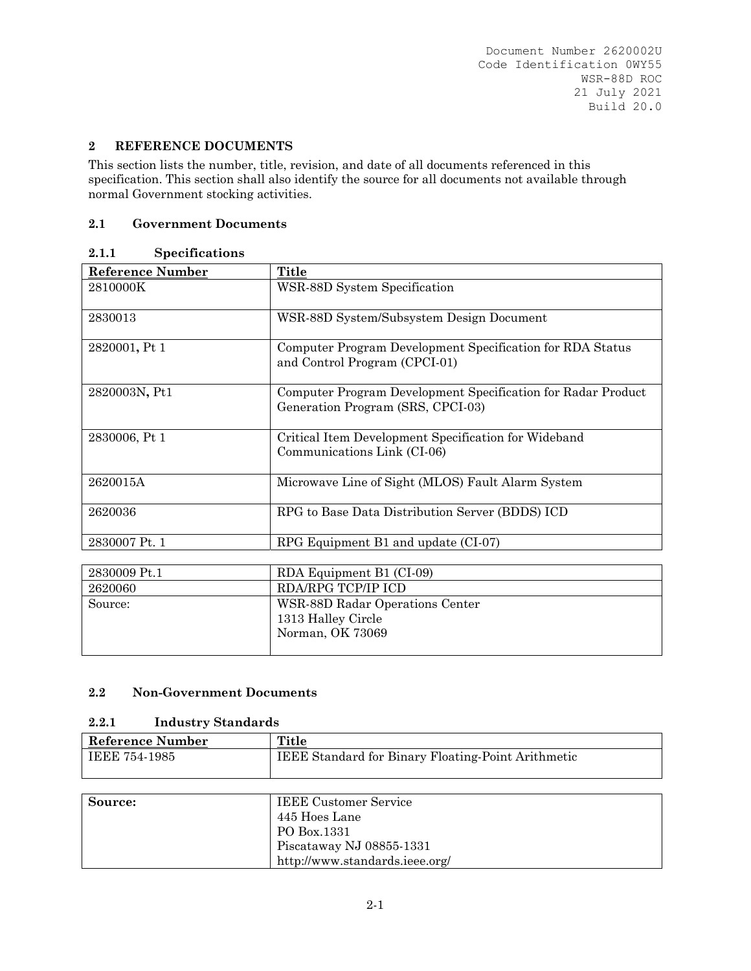## **2 REFERENCE DOCUMENTS**

This section lists the number, title, revision, and date of all documents referenced in this specification. This section shall also identify the source for all documents not available through normal Government stocking activities.

#### **2.1 Government Documents**

#### **2.1.1 Specifications**

| Reference Number | <b>Title</b>                                                                                      |
|------------------|---------------------------------------------------------------------------------------------------|
| 2810000K         | WSR-88D System Specification                                                                      |
| 2830013          | WSR-88D System/Subsystem Design Document                                                          |
| 2820001, Pt 1    | Computer Program Development Specification for RDA Status<br>and Control Program (CPCI-01)        |
| 2820003N, Pt1    | Computer Program Development Specification for Radar Product<br>Generation Program (SRS, CPCI-03) |
| 2830006, Pt 1    | Critical Item Development Specification for Wideband<br>Communications Link (CI-06)               |
| 2620015A         | Microwave Line of Sight (MLOS) Fault Alarm System                                                 |
| 2620036          | RPG to Base Data Distribution Server (BDDS) ICD                                                   |
| 2830007 Pt. 1    | RPG Equipment $B1$ and update $(CI-07)$                                                           |

| 2830009 Pt.1 | RDA Equipment B1 (CI-09)        |
|--------------|---------------------------------|
| 2620060      | RDA/RPG TCP/IP ICD              |
| Source:      | WSR-88D Radar Operations Center |
|              | 1313 Halley Circle              |
|              | Norman, OK 73069                |
|              |                                 |

## **2.2 Non-Government Documents**

## **2.2.1 Industry Standards**

| Reference Number | <b>Title</b>                                              |
|------------------|-----------------------------------------------------------|
| IEEE 754-1985    | <b>IEEE Standard for Binary Floating-Point Arithmetic</b> |

| Source: | <b>IEEE Customer Service</b>   |
|---------|--------------------------------|
|         | 445 Hoes Lane                  |
|         | PO Box.1331                    |
|         | Piscataway NJ 08855-1331       |
|         | http://www.standards.ieee.org/ |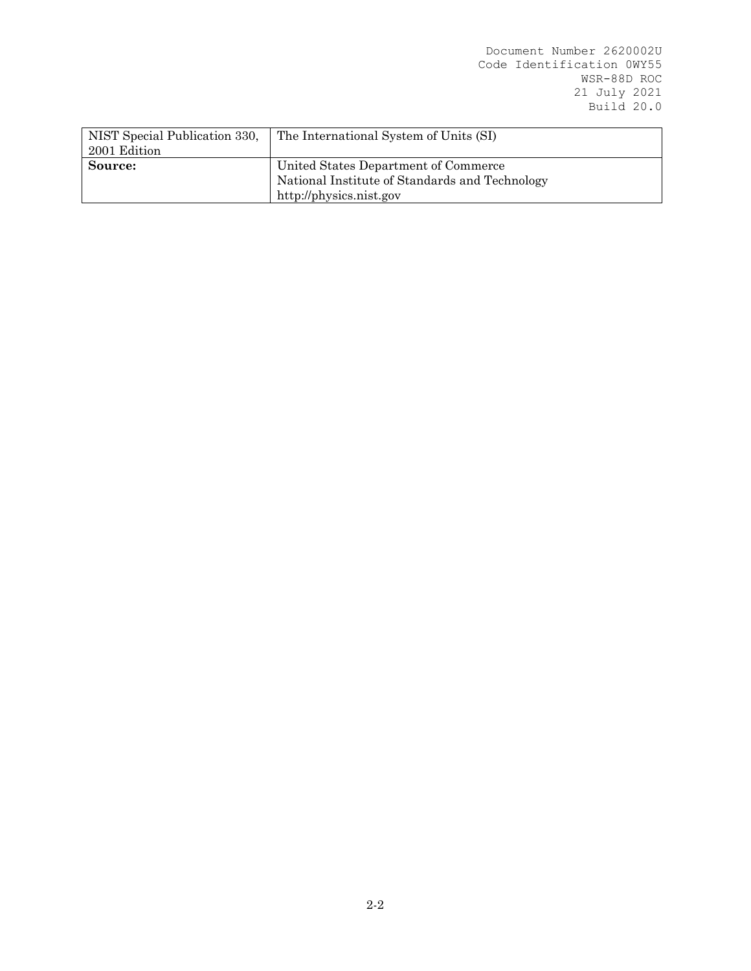| NIST Special Publication 330,<br>2001 Edition | The International System of Units (SI)         |  |
|-----------------------------------------------|------------------------------------------------|--|
| Source:                                       | United States Department of Commerce           |  |
|                                               | National Institute of Standards and Technology |  |
|                                               | http://physics.nist.gov                        |  |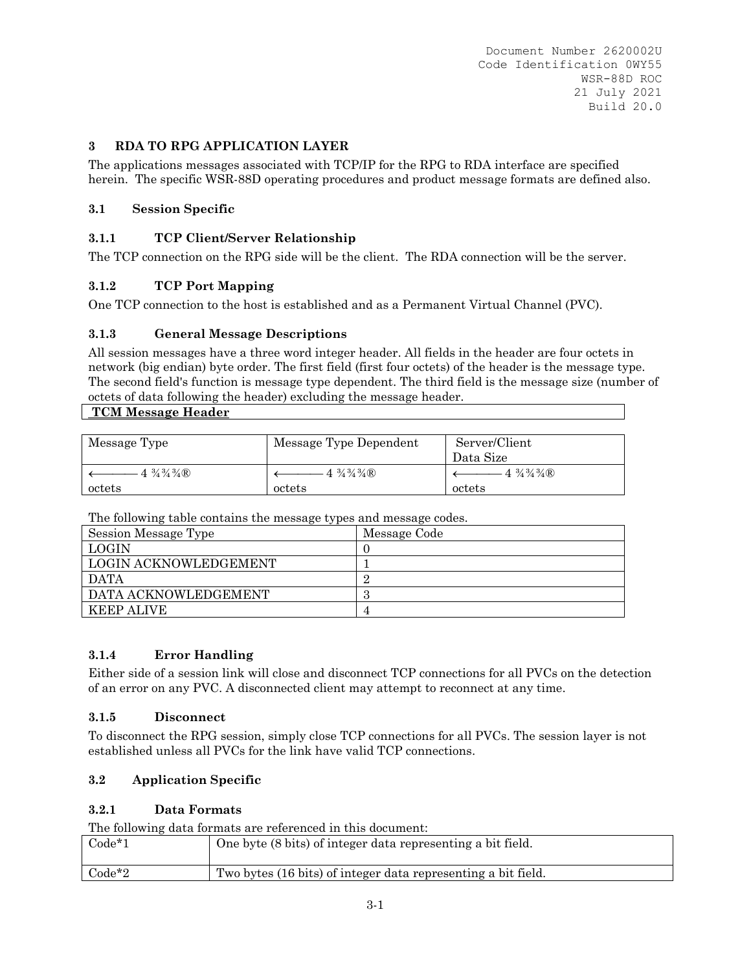## **3 RDA TO RPG APPLICATION LAYER**

The applications messages associated with TCP/IP for the RPG to RDA interface are specified herein. The specific WSR-88D operating procedures and product message formats are defined also.

## **3.1 Session Specific**

## **3.1.1 TCP Client/Server Relationship**

The TCP connection on the RPG side will be the client. The RDA connection will be the server.

## **3.1.2 TCP Port Mapping**

One TCP connection to the host is established and as a Permanent Virtual Channel (PVC).

## **3.1.3 General Message Descriptions**

All session messages have a three word integer header. All fields in the header are four octets in network (big endian) byte order. The first field (first four octets) of the header is the message type. The second field's function is message type dependent. The third field is the message size (number of octets of data following the header) excluding the message header.

#### **TCM Message Header**

| Message Type                           | Message Type Dependent                 | Server/Client                                  |
|----------------------------------------|----------------------------------------|------------------------------------------------|
|                                        |                                        | Data Size                                      |
| $4\frac{3}{4}\frac{3}{4}\frac{3}{4}$ R | $4\frac{3}{4}\frac{3}{4}\frac{3}{4}$ R | $4\frac{3}{4}\frac{3}{4}\frac{3}{4}\mathbb{R}$ |
| octets                                 | octets                                 | octets                                         |

The following table contains the message types and message codes.

| $\sim$ $\sim$ $\sim$ $\sim$ $\sim$ $\sim$ $\sim$ |              |
|--------------------------------------------------|--------------|
| Session Message Type                             | Message Code |
| LOGIN                                            |              |
| LOGIN ACKNOWLEDGEMENT                            |              |
| <b>DATA</b>                                      |              |
| DATA ACKNOWLEDGEMENT                             |              |
| KEEP ALIVE                                       |              |
|                                                  |              |

# **3.1.4 Error Handling**

Either side of a session link will close and disconnect TCP connections for all PVCs on the detection of an error on any PVC. A disconnected client may attempt to reconnect at any time.

## **3.1.5 Disconnect**

To disconnect the RPG session, simply close TCP connections for all PVCs. The session layer is not established unless all PVCs for the link have valid TCP connections.

## **3.2 Application Specific**

## **3.2.1 Data Formats**

The following data formats are referenced in this document:

| $Code*1$ | One byte (8 bits) of integer data representing a bit field.   |
|----------|---------------------------------------------------------------|
| $Code*2$ | Two bytes (16 bits) of integer data representing a bit field. |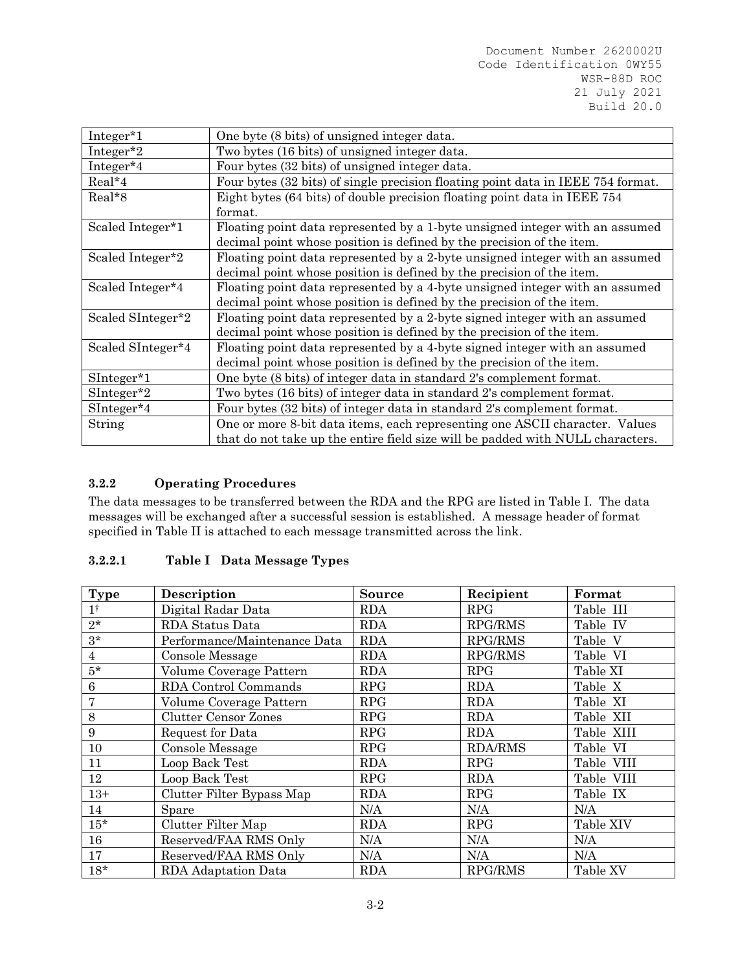| Integer*1         | One byte (8 bits) of unsigned integer data.                                                                                                                   |
|-------------------|---------------------------------------------------------------------------------------------------------------------------------------------------------------|
| Integer $*2$      | Two bytes (16 bits) of unsigned integer data.                                                                                                                 |
| Integer*4         | Four bytes (32 bits) of unsigned integer data.                                                                                                                |
| Real*4            | Four bytes (32 bits) of single precision floating point data in IEEE 754 format.                                                                              |
| Real*8            | Eight bytes (64 bits) of double precision floating point data in IEEE 754<br>format.                                                                          |
| Scaled Integer*1  | Floating point data represented by a 1-byte unsigned integer with an assumed<br>decimal point whose position is defined by the precision of the item.         |
| Scaled Integer*2  | Floating point data represented by a 2-byte unsigned integer with an assumed<br>decimal point whose position is defined by the precision of the item.         |
| Scaled Integer*4  | Floating point data represented by a 4-byte unsigned integer with an assumed<br>decimal point whose position is defined by the precision of the item.         |
| Scaled SInteger*2 | Floating point data represented by a 2-byte signed integer with an assumed<br>decimal point whose position is defined by the precision of the item.           |
| Scaled SInteger*4 | Floating point data represented by a 4-byte signed integer with an assumed<br>decimal point whose position is defined by the precision of the item.           |
| SInteger*1        | One byte (8 bits) of integer data in standard 2's complement format.                                                                                          |
| $SInteger^*2$     | Two bytes (16 bits) of integer data in standard 2's complement format.                                                                                        |
| $SInteger*4$      | Four bytes (32 bits) of integer data in standard 2's complement format.                                                                                       |
| String            | One or more 8-bit data items, each representing one ASCII character. Values<br>that do not take up the entire field size will be padded with NULL characters. |

## **3.2.2 Operating Procedures**

The data messages to be transferred between the RDA and the RPG are listed in Table I. The data messages will be exchanged after a successful session is established. A message header of format specified in Table II is attached to each message transmitted across the link.

# **3.2.2.1 Table I Data Message Types**

| <b>Type</b>    | Description                  | <b>Source</b> | Recipient      | Format     |
|----------------|------------------------------|---------------|----------------|------------|
| 1 <sup>†</sup> | Digital Radar Data           | <b>RDA</b>    | <b>RPG</b>     | Table III  |
| $2*$           | RDA Status Data              | <b>RDA</b>    | RPG/RMS        | Table IV   |
| $3*$           | Performance/Maintenance Data | <b>RDA</b>    | RPG/RMS        | Table V    |
| $\overline{4}$ | Console Message              | <b>RDA</b>    | <b>RPG/RMS</b> | Table VI   |
| $5*$           | Volume Coverage Pattern      | <b>RDA</b>    | <b>RPG</b>     | Table XI   |
| 6              | RDA Control Commands         | <b>RPG</b>    | <b>RDA</b>     | Table X    |
| 7              | Volume Coverage Pattern      | <b>RPG</b>    | <b>RDA</b>     | Table XI   |
| 8              | <b>Clutter Censor Zones</b>  | <b>RPG</b>    | <b>RDA</b>     | Table XII  |
| 9              | Request for Data             | <b>RPG</b>    | <b>RDA</b>     | Table XIII |
| 10             | Console Message              | <b>RPG</b>    | <b>RDA/RMS</b> | Table VI   |
| 11             | Loop Back Test               | <b>RDA</b>    | <b>RPG</b>     | Table VIII |
| 12             | Loop Back Test               | RPG           | <b>RDA</b>     | Table VIII |
| $13+$          | Clutter Filter Bypass Map    | <b>RDA</b>    | <b>RPG</b>     | Table IX   |
| 14             | Spare                        | N/A           | N/A            | N/A        |
| $15*$          | Clutter Filter Map           | <b>RDA</b>    | <b>RPG</b>     | Table XIV  |
| 16             | Reserved/FAA RMS Only        | N/A           | N/A            | N/A        |
| 17             | Reserved/FAA RMS Only        | N/A           | N/A            | N/A        |
| $18*$          | RDA Adaptation Data          | <b>RDA</b>    | <b>RPG/RMS</b> | Table XV   |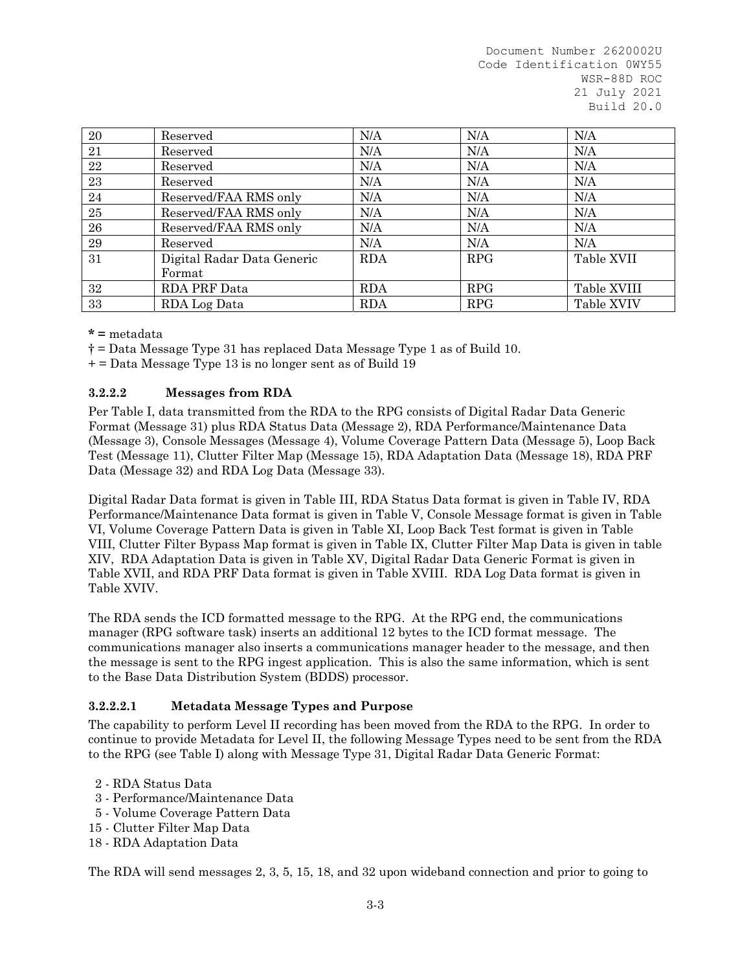| 20 | Reserved                   | N/A        | N/A        | N/A         |
|----|----------------------------|------------|------------|-------------|
| 21 | Reserved                   | N/A        | N/A        | N/A         |
| 22 | Reserved                   | N/A        | N/A        | N/A         |
| 23 | Reserved                   | N/A        | N/A        | N/A         |
| 24 | Reserved/FAA RMS only      | N/A        | N/A        | N/A         |
| 25 | Reserved/FAA RMS only      | N/A        | N/A        | N/A         |
| 26 | Reserved/FAA RMS only      | N/A        | N/A        | N/A         |
| 29 | Reserved                   | N/A        | N/A        | N/A         |
| 31 | Digital Radar Data Generic | <b>RDA</b> | <b>RPG</b> | Table XVII  |
|    | Format                     |            |            |             |
| 32 | RDA PRF Data               | <b>RDA</b> | <b>RPG</b> | Table XVIII |
| 33 | RDA Log Data               | <b>RDA</b> | RPG        | Table XVIV  |

**\* =** metadata

† = Data Message Type 31 has replaced Data Message Type 1 as of Build 10.

+ = Data Message Type 13 is no longer sent as of Build 19

#### **3.2.2.2 Messages from RDA**

Per Table I, data transmitted from the RDA to the RPG consists of Digital Radar Data Generic Format (Message 31) plus RDA Status Data (Message 2), RDA Performance/Maintenance Data (Message 3), Console Messages (Message 4), Volume Coverage Pattern Data (Message 5), Loop Back Test (Message 11), Clutter Filter Map (Message 15), RDA Adaptation Data (Message 18), RDA PRF Data (Message 32) and RDA Log Data (Message 33).

Digital Radar Data format is given in Table III, RDA Status Data format is given in Table IV, RDA Performance/Maintenance Data format is given in Table V, Console Message format is given in Table VI, Volume Coverage Pattern Data is given in Table XI, Loop Back Test format is given in Table VIII, Clutter Filter Bypass Map format is given in Table IX, Clutter Filter Map Data is given in table XIV, RDA Adaptation Data is given in Table XV, Digital Radar Data Generic Format is given in Table XVII, and RDA PRF Data format is given in Table XVIII. RDA Log Data format is given in Table XVIV.

The RDA sends the ICD formatted message to the RPG. At the RPG end, the communications manager (RPG software task) inserts an additional 12 bytes to the ICD format message. The communications manager also inserts a communications manager header to the message, and then the message is sent to the RPG ingest application. This is also the same information, which is sent to the Base Data Distribution System (BDDS) processor.

## **3.2.2.2.1 Metadata Message Types and Purpose**

The capability to perform Level II recording has been moved from the RDA to the RPG. In order to continue to provide Metadata for Level II, the following Message Types need to be sent from the RDA to the RPG (see Table I) along with Message Type 31, Digital Radar Data Generic Format:

- 2 RDA Status Data
- 3 Performance/Maintenance Data
- 5 Volume Coverage Pattern Data
- 15 Clutter Filter Map Data
- 18 RDA Adaptation Data

The RDA will send messages 2, 3, 5, 15, 18, and 32 upon wideband connection and prior to going to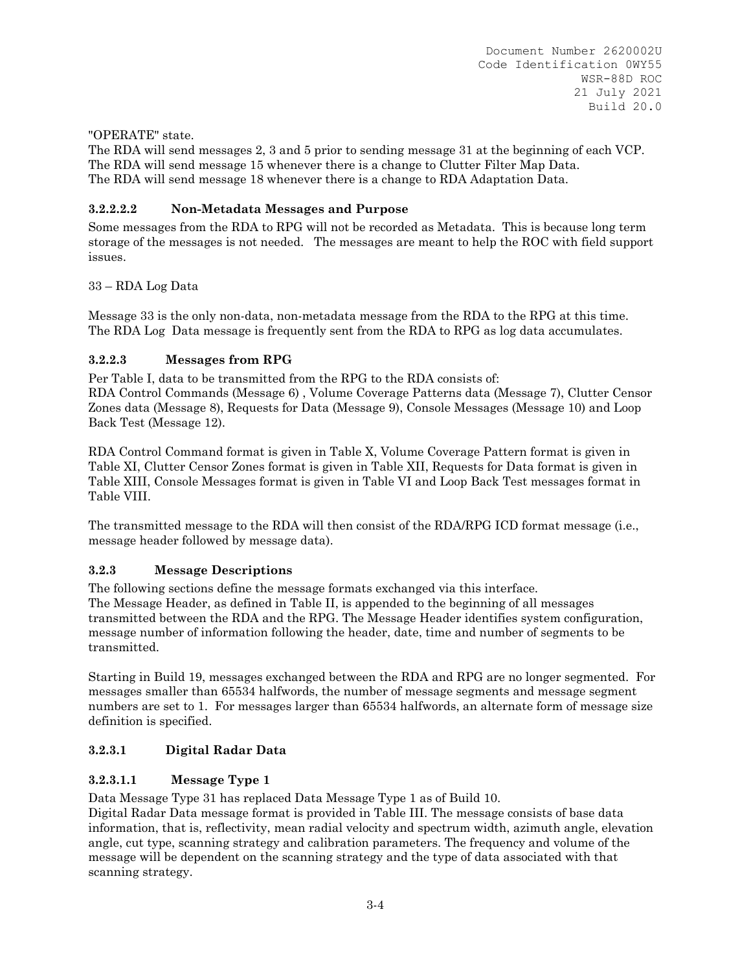## "OPERATE" state.

The RDA will send messages 2, 3 and 5 prior to sending message 31 at the beginning of each VCP. The RDA will send message 15 whenever there is a change to Clutter Filter Map Data. The RDA will send message 18 whenever there is a change to RDA Adaptation Data.

# **3.2.2.2.2 Non-Metadata Messages and Purpose**

Some messages from the RDA to RPG will not be recorded as Metadata. This is because long term storage of the messages is not needed. The messages are meant to help the ROC with field support issues.

## 33 – RDA Log Data

Message 33 is the only non-data, non-metadata message from the RDA to the RPG at this time. The RDA Log Data message is frequently sent from the RDA to RPG as log data accumulates.

## **3.2.2.3 Messages from RPG**

Per Table I, data to be transmitted from the RPG to the RDA consists of:

RDA Control Commands (Message 6) , Volume Coverage Patterns data (Message 7), Clutter Censor Zones data (Message 8), Requests for Data (Message 9), Console Messages (Message 10) and Loop Back Test (Message 12).

RDA Control Command format is given in Table X, Volume Coverage Pattern format is given in Table XI, Clutter Censor Zones format is given in Table XII, Requests for Data format is given in Table XIII, Console Messages format is given in Table VI and Loop Back Test messages format in Table VIII.

The transmitted message to the RDA will then consist of the RDA/RPG ICD format message (i.e., message header followed by message data).

## **3.2.3 Message Descriptions**

The following sections define the message formats exchanged via this interface. The Message Header, as defined in Table II, is appended to the beginning of all messages transmitted between the RDA and the RPG. The Message Header identifies system configuration, message number of information following the header, date, time and number of segments to be transmitted.

Starting in Build 19, messages exchanged between the RDA and RPG are no longer segmented. For messages smaller than 65534 halfwords, the number of message segments and message segment numbers are set to 1. For messages larger than 65534 halfwords, an alternate form of message size definition is specified.

# **3.2.3.1 Digital Radar Data**

## **3.2.3.1.1 Message Type 1**

Data Message Type 31 has replaced Data Message Type 1 as of Build 10.

Digital Radar Data message format is provided in Table III. The message consists of base data information, that is, reflectivity, mean radial velocity and spectrum width, azimuth angle, elevation angle, cut type, scanning strategy and calibration parameters. The frequency and volume of the message will be dependent on the scanning strategy and the type of data associated with that scanning strategy.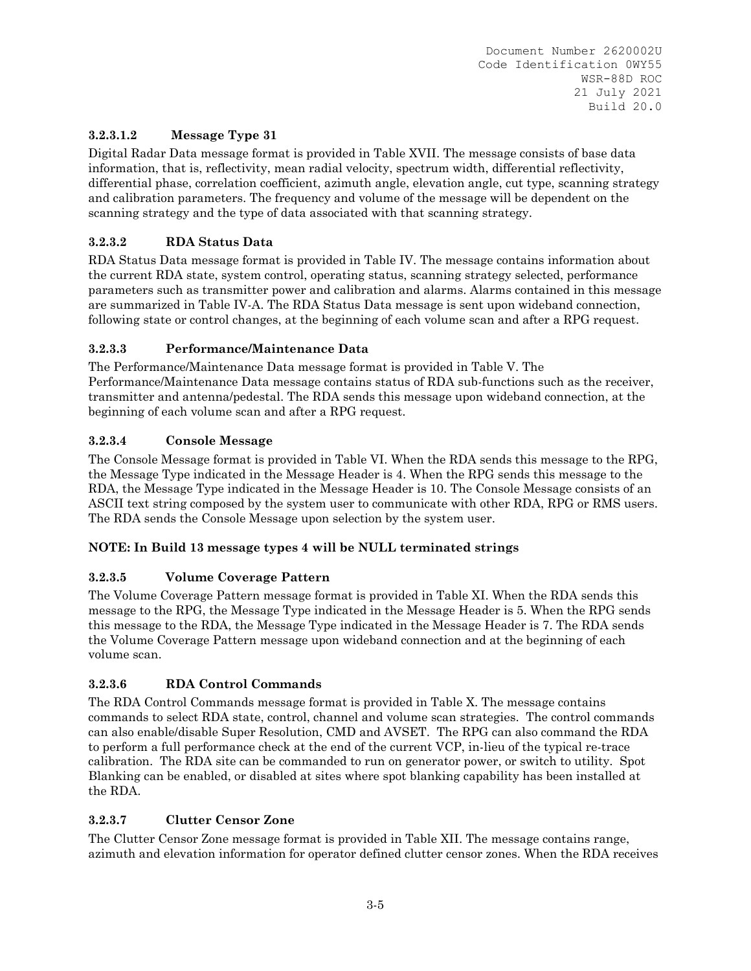# **3.2.3.1.2 Message Type 31**

Digital Radar Data message format is provided in Table XVII. The message consists of base data information, that is, reflectivity, mean radial velocity, spectrum width, differential reflectivity, differential phase, correlation coefficient, azimuth angle, elevation angle, cut type, scanning strategy and calibration parameters. The frequency and volume of the message will be dependent on the scanning strategy and the type of data associated with that scanning strategy.

# **3.2.3.2 RDA Status Data**

RDA Status Data message format is provided in Table IV. The message contains information about the current RDA state, system control, operating status, scanning strategy selected, performance parameters such as transmitter power and calibration and alarms. Alarms contained in this message are summarized in Table IV-A. The RDA Status Data message is sent upon wideband connection, following state or control changes, at the beginning of each volume scan and after a RPG request.

# **3.2.3.3 Performance/Maintenance Data**

The Performance/Maintenance Data message format is provided in Table V. The Performance/Maintenance Data message contains status of RDA sub-functions such as the receiver, transmitter and antenna/pedestal. The RDA sends this message upon wideband connection, at the beginning of each volume scan and after a RPG request.

# **3.2.3.4 Console Message**

The Console Message format is provided in Table VI. When the RDA sends this message to the RPG, the Message Type indicated in the Message Header is 4. When the RPG sends this message to the RDA, the Message Type indicated in the Message Header is 10. The Console Message consists of an ASCII text string composed by the system user to communicate with other RDA, RPG or RMS users. The RDA sends the Console Message upon selection by the system user.

# **NOTE: In Build 13 message types 4 will be NULL terminated strings**

# **3.2.3.5 Volume Coverage Pattern**

The Volume Coverage Pattern message format is provided in Table XI. When the RDA sends this message to the RPG, the Message Type indicated in the Message Header is 5. When the RPG sends this message to the RDA, the Message Type indicated in the Message Header is 7. The RDA sends the Volume Coverage Pattern message upon wideband connection and at the beginning of each volume scan.

# **3.2.3.6 RDA Control Commands**

The RDA Control Commands message format is provided in Table X. The message contains commands to select RDA state, control, channel and volume scan strategies. The control commands can also enable/disable Super Resolution, CMD and AVSET. The RPG can also command the RDA to perform a full performance check at the end of the current VCP, in-lieu of the typical re-trace calibration. The RDA site can be commanded to run on generator power, or switch to utility. Spot Blanking can be enabled, or disabled at sites where spot blanking capability has been installed at the RDA.

# **3.2.3.7 Clutter Censor Zone**

The Clutter Censor Zone message format is provided in Table XII. The message contains range, azimuth and elevation information for operator defined clutter censor zones. When the RDA receives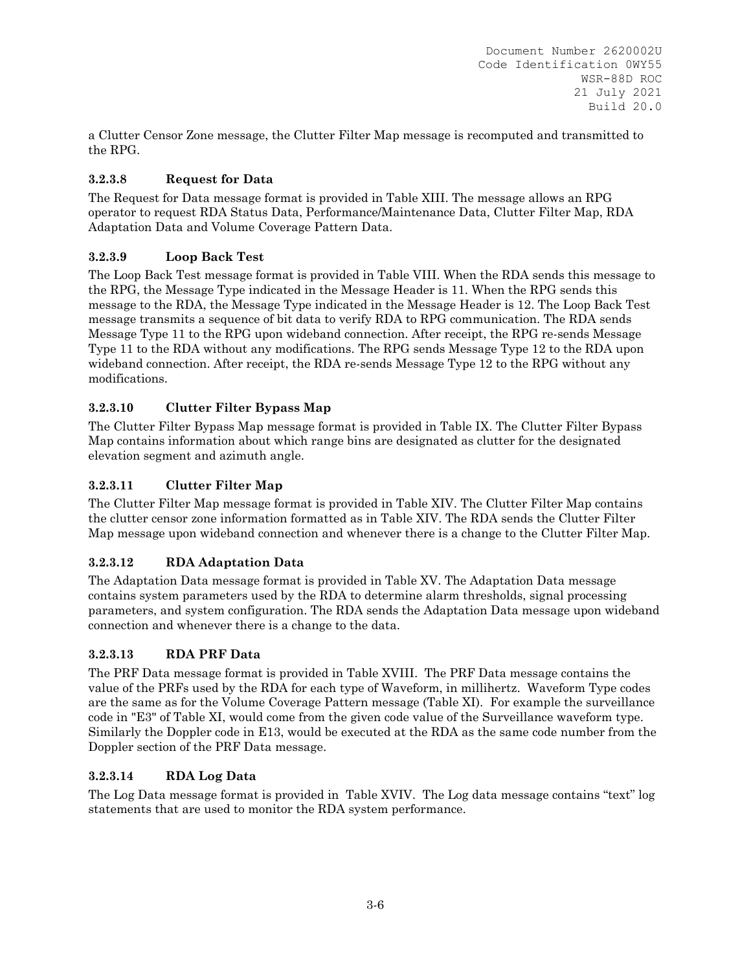a Clutter Censor Zone message, the Clutter Filter Map message is recomputed and transmitted to the RPG.

# **3.2.3.8 Request for Data**

The Request for Data message format is provided in Table XIII. The message allows an RPG operator to request RDA Status Data, Performance/Maintenance Data, Clutter Filter Map, RDA Adaptation Data and Volume Coverage Pattern Data.

# **3.2.3.9 Loop Back Test**

The Loop Back Test message format is provided in Table VIII. When the RDA sends this message to the RPG, the Message Type indicated in the Message Header is 11. When the RPG sends this message to the RDA, the Message Type indicated in the Message Header is 12. The Loop Back Test message transmits a sequence of bit data to verify RDA to RPG communication. The RDA sends Message Type 11 to the RPG upon wideband connection. After receipt, the RPG re-sends Message Type 11 to the RDA without any modifications. The RPG sends Message Type 12 to the RDA upon wideband connection. After receipt, the RDA re-sends Message Type 12 to the RPG without any modifications.

# **3.2.3.10 Clutter Filter Bypass Map**

The Clutter Filter Bypass Map message format is provided in Table IX. The Clutter Filter Bypass Map contains information about which range bins are designated as clutter for the designated elevation segment and azimuth angle.

# **3.2.3.11 Clutter Filter Map**

The Clutter Filter Map message format is provided in Table XIV. The Clutter Filter Map contains the clutter censor zone information formatted as in Table XIV. The RDA sends the Clutter Filter Map message upon wideband connection and whenever there is a change to the Clutter Filter Map.

# **3.2.3.12 RDA Adaptation Data**

The Adaptation Data message format is provided in Table XV. The Adaptation Data message contains system parameters used by the RDA to determine alarm thresholds, signal processing parameters, and system configuration. The RDA sends the Adaptation Data message upon wideband connection and whenever there is a change to the data.

# **3.2.3.13 RDA PRF Data**

The PRF Data message format is provided in Table XVIII. The PRF Data message contains the value of the PRFs used by the RDA for each type of Waveform, in millihertz. Waveform Type codes are the same as for the Volume Coverage Pattern message (Table XI). For example the surveillance code in "E3" of Table XI, would come from the given code value of the Surveillance waveform type. Similarly the Doppler code in E13, would be executed at the RDA as the same code number from the Doppler section of the PRF Data message.

# **3.2.3.14 RDA Log Data**

The Log Data message format is provided in Table XVIV. The Log data message contains "text" log statements that are used to monitor the RDA system performance.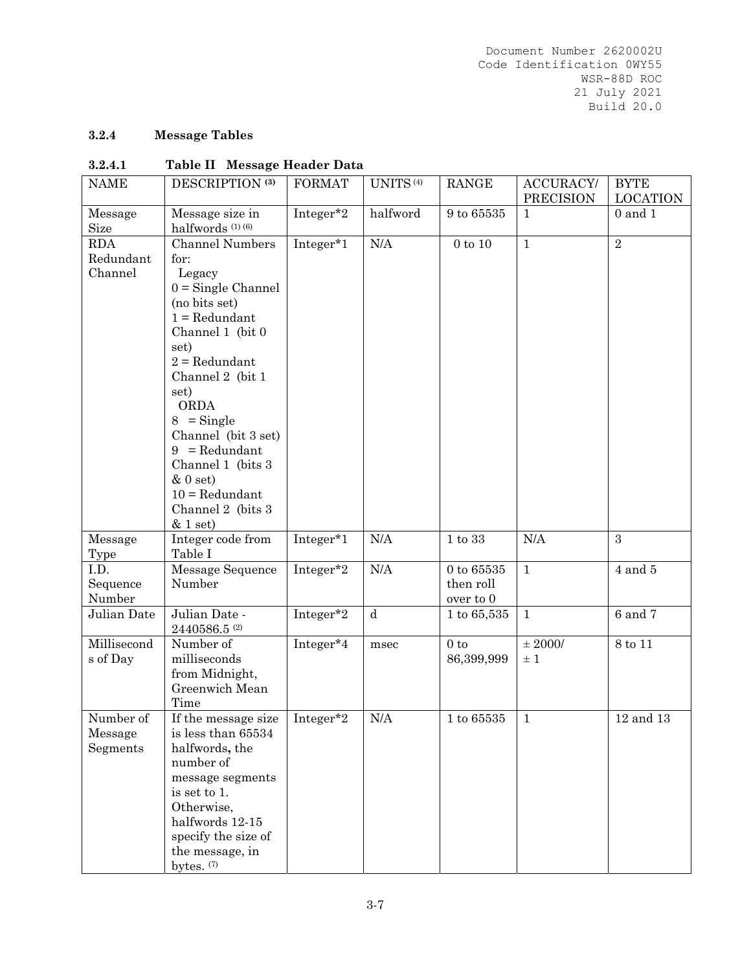# **3.2.4 Message Tables**

## **3.2.4.1 Table II Message Header Data**

| <b>NAME</b>                        | DESCRIPTION <sup>(3)</sup>                                                                                                                                                                                                                                                                                                                        | <b>FORMAT</b> | UNITS <sup>(4)</sup> | <b>RANGE</b>                                 | ACCURACY/<br><b>PRECISION</b> | <b>BYTE</b><br><b>LOCATION</b> |
|------------------------------------|---------------------------------------------------------------------------------------------------------------------------------------------------------------------------------------------------------------------------------------------------------------------------------------------------------------------------------------------------|---------------|----------------------|----------------------------------------------|-------------------------------|--------------------------------|
| Message<br>Size                    | Message size in<br>halfwords (1) (6)                                                                                                                                                                                                                                                                                                              | Integer*2     | halfword             | $9$ to $65535$                               | $\mathbf{1}$                  | $0$ and $1$                    |
| <b>RDA</b><br>Redundant<br>Channel | <b>Channel Numbers</b><br>for:<br>Legacy<br>$0 =$ Single Channel<br>(no bits set)<br>$1 = Redundant$<br>Channel 1 (bit 0<br>set)<br>$2 = Redundant$<br>Channel 2 (bit 1<br>set)<br>ORDA<br>$8 =$ Single<br>Channel (bit 3 set)<br>$9 = Redundant$<br>Channel 1 (bits 3)<br>$&0$ set)<br>$10 = \text{Redundant}$<br>Channel 2 (bits 3)<br>& 1 set) | Integer*1     | N/A                  | $0$ to $10\,$                                | $\mathbf{1}$                  | $\overline{2}$                 |
| Message<br>Type                    | Integer code from<br>Table I                                                                                                                                                                                                                                                                                                                      | Integer*1     | N/A                  | 1 to 33                                      | N/A                           | 3                              |
| I.D.<br>Sequence<br>Number         | Message Sequence<br>Number                                                                                                                                                                                                                                                                                                                        | Integer*2     | $\rm N/A$            | $0$ to $65535\,$<br>then roll<br>over to $0$ | $\mathbf{1}$                  | $4$ and $5$                    |
| Julian Date                        | Julian Date -<br>$2440586.5$ <sup>(2)</sup>                                                                                                                                                                                                                                                                                                       | Integer*2     | $\mathbf d$          | 1 to 65,535                                  | $\mathbf{1}$                  | $6$ and $7$                    |
| Millisecond<br>s of Day            | Number of<br>milliseconds<br>from Midnight,<br>Greenwich Mean<br>Time                                                                                                                                                                                                                                                                             | Integer*4     | msec                 | $0$ to<br>86,399,999                         | $\pm$ 2000/<br>$\pm$ 1        | 8 to 11                        |
| Number of<br>Message<br>Segments   | If the message size   Integer*2<br>is less than 65534<br>halfwords, the<br>number of<br>message segments<br>is set to 1.<br>Otherwise,<br>halfwords 12-15<br>specify the size of<br>the message, in<br>bytes. (7)                                                                                                                                 |               | N/A                  | 1 to 65535                                   | 1                             | $12$ and $13$                  |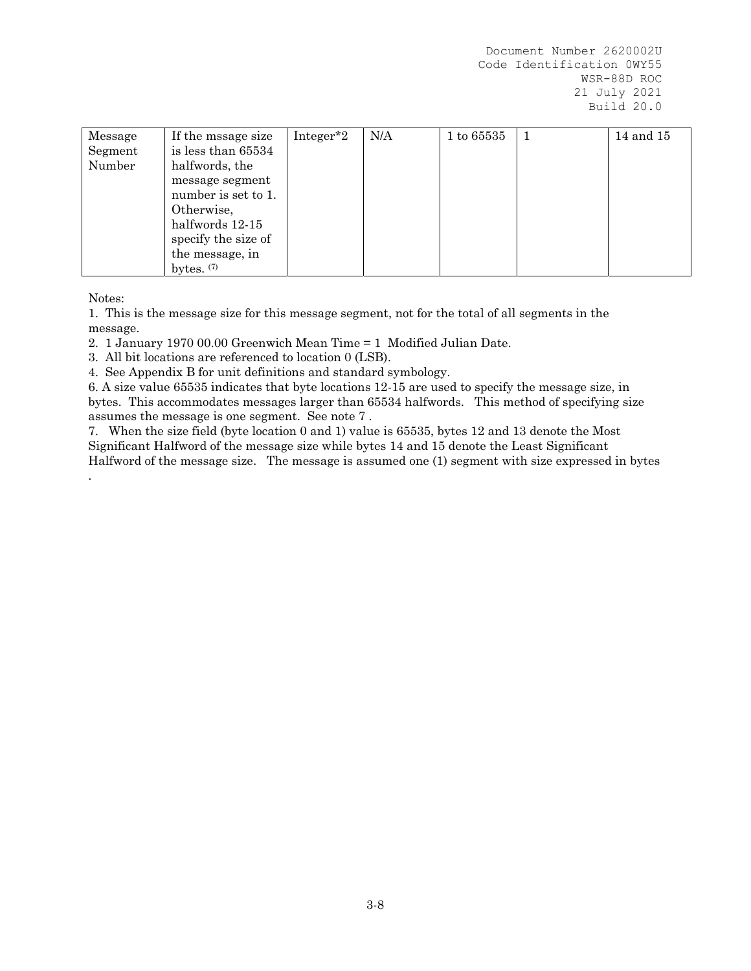| Message | If the mssage size  | Integer <sup>*2</sup> | N/A | 1 to 65535 | 14 and 15 |
|---------|---------------------|-----------------------|-----|------------|-----------|
| Segment | is less than 65534  |                       |     |            |           |
| Number  | halfwords, the      |                       |     |            |           |
|         | message segment     |                       |     |            |           |
|         | number is set to 1. |                       |     |            |           |
|         | Otherwise,          |                       |     |            |           |
|         | halfwords 12-15     |                       |     |            |           |
|         | specify the size of |                       |     |            |           |
|         | the message, in     |                       |     |            |           |
|         | bytes. $(7)$        |                       |     |            |           |

Notes:

.

1. This is the message size for this message segment, not for the total of all segments in the message.

2. 1 January 1970 00.00 Greenwich Mean Time = 1 Modified Julian Date.

3. All bit locations are referenced to location 0 (LSB).

4. See Appendix B for unit definitions and standard symbology.

6. A size value 65535 indicates that byte locations 12-15 are used to specify the message size, in bytes. This accommodates messages larger than 65534 halfwords. This method of specifying size assumes the message is one segment. See note 7 .

7. When the size field (byte location 0 and 1) value is 65535, bytes 12 and 13 denote the Most Significant Halfword of the message size while bytes 14 and 15 denote the Least Significant Halfword of the message size. The message is assumed one (1) segment with size expressed in bytes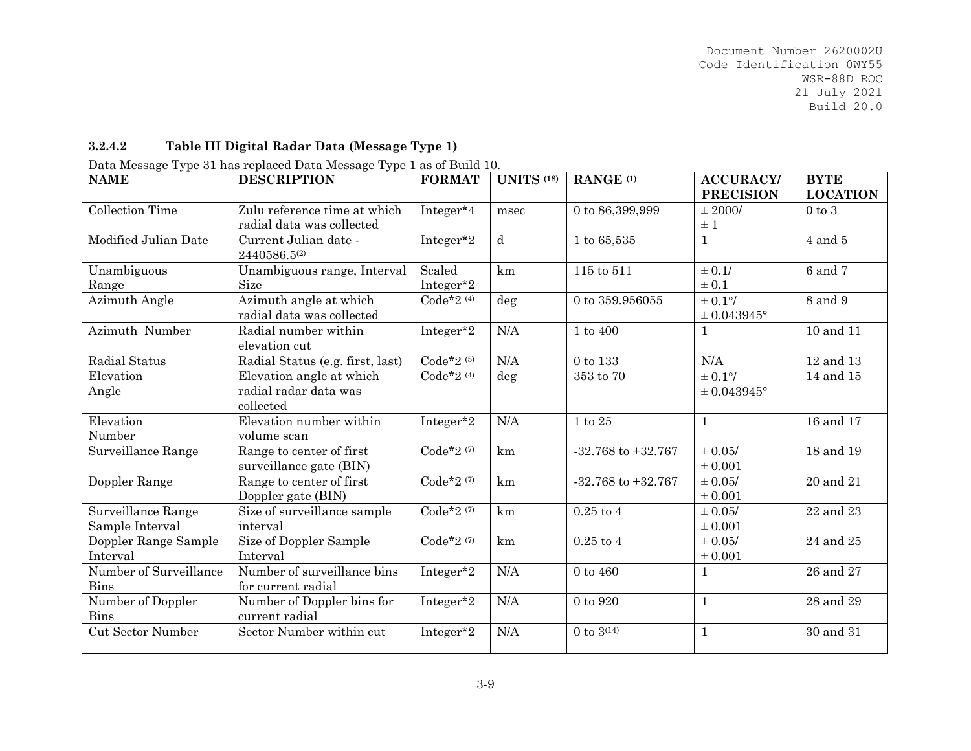#### **3.2.4.2Table III Digital Radar Data (Message Type 1)**

|  |  |  |  |  | Data Message Type 31 has replaced Data Message Type 1 as of Build 10. |
|--|--|--|--|--|-----------------------------------------------------------------------|
|--|--|--|--|--|-----------------------------------------------------------------------|

| <b>NAME</b>              | <b>DESCRIPTION</b>               | <b>FORMAT</b> | <b>UNITS (18)</b> | RANGE <sup>(1)</sup>   | <b>ACCURACY/</b> | <b>BYTE</b>     |
|--------------------------|----------------------------------|---------------|-------------------|------------------------|------------------|-----------------|
|                          |                                  |               |                   |                        | <b>PRECISION</b> | <b>LOCATION</b> |
| <b>Collection Time</b>   | Zulu reference time at which     | Integer*4     | msec              | 0 to 86,399,999        | $\pm$ 2000/      | $0$ to $3$      |
|                          | radial data was collected        |               |                   |                        | $\pm$ 1          |                 |
| Modified Julian Date     | Current Julian date -            | Integer*2     | $\mathbf d$       | 1 to 65,535            | $\mathbf{1}$     | $4$ and $5$     |
|                          | 2440586.5(2)                     |               |                   |                        |                  |                 |
| Unambiguous              | Unambiguous range, Interval      | Scaled        | km                | 115 to 511             | $\pm$ 0.1/       | 6 and 7         |
| Range                    | <b>Size</b>                      | Integer*2     |                   |                        | $\pm 0.1$        |                 |
| Azimuth Angle            | Azimuth angle at which           | Code*2 $(4)$  | deg               | 0 to 359.956055        | $\pm$ 0.1%       | 8 and 9         |
|                          | radial data was collected        |               |                   |                        | $± 0.043945$ °   |                 |
| Azimuth Number           | Radial number within             | Integer*2     | N/A               | 1 to 400               | $\mathbf{1}$     | 10 and 11       |
|                          | elevation cut                    |               |                   |                        |                  |                 |
| Radial Status            | Radial Status (e.g. first, last) | Code*2 $(5)$  | N/A               | 0 to 133               | N/A              | 12 and 13       |
| Elevation                | Elevation angle at which         | Code*2 $(4)$  | deg               | $353$ to $70\,$        | $\pm$ 0.1%       | 14 and 15       |
| Angle                    | radial radar data was            |               |                   |                        | $± 0.043945$ °   |                 |
|                          | collected                        |               |                   |                        |                  |                 |
| Elevation                | Elevation number within          | Integer*2     | N/A               | 1 to 25                | $\mathbf{1}$     | 16 and 17       |
| Number                   | volume scan                      |               |                   |                        |                  |                 |
| Surveillance Range       | Range to center of first         | Code*2 $(7)$  | km                | $-32.768$ to $+32.767$ | $\pm$ 0.05/      | 18 and 19       |
|                          | surveillance gate (BIN)          |               |                   |                        | $\pm 0.001$      |                 |
| Doppler Range            | Range to center of first         | Code*2 $(7)$  | km                | $-32.768$ to $+32.767$ | $\pm$ 0.05/      | 20 and 21       |
|                          | Doppler gate (BIN)               |               |                   |                        | $\pm 0.001$      |                 |
| Surveillance Range       | Size of surveillance sample      | Code*2 $(7)$  | km                | $0.25$ to $4$          | $\pm$ 0.05/      | 22 and 23       |
| Sample Interval          | interval                         |               |                   |                        | $\pm 0.001$      |                 |
| Doppler Range Sample     | Size of Doppler Sample           | Code*2 $(7)$  | km                | $0.25$ to 4            | $\pm 0.05/$      | 24 and 25       |
| Interval                 | Interval                         |               |                   |                        | $\pm 0.001$      |                 |
| Number of Surveillance   | Number of surveillance bins      | Integer*2     | N/A               | $0$ to $460$           | $\mathbf{1}$     | 26 and 27       |
| <b>Bins</b>              | for current radial               |               |                   |                        |                  |                 |
| Number of Doppler        | Number of Doppler bins for       | Integer*2     | N/A               | 0 to 920               | $\mathbf{1}$     | 28 and 29       |
| <b>Bins</b>              | current radial                   |               |                   |                        |                  |                 |
| <b>Cut Sector Number</b> | Sector Number within cut         | Integer*2     | N/A               | 0 to $3^{(14)}$        | $\mathbf{1}$     | 30 and 31       |
|                          |                                  |               |                   |                        |                  |                 |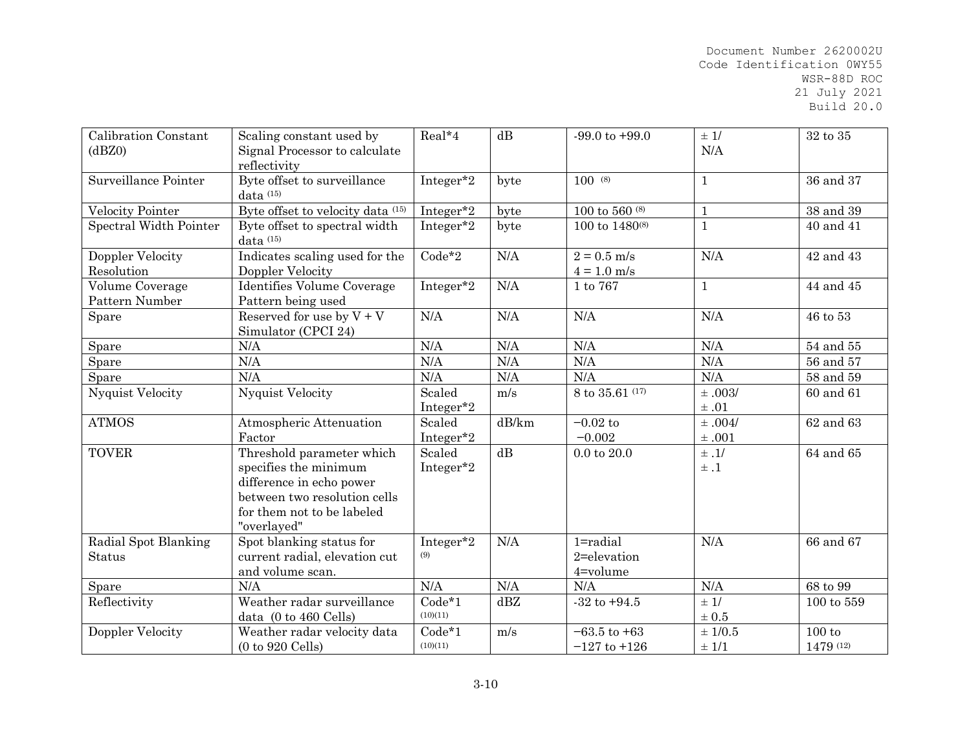| Calibration Constant<br>(dBZ0)    | Scaling constant used by<br>Signal Processor to calculate<br>reflectivity                                                                                   | Real*4               | dB    | $-99.0$ to $+99.0$                      | $\pm$ 1/<br>N/A       | 32 to 35            |
|-----------------------------------|-------------------------------------------------------------------------------------------------------------------------------------------------------------|----------------------|-------|-----------------------------------------|-----------------------|---------------------|
| Surveillance Pointer              | Byte offset to surveillance<br>data (15)                                                                                                                    | Integer*2            | byte  | $100^{(8)}$                             | $\mathbf{1}$          | 36 and 37           |
| Velocity Pointer                  | Byte offset to velocity data (15)                                                                                                                           | Integer*2            | byte  | $100$ to 560 $^{\rm (8)}$               | $\mathbf{1}$          | 38 and 39           |
| Spectral Width Pointer            | Byte offset to spectral width<br>data (15)                                                                                                                  | Integer*2            | byte  | 100 to $1480^{(8)}$                     | $\mathbf{1}$          | 40 and 41           |
| Doppler Velocity<br>Resolution    | Indicates scaling used for the<br>Doppler Velocity                                                                                                          | $Code*2$             | N/A   | $2 = 0.5$ m/s<br>$4 = 1.0$ m/s          | N/A                   | 42 and 43           |
| Volume Coverage<br>Pattern Number | Identifies Volume Coverage<br>Pattern being used                                                                                                            | Integer*2            | N/A   | 1 to 767                                | $\mathbf{1}$          | 44 and 45           |
| Spare                             | Reserved for use by $V + V$<br>Simulator (CPCI 24)                                                                                                          | N/A                  | N/A   | N/A                                     | N/A                   | 46 to 53            |
| Spare                             | N/A                                                                                                                                                         | N/A                  | N/A   | N/A                                     | N/A                   | 54 and 55           |
| Spare                             | N/A                                                                                                                                                         | N/A                  | N/A   | N/A                                     | N/A                   | 56 and 57           |
| Spare                             | N/A                                                                                                                                                         | N/A                  | N/A   | N/A                                     | N/A                   | 58 and 59           |
| <b>Nyquist Velocity</b>           | <b>Nyquist Velocity</b>                                                                                                                                     | Scaled<br>Integer*2  | m/s   | 8 to 35.61 (17)                         | ±.003/<br>$\pm$ .01   | 60 and 61           |
| <b>ATMOS</b>                      | Atmospheric Attenuation<br>Factor                                                                                                                           | Scaled<br>Integer*2  | dB/km | $-0.02$ to<br>$-0.002$                  | $\pm .004/$<br>±.001  | 62 and 63           |
| <b>TOVER</b>                      | Threshold parameter which<br>specifies the minimum<br>difference in echo power<br>between two resolution cells<br>for them not to be labeled<br>"overlayed" | Scaled<br>Integer*2  | dB    | $0.0$ to $20.0$                         | $\pm$ .1/<br>$\pm .1$ | 64 and 65           |
| Radial Spot Blanking<br>Status    | Spot blanking status for<br>current radial, elevation cut<br>and volume scan.                                                                               | Integer*2<br>(9)     | N/A   | $1 =$ radial<br>2=elevation<br>4=volume | N/A                   | 66 and 67           |
| Spare                             | N/A                                                                                                                                                         | N/A                  | N/A   | N/A                                     | N/A                   | 68 to 99            |
| Reflectivity                      | Weather radar surveillance<br>data (0 to 460 Cells)                                                                                                         | $Code*1$<br>(10)(11) | dBZ   | $-32$ to $+94.5$                        | ± 1/<br>$\pm$ 0.5     | $100$ to $559\,$    |
| Doppler Velocity                  | Weather radar velocity data<br>$(0 to 920$ Cells)                                                                                                           | $Code*1$<br>(10)(11) | m/s   | $-63.5$ to $+63$<br>$-127$ to $+126$    | $\pm$ 1/0.5<br>± 1/1  | 100 to<br>1479 (12) |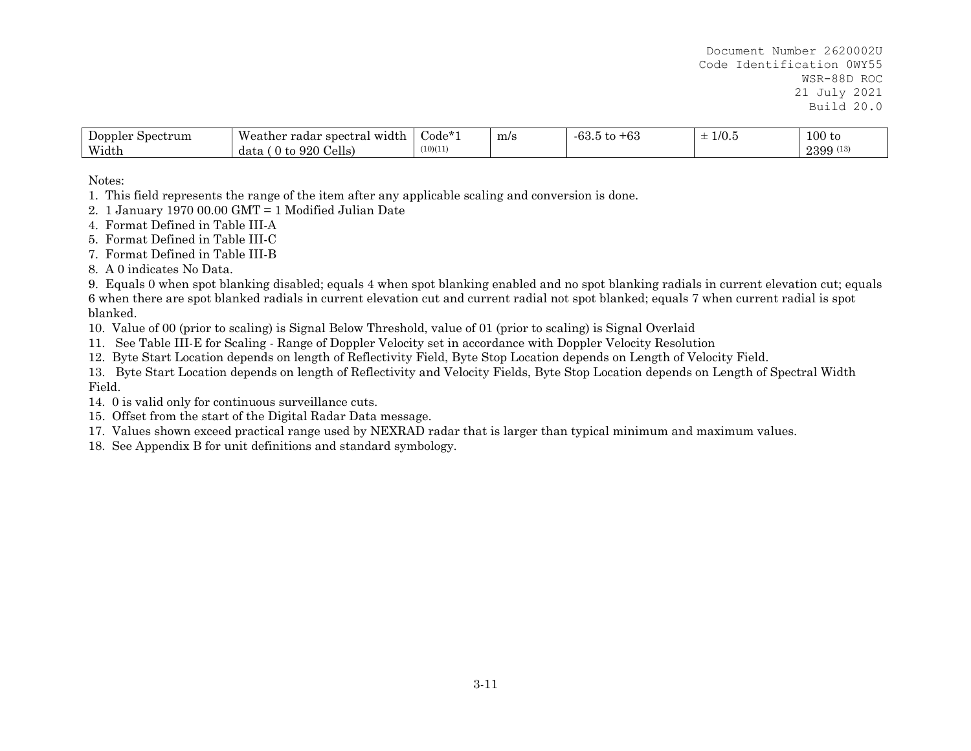| Doppler<br>Spectrum | Weather radar spectral<br>width!   | ---<br>$\dot{\mathrm{Code}}$ | m/s | $-63.5$<br>$\alpha$<br>ு<br>w | $\sim$ 10 $\sim$<br>G.U/L<br><u>. на так</u><br><b>__</b> | 100 to   |
|---------------------|------------------------------------|------------------------------|-----|-------------------------------|-----------------------------------------------------------|----------|
| Width               | 920<br>Cells)<br>$+\alpha$<br>data | (10)(11)                     |     |                               |                                                           | 2399 (13 |

Notes:

1. This field represents the range of the item after any applicable scaling and conversion is done.

- 2. 1 January 1970 00.00 GMT = 1 Modified Julian Date
- 4. Format Defined in Table III-A
- 5. Format Defined in Table III-C
- 7. Format Defined in Table III-B
- 8. A 0 indicates No Data.

9. Equals 0 when spot blanking disabled; equals 4 when spot blanking enabled and no spot blanking radials in current elevation cut; equals 6 when there are spot blanked radials in current elevation cut and current radial not spot blanked; equals 7 when current radial is spot blanked.

10. Value of 00 (prior to scaling) is Signal Below Threshold, value of 01 (prior to scaling) is Signal Overlaid

11. See Table III-E for Scaling - Range of Doppler Velocity set in accordance with Doppler Velocity Resolution

12. Byte Start Location depends on length of Reflectivity Field, Byte Stop Location depends on Length of Velocity Field.

13. Byte Start Location depends on length of Reflectivity and Velocity Fields, Byte Stop Location depends on Length of Spectral Width Field.

- 14. 0 is valid only for continuous surveillance cuts.
- 15. Offset from the start of the Digital Radar Data message.
- 17. Values shown exceed practical range used by NEXRAD radar that is larger than typical minimum and maximum values.
- 18. See Appendix B for unit definitions and standard symbology.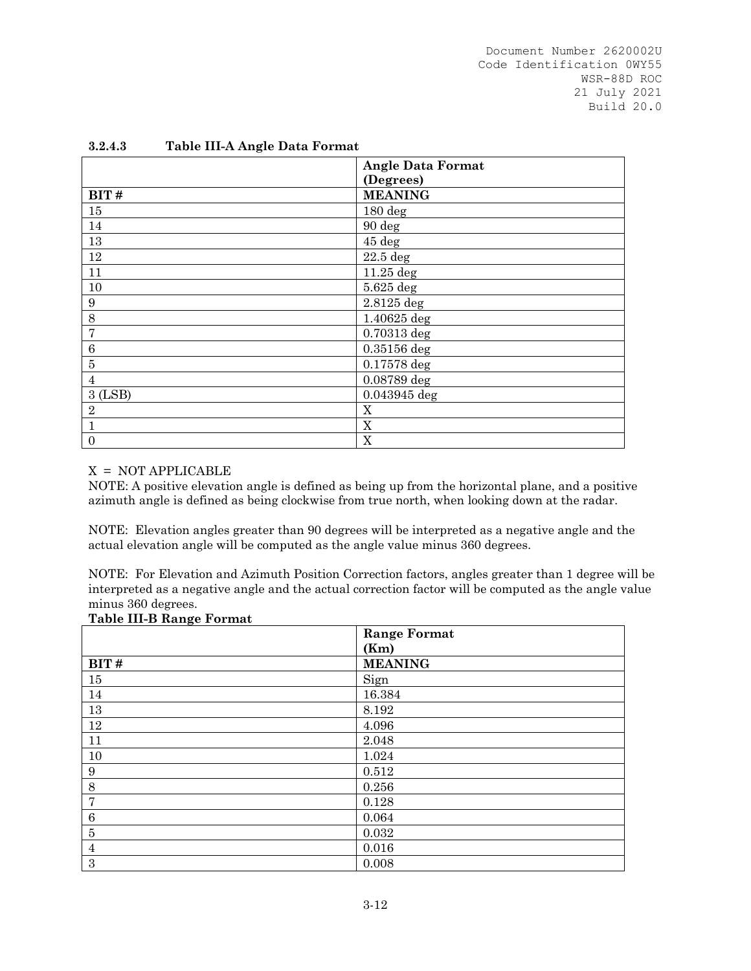| <b>Angle Data Format</b><br>(Degrees) |
|---------------------------------------|
|                                       |
|                                       |
| <b>MEANING</b>                        |
| $180 \text{ deg}$                     |
| 90 deg                                |
| $45\deg$                              |
| $22.5$ deg                            |
| $11.25$ deg                           |
| 5.625 deg                             |
| 2.8125 deg                            |
| 1.40625 deg                           |
| $0.70313$ deg                         |
| 0.35156 deg                           |
| 0.17578 deg                           |
| 0.08789 deg                           |
| 0.043945 deg                          |
| X                                     |
| X                                     |
| X                                     |
|                                       |

#### **3.2.4.3 Table III-A Angle Data Format**

#### X = NOT APPLICABLE

NOTE: A positive elevation angle is defined as being up from the horizontal plane, and a positive azimuth angle is defined as being clockwise from true north, when looking down at the radar.

NOTE: Elevation angles greater than 90 degrees will be interpreted as a negative angle and the actual elevation angle will be computed as the angle value minus 360 degrees.

NOTE: For Elevation and Azimuth Position Correction factors, angles greater than 1 degree will be interpreted as a negative angle and the actual correction factor will be computed as the angle value minus 360 degrees.

|                  | <b>Range Format</b> |
|------------------|---------------------|
|                  | (Km)                |
| BIT#             | <b>MEANING</b>      |
| 15               | Sign                |
| 14               | 16.384              |
| 13               | 8.192               |
| $12\,$           | 4.096               |
| 11               | 2.048               |
| 10               | 1.024               |
| $\boldsymbol{9}$ | 0.512               |
| $8\,$            | 0.256               |
| $\overline{7}$   | 0.128               |
| $\,6\,$          | 0.064               |
| $\bf 5$          | 0.032               |
| $\overline{4}$   | 0.016               |
| $\,3$            | 0.008               |

#### **Table III-B Range Format**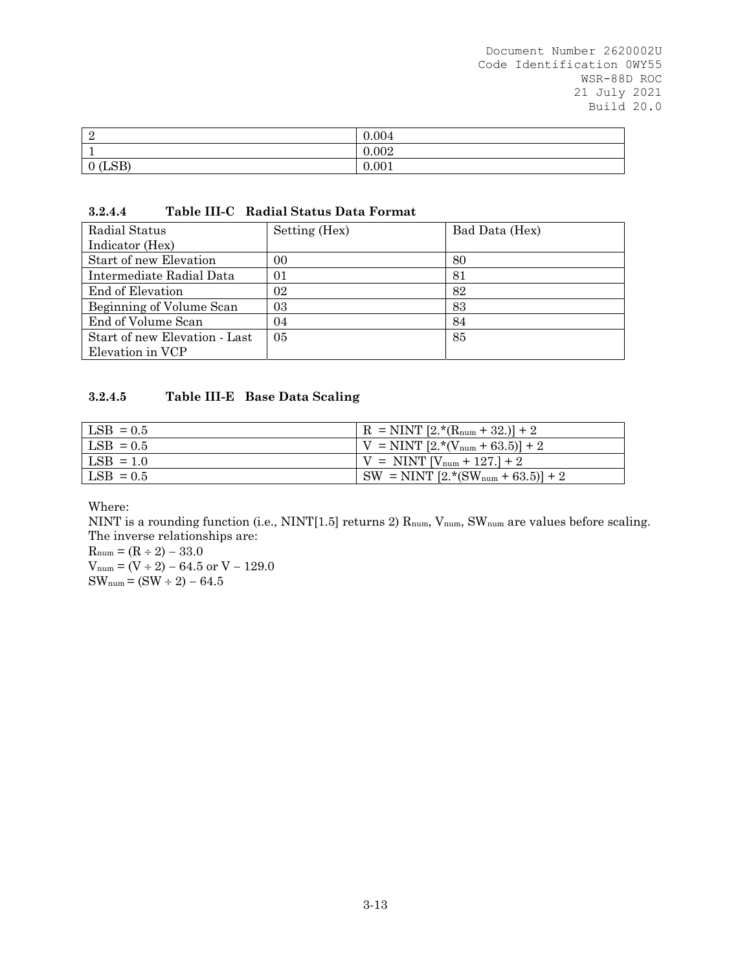| റ<br>∸     | 0.004 |
|------------|-------|
|            | 0.002 |
| (LSB)<br>v | 0.001 |

#### **3.2.4.4 Table III-C Radial Status Data Format**

| Radial Status                 | Setting (Hex) | Bad Data (Hex) |
|-------------------------------|---------------|----------------|
| Indicator (Hex)               |               |                |
| Start of new Elevation        | 00            | 80             |
| Intermediate Radial Data      | 01            | 81             |
| End of Elevation              | 02            | 82             |
| Beginning of Volume Scan      | 03            | 83             |
| End of Volume Scan            | 04            | 84             |
| Start of new Elevation - Last | 05            | 85             |
| Elevation in VCP              |               |                |

## **3.2.4.5 Table III-E Base Data Scaling**

| $LSB = 0.5$ | $R = NINT [2.*(R_{num} + 32.)]+2$     |
|-------------|---------------------------------------|
| $LSB = 0.5$ | $ V = NINT [2.*(V_{num} + 63.5)] + 2$ |
| $LSB = 1.0$ | $V = NINT [V_{num} + 127.] + 2$       |
| $LSB = 0.5$ | $SW = NINT [2.*(SWnum + 63.5)] + 2$   |
|             |                                       |

Where:

NINT is a rounding function (i.e., NINT[1.5] returns 2) R<sub>num</sub>, V<sub>num</sub>, SW<sub>num</sub> are values before scaling. The inverse relationships are:

 $R_{num} = (R \div 2) - 33.0$  $V_{num} = (V \div 2) - 64.5$  or  $V - 129.0$  $SW_{num} = (SW \div 2) - 64.5$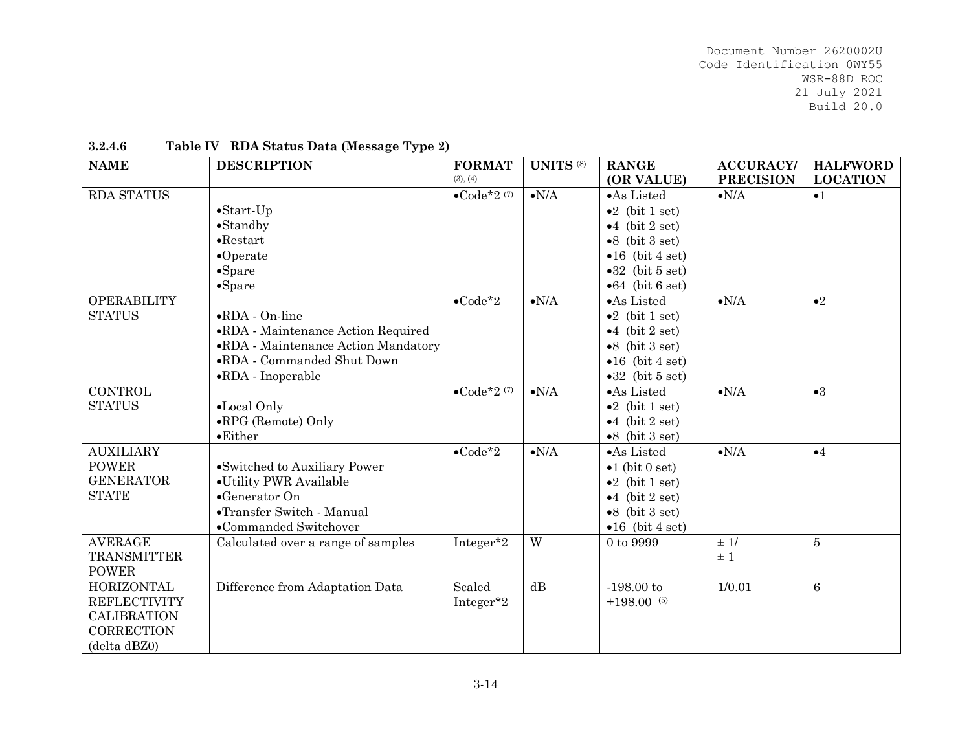| <b>NAME</b>                                                                                         | <b>DESCRIPTION</b>                                                                                                                                               | <b>FORMAT</b><br>(3), (4) | <b>UNITS</b> (8)   | <b>RANGE</b><br>(OR VALUE)                                                                                                                          | <b>ACCURACY/</b><br><b>PRECISION</b> | <b>HALFWORD</b><br><b>LOCATION</b> |
|-----------------------------------------------------------------------------------------------------|------------------------------------------------------------------------------------------------------------------------------------------------------------------|---------------------------|--------------------|-----------------------------------------------------------------------------------------------------------------------------------------------------|--------------------------------------|------------------------------------|
| RDA STATUS                                                                                          | $\bullet$ Start-Up<br>$\bullet$ Standby                                                                                                                          | $\bullet$ Code*2 $(7)$    | $\bullet{\rm N/A}$ | •As Listed<br>$\bullet 2$ (bit 1 set)<br>$\bullet$ 4 (bit 2 set)                                                                                    | $\bullet{\rm N/A}$                   | $\bullet$ 1                        |
|                                                                                                     | $\bullet$ Restart<br>$\bullet$ Operate<br>$\bullet$ Spare                                                                                                        |                           |                    | $\bullet 8$ (bit 3 set)<br>$\bullet 16$ (bit 4 set)<br>$\bullet 32$ (bit 5 set)                                                                     |                                      |                                    |
|                                                                                                     | $\bullet$ Spare                                                                                                                                                  |                           |                    | $\bullet 64$ (bit 6 set)                                                                                                                            |                                      |                                    |
| <b>OPERABILITY</b><br><b>STATUS</b>                                                                 | $\bullet$ RDA - On-line<br>•RDA - Maintenance Action Required<br>•RDA - Maintenance Action Mandatory<br>•RDA - Commanded Shut Down<br>$\bullet$ RDA - Inoperable | $\bullet$ Code*2          | $\bullet{\rm N/A}$ | •As Listed<br>$\bullet 2$ (bit 1 set)<br>$\bullet$ 4 (bit 2 set)<br>$\bullet 8$ (bit 3 set)<br>$\bullet 16$ (bit 4 set)<br>$\bullet 32$ (bit 5 set) | $\bullet N/A$                        | $\bullet 2$                        |
| <b>CONTROL</b><br><b>STATUS</b>                                                                     | •Local Only<br>•RPG (Remote) Only<br>$\bullet$ Either                                                                                                            | $\bullet$ Code*2 $(7)$    | $\bullet{\rm N/A}$ | •As Listed<br>$\bullet 2$ (bit 1 set)<br>$\bullet 4$ (bit 2 set)<br>$\bullet 8$ (bit 3 set)                                                         | $\bullet{\rm N/A}$                   | $\bullet 3$                        |
| <b>AUXILIARY</b><br><b>POWER</b><br><b>GENERATOR</b><br><b>STATE</b>                                | •Switched to Auxiliary Power<br>•Utility PWR Available<br>$\bullet$ Generator On<br>•Transfer Switch - Manual<br>•Commanded Switchover                           | $\bullet$ Code*2          | $\bullet{\rm N/A}$ | •As Listed<br>$\bullet$ 1 (bit 0 set)<br>$\bullet 2$ (bit 1 set)<br>$\bullet$ 4 (bit 2 set)<br>$\bullet 8$ (bit 3 set)<br>$\bullet 16$ (bit 4 set)  | $\bullet N/A$                        | $\bullet 4$                        |
| <b>AVERAGE</b><br><b>TRANSMITTER</b><br><b>POWER</b>                                                | Calculated over a range of samples                                                                                                                               | Integer*2                 | W                  | 0 to 9999                                                                                                                                           | $\pm$ 1/<br>$\pm$ 1                  | $\overline{5}$                     |
| <b>HORIZONTAL</b><br><b>REFLECTIVITY</b><br><b>CALIBRATION</b><br><b>CORRECTION</b><br>(delta dBZ0) | Difference from Adaptation Data                                                                                                                                  | Scaled<br>Integer*2       | dB                 | $-198.00$ to<br>$+198.00$ (5)                                                                                                                       | 1/0.01                               | $6\phantom{1}6$                    |

#### **3.2.4.6Table IV RDA Status Data (Message Type 2)**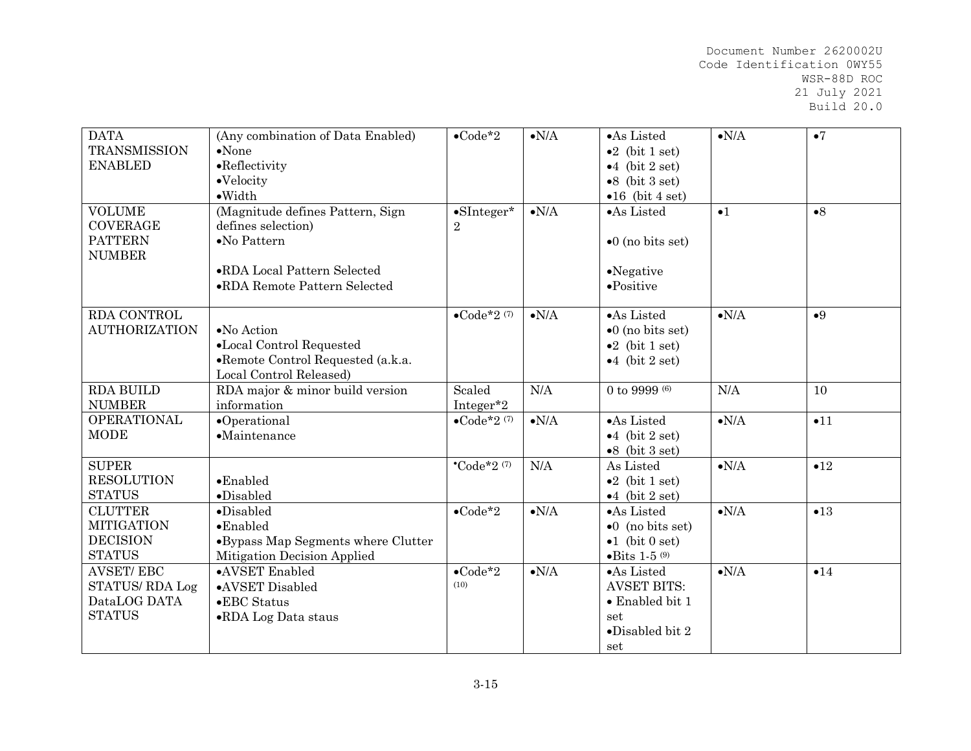| <b>DATA</b><br><b>TRANSMISSION</b><br><b>ENABLED</b>                    | (Any combination of Data Enabled)<br>$\bullet$ None<br>$\bullet$ Reflectivity<br>$\bullet$ Velocity<br>$\bullet$ Width                        | $\bullet$ Code*2                      | $\bullet{\rm N/A}$ | •As Listed<br>$\bullet 2$ (bit 1 set)<br>$\bullet 4$ (bit 2 set)<br>$\bullet 8$ (bit 3 set)<br>$\bullet 16$ (bit 4 set) | $\bullet{\rm N/A}$ | $\bullet$ 7 |
|-------------------------------------------------------------------------|-----------------------------------------------------------------------------------------------------------------------------------------------|---------------------------------------|--------------------|-------------------------------------------------------------------------------------------------------------------------|--------------------|-------------|
| <b>VOLUME</b><br><b>COVERAGE</b><br><b>PATTERN</b><br><b>NUMBER</b>     | (Magnitude defines Pattern, Sign<br>defines selection)<br>$\bullet$ No Pattern<br>•RDA Local Pattern Selected<br>•RDA Remote Pattern Selected | $\bullet$ SInteger*<br>$\overline{2}$ | $\bullet{\rm N/A}$ | ·As Listed<br>$\bullet$ 0 (no bits set)<br>$\bullet$ Negative<br>$\bullet$ Positive                                     | $\bullet$ 1        | $\bullet 8$ |
| RDA CONTROL<br><b>AUTHORIZATION</b>                                     | •No Action<br>•Local Control Requested<br>•Remote Control Requested (a.k.a.<br>Local Control Released)                                        | $\bullet$ Code*2 $(7)$                | $\bullet{\rm N/A}$ | ·As Listed<br>$\bullet$ 0 (no bits set)<br>$\bullet 2$ (bit 1 set)<br>$\bullet$ 4 (bit 2 set)                           | $\bullet N/A$      | •9          |
| <b>RDA BUILD</b><br><b>NUMBER</b>                                       | RDA major & minor build version<br>information                                                                                                | Scaled<br>Integer*2                   | N/A                | 0 to 9999 $(6)$                                                                                                         | N/A                | 10          |
| <b>OPERATIONAL</b><br><b>MODE</b>                                       | $\bullet$ Operational<br>$\bullet$ Maintenance                                                                                                | $\bullet$ Code*2 $(7)$                | $\bullet{\rm N/A}$ | ·As Listed<br>$\bullet 4$ (bit 2 set)<br>$\bullet 8$ (bit 3 set)                                                        | $\bullet{\rm N/A}$ | •11         |
| <b>SUPER</b><br><b>RESOLUTION</b><br><b>STATUS</b>                      | $\bullet$ Enabled<br>$\bullet$ Disabled                                                                                                       | $^{\bullet}$ Code*2 $(7)$             | N/A                | As Listed<br>$\bullet 2$ (bit 1 set)<br>$\bullet$ 4 (bit 2 set)                                                         | $\bullet{\rm N/A}$ | •12         |
| <b>CLUTTER</b><br><b>MITIGATION</b><br><b>DECISION</b><br><b>STATUS</b> | $\bullet$ Disabled<br>$\bullet$ Enabled<br>•Bypass Map Segments where Clutter<br>Mitigation Decision Applied                                  | $\bullet$ Code*2                      | $\bullet{\rm N/A}$ | •As Listed<br>$\bullet 0$ (no bits set)<br>$\bullet 1$ (bit 0 set)<br>$\bullet$ Bits 1-5 $\,$ (9)                       | $\bullet{\rm N/A}$ | •13         |
| <b>AVSET/EBC</b><br>STATUS/RDA Log<br>DataLOG DATA<br><b>STATUS</b>     | •AVSET Enabled<br>•AVSET Disabled<br>•EBC Status<br>•RDA Log Data staus                                                                       | $\bullet$ Code*2<br>(10)              | $\bullet{\rm N/A}$ | •As Listed<br><b>AVSET BITS:</b><br>$\bullet$ Enabled bit 1<br>set<br>$\bullet$ Disabled bit 2<br>set                   | $\bullet N/A$      | •14         |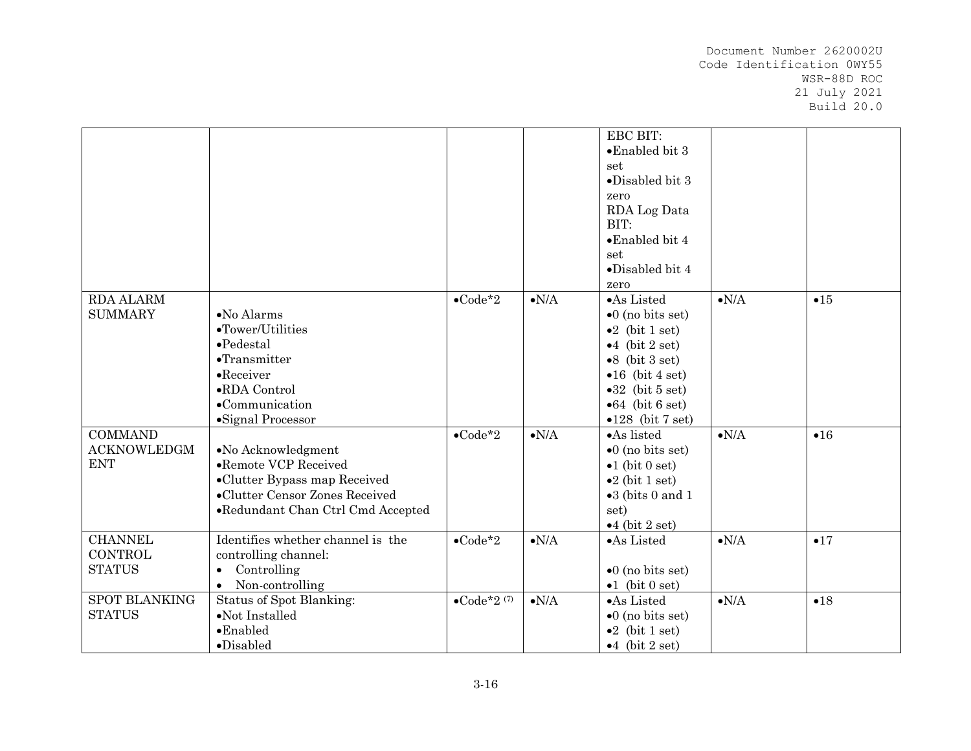|                      |                                   |                        |                    | EBC BIT:                  |                    |     |
|----------------------|-----------------------------------|------------------------|--------------------|---------------------------|--------------------|-----|
|                      |                                   |                        |                    | •Enabled bit 3            |                    |     |
|                      |                                   |                        |                    | set                       |                    |     |
|                      |                                   |                        |                    | $\bullet$ Disabled bit 3  |                    |     |
|                      |                                   |                        |                    | zero                      |                    |     |
|                      |                                   |                        |                    | RDA Log Data              |                    |     |
|                      |                                   |                        |                    | BIT:                      |                    |     |
|                      |                                   |                        |                    | $\bullet$ Enabled bit 4   |                    |     |
|                      |                                   |                        |                    | set                       |                    |     |
|                      |                                   |                        |                    | $\bullet$ Disabled bit 4  |                    |     |
|                      |                                   |                        |                    | zero                      |                    |     |
| <b>RDA ALARM</b>     |                                   | $\bullet$ Code*2       | $\bullet{\rm N/A}$ | •As Listed                | $\bullet{\rm N/A}$ | •15 |
| <b>SUMMARY</b>       | $\bullet$ No Alarms               |                        |                    | $\bullet$ 0 (no bits set) |                    |     |
|                      | $\bullet$ Tower/Utilities         |                        |                    | $\bullet 2$ (bit 1 set)   |                    |     |
|                      | $\bullet$ Pedestal                |                        |                    | $\bullet$ 4 (bit 2 set)   |                    |     |
|                      | $\bullet$ Transmitter             |                        |                    | $\bullet 8$ (bit 3 set)   |                    |     |
|                      | $\bullet$ Receiver                |                        |                    | $\bullet 16$ (bit 4 set)  |                    |     |
|                      | •RDA Control                      |                        |                    | $\bullet 32$ (bit 5 set)  |                    |     |
|                      | •Communication                    |                        |                    | $\bullet 64$ (bit 6 set)  |                    |     |
|                      | ·Signal Processor                 |                        |                    | $\bullet$ 128 (bit 7 set) |                    |     |
| <b>COMMAND</b>       |                                   | $\bullet$ Code*2       | $\bullet{\rm N/A}$ | •As listed                | $\bullet{\rm N/A}$ | •16 |
| <b>ACKNOWLEDGM</b>   | $\bullet$ No Acknowledgment       |                        |                    | $\bullet$ 0 (no bits set) |                    |     |
| <b>ENT</b>           | •Remote VCP Received              |                        |                    | $\bullet 1$ (bit 0 set)   |                    |     |
|                      | •Clutter Bypass map Received      |                        |                    | $\bullet 2$ (bit 1 set)   |                    |     |
|                      | •Clutter Censor Zones Received    |                        |                    | $\bullet 3$ (bits 0 and 1 |                    |     |
|                      | •Redundant Chan Ctrl Cmd Accepted |                        |                    | set)                      |                    |     |
|                      |                                   |                        |                    | $\bullet$ 4 (bit 2 set)   |                    |     |
| <b>CHANNEL</b>       | Identifies whether channel is the | $\bullet$ Code*2       | $\bullet{\rm N/A}$ | •As Listed                | $\bullet N/A$      | •17 |
| <b>CONTROL</b>       | controlling channel:              |                        |                    |                           |                    |     |
| <b>STATUS</b>        | Controlling<br>$\bullet$          |                        |                    | $\bullet$ 0 (no bits set) |                    |     |
|                      | Non-controlling<br>$\bullet$      |                        |                    | $\bullet 1$ (bit 0 set)   |                    |     |
| <b>SPOT BLANKING</b> | Status of Spot Blanking:          | $\bullet$ Code*2 $(7)$ | $\bullet{\rm N/A}$ | •As Listed                | $\bullet{\rm N/A}$ | •18 |
| <b>STATUS</b>        | $\bullet$ Not Installed           |                        |                    | $\bullet 0$ (no bits set) |                    |     |
|                      | $\bullet$ Enabled                 |                        |                    | $\bullet 2$ (bit 1 set)   |                    |     |
|                      | $\bullet$ Disabled                |                        |                    | $\bullet$ 4 (bit 2 set)   |                    |     |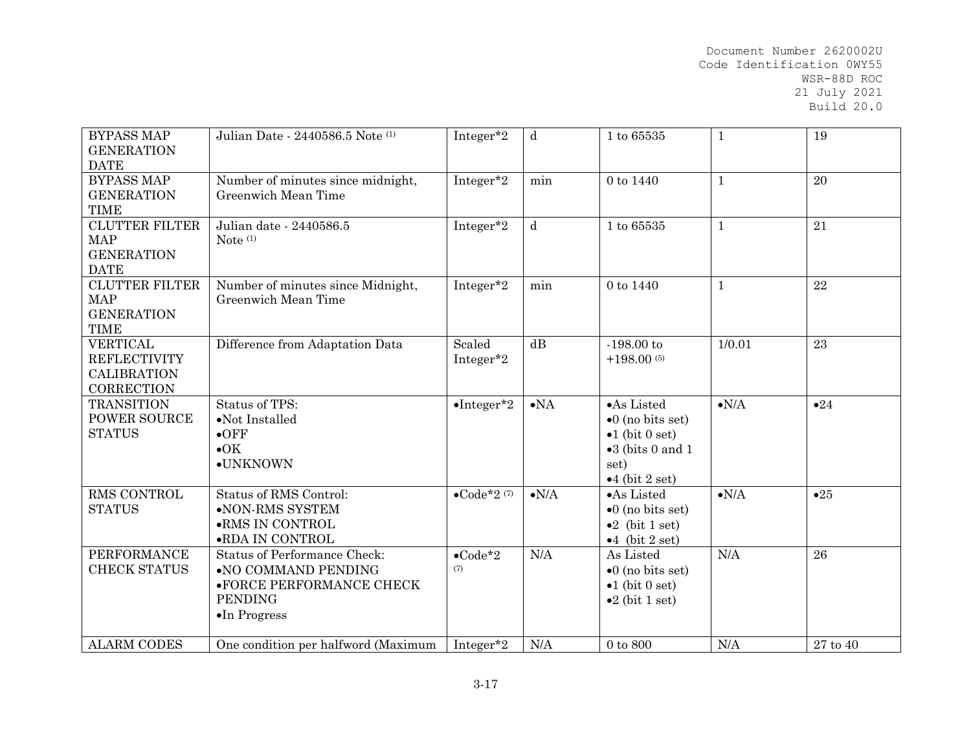| <b>BYPASS MAP</b><br><b>GENERATION</b><br><b>DATE</b>                             | Julian Date - 2440586.5 Note (1)                                                                                                  | Integer*2                           | $\mathbf d$   | 1 to 65535                                                                                                                         | $\mathbf{1}$  | 19             |
|-----------------------------------------------------------------------------------|-----------------------------------------------------------------------------------------------------------------------------------|-------------------------------------|---------------|------------------------------------------------------------------------------------------------------------------------------------|---------------|----------------|
| <b>BYPASS MAP</b><br><b>GENERATION</b><br><b>TIME</b>                             | Number of minutes since midnight,<br>Greenwich Mean Time                                                                          | Integer*2                           | min           | 0 to 1440                                                                                                                          | $1\,$         | 20             |
| <b>CLUTTER FILTER</b><br><b>MAP</b><br><b>GENERATION</b><br><b>DATE</b>           | Julian date - 2440586.5<br>Note $(1)$                                                                                             | Integer*2                           | $\mathbf d$   | 1 to 65535                                                                                                                         | $\mathbf{1}$  | 21             |
| <b>CLUTTER FILTER</b><br><b>MAP</b><br><b>GENERATION</b><br><b>TIME</b>           | Number of minutes since Midnight,<br>Greenwich Mean Time                                                                          | Integer*2                           | min           | 0 to 1440                                                                                                                          | $1\,$         | 22             |
| <b>VERTICAL</b><br><b>REFLECTIVITY</b><br><b>CALIBRATION</b><br><b>CORRECTION</b> | Difference from Adaptation Data                                                                                                   | Scaled<br>Integer*2                 | dB            | $-198.00$ to<br>$+198.00(5)$                                                                                                       | 1/0.01        | 23             |
| <b>TRANSITION</b><br><b>POWER SOURCE</b><br><b>STATUS</b>                         | Status of TPS:<br>$\bullet$ Not Installed<br>$\bullet$ OFF<br>$\bullet$ OK<br>·UNKNOWN                                            | $\bullet$ Integer*2                 | $\bullet$ NA  | •As Listed<br>$\bullet$ 0 (no bits set)<br>$\bullet 1$ (bit 0 set)<br>$\bullet 3$ (bits 0 and 1<br>set)<br>$\bullet$ 4 (bit 2 set) | $\bullet N/A$ | •24            |
| <b>RMS CONTROL</b><br><b>STATUS</b>                                               | Status of RMS Control:<br>•NON-RMS SYSTEM<br>$\bullet{\rm RMS}$ IN CONTROL<br>$\bullet{\rm RDA}$ IN CONTROL                       | $\bullet \text{Code*}2$<br>$^{(7)}$ | $\bullet N/A$ | •As Listed<br>$\bullet$ 0 (no bits set)<br>$\bullet 2$ (bit 1 set)<br>$\bullet 4$ (bit 2 set)                                      | $\bullet N/A$ | •25            |
| <b>PERFORMANCE</b><br><b>CHECK STATUS</b>                                         | <b>Status of Performance Check:</b><br>•NO COMMAND PENDING<br>•FORCE PERFORMANCE CHECK<br><b>PENDING</b><br>$\bullet$ In Progress | $\bullet$ Code*2<br>(7)             | N/A           | As Listed<br>$\bullet$ 0 (no bits set)<br>$\bullet$ 1 (bit 0 set)<br>$\bullet 2$ (bit 1 set)                                       | N/A           | 26             |
| <b>ALARM CODES</b>                                                                | One condition per halfword (Maximum                                                                                               | Integer*2                           | N/A           | $0$ to $800$                                                                                                                       | N/A           | $27$ to $40\,$ |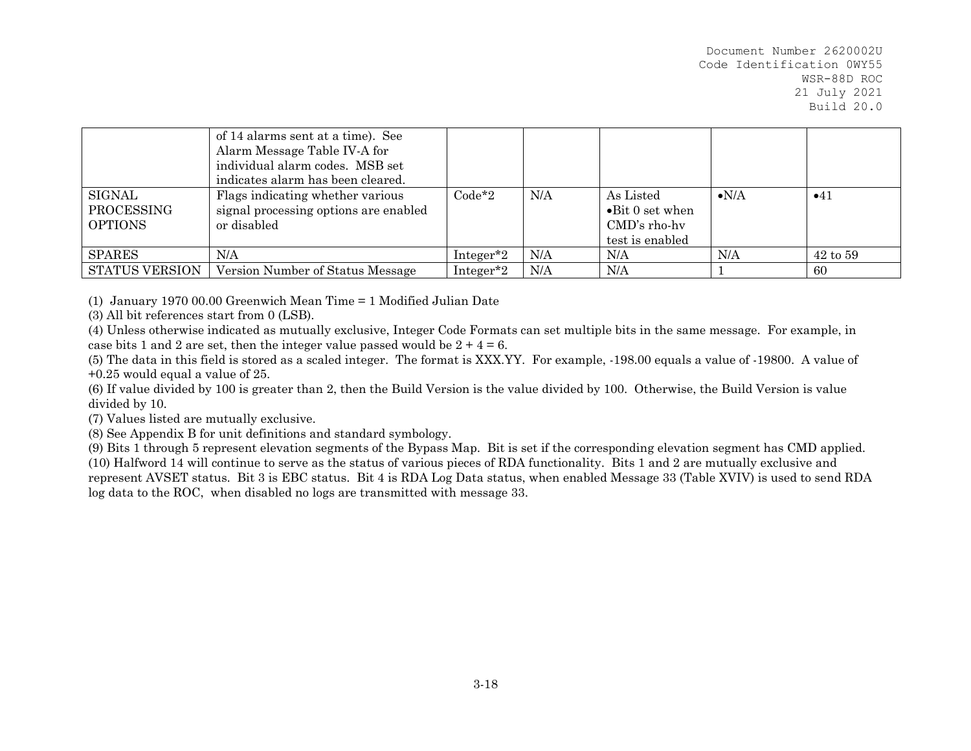|                                               | of 14 alarms sent at a time). See<br>Alarm Message Table IV-A for<br>individual alarm codes. MSB set<br>indicates alarm has been cleared. |           |     |                                                                                   |               |              |
|-----------------------------------------------|-------------------------------------------------------------------------------------------------------------------------------------------|-----------|-----|-----------------------------------------------------------------------------------|---------------|--------------|
| <b>SIGNAL</b><br>PROCESSING<br><b>OPTIONS</b> | Flags indicating whether various<br>signal processing options are enabled<br>or disabled                                                  | $Code*2$  | N/A | As Listed<br>$\bullet$ Bit 0 set when<br>$\text{CMD's rho-hv}$<br>test is enabled | $\bullet$ N/A | •41          |
| <b>SPARES</b>                                 | N/A                                                                                                                                       | Integer*2 | N/A | N/A                                                                               | N/A           | $42$ to $59$ |
| STATUS VERSION                                | Version Number of Status Message                                                                                                          | Integer*2 | N/A | N/A                                                                               |               | 60           |

(1) January 1970 00.00 Greenwich Mean Time = 1 Modified Julian Date

(3) All bit references start from 0 (LSB).

(4) Unless otherwise indicated as mutually exclusive, Integer Code Formats can set multiple bits in the same message. For example, in case bits 1 and 2 are set, then the integer value passed would be  $2 + 4 = 6$ .

(5) The data in this field is stored as a scaled integer. The format is XXX.YY. For example, -198.00 equals a value of -19800. A value of +0.25 would equal a value of 25.

(6) If value divided by 100 is greater than 2, then the Build Version is the value divided by 100. Otherwise, the Build Version is value divided by 10.

(7) Values listed are mutually exclusive.

(8) See Appendix B for unit definitions and standard symbology.

(9) Bits 1 through 5 represent elevation segments of the Bypass Map. Bit is set if the corresponding elevation segment has CMD applied. (10) Halfword 14 will continue to serve as the status of various pieces of RDA functionality. Bits 1 and 2 are mutually exclusive and represent AVSET status. Bit 3 is EBC status. Bit 4 is RDA Log Data status, when enabled Message 33 (Table XVIV) is used to send RDA log data to the ROC, when disabled no logs are transmitted with message 33.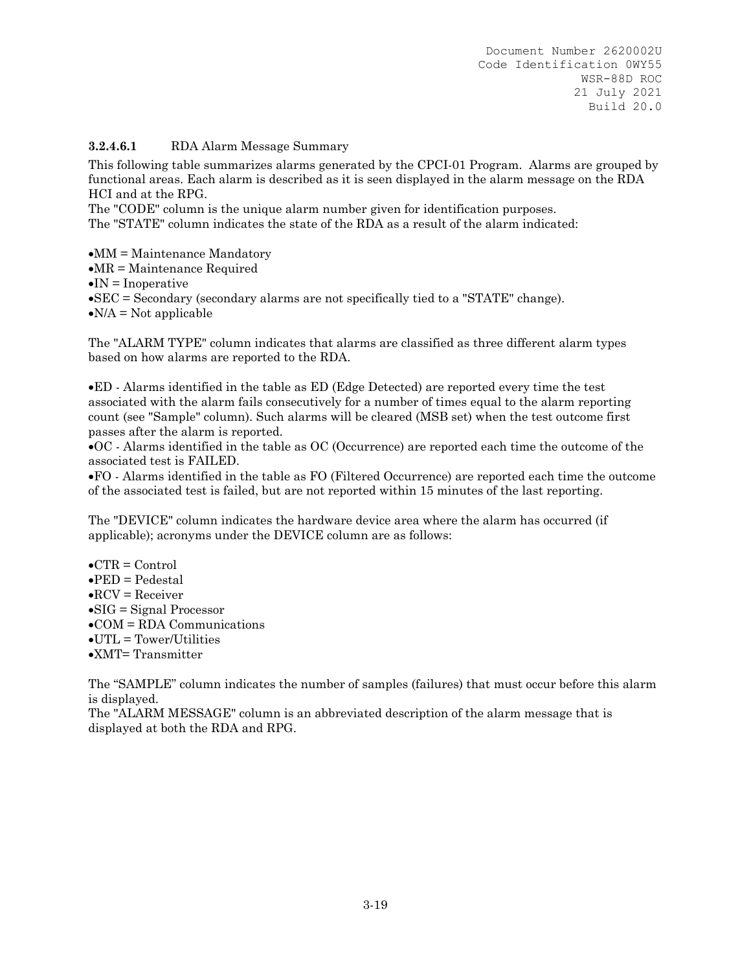#### **3.2.4.6.1** RDA Alarm Message Summary

This following table summarizes alarms generated by the CPCI-01 Program. Alarms are grouped by functional areas. Each alarm is described as it is seen displayed in the alarm message on the RDA HCI and at the RPG.

The "CODE" column is the unique alarm number given for identification purposes. The "STATE" column indicates the state of the RDA as a result of the alarm indicated:

 $\bullet$ MM = Maintenance Mandatory

 $\bullet$ MR = Maintenance Required

 $\bullet$ IN = Inoperative

SEC = Secondary (secondary alarms are not specifically tied to a "STATE" change).

 $\bullet$ N/A = Not applicable

The "ALARM TYPE" column indicates that alarms are classified as three different alarm types based on how alarms are reported to the RDA.

ED - Alarms identified in the table as ED (Edge Detected) are reported every time the test associated with the alarm fails consecutively for a number of times equal to the alarm reporting count (see "Sample" column). Such alarms will be cleared (MSB set) when the test outcome first passes after the alarm is reported.

OC - Alarms identified in the table as OC (Occurrence) are reported each time the outcome of the associated test is FAILED.

FO - Alarms identified in the table as FO (Filtered Occurrence) are reported each time the outcome of the associated test is failed, but are not reported within 15 minutes of the last reporting.

The "DEVICE" column indicates the hardware device area where the alarm has occurred (if applicable); acronyms under the DEVICE column are as follows:

- $\bullet$ CTR = Control
- $\bullet$ PED = Pedestal
- $\bullet$ RCV = Receiver
- $\bullet$ SIG = Signal Processor
- $\bullet$  COM = RDA Communications
- $\bullet$ UTL = Tower/Utilities
- XMT= Transmitter

The "SAMPLE" column indicates the number of samples (failures) that must occur before this alarm is displayed.

The "ALARM MESSAGE" column is an abbreviated description of the alarm message that is displayed at both the RDA and RPG.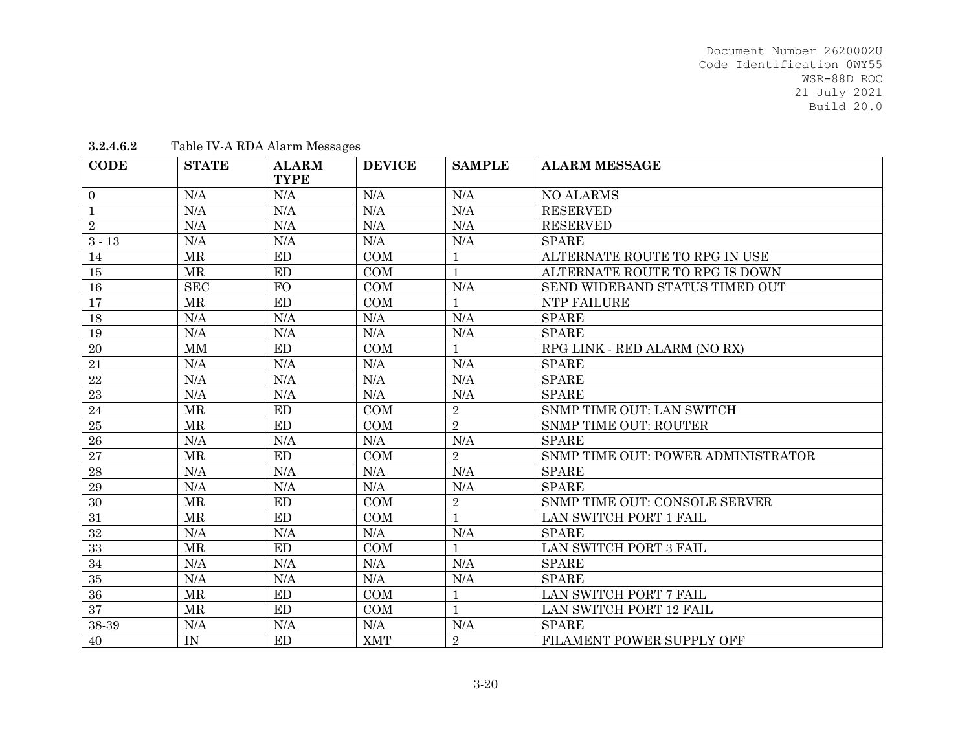| <b>CODE</b>  | <b>STATE</b> | <b>ALARM</b><br><b>TYPE</b> | <b>DEVICE</b> | <b>SAMPLE</b>  | <b>ALARM MESSAGE</b>               |
|--------------|--------------|-----------------------------|---------------|----------------|------------------------------------|
| $\mathbf{0}$ | N/A          | N/A                         | N/A           | N/A            | <b>NO ALARMS</b>                   |
| $\mathbf{1}$ | N/A          | N/A                         | N/A           | N/A            | <b>RESERVED</b>                    |
| $\sqrt{2}$   | N/A          | N/A                         | N/A           | N/A            | <b>RESERVED</b>                    |
| $3 - 13$     | N/A          | N/A                         | N/A           | N/A            | <b>SPARE</b>                       |
| 14           | MR           | ED                          | COM           |                | ALTERNATE ROUTE TO RPG IN USE      |
| 15           | <b>MR</b>    | ED                          | COM           | $\mathbf{1}$   | ALTERNATE ROUTE TO RPG IS DOWN     |
| 16           | <b>SEC</b>   | <b>FO</b>                   | COM           | N/A            | SEND WIDEBAND STATUS TIMED OUT     |
| 17           | <b>MR</b>    | ED                          | COM           | $\mathbf{1}$   | NTP FAILURE                        |
| 18           | N/A          | N/A                         | N/A           | N/A            | <b>SPARE</b>                       |
| 19           | N/A          | N/A                         | N/A           | N/A            | <b>SPARE</b>                       |
| 20           | <b>MM</b>    | <b>ED</b>                   | COM           |                | RPG LINK - RED ALARM (NO RX)       |
| 21           | N/A          | N/A                         | N/A           | N/A            | <b>SPARE</b>                       |
| 22           | N/A          | N/A                         | N/A           | N/A            | <b>SPARE</b>                       |
| 23           | N/A          | N/A                         | N/A           | N/A            | <b>SPARE</b>                       |
| 24           | <b>MR</b>    | <b>ED</b>                   | COM           | $\overline{2}$ | SNMP TIME OUT: LAN SWITCH          |
| 25           | <b>MR</b>    | <b>ED</b>                   | COM           | $\overline{2}$ | <b>SNMP TIME OUT: ROUTER</b>       |
| 26           | N/A          | N/A                         | N/A           | N/A            | <b>SPARE</b>                       |
| 27           | <b>MR</b>    | ED                          | COM           | $\overline{2}$ | SNMP TIME OUT: POWER ADMINISTRATOR |
| 28           | N/A          | N/A                         | N/A           | N/A            | <b>SPARE</b>                       |
| 29           | N/A          | N/A                         | $\rm N/A$     | N/A            | <b>SPARE</b>                       |
| 30           | MR           | ED                          | COM           | $\overline{2}$ | SNMP TIME OUT: CONSOLE SERVER      |
| 31           | MR           | ED                          | COM           |                | LAN SWITCH PORT 1 FAIL             |
| 32           | N/A          | N/A                         | $\rm N/A$     | N/A            | <b>SPARE</b>                       |
| 33           | MR           | ED                          | COM           | $\mathbf{1}$   | LAN SWITCH PORT 3 FAIL             |
| 34           | N/A          | N/A                         | $\rm N/A$     | N/A            | <b>SPARE</b>                       |
| 35           | N/A          | N/A                         | N/A           | N/A            | <b>SPARE</b>                       |
| 36           | <b>MR</b>    | ED                          | COM           | $\mathbf{1}$   | LAN SWITCH PORT 7 FAIL             |
| 37           | MR           | <b>ED</b>                   | COM           | $\mathbf{1}$   | LAN SWITCH PORT 12 FAIL            |
| 38-39        | N/A          | N/A                         | N/A           | N/A            | <b>SPARE</b>                       |
| 40           | IN           | <b>ED</b>                   | <b>XMT</b>    | $\sqrt{2}$     | <b>FILAMENT POWER SUPPLY OFF</b>   |

**3.2.4.6.2**Table IV-A RDA Alarm Messages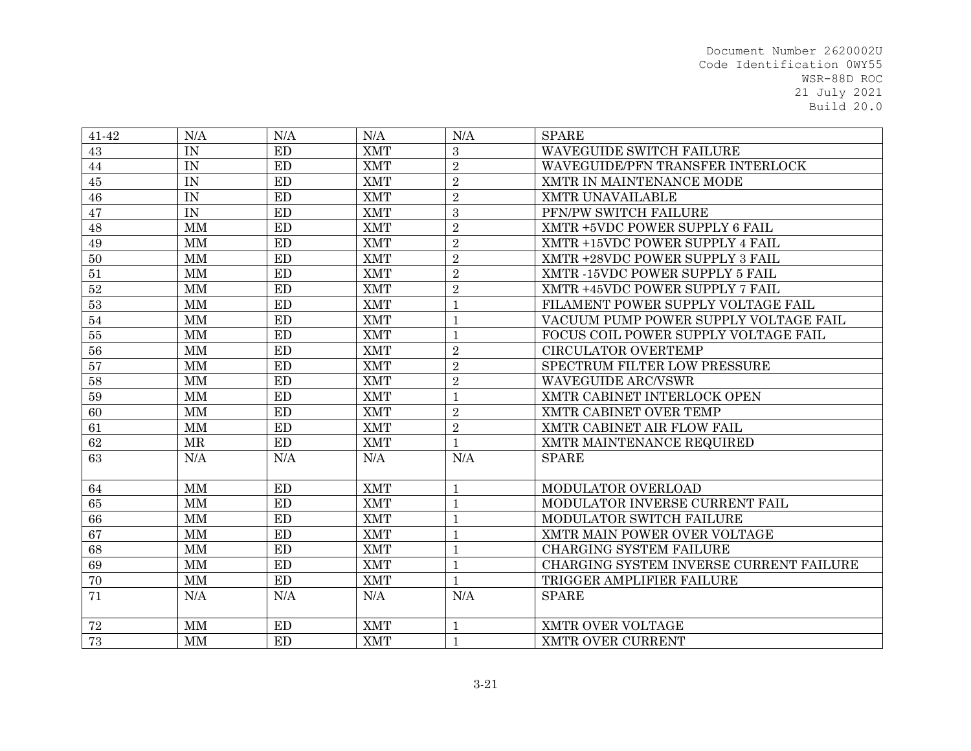| 41-42  | N/A         | N/A       | N/A        | N/A            | <b>SPARE</b>                            |
|--------|-------------|-----------|------------|----------------|-----------------------------------------|
| 43     | IN          | <b>ED</b> | <b>XMT</b> | 3              | WAVEGUIDE SWITCH FAILURE                |
| 44     | IN          | ED        | <b>XMT</b> | $\overline{2}$ | WAVEGUIDE/PFN TRANSFER INTERLOCK        |
| 45     | IN          | ED        | <b>XMT</b> | $\overline{2}$ | XMTR IN MAINTENANCE MODE                |
| 46     | IN          | <b>ED</b> | <b>XMT</b> | $\sqrt{2}$     | XMTR UNAVAILABLE                        |
| 47     | IN          | ED        | <b>XMT</b> | 3              | PFN/PW SWITCH FAILURE                   |
| 48     | MM          | <b>ED</b> | <b>XMT</b> | $\overline{2}$ | XMTR +5VDC POWER SUPPLY 6 FAIL          |
| 49     | $\mbox{MM}$ | ED        | <b>XMT</b> | $\overline{2}$ | XMTR +15VDC POWER SUPPLY 4 FAIL         |
| 50     | <b>MM</b>   | ED        | <b>XMT</b> | $\overline{2}$ | XMTR +28VDC POWER SUPPLY 3 FAIL         |
| 51     | <b>MM</b>   | <b>ED</b> | <b>XMT</b> | $\overline{2}$ | XMTR -15VDC POWER SUPPLY 5 FAIL         |
| $52\,$ | <b>MM</b>   | ED        | <b>XMT</b> | $\sqrt{2}$     | XMTR +45VDC POWER SUPPLY 7 FAIL         |
| 53     | MM          | <b>ED</b> | <b>XMT</b> | $\mathbf{1}$   | FILAMENT POWER SUPPLY VOLTAGE FAIL      |
| 54     | $\mbox{MM}$ | ED        | <b>XMT</b> | $\mathbf{1}$   | VACUUM PUMP POWER SUPPLY VOLTAGE FAIL   |
| 55     | MM          | ED        | <b>XMT</b> | $\mathbf{1}$   | FOCUS COIL POWER SUPPLY VOLTAGE FAIL    |
| 56     | MM          | <b>ED</b> | <b>XMT</b> | $\sqrt{2}$     | <b>CIRCULATOR OVERTEMP</b>              |
| 57     | MM          | ED        | <b>XMT</b> | $\overline{2}$ | SPECTRUM FILTER LOW PRESSURE            |
| 58     | MM          | ED        | <b>XMT</b> | $\overline{2}$ | <b>WAVEGUIDE ARC/VSWR</b>               |
| 59     | $\mbox{MM}$ | ED        | <b>XMT</b> | $\mathbf{1}$   | XMTR CABINET INTERLOCK OPEN             |
| 60     | <b>MM</b>   | ED        | <b>XMT</b> | $\sqrt{2}$     | XMTR CABINET OVER TEMP                  |
| 61     | MM          | ED        | <b>XMT</b> | $\sqrt{2}$     | XMTR CABINET AIR FLOW FAIL              |
| 62     | MR          | ED        | <b>XMT</b> | $\mathbf{1}$   | XMTR MAINTENANCE REQUIRED               |
| 63     | N/A         | N/A       | N/A        | N/A            | <b>SPARE</b>                            |
|        |             |           |            |                |                                         |
| 64     | MM          | ED        | <b>XMT</b> | $\mathbf{1}$   | MODULATOR OVERLOAD                      |
| 65     | <b>MM</b>   | <b>ED</b> | <b>XMT</b> | $\mathbf{1}$   | MODULATOR INVERSE CURRENT FAIL          |
| 66     | MM          | ED        | <b>XMT</b> | $\mathbf{1}$   | MODULATOR SWITCH FAILURE                |
| 67     | MM          | <b>ED</b> | <b>XMT</b> | $\mathbf{1}$   | XMTR MAIN POWER OVER VOLTAGE            |
| 68     | $\mbox{MM}$ | ED        | <b>XMT</b> | $\mathbf{1}$   | CHARGING SYSTEM FAILURE                 |
| 69     | $\mbox{MM}$ | ED        | <b>XMT</b> | $\mathbf{1}$   | CHARGING SYSTEM INVERSE CURRENT FAILURE |
| 70     | MM          | ED        | <b>XMT</b> | $\mathbf{1}$   | TRIGGER AMPLIFIER FAILURE               |
| 71     | N/A         | N/A       | N/A        | N/A            | <b>SPARE</b>                            |
|        |             |           |            |                |                                         |
| 72     | $\mbox{MM}$ | ED        | <b>XMT</b> | $\mathbf{1}$   | XMTR OVER VOLTAGE                       |
| 73     | MM          | ED        | <b>XMT</b> | $\mathbf{1}$   | XMTR OVER CURRENT                       |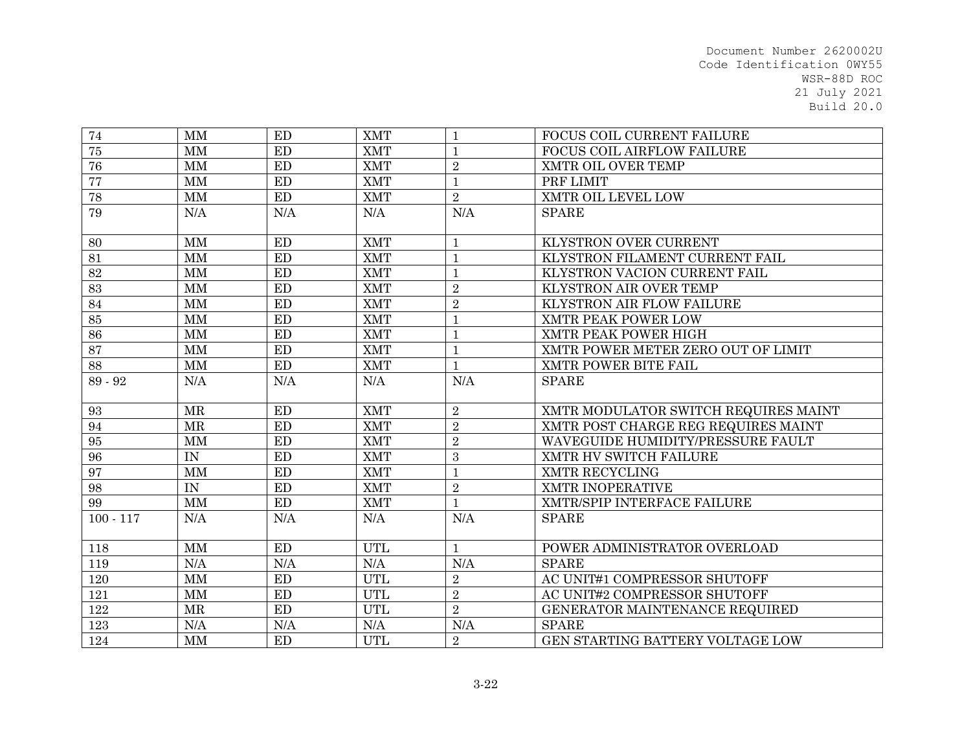| 74          | MM                     | ED                     | <b>XMT</b> | $\mathbf{1}$   | FOCUS COIL CURRENT FAILURE           |
|-------------|------------------------|------------------------|------------|----------------|--------------------------------------|
| 75          | $\mbox{MM}$            | ED                     | <b>XMT</b> | 1              | FOCUS COIL AIRFLOW FAILURE           |
| 76          | $\mbox{MM}$            | ED                     | <b>XMT</b> | $\overline{2}$ | XMTR OIL OVER TEMP                   |
| 77          | $\mbox{MM}$            | $\mathop{\mathrm{ED}}$ | <b>XMT</b> | $\mathbf{1}$   | PRF LIMIT                            |
| 78          | $\mbox{MM}$            | ED                     | <b>XMT</b> | $\overline{2}$ | XMTR OIL LEVEL LOW                   |
| 79          | N/A                    | N/A                    | N/A        | N/A            | <b>SPARE</b>                         |
|             |                        |                        |            |                |                                      |
| 80          | MM                     | <b>ED</b>              | <b>XMT</b> | $\mathbf{1}$   | KLYSTRON OVER CURRENT                |
| 81          | MM                     | ED                     | <b>XMT</b> | $\mathbf{1}$   | KLYSTRON FILAMENT CURRENT FAIL       |
| 82          | MM                     | ED                     | <b>XMT</b> | $\mathbf{1}$   | KLYSTRON VACION CURRENT FAIL         |
| 83          | MM                     | ED                     | <b>XMT</b> | $\sqrt{2}$     | KLYSTRON AIR OVER TEMP               |
| 84          | MM                     | ED                     | <b>XMT</b> | $\sqrt{2}$     | KLYSTRON AIR FLOW FAILURE            |
| 85          | $\mbox{MM}$            | ED                     | <b>XMT</b> | $\mathbf{1}$   | XMTR PEAK POWER LOW                  |
| 86          | $\mbox{MM}$            | ED                     | <b>XMT</b> | $\mathbf{1}$   | XMTR PEAK POWER HIGH                 |
| 87          | MM                     | ED                     | <b>XMT</b> | $\mathbf{1}$   | XMTR POWER METER ZERO OUT OF LIMIT   |
| 88          | MM                     | ED                     | <b>XMT</b> | $\mathbf{1}$   | XMTR POWER BITE FAIL                 |
| 89 - 92     | N/A                    | N/A                    | N/A        | N/A            | <b>SPARE</b>                         |
| 93          | <b>MR</b>              | <b>ED</b>              | <b>XMT</b> | $\overline{2}$ | XMTR MODULATOR SWITCH REQUIRES MAINT |
| 94          | MR                     | <b>ED</b>              | <b>XMT</b> | $\overline{2}$ | XMTR POST CHARGE REG REQUIRES MAINT  |
| 95          | MM                     | ED                     | <b>XMT</b> | $\overline{2}$ | WAVEGUIDE HUMIDITY/PRESSURE FAULT    |
| 96          | IN                     | ED                     | <b>XMT</b> | 3              | XMTR HV SWITCH FAILURE               |
| 97          | MM                     | ED                     | <b>XMT</b> | $\mathbf{1}$   | XMTR RECYCLING                       |
| 98          | IN                     | ED                     | <b>XMT</b> | $\sqrt{2}$     | XMTR INOPERATIVE                     |
| 99          | <b>MM</b>              | ED                     | <b>XMT</b> | $\mathbf{1}$   | XMTR/SPIP INTERFACE FAILURE          |
| $100 - 117$ | N/A                    | N/A                    | N/A        | N/A            | <b>SPARE</b>                         |
| 118         | $\mathbf{M}\mathbf{M}$ | ED                     | <b>UTL</b> | $\mathbf{1}$   | POWER ADMINISTRATOR OVERLOAD         |
| 119         | N/A                    | N/A                    | N/A        | N/A            | <b>SPARE</b>                         |
| 120         | MM                     | ED                     | <b>UTL</b> | $\overline{2}$ | AC UNIT#1 COMPRESSOR SHUTOFF         |
| 121         | $\mbox{MM}$            | ED                     | <b>UTL</b> | $\overline{2}$ | AC UNIT#2 COMPRESSOR SHUTOFF         |
| 122         | MR                     | ED                     | UTL        | $\overline{2}$ | GENERATOR MAINTENANCE REQUIRED       |
| 123         | N/A                    | N/A                    | $\rm N/A$  | N/A            | <b>SPARE</b>                         |
| 124         | MM                     | ED                     | <b>UTL</b> | $\overline{2}$ | GEN STARTING BATTERY VOLTAGE LOW     |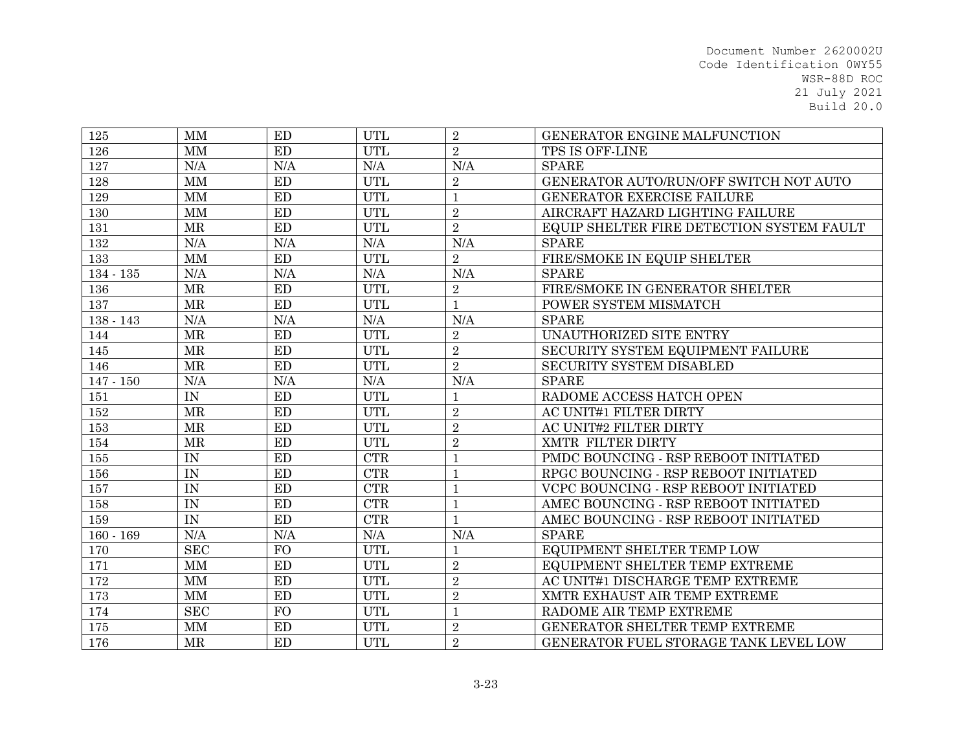| 125         | MM                  | ED        | <b>UTL</b> | $\overline{2}$ | GENERATOR ENGINE MALFUNCTION              |
|-------------|---------------------|-----------|------------|----------------|-------------------------------------------|
| 126         | <b>MM</b>           | <b>ED</b> | <b>UTL</b> | $\overline{2}$ | TPS IS OFF-LINE                           |
| 127         | N/A                 | N/A       | N/A        | N/A            | <b>SPARE</b>                              |
| 128         | MM                  | <b>ED</b> | <b>UTL</b> | $\overline{2}$ | GENERATOR AUTO/RUN/OFF SWITCH NOT AUTO    |
| 129         | <b>MM</b>           | ED        | <b>UTL</b> | $\mathbf{1}$   | GENERATOR EXERCISE FAILURE                |
| 130         | <b>MM</b>           | ED        | <b>UTL</b> | $\sqrt{2}$     | AIRCRAFT HAZARD LIGHTING FAILURE          |
| 131         | <b>MR</b>           | ED        | <b>UTL</b> | $\overline{2}$ | EQUIP SHELTER FIRE DETECTION SYSTEM FAULT |
| 132         | N/A                 | N/A       | N/A        | N/A            | <b>SPARE</b>                              |
| 133         | MM                  | ED        | <b>UTL</b> | $\overline{2}$ | FIRE/SMOKE IN EQUIP SHELTER               |
| $134 - 135$ | N/A                 | N/A       | N/A        | N/A            | <b>SPARE</b>                              |
| 136         | $\operatorname{MR}$ | ED        | <b>UTL</b> | $\overline{2}$ | FIRE/SMOKE IN GENERATOR SHELTER           |
| 137         | <b>MR</b>           | ED        | <b>UTL</b> | $\mathbf{1}$   | POWER SYSTEM MISMATCH                     |
| $138 - 143$ | N/A                 | N/A       | N/A        | N/A            | <b>SPARE</b>                              |
| 144         | MR                  | ED        | <b>UTL</b> | $\overline{2}$ | UNAUTHORIZED SITE ENTRY                   |
| 145         | <b>MR</b>           | ED        | <b>UTL</b> | $\overline{2}$ | SECURITY SYSTEM EQUIPMENT FAILURE         |
| 146         | <b>MR</b>           | ED        | <b>UTL</b> | $\overline{2}$ | SECURITY SYSTEM DISABLED                  |
| $147 - 150$ | N/A                 | N/A       | N/A        | N/A            | <b>SPARE</b>                              |
| 151         | IN                  | <b>ED</b> | <b>UTL</b> | $\mathbf{1}$   | RADOME ACCESS HATCH OPEN                  |
| 152         | $\operatorname{MR}$ | ED        | <b>UTL</b> | $\overline{2}$ | AC UNIT#1 FILTER DIRTY                    |
| 153         | <b>MR</b>           | ED        | <b>UTL</b> | $\overline{2}$ | AC UNIT#2 FILTER DIRTY                    |
| 154         | <b>MR</b>           | <b>ED</b> | <b>UTL</b> | $\overline{2}$ | XMTR FILTER DIRTY                         |
| 155         | IN                  | ED        | <b>CTR</b> | 1              | PMDC BOUNCING - RSP REBOOT INITIATED      |
| 156         | IN                  | ED        | CTR        | $\mathbf 1$    | RPGC BOUNCING - RSP REBOOT INITIATED      |
| 157         | IN                  | ED        | CTR        | $\mathbf{1}$   | VCPC BOUNCING - RSP REBOOT INITIATED      |
| 158         | IN                  | ED        | CTR        | $\mathbf{1}$   | AMEC BOUNCING - RSP REBOOT INITIATED      |
| 159         | IN                  | ED        | CTR        | $\mathbf{1}$   | AMEC BOUNCING - RSP REBOOT INITIATED      |
| $160 - 169$ | N/A                 | N/A       | N/A        | N/A            | <b>SPARE</b>                              |
| 170         | <b>SEC</b>          | <b>FO</b> | <b>UTL</b> | $\mathbf{1}$   | EQUIPMENT SHELTER TEMP LOW                |
| 171         | $\mbox{MM}$         | ED        | <b>UTL</b> | $\overline{2}$ | EQUIPMENT SHELTER TEMP EXTREME            |
| 172         | MM                  | ED        | <b>UTL</b> | $\sqrt{2}$     | AC UNIT#1 DISCHARGE TEMP EXTREME          |
| 173         | MM                  | <b>ED</b> | <b>UTL</b> | $\overline{2}$ | XMTR EXHAUST AIR TEMP EXTREME             |
| 174         | <b>SEC</b>          | <b>FO</b> | <b>UTL</b> | 1              | RADOME AIR TEMP EXTREME                   |
| 175         | $\mbox{MM}$         | <b>ED</b> | <b>UTL</b> | $\overline{2}$ | GENERATOR SHELTER TEMP EXTREME            |
| 176         | <b>MR</b>           | <b>ED</b> | <b>UTL</b> | $\overline{2}$ | GENERATOR FUEL STORAGE TANK LEVEL LOW     |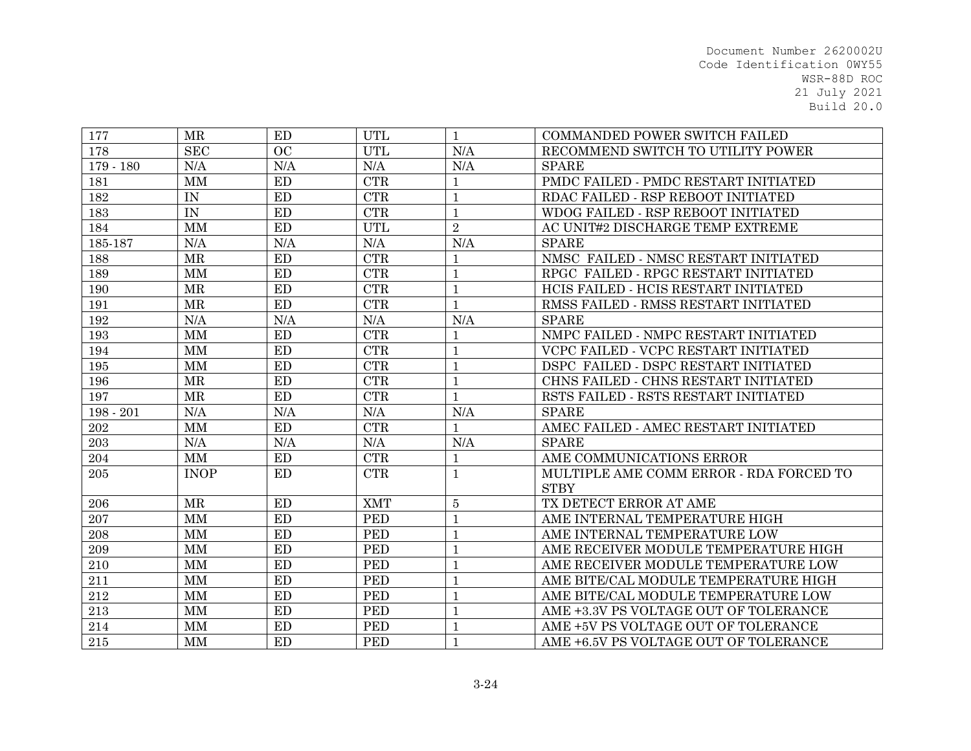| 177         | <b>MR</b>   | ED        | <b>UTL</b>              | 1              | <b>COMMANDED POWER SWITCH FAILED</b>    |
|-------------|-------------|-----------|-------------------------|----------------|-----------------------------------------|
| 178         | <b>SEC</b>  | OC        | <b>UTL</b>              | N/A            | RECOMMEND SWITCH TO UTILITY POWER       |
| $179 - 180$ | N/A         | N/A       | N/A                     | N/A            | <b>SPARE</b>                            |
| 181         | <b>MM</b>   | ED        | <b>CTR</b>              |                | PMDC FAILED - PMDC RESTART INITIATED    |
| 182         | IN          | ED        | $\overline{\text{CTR}}$ | $\mathbf{1}$   | RDAC FAILED - RSP REBOOT INITIATED      |
| 183         | IN          | ED        | <b>CTR</b>              | $\mathbf{1}$   | WDOG FAILED - RSP REBOOT INITIATED      |
| 184         | <b>MM</b>   | <b>ED</b> | <b>UTL</b>              | $\sqrt{2}$     | AC UNIT#2 DISCHARGE TEMP EXTREME        |
| 185-187     | N/A         | N/A       | N/A                     | N/A            | <b>SPARE</b>                            |
| 188         | MR          | ED        | <b>CTR</b>              | $\mathbf{1}$   | NMSC FAILED - NMSC RESTART INITIATED    |
| 189         | <b>MM</b>   | ED        | <b>CTR</b>              | $\mathbf{1}$   | RPGC FAILED - RPGC RESTART INITIATED    |
| 190         | MR          | ED        | <b>CTR</b>              | $\mathbf{1}$   | HCIS FAILED - HCIS RESTART INITIATED    |
| 191         | MR          | ED        | <b>CTR</b>              | $\mathbf{1}$   | RMSS FAILED - RMSS RESTART INITIATED    |
| 192         | N/A         | N/A       | N/A                     | N/A            | <b>SPARE</b>                            |
| 193         | <b>MM</b>   | ED        | <b>CTR</b>              |                | NMPC FAILED - NMPC RESTART INITIATED    |
| 194         | MM          | ED        | <b>CTR</b>              | $\mathbf{1}$   | VCPC FAILED - VCPC RESTART INITIATED    |
| 195         | <b>MM</b>   | ED        | <b>CTR</b>              | 1              | DSPC FAILED - DSPC RESTART INITIATED    |
| 196         | <b>MR</b>   | ED        | CTR                     | $\mathbf{1}$   | CHNS FAILED - CHNS RESTART INITIATED    |
| 197         | MR          | ED        | CTR                     | $\mathbf{1}$   | RSTS FAILED - RSTS RESTART INITIATED    |
| $198 - 201$ | N/A         | N/A       | N/A                     | N/A            | <b>SPARE</b>                            |
| 202         | MM          | ED        | <b>CTR</b>              | $\mathbf 1$    | AMEC FAILED - AMEC RESTART INITIATED    |
| $\,203$     | N/A         | N/A       | N/A                     | N/A            | <b>SPARE</b>                            |
| 204         | MM          | ED        | CTR                     | 1              | AME COMMUNICATIONS ERROR                |
| $205\,$     | <b>INOP</b> | ED        | <b>CTR</b>              | 1              | MULTIPLE AME COMM ERROR - RDA FORCED TO |
|             |             |           |                         |                | <b>STBY</b>                             |
| 206         | <b>MR</b>   | <b>ED</b> | <b>XMT</b>              | $\overline{5}$ | TX DETECT ERROR AT AME                  |
| 207         | <b>MM</b>   | <b>ED</b> | <b>PED</b>              | $\mathbf{1}$   | AME INTERNAL TEMPERATURE HIGH           |
| 208         | <b>MM</b>   | ED        | <b>PED</b>              | $\mathbf{1}$   | AME INTERNAL TEMPERATURE LOW            |
| 209         | <b>MM</b>   | <b>ED</b> | <b>PED</b>              | $\mathbf{1}$   | AME RECEIVER MODULE TEMPERATURE HIGH    |
| 210         | <b>MM</b>   | <b>ED</b> | <b>PED</b>              | $\mathbf{1}$   | AME RECEIVER MODULE TEMPERATURE LOW     |
| 211         | <b>MM</b>   | <b>ED</b> | <b>PED</b>              | $\mathbf{1}$   | AME BITE/CAL MODULE TEMPERATURE HIGH    |
| 212         | <b>MM</b>   | ED        | <b>PED</b>              | 1              | AME BITE/CAL MODULE TEMPERATURE LOW     |
| 213         | <b>MM</b>   | ED        | <b>PED</b>              | $\mathbf{1}$   | AME +3.3V PS VOLTAGE OUT OF TOLERANCE   |
| 214         | <b>MM</b>   | ED        | <b>PED</b>              |                | AME +5V PS VOLTAGE OUT OF TOLERANCE     |
| 215         | <b>MM</b>   | ED        | <b>PED</b>              | $\mathbf{1}$   | AME +6.5V PS VOLTAGE OUT OF TOLERANCE   |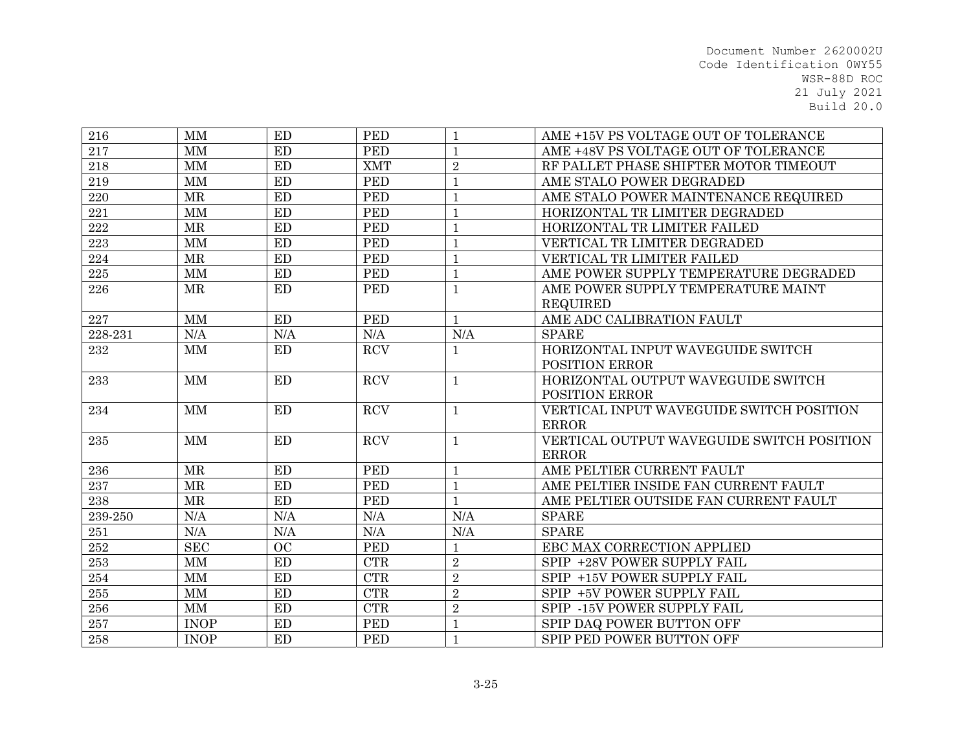| 216     | <b>MM</b>   | ED        | <b>PED</b>                  | $\mathbf{1}$   | AME +15V PS VOLTAGE OUT OF TOLERANCE      |
|---------|-------------|-----------|-----------------------------|----------------|-------------------------------------------|
| 217     | <b>MM</b>   | <b>ED</b> | <b>PED</b>                  | $\mathbf{1}$   | AME +48V PS VOLTAGE OUT OF TOLERANCE      |
| 218     | MM          | ED        | <b>XMT</b>                  | $\overline{2}$ | RF PALLET PHASE SHIFTER MOTOR TIMEOUT     |
| 219     | <b>MM</b>   | ED        | <b>PED</b>                  | $\mathbf{1}$   | AME STALO POWER DEGRADED                  |
| 220     | MR          | ED        | <b>PED</b>                  | $\mathbf{1}$   | AME STALO POWER MAINTENANCE REQUIRED      |
| 221     | $\mbox{MM}$ | ED        | <b>PED</b>                  | $\mathbf{1}$   | HORIZONTAL TR LIMITER DEGRADED            |
| 222     | <b>MR</b>   | <b>ED</b> | <b>PED</b>                  | $\mathbf{1}$   | HORIZONTAL TR LIMITER FAILED              |
| $223\,$ | MM          | ED        | <b>PED</b>                  | $\mathbf{1}$   | VERTICAL TR LIMITER DEGRADED              |
| 224     | MR          | ED        | <b>PED</b>                  | $\mathbf{1}$   | VERTICAL TR LIMITER FAILED                |
| 225     | MM          | ED        | <b>PED</b>                  | $\mathbf{1}$   | AME POWER SUPPLY TEMPERATURE DEGRADED     |
| 226     | <b>MR</b>   | <b>ED</b> | <b>PED</b>                  | $\mathbf{1}$   | AME POWER SUPPLY TEMPERATURE MAINT        |
|         |             |           |                             |                | <b>REQUIRED</b>                           |
| 227     | MM          | ED        | <b>PED</b>                  | $\mathbf{1}$   | AME ADC CALIBRATION FAULT                 |
| 228-231 | N/A         | N/A       | N/A                         | N/A            | <b>SPARE</b>                              |
| 232     | MM          | ED        | <b>RCV</b>                  | $\mathbf{1}$   | HORIZONTAL INPUT WAVEGUIDE SWITCH         |
|         |             |           |                             |                | <b>POSITION ERROR</b>                     |
| 233     | MM          | ED        | <b>RCV</b>                  | $\mathbf{1}$   | HORIZONTAL OUTPUT WAVEGUIDE SWITCH        |
|         |             |           |                             |                | <b>POSITION ERROR</b>                     |
| 234     | <b>MM</b>   | <b>ED</b> | <b>RCV</b>                  | $\mathbf{1}$   | VERTICAL INPUT WAVEGUIDE SWITCH POSITION  |
|         |             |           |                             |                | <b>ERROR</b>                              |
| 235     | MM          | ED        | <b>RCV</b>                  | $\mathbf 1$    | VERTICAL OUTPUT WAVEGUIDE SWITCH POSITION |
|         |             |           |                             |                | <b>ERROR</b>                              |
| $\,236$ | MR          | ED        | <b>PED</b>                  | $\mathbf{1}$   | AME PELTIER CURRENT FAULT                 |
| 237     | <b>MR</b>   | ED        | <b>PED</b>                  | $\mathbf{1}$   | AME PELTIER INSIDE FAN CURRENT FAULT      |
| 238     | MR          | ED        | <b>PED</b>                  | $\mathbf{1}$   | AME PELTIER OUTSIDE FAN CURRENT FAULT     |
| 239-250 | N/A         | N/A       | N/A                         | N/A            | <b>SPARE</b>                              |
| 251     | N/A         | N/A       | N/A                         | N/A            | <b>SPARE</b>                              |
| 252     | <b>SEC</b>  | OC        | <b>PED</b>                  | $\mathbf{1}$   | EBC MAX CORRECTION APPLIED                |
| 253     | MM          | ED        | CTR                         | $\overline{2}$ | SPIP +28V POWER SUPPLY FAIL               |
| 254     | MM          | ED        | CTR                         | $\overline{2}$ | SPIP +15V POWER SUPPLY FAIL               |
| 255     | $\mbox{MM}$ | ED        | $\ensuremath{\mathrm{CTR}}$ | $\sqrt{2}$     | SPIP +5V POWER SUPPLY FAIL                |
| $256\,$ | MM          | <b>ED</b> | CTR                         | $\overline{2}$ | SPIP -15V POWER SUPPLY FAIL               |
| $257\,$ | <b>INOP</b> | ED        | <b>PED</b>                  | $\mathbf{1}$   | SPIP DAQ POWER BUTTON OFF                 |
| 258     | <b>INOP</b> | ED        | <b>PED</b>                  | $\mathbf{1}$   | SPIP PED POWER BUTTON OFF                 |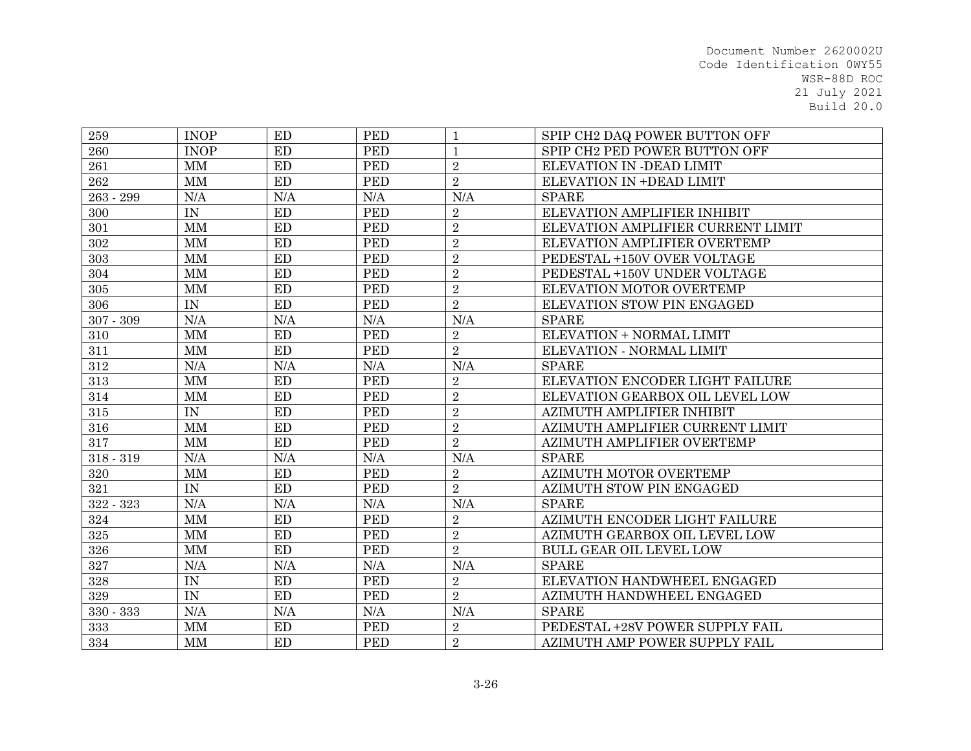| 259         | <b>INOP</b>              | ED        | <b>PED</b> | $\mathbf{1}$   | SPIP CH2 DAQ POWER BUTTON OFF     |
|-------------|--------------------------|-----------|------------|----------------|-----------------------------------|
| 260         | <b>INOP</b>              | <b>ED</b> | <b>PED</b> | $\mathbf{1}$   | SPIP CH2 PED POWER BUTTON OFF     |
| 261         | MM                       | <b>ED</b> | <b>PED</b> | $\overline{2}$ | ELEVATION IN -DEAD LIMIT          |
| 262         | MM                       | ED        | <b>PED</b> | $\overline{2}$ | ELEVATION IN +DEAD LIMIT          |
| 263 - 299   | N/A                      | N/A       | N/A        | N/A            | <b>SPARE</b>                      |
| 300         | IN                       | ED        | <b>PED</b> | $\overline{2}$ | ELEVATION AMPLIFIER INHIBIT       |
| 301         | MM                       | <b>ED</b> | <b>PED</b> | $\sqrt{2}$     | ELEVATION AMPLIFIER CURRENT LIMIT |
| 302         | MM                       | <b>ED</b> | <b>PED</b> | $\overline{2}$ | ELEVATION AMPLIFIER OVERTEMP      |
| 303         | <b>MM</b>                | <b>ED</b> | <b>PED</b> | $\overline{2}$ | PEDESTAL +150V OVER VOLTAGE       |
| 304         | MM                       | ED        | <b>PED</b> | $\overline{2}$ | PEDESTAL +150V UNDER VOLTAGE      |
| 305         | $\mbox{MM}$              | ED        | <b>PED</b> | $\sqrt{2}$     | ELEVATION MOTOR OVERTEMP          |
| 306         | $\ensuremath{\text{IN}}$ | ED        | <b>PED</b> | $\overline{2}$ | ELEVATION STOW PIN ENGAGED        |
| $307 - 309$ | N/A                      | N/A       | N/A        | N/A            | <b>SPARE</b>                      |
| 310         | MM                       | ED        | <b>PED</b> | $\overline{2}$ | ELEVATION + NORMAL LIMIT          |
| 311         | MM                       | ED        | <b>PED</b> | $\overline{2}$ | ELEVATION - NORMAL LIMIT          |
| 312         | N/A                      | N/A       | N/A        | N/A            | <b>SPARE</b>                      |
| 313         | MM                       | ED        | <b>PED</b> | $\overline{2}$ | ELEVATION ENCODER LIGHT FAILURE   |
| 314         | <b>MM</b>                | <b>ED</b> | <b>PED</b> | $\overline{2}$ | ELEVATION GEARBOX OIL LEVEL LOW   |
| $315\,$     | $\text{IN}{}$            | ED        | <b>PED</b> | $\sqrt{2}$     | AZIMUTH AMPLIFIER INHIBIT         |
| 316         | <b>MM</b>                | <b>ED</b> | <b>PED</b> | $\sqrt{2}$     | AZIMUTH AMPLIFIER CURRENT LIMIT   |
| 317         | <b>MM</b>                | ED        | <b>PED</b> | $\overline{2}$ | AZIMUTH AMPLIFIER OVERTEMP        |
| $318 - 319$ | N/A                      | N/A       | N/A        | N/A            | <b>SPARE</b>                      |
| 320         | $\mbox{MM}$              | ED        | <b>PED</b> | $\overline{2}$ | AZIMUTH MOTOR OVERTEMP            |
| 321         | IN                       | ED        | <b>PED</b> | $\overline{2}$ | AZIMUTH STOW PIN ENGAGED          |
| 322 - 323   | N/A                      | N/A       | N/A        | N/A            | <b>SPARE</b>                      |
| 324         | <b>MM</b>                | ED        | <b>PED</b> | $\overline{2}$ | AZIMUTH ENCODER LIGHT FAILURE     |
| 325         | MM                       | ED        | <b>PED</b> | $\overline{2}$ | AZIMUTH GEARBOX OIL LEVEL LOW     |
| 326         | MM                       | <b>ED</b> | <b>PED</b> | $\overline{2}$ | <b>BULL GEAR OIL LEVEL LOW</b>    |
| $327\,$     | N/A                      | N/A       | N/A        | N/A            | <b>SPARE</b>                      |
| 328         | IN                       | <b>ED</b> | <b>PED</b> | $\overline{2}$ | ELEVATION HANDWHEEL ENGAGED       |
| 329         | IN                       | ED        | <b>PED</b> | $\overline{2}$ | AZIMUTH HANDWHEEL ENGAGED         |
| 330 - 333   | N/A                      | N/A       | N/A        | N/A            | <b>SPARE</b>                      |
| 333         | MM                       | ED        | <b>PED</b> | $\overline{2}$ | PEDESTAL +28V POWER SUPPLY FAIL   |
| 334         | MM                       | ED        | <b>PED</b> | $\overline{2}$ | AZIMUTH AMP POWER SUPPLY FAIL     |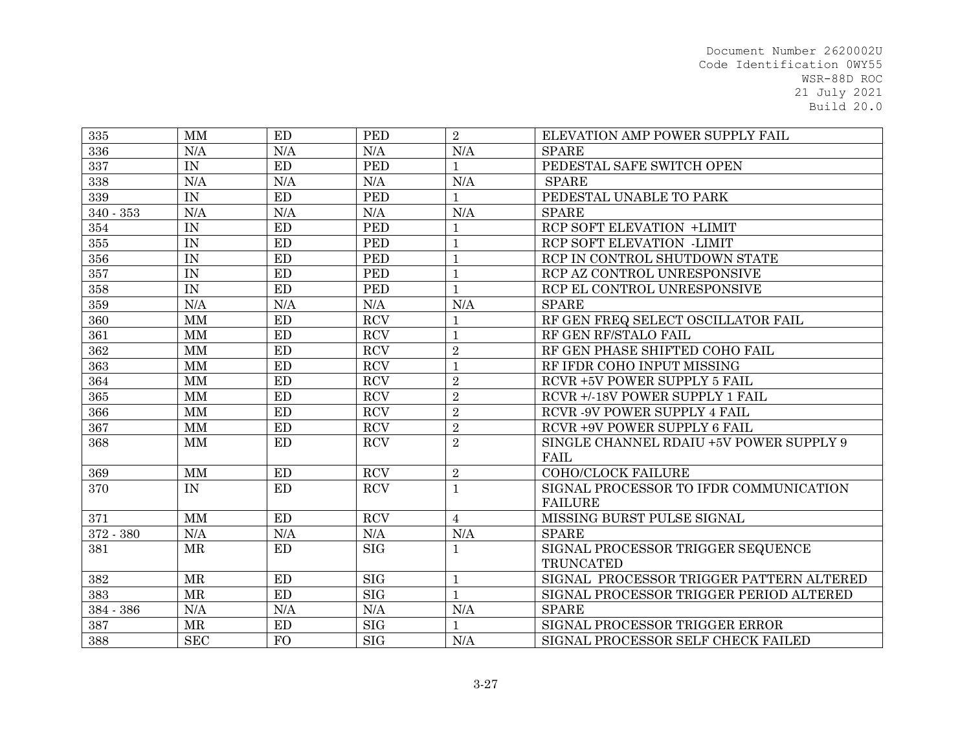| 335         | <b>MM</b>              | ED  | <b>PED</b> | $\overline{2}$ | ELEVATION AMP POWER SUPPLY FAIL          |
|-------------|------------------------|-----|------------|----------------|------------------------------------------|
| 336         | $\rm N/A$              | N/A | N/A        | N/A            | <b>SPARE</b>                             |
| 337         | IN                     | ED  | <b>PED</b> | $\mathbf{1}$   | PEDESTAL SAFE SWITCH OPEN                |
| 338         | N/A                    | N/A | N/A        | N/A            | <b>SPARE</b>                             |
| 339         | IN                     | ED  | <b>PED</b> | $\mathbf{1}$   | PEDESTAL UNABLE TO PARK                  |
| $340 - 353$ | N/A                    | N/A | N/A        | N/A            | <b>SPARE</b>                             |
| 354         | IN                     | ED  | <b>PED</b> | $\mathbf{1}$   | RCP SOFT ELEVATION +LIMIT                |
| 355         | IN                     | ED  | <b>PED</b> | $\mathbf{1}$   | RCP SOFT ELEVATION -LIMIT                |
| 356         | IN                     | ED  | <b>PED</b> | $\mathbf 1$    | RCP IN CONTROL SHUTDOWN STATE            |
| 357         | IN                     | ED  | <b>PED</b> | $1\,$          | RCP AZ CONTROL UNRESPONSIVE              |
| 358         | IN                     | ED  | <b>PED</b> | $\mathbf{1}$   | RCP EL CONTROL UNRESPONSIVE              |
| 359         | N/A                    | N/A | N/A        | N/A            | <b>SPARE</b>                             |
| 360         | MM                     | ED  | <b>RCV</b> | $\mathbf{1}$   | RF GEN FREQ SELECT OSCILLATOR FAIL       |
| 361         | MM                     | ED  | <b>RCV</b> | $\mathbf{1}$   | RF GEN RF/STALO FAIL                     |
| 362         | <b>MM</b>              | ED  | <b>RCV</b> | $\sqrt{2}$     | RF GEN PHASE SHIFTED COHO FAIL           |
| 363         | <b>MM</b>              | ED  | <b>RCV</b> | $\mathbf{1}$   | RF IFDR COHO INPUT MISSING               |
| 364         | <b>MM</b>              | ED  | <b>RCV</b> | $\overline{2}$ | RCVR +5V POWER SUPPLY 5 FAIL             |
| 365         | MM                     | ED  | <b>RCV</b> | $\overline{2}$ | RCVR +/-18V POWER SUPPLY 1 FAIL          |
| 366         | MM                     | ED  | <b>RCV</b> | $\overline{2}$ | RCVR - 9V POWER SUPPLY 4 FAIL            |
| 367         | MM                     | ED  | <b>RCV</b> | $\overline{2}$ | RCVR +9V POWER SUPPLY 6 FAIL             |
| 368         | MM                     | ED  | <b>RCV</b> | $\overline{2}$ | SINGLE CHANNEL RDAIU +5V POWER SUPPLY 9  |
|             |                        |     |            |                | FAIL                                     |
| 369         | $\mathbf{M}\mathbf{M}$ | ED  | <b>RCV</b> | $\overline{2}$ | <b>COHO/CLOCK FAILURE</b>                |
| 370         | IN                     | ED  | <b>RCV</b> | $\mathbf{1}$   | SIGNAL PROCESSOR TO IFDR COMMUNICATION   |
|             |                        |     |            |                | <b>FAILURE</b>                           |
| 371         | <b>MM</b>              | ED  | <b>RCV</b> | $\overline{4}$ | MISSING BURST PULSE SIGNAL               |
| 372 - 380   | $\rm N/A$              | N/A | N/A        | N/A            | <b>SPARE</b>                             |
| 381         | <b>MR</b>              | ED  | <b>SIG</b> | $\mathbf{1}$   | SIGNAL PROCESSOR TRIGGER SEQUENCE        |
|             |                        |     |            |                | <b>TRUNCATED</b>                         |
| $382\,$     | <b>MR</b>              | ED  | <b>SIG</b> | $\mathbf{1}$   | SIGNAL PROCESSOR TRIGGER PATTERN ALTERED |
| 383         | <b>MR</b>              | ED  | SIG        | $\mathbf{1}$   | SIGNAL PROCESSOR TRIGGER PERIOD ALTERED  |
| 384 - 386   | N/A                    | N/A | N/A        | N/A            | <b>SPARE</b>                             |
| 387         | $\operatorname{MR}$    | ED  | SIG        | $\mathbf{1}$   | SIGNAL PROCESSOR TRIGGER ERROR           |
| 388         | <b>SEC</b>             | FO  | <b>SIG</b> | N/A            | SIGNAL PROCESSOR SELF CHECK FAILED       |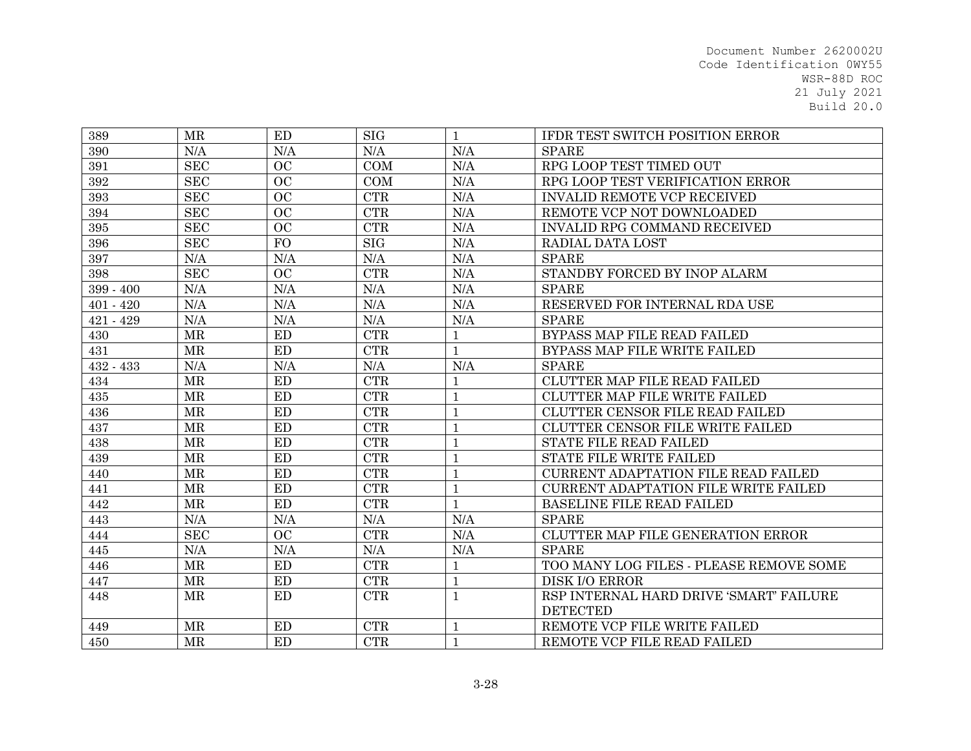| 389         | <b>MR</b>           | ED        | <b>SIG</b>                  | $\mathbf{1}$ | IFDR TEST SWITCH POSITION ERROR             |
|-------------|---------------------|-----------|-----------------------------|--------------|---------------------------------------------|
| 390         | N/A                 | N/A       | N/A                         | N/A          | <b>SPARE</b>                                |
| 391         | <b>SEC</b>          | <b>OC</b> | COM                         | N/A          | RPG LOOP TEST TIMED OUT                     |
| 392         | <b>SEC</b>          | OC        | COM                         | N/A          | RPG LOOP TEST VERIFICATION ERROR            |
| 393         | <b>SEC</b>          | OC        | CTR                         | N/A          | <b>INVALID REMOTE VCP RECEIVED</b>          |
| 394         | <b>SEC</b>          | OC        | CTR                         | N/A          | REMOTE VCP NOT DOWNLOADED                   |
| 395         | <b>SEC</b>          | OC        | CTR                         | N/A          | INVALID RPG COMMAND RECEIVED                |
| 396         | <b>SEC</b>          | <b>FO</b> | SIG                         | N/A          | RADIAL DATA LOST                            |
| 397         | $\rm N/A$           | N/A       | N/A                         | N/A          | <b>SPARE</b>                                |
| 398         | <b>SEC</b>          | <b>OC</b> | CTR                         | N/A          | STANDBY FORCED BY INOP ALARM                |
| 399 - 400   | N/A                 | N/A       | N/A                         | N/A          | <b>SPARE</b>                                |
| $401 - 420$ | N/A                 | N/A       | N/A                         | N/A          | RESERVED FOR INTERNAL RDA USE               |
| $421 - 429$ | N/A                 | N/A       | N/A                         | N/A          | <b>SPARE</b>                                |
| 430         | <b>MR</b>           | ED        | <b>CTR</b>                  | $\mathbf{1}$ | BYPASS MAP FILE READ FAILED                 |
| 431         | <b>MR</b>           | <b>ED</b> | <b>CTR</b>                  | $\mathbf{1}$ | BYPASS MAP FILE WRITE FAILED                |
| $432 - 433$ | N/A                 | N/A       | N/A                         | N/A          | <b>SPARE</b>                                |
| 434         | $\operatorname{MR}$ | ED        | $\ensuremath{\mathrm{CTR}}$ | $\mathbf{1}$ | <b>CLUTTER MAP FILE READ FAILED</b>         |
| 435         | $\operatorname{MR}$ | ED        | $\ensuremath{\mathrm{CTR}}$ | $\mathbf{1}$ | CLUTTER MAP FILE WRITE FAILED               |
| 436         | <b>MR</b>           | ED        | CTR                         | $\mathbf{1}$ | CLUTTER CENSOR FILE READ FAILED             |
| 437         | <b>MR</b>           | ED        | <b>CTR</b>                  | $\mathbf{1}$ | CLUTTER CENSOR FILE WRITE FAILED            |
| 438         | <b>MR</b>           | <b>ED</b> | <b>CTR</b>                  | $\mathbf{1}$ | <b>STATE FILE READ FAILED</b>               |
| 439         | MR                  | ED        | CTR                         | $\mathbf{1}$ | STATE FILE WRITE FAILED                     |
| 440         | <b>MR</b>           | <b>ED</b> | <b>CTR</b>                  | $\mathbf{1}$ | <b>CURRENT ADAPTATION FILE READ FAILED</b>  |
| 441         | <b>MR</b>           | <b>ED</b> | CTR                         | $\mathbf{1}$ | <b>CURRENT ADAPTATION FILE WRITE FAILED</b> |
| 442         | <b>MR</b>           | ED        | CTR                         | $\mathbf{1}$ | <b>BASELINE FILE READ FAILED</b>            |
| 443         | N/A                 | N/A       | N/A                         | N/A          | <b>SPARE</b>                                |
| 444         | <b>SEC</b>          | <b>OC</b> | CTR                         | N/A          | CLUTTER MAP FILE GENERATION ERROR           |
| 445         | N/A                 | N/A       | N/A                         | N/A          | <b>SPARE</b>                                |
| 446         | $\operatorname{MR}$ | ED        | $\ensuremath{\mathrm{CTR}}$ | $\mathbf{1}$ | TOO MANY LOG FILES - PLEASE REMOVE SOME     |
| 447         | $\operatorname{MR}$ | <b>ED</b> | <b>CTR</b>                  | $\mathbf{1}$ | <b>DISK I/O ERROR</b>                       |
| 448         | MR                  | <b>ED</b> | <b>CTR</b>                  | $\mathbf{1}$ | RSP INTERNAL HARD DRIVE 'SMART' FAILURE     |
|             |                     |           |                             |              | <b>DETECTED</b>                             |
| 449         | <b>MR</b>           | ED        | $\ensuremath{\text{CTR}}$   | $\mathbf{1}$ | REMOTE VCP FILE WRITE FAILED                |
| 450         | <b>MR</b>           | <b>ED</b> | <b>CTR</b>                  | $\mathbf{1}$ | REMOTE VCP FILE READ FAILED                 |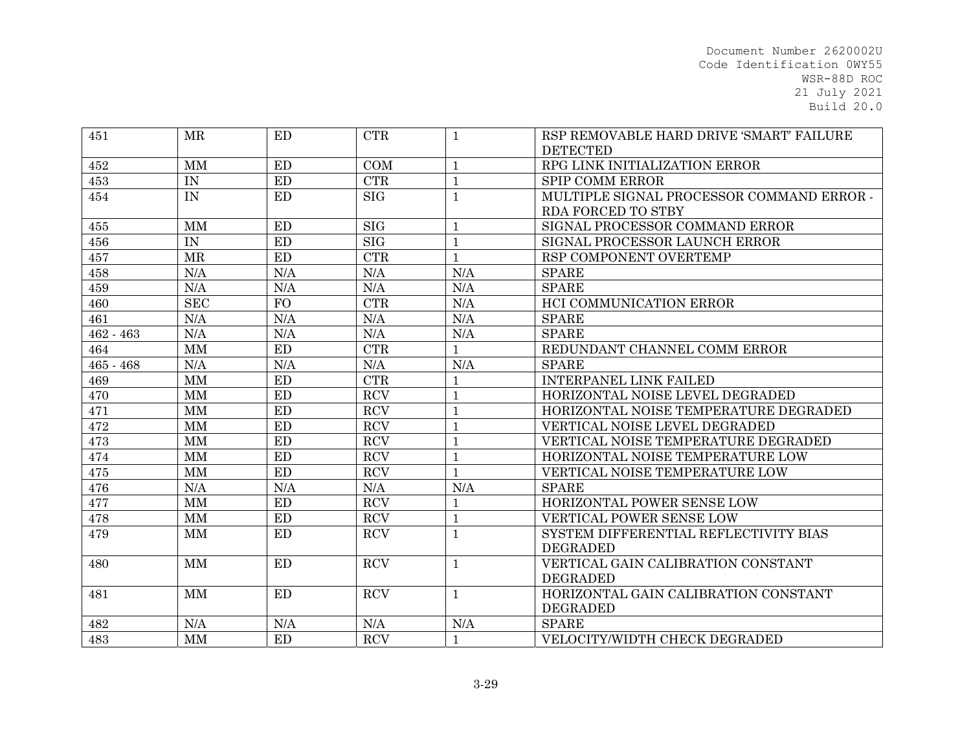| 451       | <b>MR</b>              | ED        | <b>CTR</b>                | 1            | RSP REMOVABLE HARD DRIVE 'SMART' FAILURE  |
|-----------|------------------------|-----------|---------------------------|--------------|-------------------------------------------|
|           |                        |           |                           |              | <b>DETECTED</b>                           |
| 452       | $\mathbf{M}\mathbf{M}$ | ED        | COM                       | $\mathbf{1}$ | RPG LINK INITIALIZATION ERROR             |
| 453       | $\text{IN}{}$          | ED        | CTR                       | $\mathbf{1}$ | <b>SPIP COMM ERROR</b>                    |
| 454       | IN                     | ED        | <b>SIG</b>                | $\mathbf{1}$ | MULTIPLE SIGNAL PROCESSOR COMMAND ERROR - |
|           |                        |           |                           |              | RDA FORCED TO STBY                        |
| 455       | MM                     | ED        | SIG                       | $\mathbf 1$  | SIGNAL PROCESSOR COMMAND ERROR            |
| 456       | IN                     | ED        | $\overline{\mathrm{SIG}}$ | $\mathbf{1}$ | SIGNAL PROCESSOR LAUNCH ERROR             |
| 457       | MR                     | ED        | $\ensuremath{\text{CTR}}$ | $\mathbf{1}$ | RSP COMPONENT OVERTEMP                    |
| 458       | N/A                    | N/A       | N/A                       | $\rm N/A$    | <b>SPARE</b>                              |
| 459       | N/A                    | N/A       | N/A                       | N/A          | <b>SPARE</b>                              |
| 460       | <b>SEC</b>             | <b>FO</b> | CTR                       | N/A          | HCI COMMUNICATION ERROR                   |
| 461       | N/A                    | N/A       | N/A                       | N/A          | <b>SPARE</b>                              |
| 462 - 463 | N/A                    | N/A       | N/A                       | N/A          | <b>SPARE</b>                              |
| 464       | MM                     | ED        | CTR                       | $\mathbf{1}$ | REDUNDANT CHANNEL COMM ERROR              |
| 465 - 468 | N/A                    | N/A       | N/A                       | N/A          | <b>SPARE</b>                              |
| 469       | <b>MM</b>              | ED        | CTR                       | $\mathbf{1}$ | <b>INTERPANEL LINK FAILED</b>             |
| 470       | MM                     | <b>ED</b> | <b>RCV</b>                | $\mathbf{1}$ | HORIZONTAL NOISE LEVEL DEGRADED           |
| 471       | MM                     | ED        | <b>RCV</b>                | $\mathbf{1}$ | HORIZONTAL NOISE TEMPERATURE DEGRADED     |
| 472       | MM                     | ED        | $\operatorname{RCV}$      | $\mathbf{1}$ | VERTICAL NOISE LEVEL DEGRADED             |
| 473       | <b>MM</b>              | ED        | <b>RCV</b>                | $\mathbf{1}$ | VERTICAL NOISE TEMPERATURE DEGRADED       |
| 474       | MM                     | ED        | $\operatorname{RCV}$      | $\mathbf{1}$ | HORIZONTAL NOISE TEMPERATURE LOW          |
| 475       | MM                     | ED        | RCV                       | $\mathbf{1}$ | VERTICAL NOISE TEMPERATURE LOW            |
| 476       | N/A                    | N/A       | N/A                       | N/A          | <b>SPARE</b>                              |
| 477       | MM                     | ED        | $\operatorname{RCV}$      | 1            | HORIZONTAL POWER SENSE LOW                |
| 478       | MM                     | ED        | RCV                       | $\mathbf{1}$ | VERTICAL POWER SENSE LOW                  |
| 479       | MM                     | ED        | <b>RCV</b>                | $\mathbf{1}$ | SYSTEM DIFFERENTIAL REFLECTIVITY BIAS     |
|           |                        |           |                           |              | <b>DEGRADED</b>                           |
| 480       | MM                     | ED        | <b>RCV</b>                | $\mathbf{1}$ | VERTICAL GAIN CALIBRATION CONSTANT        |
|           |                        |           |                           |              | <b>DEGRADED</b>                           |
| 481       | MM                     | <b>ED</b> | <b>RCV</b>                | $\mathbf{1}$ | HORIZONTAL GAIN CALIBRATION CONSTANT      |
|           |                        |           |                           |              | <b>DEGRADED</b>                           |
| 482       | N/A                    | N/A       | N/A                       | $\rm N/A$    | <b>SPARE</b>                              |
| 483       | MM                     | ED        | <b>RCV</b>                | $\mathbf{1}$ | VELOCITY/WIDTH CHECK DEGRADED             |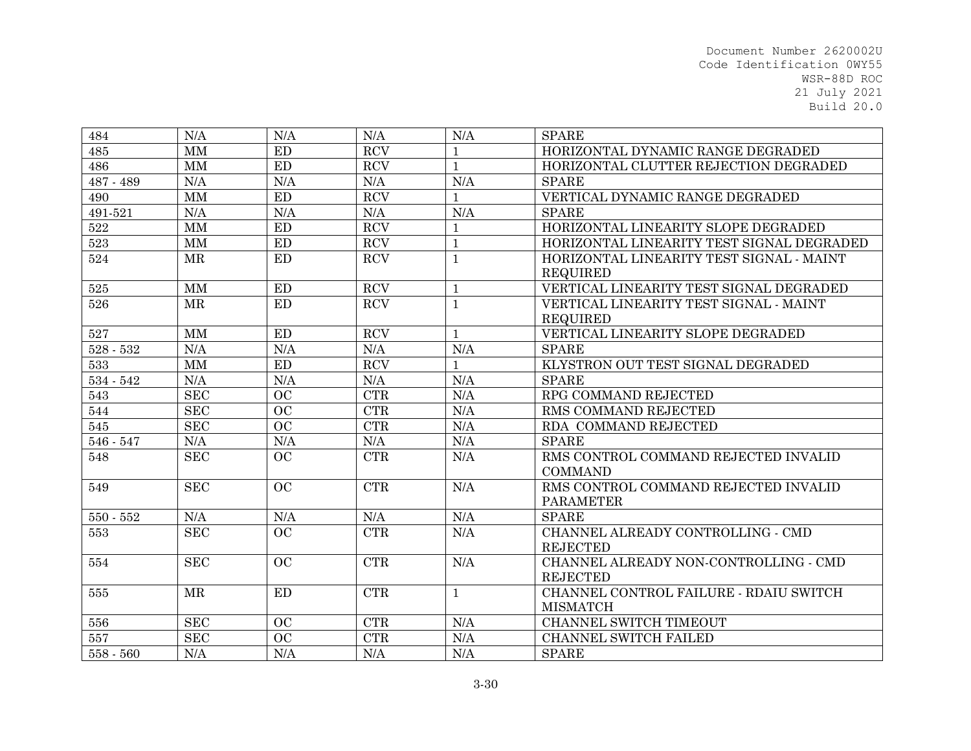| 484         | N/A                    | N/A                        | N/A                  | N/A          | <b>SPARE</b>                              |
|-------------|------------------------|----------------------------|----------------------|--------------|-------------------------------------------|
| 485         | $\mathbf{M}\mathbf{M}$ | ED                         | $\operatorname{RCV}$ |              | HORIZONTAL DYNAMIC RANGE DEGRADED         |
| 486         | <b>MM</b>              | ED                         | $\operatorname{RCV}$ | $\mathbf{1}$ | HORIZONTAL CLUTTER REJECTION DEGRADED     |
| 487 - 489   | N/A                    | N/A                        | N/A                  | N/A          | <b>SPARE</b>                              |
| 490         | <b>MM</b>              | ED                         | <b>RCV</b>           | $\mathbf{1}$ | VERTICAL DYNAMIC RANGE DEGRADED           |
| 491-521     | $\rm N/A$              | N/A                        | N/A                  | N/A          | <b>SPARE</b>                              |
| 522         | MM                     | ED                         | $\operatorname{RCV}$ | $\mathbf{1}$ | HORIZONTAL LINEARITY SLOPE DEGRADED       |
| $523\,$     | $\mbox{MM}$            | $\mathop{\rm ED}\nolimits$ | $\operatorname{RCV}$ | $\mathbf{1}$ | HORIZONTAL LINEARITY TEST SIGNAL DEGRADED |
| 524         | MR                     | ED                         | RCV                  | $\mathbf{1}$ | HORIZONTAL LINEARITY TEST SIGNAL - MAINT  |
|             |                        |                            |                      |              | <b>REQUIRED</b>                           |
| $525\,$     | $\mathbf{M}\mathbf{M}$ | ED                         | <b>RCV</b>           | $\mathbf{1}$ | VERTICAL LINEARITY TEST SIGNAL DEGRADED   |
| 526         | <b>MR</b>              | <b>ED</b>                  | <b>RCV</b>           | $\mathbf{1}$ | VERTICAL LINEARITY TEST SIGNAL - MAINT    |
|             |                        |                            |                      |              | <b>REQUIRED</b>                           |
| 527         | MM                     | ED                         | <b>RCV</b>           | $\mathbf{1}$ | VERTICAL LINEARITY SLOPE DEGRADED         |
| $528 - 532$ | N/A                    | N/A                        | N/A                  | N/A          | <b>SPARE</b>                              |
| 533         | MM                     | ED                         | <b>RCV</b>           | 1            | KLYSTRON OUT TEST SIGNAL DEGRADED         |
| $534 - 542$ | N/A                    | N/A                        | N/A                  | N/A          | <b>SPARE</b>                              |
| 543         | <b>SEC</b>             | <b>OC</b>                  | CTR                  | N/A          | RPG COMMAND REJECTED                      |
| 544         | <b>SEC</b>             | <b>OC</b>                  | CTR                  | N/A          | RMS COMMAND REJECTED                      |
| 545         | <b>SEC</b>             | OC                         | CTR                  | N/A          | RDA COMMAND REJECTED                      |
| 546 - 547   | N/A                    | N/A                        | N/A                  | N/A          | <b>SPARE</b>                              |
| 548         | <b>SEC</b>             | <b>OC</b>                  | CTR                  | N/A          | RMS CONTROL COMMAND REJECTED INVALID      |
|             |                        |                            |                      |              | <b>COMMAND</b>                            |
| 549         | <b>SEC</b>             | OC                         | CTR                  | N/A          | RMS CONTROL COMMAND REJECTED INVALID      |
|             |                        |                            |                      |              | <b>PARAMETER</b>                          |
| $550 - 552$ | N/A                    | N/A                        | N/A                  | N/A          | <b>SPARE</b>                              |
| 553         | <b>SEC</b>             | OC                         | <b>CTR</b>           | N/A          | CHANNEL ALREADY CONTROLLING - CMD         |
|             |                        |                            |                      |              | <b>REJECTED</b>                           |
| 554         | <b>SEC</b>             | OC                         | <b>CTR</b>           | N/A          | CHANNEL ALREADY NON-CONTROLLING - CMD     |
|             |                        |                            |                      |              | <b>REJECTED</b>                           |
| 555         | <b>MR</b>              | ED                         | CTR                  | $\mathbf{1}$ | CHANNEL CONTROL FAILURE - RDAIU SWITCH    |
|             |                        |                            |                      |              | <b>MISMATCH</b>                           |
| 556         | SEC                    | OC                         | CTR                  | $\rm N/A$    | CHANNEL SWITCH TIMEOUT                    |
| 557         | <b>SEC</b>             | OC                         | <b>CTR</b>           | N/A          | CHANNEL SWITCH FAILED                     |
| 558 - 560   | N/A                    | N/A                        | N/A                  | N/A          | <b>SPARE</b>                              |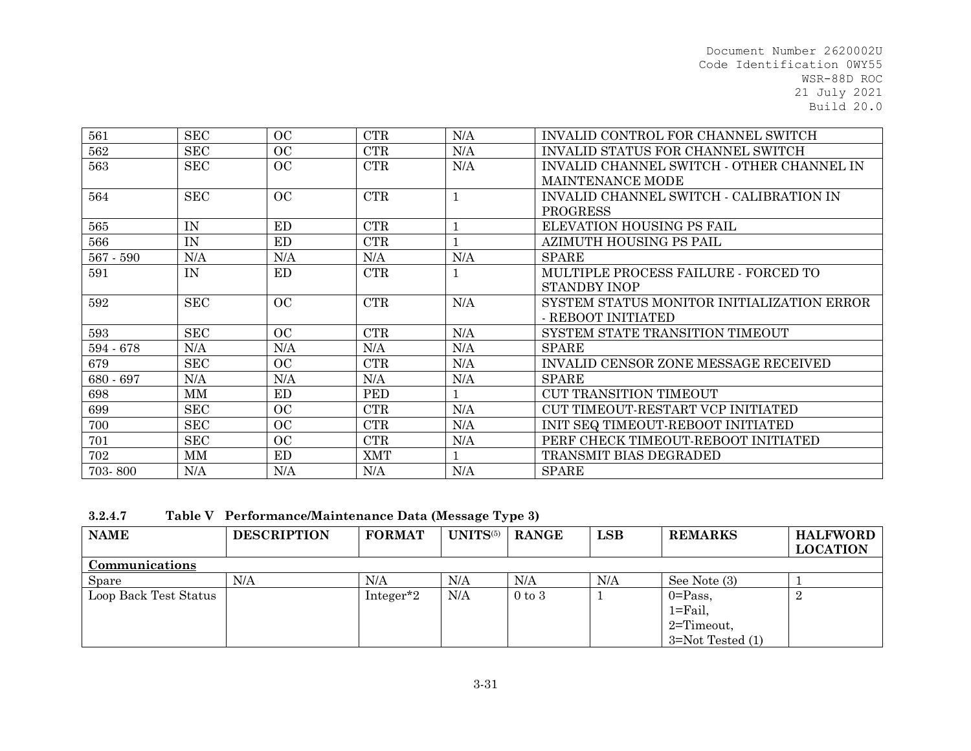| 561         | <b>SEC</b> | OC        | <b>CTR</b> | N/A | INVALID CONTROL FOR CHANNEL SWITCH          |
|-------------|------------|-----------|------------|-----|---------------------------------------------|
| 562         | <b>SEC</b> | OC        | <b>CTR</b> | N/A | <b>INVALID STATUS FOR CHANNEL SWITCH</b>    |
| 563         | <b>SEC</b> | OC        | <b>CTR</b> | N/A | INVALID CHANNEL SWITCH - OTHER CHANNEL IN   |
|             |            |           |            |     | <b>MAINTENANCE MODE</b>                     |
| 564         | <b>SEC</b> | OC        | CTR        |     | INVALID CHANNEL SWITCH - CALIBRATION IN     |
|             |            |           |            |     | PROGRESS                                    |
| 565         | IN         | ED        | <b>CTR</b> |     | ELEVATION HOUSING PS FAIL                   |
| 566         | IN         | ED        | <b>CTR</b> |     | AZIMUTH HOUSING PS PAIL                     |
| $567 - 590$ | N/A        | N/A       | N/A        | N/A | <b>SPARE</b>                                |
| 591         | IN         | <b>ED</b> | <b>CTR</b> |     | MULTIPLE PROCESS FAILURE - FORCED TO        |
|             |            |           |            |     | <b>STANDBY INOP</b>                         |
| 592         | <b>SEC</b> | OC        | <b>CTR</b> | N/A | SYSTEM STATUS MONITOR INITIALIZATION ERROR  |
|             |            |           |            |     | - REBOOT INITIATED                          |
| 593         | <b>SEC</b> | OC        | <b>CTR</b> | N/A | SYSTEM STATE TRANSITION TIMEOUT             |
| 594 - 678   | N/A        | N/A       | N/A        | N/A | <b>SPARE</b>                                |
| 679         | <b>SEC</b> | OC        | <b>CTR</b> | N/A | <b>INVALID CENSOR ZONE MESSAGE RECEIVED</b> |
| 680 - 697   | N/A        | N/A       | N/A        | N/A | <b>SPARE</b>                                |
| 698         | MМ         | ED        | <b>PED</b> |     | CUT TRANSITION TIMEOUT                      |
| 699         | <b>SEC</b> | OC        | <b>CTR</b> | N/A | CUT TIMEOUT-RESTART VCP INITIATED           |
| 700         | <b>SEC</b> | OC        | <b>CTR</b> | N/A | INIT SEQ TIMEOUT-REBOOT INITIATED           |
| 701         | <b>SEC</b> | OC        | <b>CTR</b> | N/A | PERF CHECK TIMEOUT-REBOOT INITIATED         |
| 702         | MМ         | ED        | <b>XMT</b> |     | TRANSMIT BIAS DEGRADED                      |
| 703-800     | N/A        | N/A       | N/A        | N/A | <b>SPARE</b>                                |

**3.2.4.7Table V Performance/Maintenance Data (Message Type 3)** 

| <b>NAME</b>           | <b>DESCRIPTION</b> | <b>FORMAT</b> | UNITS(5) | <b>RANGE</b>      | LSB | <b>REMARKS</b>                           | <b>HALFWORD</b><br><b>LOCATION</b> |
|-----------------------|--------------------|---------------|----------|-------------------|-----|------------------------------------------|------------------------------------|
| Communications        |                    |               |          |                   |     |                                          |                                    |
| Spare                 | N/A                | N/A           | N/A      | N/A               | N/A | See Note (3)                             |                                    |
| Loop Back Test Status |                    | Integer*2     | N/A      | $0 \text{ to } 3$ |     | $0 = Pass$ ,<br>$1 = \text{Fall},$       |                                    |
|                       |                    |               |          |                   |     | $2 =$ Timeout,<br>$3 = Not$ Tested $(1)$ |                                    |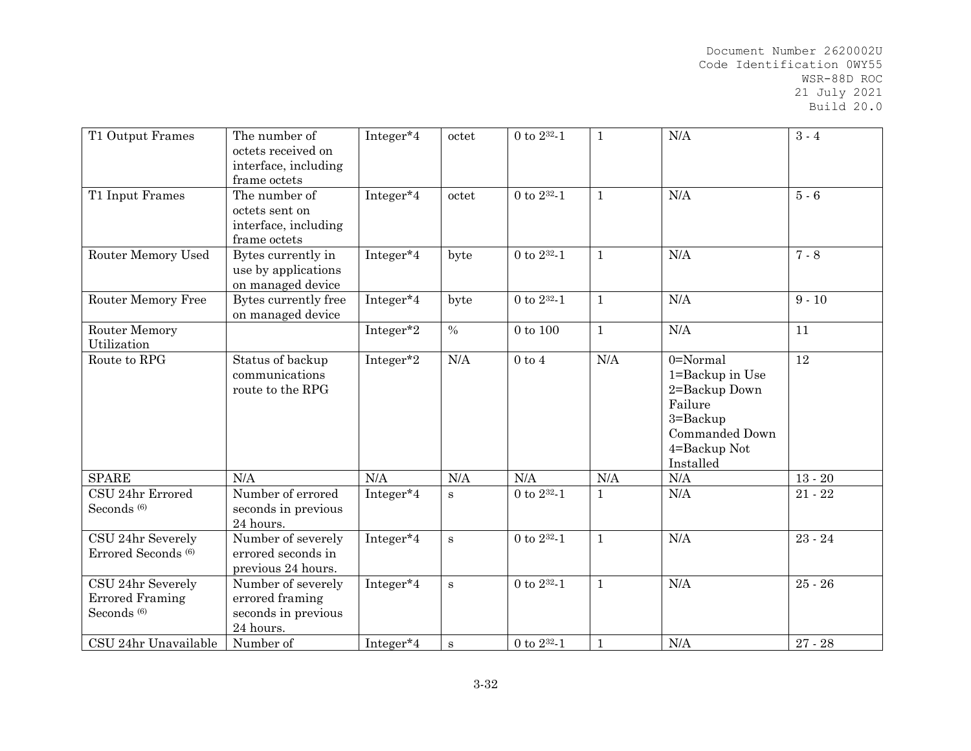| T1 Output Frames                                                      | The number of<br>octets received on<br>interface, including<br>frame octets | Integer*4 | octet     | 0 to $2^{32} - 1$ | $\mathbf{1}$ | $\rm N/A$                                                                                                              | $3 - 4$   |
|-----------------------------------------------------------------------|-----------------------------------------------------------------------------|-----------|-----------|-------------------|--------------|------------------------------------------------------------------------------------------------------------------------|-----------|
| T1 Input Frames                                                       | The number of<br>octets sent on<br>interface, including<br>frame octets     | Integer*4 | octet     | 0 to $2^{32} - 1$ | $\mathbf{1}$ | N/A                                                                                                                    | $5 - 6$   |
| Router Memory Used                                                    | Bytes currently in<br>use by applications<br>on managed device              | Integer*4 | byte      | 0 to $2^{32} - 1$ | $\mathbf{1}$ | N/A                                                                                                                    | $7 - 8$   |
| Router Memory Free                                                    | Bytes currently free<br>on managed device                                   | Integer*4 | byte      | 0 to $2^{32} - 1$ | $\mathbf{1}$ | N/A                                                                                                                    | $9 - 10$  |
| <b>Router Memory</b><br>Utilization                                   |                                                                             | Integer*2 | $\%$      | $0$ to $100$      | $\mathbf{1}$ | N/A                                                                                                                    | 11        |
| Route to RPG                                                          | Status of backup<br>communications<br>route to the RPG                      | Integer*2 | N/A       | $0$ to $4$        | N/A          | $0 = Normal$<br>1=Backup in Use<br>2=Backup Down<br>Failure<br>3=Backup<br>Commanded Down<br>4=Backup Not<br>Installed | 12        |
| <b>SPARE</b>                                                          | N/A                                                                         | N/A       | N/A       | N/A               | $\rm N/A$    | N/A                                                                                                                    | $13 - 20$ |
| CSU 24hr Errored<br>Seconds <sup>(6)</sup>                            | Number of errored<br>seconds in previous<br>24 hours.                       | Integer*4 | ${\bf S}$ | 0 to $2^{32} - 1$ | $\mathbf{1}$ | N/A                                                                                                                    | $21 - 22$ |
| CSU 24hr Severely<br>Errored Seconds <sup>(6)</sup>                   | Number of severely<br>errored seconds in<br>previous 24 hours.              | Integer*4 | $\bf S$   | 0 to $2^{32} - 1$ | $\mathbf{1}$ | N/A                                                                                                                    | $23 - 24$ |
| CSU 24hr Severely<br><b>Errored Framing</b><br>Seconds <sup>(6)</sup> | Number of severely<br>errored framing<br>seconds in previous<br>24 hours.   | Integer*4 | s         | 0 to $2^{32} - 1$ | $\mathbf{1}$ | N/A                                                                                                                    | $25 - 26$ |
| CSU 24hr Unavailable                                                  | Number of                                                                   | Integer*4 | S         | 0 to $2^{32} - 1$ | $\mathbf{1}$ | N/A                                                                                                                    | $27 - 28$ |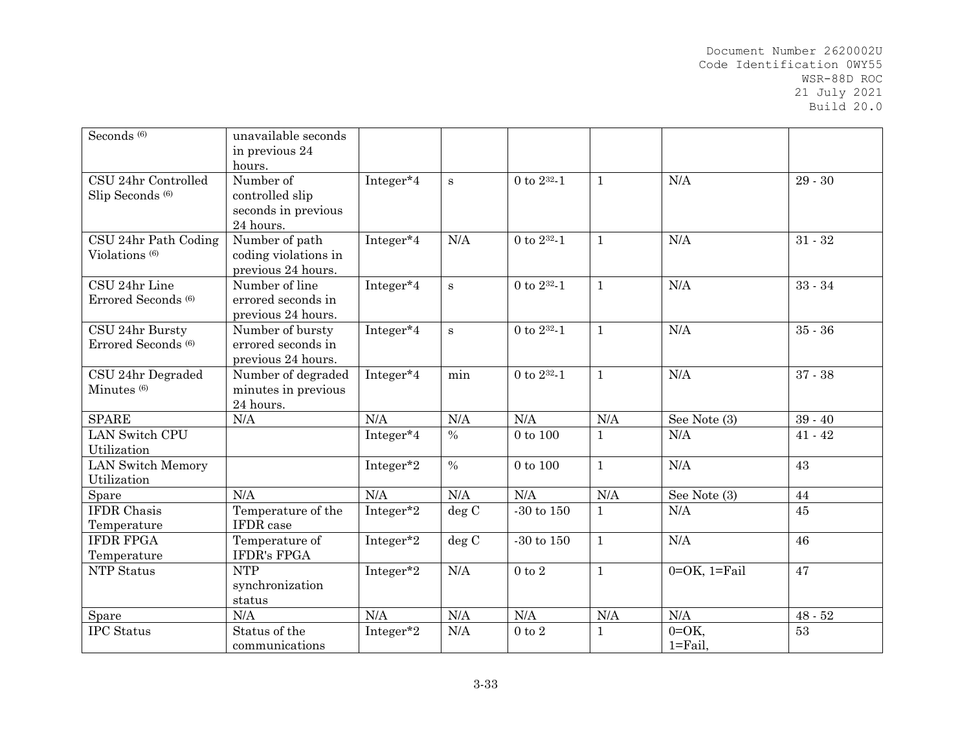| Seconds <sup>(6)</sup>                             | unavailable seconds<br>in previous 24<br>hours.                  |           |               |                       |              |                             |           |
|----------------------------------------------------|------------------------------------------------------------------|-----------|---------------|-----------------------|--------------|-----------------------------|-----------|
| CSU 24hr Controlled<br>Slip Seconds <sup>(6)</sup> | Number of<br>controlled slip<br>seconds in previous<br>24 hours. | Integer*4 | S             | 0 to $2^{32} - 1$     | $\mathbf{1}$ | N/A                         | $29 - 30$ |
| CSU 24hr Path Coding<br>Violations <sup>(6)</sup>  | Number of path<br>coding violations in<br>previous 24 hours.     | Integer*4 | N/A           | 0 to $2^{32} - 1$     | $\mathbf{1}$ | N/A                         | $31 - 32$ |
| CSU 24hr Line<br>Errored Seconds <sup>(6)</sup>    | Number of line<br>errored seconds in<br>previous 24 hours.       | Integer*4 | $\bf S$       | 0 to $2^{32} - 1$     | $\mathbf{1}$ | N/A                         | $33 - 34$ |
| CSU 24hr Bursty<br>Errored Seconds <sup>(6)</sup>  | Number of bursty<br>errored seconds in<br>previous 24 hours.     | Integer*4 | $\mathbf S$   | 0 to $2^{32} - 1$     | $\mathbf{1}$ | N/A                         | $35 - 36$ |
| CSU 24hr Degraded<br>Minutes <sup>(6)</sup>        | Number of degraded<br>minutes in previous<br>24 hours.           | Integer*4 | min           | 0 to $2^{32} - 1$     | $\mathbf{1}$ | N/A                         | $37 - 38$ |
| <b>SPARE</b>                                       | N/A                                                              | N/A       | N/A           | N/A                   | N/A          | See Note (3)                | $39 - 40$ |
| <b>LAN Switch CPU</b><br>Utilization               |                                                                  | Integer*4 | $\%$          | $0$ to $100$          | $\mathbf{1}$ | N/A                         | $41 - 42$ |
| <b>LAN Switch Memory</b><br>Utilization            |                                                                  | Integer*2 | $\frac{0}{0}$ | $0$ to $100\,$        | $\mathbf{1}$ | N/A                         | 43        |
| Spare                                              | N/A                                                              | N/A       | N/A           | N/A                   | N/A          | See Note (3)                | 44        |
| <b>IFDR</b> Chasis<br>Temperature                  | Temperature of the<br><b>IFDR</b> case                           | Integer*2 | deg C         | $-30$ to $150\,$      | $\mathbf{1}$ | N/A                         | 45        |
| <b>IFDR FPGA</b><br>Temperature                    | Temperature of<br><b>IFDR's FPGA</b>                             | Integer*2 | deg C         | $\mbox{-}30$ to $150$ | $\mathbf{1}$ | N/A                         | 46        |
| NTP Status                                         | <b>NTP</b><br>synchronization<br>status                          | Integer*2 | N/A           | $0$ to $2$            | $\mathbf{1}$ | $0=OK$ , $1=Fi$ ail         | 47        |
| Spare                                              | N/A                                                              | N/A       | N/A           | N/A                   | N/A          | N/A                         | $48 - 52$ |
| <b>IPC</b> Status                                  | Status of the<br>communications                                  | Integer*2 | N/A           | $0$ to $2$            | $\mathbf{1}$ | $0=OK$<br>$1 = \text{Fall}$ | 53        |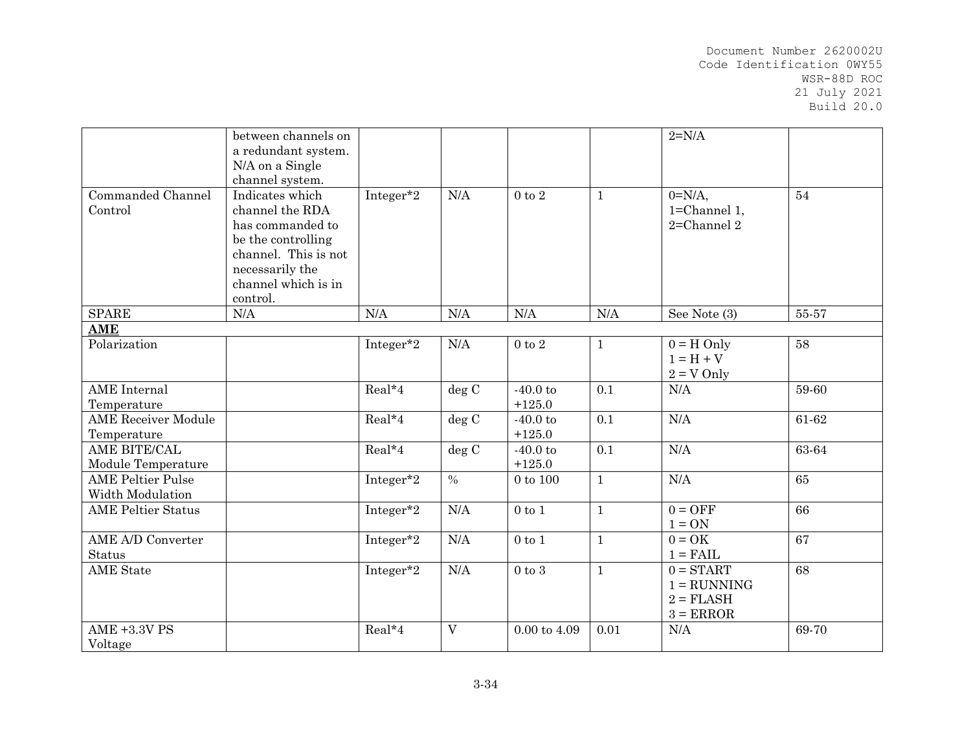|                            | between channels on  |                       |       |                  |              | $2=N/A$            |       |
|----------------------------|----------------------|-----------------------|-------|------------------|--------------|--------------------|-------|
|                            | a redundant system.  |                       |       |                  |              |                    |       |
|                            | N/A on a Single      |                       |       |                  |              |                    |       |
|                            | channel system.      |                       |       |                  |              |                    |       |
| Commanded Channel          | Indicates which      | Integer*2             | N/A   | $0$ to $2$       | $\mathbf{1}$ | $0=N/A$ ,          | 54    |
| Control                    | channel the RDA      |                       |       |                  |              | 1=Channel 1,       |       |
|                            | has commanded to     |                       |       |                  |              | $2 =$ Channel $2$  |       |
|                            | be the controlling   |                       |       |                  |              |                    |       |
|                            | channel. This is not |                       |       |                  |              |                    |       |
|                            | necessarily the      |                       |       |                  |              |                    |       |
|                            | channel which is in  |                       |       |                  |              |                    |       |
|                            | control.             |                       |       |                  |              |                    |       |
| <b>SPARE</b>               | N/A                  | N/A                   | N/A   | N/A              | N/A          | See Note (3)       | 55-57 |
| <b>AME</b>                 |                      |                       |       |                  |              |                    |       |
| Polarization               |                      | Integer*2             | N/A   | $0$ to $2\,$     | $\mathbf{1}$ | $0 = H$ Only       | 58    |
|                            |                      |                       |       |                  |              | $1 = H + V$        |       |
|                            |                      |                       |       |                  |              | $2 = V$ Only       |       |
| <b>AME</b> Internal        |                      | Real*4                | deg C | $-40.0$ to       | 0.1          | N/A                | 59-60 |
| Temperature                |                      |                       |       | $+125.0$         |              |                    |       |
| <b>AME Receiver Module</b> |                      | Real*4                | deg C | $-40.0$ to       | 0.1          | N/A                | 61-62 |
| Temperature                |                      |                       |       | $+125.0$         |              |                    |       |
| AME BITE/CAL               |                      | Real*4                | deg C | $-40.0$ to       | 0.1          | N/A                | 63-64 |
| Module Temperature         |                      |                       |       | $+125.0$         |              |                    |       |
| <b>AME Peltier Pulse</b>   |                      | Integer <sup>*2</sup> | $\%$  | $0$ to $100$     | $\mathbf{1}$ | N/A                | 65    |
| Width Modulation           |                      |                       |       |                  |              |                    |       |
| <b>AME Peltier Status</b>  |                      | Integer <sup>*2</sup> | N/A   | $0$ to $1$       | $\mathbf{1}$ | $0 = OFF$          | 66    |
|                            |                      |                       |       |                  |              | $1 = ON$           |       |
| <b>AME A/D Converter</b>   |                      | Integer*2             | N/A   | $0$ to $1$       | $\mathbf{1}$ | $0 = OK$           | 67    |
| <b>Status</b>              |                      |                       |       |                  |              | $1 = \text{FAIL}$  |       |
| <b>AME</b> State           |                      | Integer*2             | N/A   | $0$ to $3$       | $\mathbf{1}$ | $0 = \text{START}$ | 68    |
|                            |                      |                       |       |                  |              | $1 = RUNNING$      |       |
|                            |                      |                       |       |                  |              | $2 = \text{FLASH}$ |       |
|                            |                      |                       |       |                  |              | $3 = ERROR$        |       |
| <b>AME +3.3V PS</b>        |                      | Real*4                | V     | $0.00$ to $4.09$ | 0.01         | N/A                | 69-70 |
| Voltage                    |                      |                       |       |                  |              |                    |       |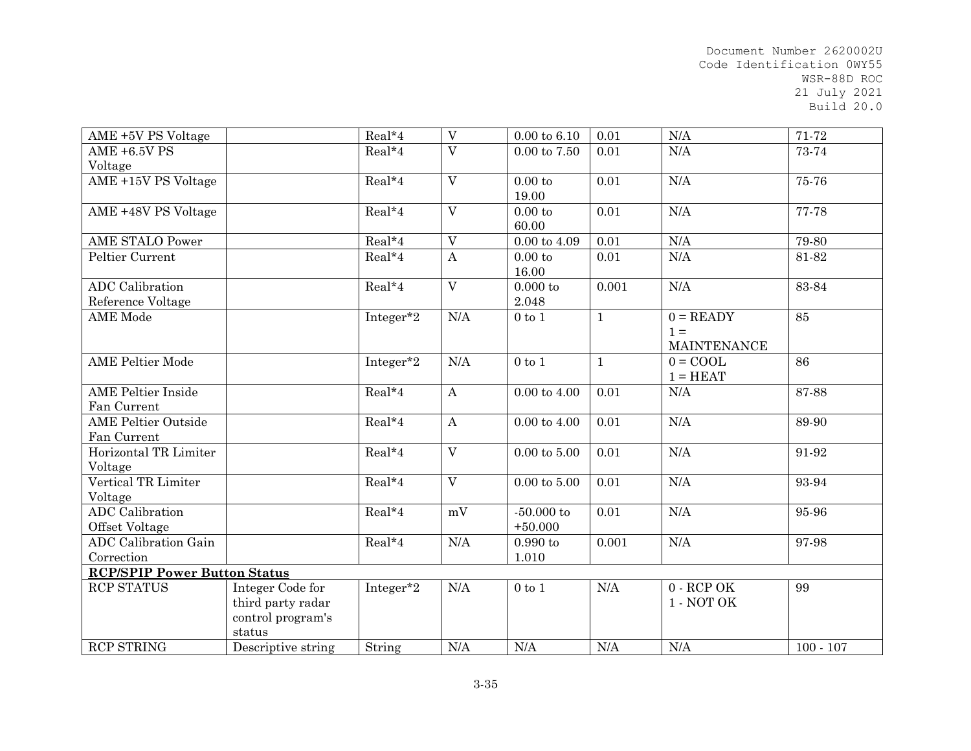| AME+5V PS Voltage                   |                    | Real*4    | $\mathbf{V}$            | $0.00 \text{ to } 6.10$ | 0.01         | N/A                | 71-72       |
|-------------------------------------|--------------------|-----------|-------------------------|-------------------------|--------------|--------------------|-------------|
| <b>AME +6.5V PS</b>                 |                    | Real*4    | $\mathbf{V}$            | $0.00$ to $7.50$        | 0.01         | N/A                | 73-74       |
| Voltage                             |                    |           |                         |                         |              |                    |             |
| AME +15V PS Voltage                 |                    | $Real*4$  | $\overline{V}$          | 0.00 to                 | 0.01         | N/A                | 75-76       |
|                                     |                    |           |                         | 19.00                   |              |                    |             |
| AME +48V PS Voltage                 |                    | Real*4    | $\overline{V}$          | 0.00 to                 | 0.01         | N/A                | 77-78       |
|                                     |                    |           |                         | 60.00                   |              |                    |             |
| <b>AME STALO Power</b>              |                    | Real*4    | V                       | $0.00$ to $4.09$        | 0.01         | N/A                | 79-80       |
| Peltier Current                     |                    | Real*4    | $\boldsymbol{A}$        | 0.00 to                 | 0.01         | N/A                | 81-82       |
|                                     |                    |           |                         | 16.00                   |              |                    |             |
| <b>ADC</b> Calibration              |                    | Real*4    | $\overline{\mathrm{V}}$ | 0.000 to                | 0.001        | N/A                | 83-84       |
| Reference Voltage                   |                    |           |                         | 2.048                   |              |                    |             |
| <b>AME</b> Mode                     |                    | Integer*2 | N/A                     | $0$ to $1$              | $\mathbf{1}$ | $0 = READV$        | 85          |
|                                     |                    |           |                         |                         |              | $1 =$              |             |
|                                     |                    |           |                         |                         |              | <b>MAINTENANCE</b> |             |
| <b>AME Peltier Mode</b>             |                    | Integer*2 | N/A                     | $0$ to $1$              | $\mathbf{1}$ | $0 = COOL$         | 86          |
|                                     |                    |           |                         |                         |              | $1 = HEAT$         |             |
| <b>AME</b> Peltier Inside           |                    | Real*4    | $\bf{A}$                | $0.00$ to $4.00$        | 0.01         | N/A                | 87-88       |
| Fan Current                         |                    |           |                         |                         |              |                    |             |
| <b>AME Peltier Outside</b>          |                    | Real*4    | $\boldsymbol{A}$        | $0.00$ to $4.00$        | 0.01         | N/A                | 89-90       |
| Fan Current                         |                    |           |                         |                         |              |                    |             |
| Horizontal TR Limiter               |                    | Real*4    | $\overline{V}$          | $0.00 \text{ to } 5.00$ | 0.01         | $\rm N/A$          | 91-92       |
| Voltage                             |                    |           |                         |                         |              |                    |             |
| Vertical TR Limiter                 |                    | Real*4    | $\mathbf{V}$            | $0.00$ to $5.00$        | 0.01         | N/A                | 93-94       |
| Voltage                             |                    |           |                         |                         |              |                    |             |
| <b>ADC</b> Calibration              |                    | Real*4    | mV                      | $-50.000$ to            | 0.01         | N/A                | 95-96       |
| Offset Voltage                      |                    |           |                         | $+50.000$               |              |                    |             |
| <b>ADC</b> Calibration Gain         |                    | Real*4    | $\rm N/A$               | $0.990$ to              | 0.001        | N/A                | 97-98       |
| Correction                          |                    |           |                         | 1.010                   |              |                    |             |
| <b>RCP/SPIP Power Button Status</b> |                    |           |                         |                         |              |                    |             |
| <b>RCP STATUS</b>                   | Integer Code for   | Integer*2 | N/A                     | $0$ to $1$              | N/A          | $0 - RCP$ OK       | 99          |
|                                     | third party radar  |           |                         |                         |              | 1 - NOT OK         |             |
|                                     | control program's  |           |                         |                         |              |                    |             |
|                                     | status             |           |                         |                         |              |                    |             |
| <b>RCP STRING</b>                   | Descriptive string | String    | N/A                     | N/A                     | N/A          | N/A                | $100 - 107$ |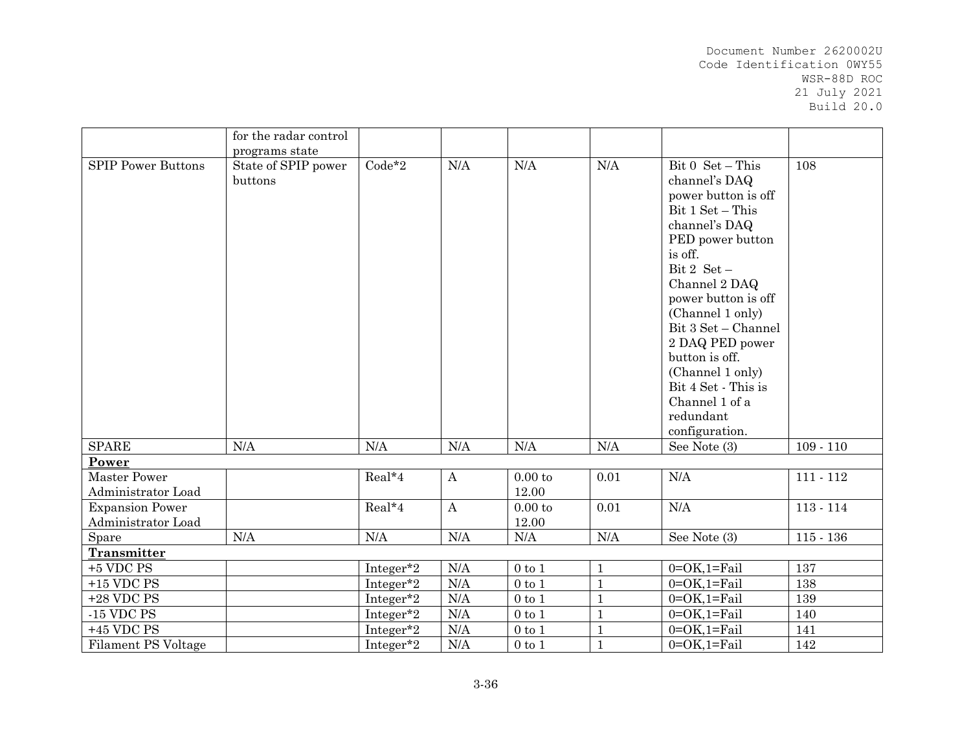|                                              | for the radar control          |           |                  |                  |                         |                                                                                                                                                                                                                                                                                                                                                                   |             |
|----------------------------------------------|--------------------------------|-----------|------------------|------------------|-------------------------|-------------------------------------------------------------------------------------------------------------------------------------------------------------------------------------------------------------------------------------------------------------------------------------------------------------------------------------------------------------------|-------------|
|                                              | programs state                 |           |                  |                  |                         |                                                                                                                                                                                                                                                                                                                                                                   |             |
| <b>SPIP Power Buttons</b>                    | State of SPIP power<br>buttons | $Code*2$  | N/A              | N/A              | N/A                     | Bit 0 Set - This<br>channel's DAQ<br>power button is off<br>Bit 1 Set - This<br>channel's DAQ<br>PED power button<br>is off.<br>Bit 2 $Set -$<br>Channel 2 DAQ<br>power button is off<br>(Channel 1 only)<br>Bit 3 Set - Channel<br>2 DAQ PED power<br>button is off.<br>(Channel 1 only)<br>Bit 4 Set - This is<br>Channel 1 of a<br>redundant<br>configuration. | 108         |
| <b>SPARE</b>                                 | N/A                            | N/A       | N/A              | N/A              | N/A                     | See Note (3)                                                                                                                                                                                                                                                                                                                                                      | $109 - 110$ |
| Power                                        |                                |           |                  |                  |                         |                                                                                                                                                                                                                                                                                                                                                                   |             |
| <b>Master Power</b><br>Administrator Load    |                                | Real*4    | $\boldsymbol{A}$ | 0.00 to<br>12.00 | 0.01                    | N/A                                                                                                                                                                                                                                                                                                                                                               | $111 - 112$ |
| <b>Expansion Power</b><br>Administrator Load |                                | Real*4    | $\bf{A}$         | 0.00 to<br>12.00 | 0.01                    | N/A                                                                                                                                                                                                                                                                                                                                                               | $113 - 114$ |
| Spare                                        | N/A                            | $\rm N/A$ | N/A              | N/A              | $\rm N\mskip-1.5mu M A$ | See Note (3)                                                                                                                                                                                                                                                                                                                                                      | $115 - 136$ |
| Transmitter                                  |                                |           |                  |                  |                         |                                                                                                                                                                                                                                                                                                                                                                   |             |
| $+5$ VDC PS                                  |                                | Integer*2 | N/A              | $0$ to $1$       | $\mathbf{1}$            | $0=OK,1=Fe$ il                                                                                                                                                                                                                                                                                                                                                    | 137         |
| $+15$ VDC PS                                 |                                | Integer*2 | N/A              | $0$ to $1$       | $\mathbf{1}$            | $0=OK,1=Fall$                                                                                                                                                                                                                                                                                                                                                     | 138         |
| $+28$ VDC PS                                 |                                | Integer*2 | N/A              | $0$ to $1$       | $\mathbf{1}$            | $0=OK,1=Fi$ ail                                                                                                                                                                                                                                                                                                                                                   | 139         |
| $\mbox{-} 15$ VDC PS                         |                                | Integer*2 | N/A              | $0$ to $1$       | $\mathbf{1}$            | $0=OK,1=Fe$ il                                                                                                                                                                                                                                                                                                                                                    | 140         |
| $+45$ VDC PS                                 |                                | Integer*2 | $\rm N/A$        | $0$ to $1\,$     | $\mathbf{1}$            | $0=OK,1=Fi$ ail                                                                                                                                                                                                                                                                                                                                                   | 141         |
| <b>Filament PS Voltage</b>                   |                                | Integer*2 | N/A              | $0$ to $1$       | $\mathbf{1}$            | $0=OK,1=Tail$                                                                                                                                                                                                                                                                                                                                                     | 142         |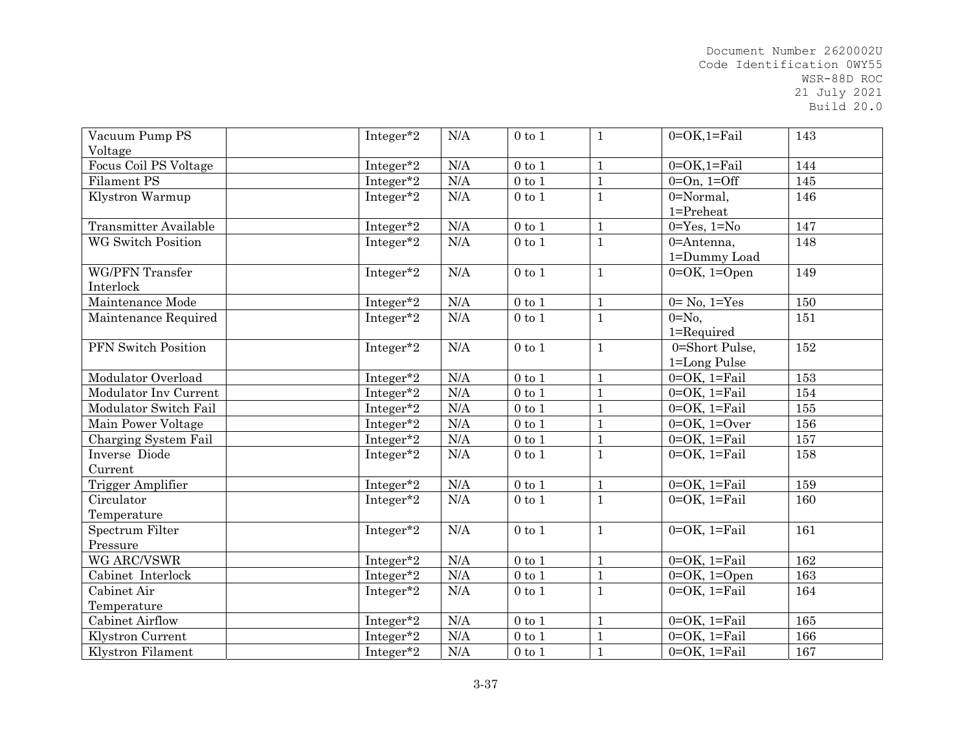| Vacuum Pump PS<br>Voltage           | Integer*2 | N/A       | $0$ to $1$       | $\mathbf{1}$ | $0=OK,1=Tail$                                | 143 |
|-------------------------------------|-----------|-----------|------------------|--------------|----------------------------------------------|-----|
| Focus Coil PS Voltage               | Integer*2 | N/A       | $0$ to $1$       | $\mathbf{1}$ | $0=OK,1=Tail$                                | 144 |
| Filament PS                         | Integer*2 | N/A       | $0\ {\rm to}\ 1$ | $\mathbf{1}$ | $0=On, 1=Off$                                | 145 |
|                                     |           | N/A       | $0$ to $1$       |              | 0=Normal,                                    | 146 |
| Klystron Warmup                     | Integer*2 |           |                  | $\mathbf{1}$ | 1=Preheat                                    |     |
| <b>Transmitter Available</b>        | Integer*2 | N/A       | $0$ to $1$       | $1\,$        | $0 = Yes, 1 = No$                            | 147 |
| <b>WG Switch Position</b>           | Integer*2 | N/A       | $0$ to $1$       | $\mathbf{1}$ | 0=Antenna,<br>1=Dummy Load                   | 148 |
| <b>WG/PFN</b> Transfer<br>Interlock | Integer*2 | N/A       | $0$ to $1$       | $\mathbf{1}$ | $0=OK$ , $1=Open$                            | 149 |
| Maintenance Mode                    | Integer*2 | N/A       | $0$ to $1$       | $\mathbf{1}$ | $0=$ No, $1=$ Yes                            | 150 |
| Maintenance Required                | Integer*2 | N/A       | $0$ to $1$       | $\mathbf{1}$ | $0 = No$ ,<br>1=Required                     | 151 |
| PFN Switch Position                 | Integer*2 | N/A       | $0$ to $1$       | $\mathbf{1}$ | $\overline{0}$ =Short Pulse,<br>1=Long Pulse | 152 |
| Modulator Overload                  | Integer*2 | N/A       | $0$ to $1$       | $\mathbf{1}$ | $0=OK$ , $1=Tail$                            | 153 |
| Modulator Inv Current               | Integer*2 | N/A       | $0$ to $1$       | $\mathbf{1}$ | $0=OK$ , $1=Tail$                            | 154 |
| Modulator Switch Fail               | Integer*2 | $\rm N/A$ | $0$ to $1$       | $\mathbf{1}$ | $0=OK$ , $1=Tail$                            | 155 |
| Main Power Voltage                  | Integer*2 | $\rm N/A$ | $0$ to $1$       | $\mathbf{1}$ | $0=OK, 1=Over$                               | 156 |
| Charging System Fail                | Integer*2 | N/A       | $0$ to $1$       | $\mathbf{1}$ | $0=OK$ , $1=Fail$                            | 157 |
| Inverse Diode                       | Integer*2 | N/A       | $0$ to $1$       | $\mathbf{1}$ | $0=OK$ , $1=Tail$                            | 158 |
| Current                             |           |           |                  |              |                                              |     |
| <b>Trigger Amplifier</b>            | Integer*2 | N/A       | $0$ to $1\,$     | $\mathbf{1}$ | $0=OK$ , $1=Fi$ ail                          | 159 |
| Circulator                          | Integer*2 | N/A       | $0$ to $1$       | $\mathbf{1}$ | $0=OK$ , $1=Fi$ ail                          | 160 |
| Temperature                         |           |           |                  |              |                                              |     |
| Spectrum Filter                     | Integer*2 | N/A       | $0$ to $1$       | $\mathbf{1}$ | $0=OK$ , $1=Fail$                            | 161 |
| Pressure                            |           |           |                  |              |                                              |     |
| WG ARC/VSWR                         | Integer*2 | N/A       | $0$ to $1$       | $\mathbf{1}$ | $0=OK$ , $1=Fail$                            | 162 |
| Cabinet Interlock                   | Integer*2 | N/A       | $0$ to $1$       | $\mathbf{1}$ | $0=OK$ , $1=Open$                            | 163 |
| Cabinet Air                         | Integer*2 | N/A       | $0$ to $1$       | $\mathbf{1}$ | $0=OK$ , $1=Fi$ ail                          | 164 |
| Temperature                         |           |           |                  |              |                                              |     |
| Cabinet Airflow                     | Integer*2 | N/A       | $0$ to $1$       | $\mathbf{1}$ | $0=OK$ , $1=Fail$                            | 165 |
| Klystron Current                    | Integer*2 | N/A       | $0$ to $1$       | $\mathbf{1}$ | $0=OK$ , $1=Fe$ il                           | 166 |
| Klystron Filament                   | Integer*2 | N/A       | $0$ to $1$       | $\mathbf{1}$ | $0=OK$ , $1=Fail$                            | 167 |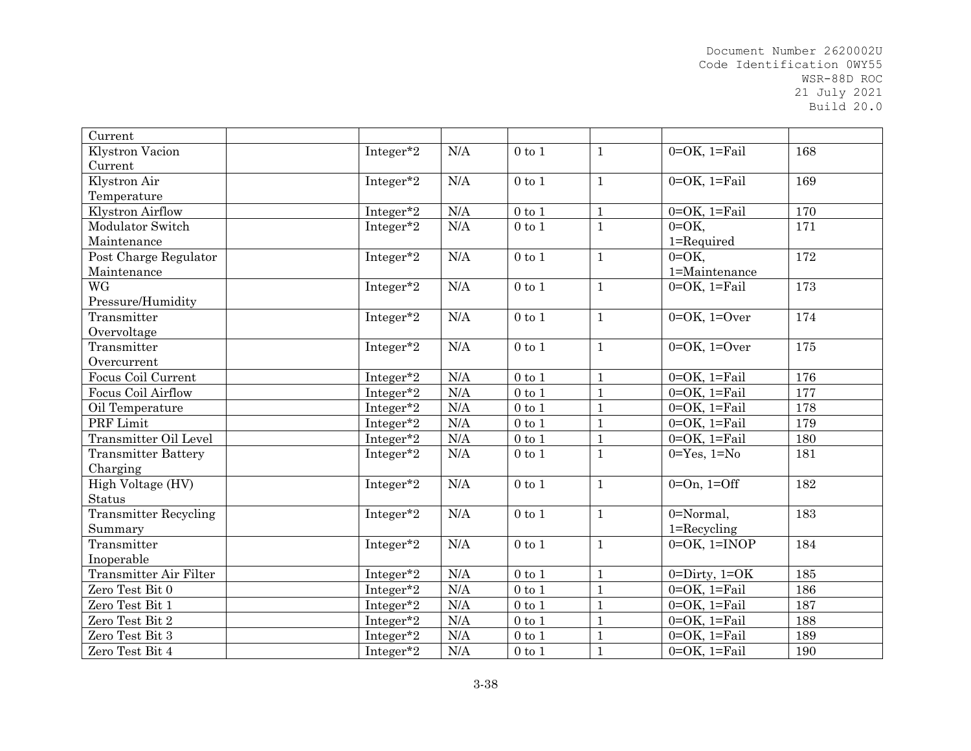| Current                      |           |           |                  |              |                     |     |
|------------------------------|-----------|-----------|------------------|--------------|---------------------|-----|
| Klystron Vacion              | Integer*2 | N/A       | $0$ to $1$       | $\mathbf{1}$ | $0=OK$ , $1=Tail$   | 168 |
| Current                      |           |           |                  |              |                     |     |
| Klystron Air                 | Integer*2 | N/A       | $0$ to $1$       | $\mathbf{1}$ | $0=OK$ , $1=Fail$   | 169 |
| Temperature                  |           |           |                  |              |                     |     |
| Klystron Airflow             | Integer*2 | N/A       | $0$ to $1$       | $\mathbf{1}$ | $0=OK$ , $1=Tail$   | 170 |
| Modulator Switch             | Integer*2 | N/A       | $0\ {\rm to}\ 1$ | $\mathbf{1}$ | $0=OK$ ,            | 171 |
| Maintenance                  |           |           |                  |              | 1=Required          |     |
| Post Charge Regulator        | Integer*2 | $\rm N/A$ | $0$ to $1$       | $\mathbf{1}$ | $0=OK$ ,            | 172 |
| Maintenance                  |           |           |                  |              | 1=Maintenance       |     |
| <b>WG</b>                    | Integer*2 | N/A       | $0$ to $1$       | $\mathbf{1}$ | $0=OK$ , $1=Fi$ ail | 173 |
| Pressure/Humidity            |           |           |                  |              |                     |     |
| Transmitter                  | Integer*2 | N/A       | $0$ to $1$       | $\mathbf{1}$ | $0=OK, 1=Over$      | 174 |
| Overvoltage                  |           |           |                  |              |                     |     |
| Transmitter                  | Integer*2 | N/A       | $0$ to $1$       | $\mathbf{1}$ | $0=OK, 1=Over$      | 175 |
| Overcurrent                  |           |           |                  |              |                     |     |
| Focus Coil Current           | Integer*2 | N/A       | $0$ to $1$       | $\mathbf{1}$ | $0=OK$ , $1=Fe$ il  | 176 |
| <b>Focus Coil Airflow</b>    | Integer*2 | N/A       | $0$ to $1$       | $\mathbf{1}$ | $0=OK$ , $1=Fi$ ail | 177 |
| Oil Temperature              | Integer*2 | N/A       | $0$ to $1$       | $\mathbf{1}$ | $0=OK$ , $1=Tail$   | 178 |
| PRF Limit                    | Integer*2 | N/A       | $0$ to $1$       | $\mathbf{1}$ | $0=OK$ , $1=Fail$   | 179 |
| Transmitter Oil Level        | Integer*2 | N/A       | $0$ to $1\,$     | $\mathbf{1}$ | $0=OK$ , $1=Fail$   | 180 |
| <b>Transmitter Battery</b>   | Integer*2 | N/A       | $0$ to $1$       | $\mathbf{1}$ | $0 = Yes, 1 = No$   | 181 |
| Charging                     |           |           |                  |              |                     |     |
| High Voltage (HV)            | Integer*2 | N/A       | $0$ to $1$       | $\mathbf{1}$ | $0=On, 1=Off$       | 182 |
| Status                       |           |           |                  |              |                     |     |
| <b>Transmitter Recycling</b> | Integer*2 | N/A       | $0$ to $1$       | $\mathbf{1}$ | 0=Normal,           | 183 |
| Summary                      |           |           |                  |              | $1 =$ Recycling     |     |
| Transmitter                  | Integer*2 | N/A       | $0$ to $1$       | $\mathbf{1}$ | $0=OK$ , $1=INOP$   | 184 |
| Inoperable                   |           |           |                  |              |                     |     |
| Transmitter Air Filter       | Integer*2 | N/A       | $0$ to $1$       | $\mathbf{1}$ | $0 = Dirty, 1 = OK$ | 185 |
| Zero Test Bit 0              | Integer*2 | N/A       | $0$ to $1$       | $\mathbf{1}$ | $0=OK$ , $1=Fail$   | 186 |
| Zero Test Bit 1              | Integer*2 | N/A       | $0$ to $1$       | $\mathbf{1}$ | $0=OK$ , $1=Tail$   | 187 |
| Zero Test Bit 2              | Integer*2 | N/A       | $0$ to $1$       | $\mathbf{1}$ | $0=OK$ , $1=Fi$ ail | 188 |
| Zero Test Bit 3              | Integer*2 | N/A       | $0$ to $1\,$     | $\mathbf{1}$ | $0=OK$ , $1=Fe$ il  | 189 |
| Zero Test Bit 4              | Integer*2 | N/A       | $0$ to $1\,$     | $\mathbf{1}$ | $0=OK$ , $1=Fe$ il  | 190 |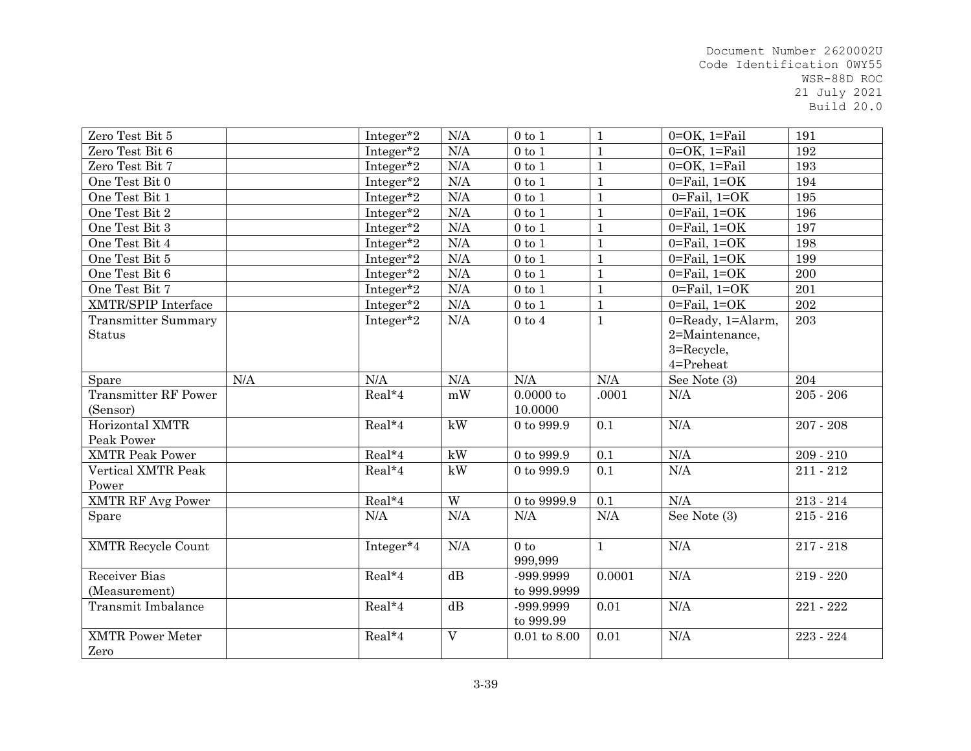| Zero Test Bit 5             |     | Integer*2 | N/A            | $0$ to $1$       | $\mathbf{1}$ | $0=OK$ , $1=Fe$ il                  | 191         |
|-----------------------------|-----|-----------|----------------|------------------|--------------|-------------------------------------|-------------|
| Zero Test Bit 6             |     | Integer*2 | N/A            | $0$ to $1$       | $\mathbf{1}$ | $0=OK$ , $1=Fi$ ail                 | 192         |
| Zero Test Bit 7             |     | Integer*2 | N/A            | $0$ to $1\,$     | $\mathbf{1}$ | $0=OK$ , $1=Fi$ ail                 | 193         |
| One Test Bit 0              |     | Integer*2 | N/A            | $0$ to $1$       | $\mathbf{1}$ | $0 = \text{Fail}$ , $1 = OK$        | 194         |
| One Test Bit 1              |     | Integer*2 | N/A            | $0$ to $1$       | $\mathbf{1}$ | $0 = \text{Fail}$ , $1 = OK$        | 195         |
| One Test Bit 2              |     | Integer*2 | N/A            | $0$ to $1$       | $\mathbf{1}$ | $0 = \text{Fail}$ , $1 = OK$        | 196         |
| One Test Bit 3              |     | Integer*2 | N/A            | $0$ to $1$       | $\mathbf{1}$ | $0 = \text{Fall}, 1 = \text{OK}$    | 197         |
| One Test Bit 4              |     | Integer*2 | N/A            | $0$ to $1$       | $\mathbf{1}$ | $0 = \text{Fail}$ , $1 = OK$        | 198         |
| One Test Bit 5              |     | Integer*2 | N/A            | $0$ to $1$       | $\mathbf{1}$ | $0 = \text{Fall}$ , $1 = \text{OK}$ | 199         |
| One Test Bit 6              |     | Integer*2 | N/A            | $0$ to $1$       | $\mathbf{1}$ | $0 =$ Fail, $1 = OK$                | 200         |
| One Test Bit 7              |     | Integer*2 | $\rm N/A$      | $0$ to $1$       | $\mathbf{1}$ | $0 = \text{Fail}$ , $1 = OK$        | 201         |
| <b>XMTR/SPIP</b> Interface  |     | Integer*2 | N/A            | $0$ to $1$       | $\mathbf{1}$ | $0 = \text{Fail}$ , $1 = OK$        | 202         |
| <b>Transmitter Summary</b>  |     | Integer*2 | $\rm N/A$      | $0$ to $4$       | $\mathbf{1}$ | 0=Ready, 1=Alarm,                   | 203         |
| <b>Status</b>               |     |           |                |                  |              | 2=Maintenance,                      |             |
|                             |     |           |                |                  |              | 3=Recycle,                          |             |
|                             |     |           |                |                  |              | 4=Preheat                           |             |
| Spare                       | N/A | N/A       | N/A            | N/A              | N/A          | See Note $\overline{(3)}$           | 204         |
| <b>Transmitter RF Power</b> |     | $Real*4$  | mW             | 0.0000 to        | .0001        | N/A                                 | $205 - 206$ |
| (Sensor)                    |     |           |                | 10.0000          |              |                                     |             |
| Horizontal XMTR             |     | Real*4    | kW             | $0$ to $999.9\,$ | 0.1          | $\rm N/A$                           | $207 - 208$ |
| Peak Power                  |     |           |                |                  |              |                                     |             |
| <b>XMTR Peak Power</b>      |     | $Real*4$  | kW             | $0$ to $999.9$   | 0.1          | N/A                                 | $209 - 210$ |
| Vertical XMTR Peak          |     | Real*4    | kW             | 0 to 999.9       | 0.1          | N/A                                 | $211 - 212$ |
| Power                       |     |           |                |                  |              |                                     |             |
| <b>XMTR RF Avg Power</b>    |     | $Real*4$  | $\overline{W}$ | $0$ to $9999.9$  | 0.1          | N/A                                 | $213 - 214$ |
| Spare                       |     | $\rm N/A$ | N/A            | N/A              | N/A          | See Note (3)                        | $215 - 216$ |
|                             |     |           |                |                  |              |                                     |             |
| <b>XMTR Recycle Count</b>   |     | Integer*4 | N/A            | $0$ to           | $\mathbf{1}$ | N/A                                 | $217 - 218$ |
|                             |     |           |                | 999,999          |              |                                     |             |
| Receiver Bias               |     | $Real*4$  | dB             | -999.9999        | 0.0001       | N/A                                 | 219 - 220   |
| (Measurement)               |     |           |                | to 999.9999      |              |                                     |             |
| <b>Transmit Imbalance</b>   |     | $Real*4$  | dB             | -999.9999        | 0.01         | N/A                                 | 221 - 222   |
|                             |     |           |                | to 999.99        |              |                                     |             |
| <b>XMTR Power Meter</b>     |     | Real*4    | $\overline{V}$ | $0.01$ to $8.00$ | 0.01         | N/A                                 | 223 - 224   |
| Zero                        |     |           |                |                  |              |                                     |             |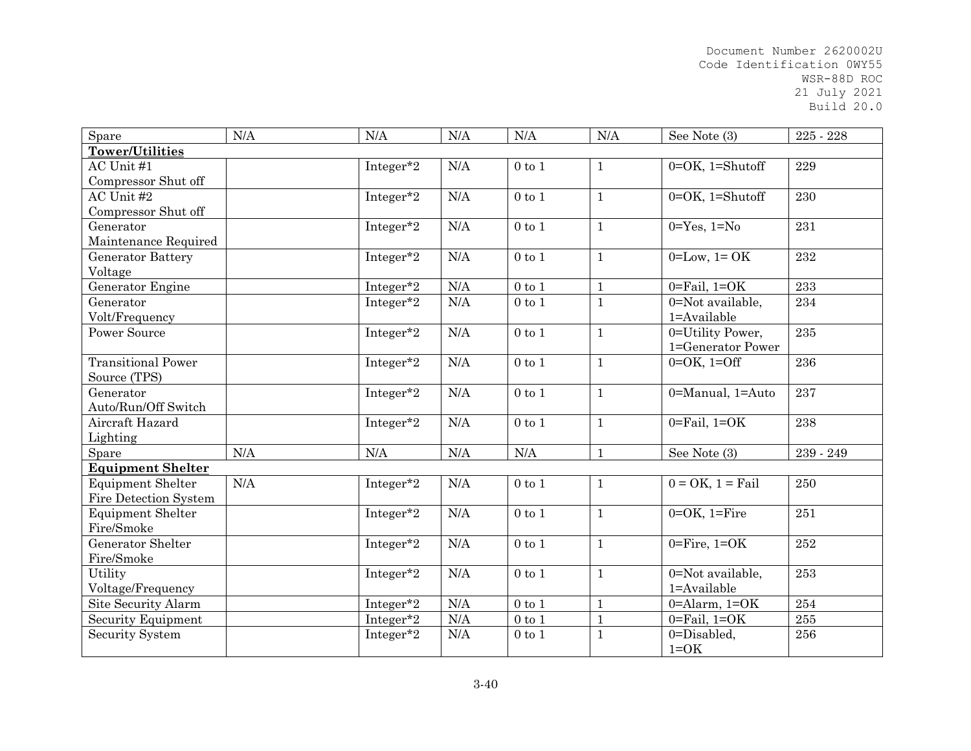| Spare                     | N/A | N/A       | N/A       | N/A          | N/A          | See Note (3)                     | 225 - 228 |
|---------------------------|-----|-----------|-----------|--------------|--------------|----------------------------------|-----------|
| Tower/Utilities           |     |           |           |              |              |                                  |           |
| AC Unit #1                |     | Integer*2 | N/A       | $0$ to $1$   | $\mathbf{1}$ | $0=OK$ , 1=Shutoff               | 229       |
| Compressor Shut off       |     |           |           |              |              |                                  |           |
| AC Unit #2                |     | Integer*2 | N/A       | $0$ to $1$   | $\mathbf{1}$ | $0=OK$ , 1=Shutoff               | 230       |
| Compressor Shut off       |     |           |           |              |              |                                  |           |
| Generator                 |     | Integer*2 | N/A       | $0$ to $1$   | $\mathbf{1}$ | $0 = Yes, 1 = No$                | 231       |
| Maintenance Required      |     |           |           |              |              |                                  |           |
| <b>Generator Battery</b>  |     | Integer*2 | N/A       | $0$ to $1$   | $\mathbf{1}$ | $0=Low, 1=OK$                    | 232       |
| Voltage                   |     |           |           |              |              |                                  |           |
| Generator Engine          |     | Integer*2 | N/A       | $0$ to $1$   | $\mathbf{1}$ | $0 = \text{Fail}$ , $1 = OK$     | 233       |
| Generator                 |     | Integer*2 | N/A       | $0$ to $1$   | $\mathbf{1}$ | $\overline{0}$ =Not available,   | 234       |
| Volt/Frequency            |     |           |           |              |              | 1=Available                      |           |
| <b>Power Source</b>       |     | Integer*2 | N/A       | $0$ to $1$   | $\mathbf{1}$ | 0=Utility Power,                 | 235       |
|                           |     |           |           |              |              | 1=Generator Power                |           |
| <b>Transitional Power</b> |     | Integer*2 | N/A       | $0$ to $1$   | $\mathbf{1}$ | $0 = OK$ , $1 = Off$             | 236       |
| Source (TPS)              |     |           |           |              |              |                                  |           |
| Generator                 |     | Integer*2 | $\rm N/A$ | $0$ to $1$   | $\mathbf{1}$ | 0=Manual, 1=Auto                 | 237       |
| Auto/Run/Off Switch       |     |           |           |              |              |                                  |           |
| Aircraft Hazard           |     | Integer*2 | N/A       | $0$ to $1$   | $\mathbf{1}$ | $0 = \text{Fall}, 1 = \text{OK}$ | 238       |
| Lighting                  |     |           |           |              |              |                                  |           |
| Spare                     | N/A | N/A       | N/A       | N/A          | $\mathbf{1}$ | See Note (3)                     | 239 - 249 |
| <b>Equipment Shelter</b>  |     |           |           |              |              |                                  |           |
| <b>Equipment Shelter</b>  | N/A | Integer*2 | N/A       | $0$ to $1$   | $\mathbf{1}$ | $0 = OK$ , $1 = Fail$            | 250       |
| Fire Detection System     |     |           |           |              |              |                                  |           |
| <b>Equipment Shelter</b>  |     | Integer*2 | N/A       | $0$ to $1$   | $\mathbf{1}$ | $0=OK$ , $1=Fire$                | 251       |
| Fire/Smoke                |     |           |           |              |              |                                  |           |
| Generator Shelter         |     | Integer*2 | N/A       | $0$ to $1$   | $\mathbf{1}$ | $0 =$ Fire, $1 =$ OK             | 252       |
| Fire/Smoke                |     |           |           |              |              |                                  |           |
| Utility                   |     | Integer*2 | N/A       | $0$ to $1$   | $\mathbf{1}$ | 0=Not available,                 | 253       |
| Voltage/Frequency         |     |           |           |              |              | 1=Available                      |           |
| Site Security Alarm       |     | Integer*2 | N/A       | $0$ to $1$   | $\mathbf{1}$ | $0 =$ Alarm, $1 = OK$            | 254       |
| Security Equipment        |     | Integer*2 | N/A       | $0$ to $1\,$ | $\mathbf{1}$ | $0 = \text{Fail}$ , $1 = OK$     | 255       |
| Security System           |     | Integer*2 | N/A       | $0$ to $1$   | $\mathbf{1}$ | 0=Disabled,                      | 256       |
|                           |     |           |           |              |              | $1=OK$                           |           |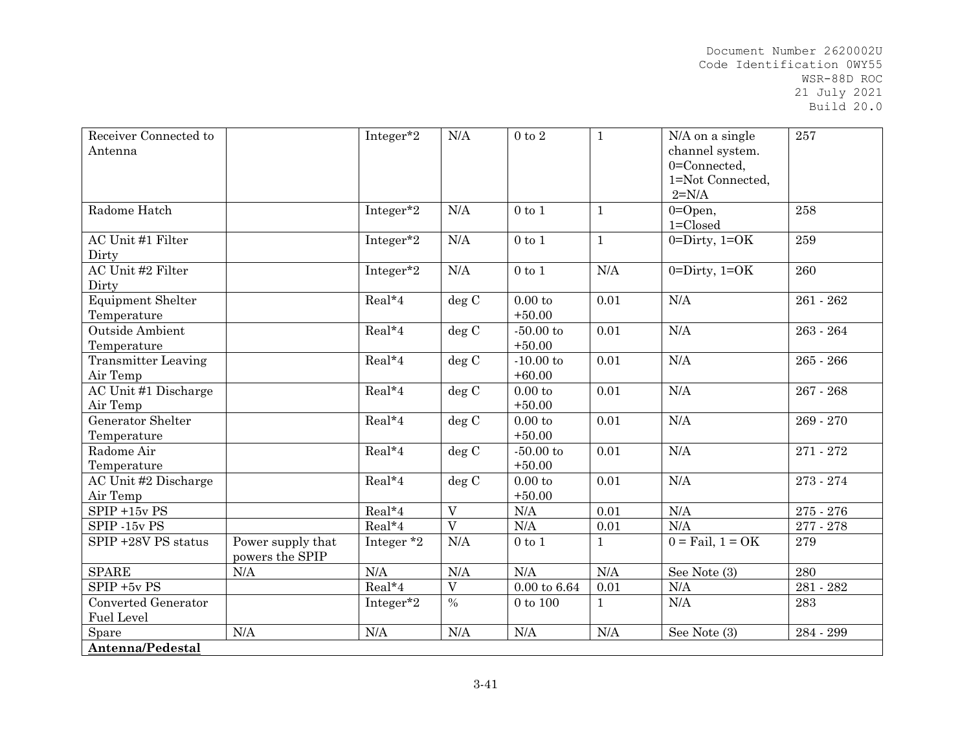| Receiver Connected to<br>Antenna         |                                      | Integer*2    | N/A            | $0$ to $2\,$            | $\mathbf{1}$ | N/A on a single<br>channel system.<br>0=Connected,<br>1=Not Connected,<br>$2=N/A$ | 257         |
|------------------------------------------|--------------------------------------|--------------|----------------|-------------------------|--------------|-----------------------------------------------------------------------------------|-------------|
| Radome Hatch                             |                                      | Integer*2    | N/A            | $0$ to $1$              | $\mathbf{1}$ | $0 = Open$ ,<br>$1 = Closed$                                                      | 258         |
| AC Unit #1 Filter<br>Dirty               |                                      | Integer*2    | N/A            | $0$ to $1$              | $\mathbf{1}$ | $0 = Dirty$ , $1 = OK$                                                            | 259         |
| AC Unit #2 Filter<br>Dirty               |                                      | Integer*2    | N/A            | $0$ to $1$              | N/A          | $0 = Dirty$ , $1 = OK$                                                            | 260         |
| <b>Equipment Shelter</b><br>Temperature  |                                      | Real*4       | deg C          | 0.00 to<br>$+50.00$     | 0.01         | N/A                                                                               | $261 - 262$ |
| Outside Ambient<br>Temperature           |                                      | Real*4       | deg C          | $-50.00$ to<br>$+50.00$ | 0.01         | N/A                                                                               | 263 - 264   |
| <b>Transmitter Leaving</b><br>Air Temp   |                                      | Real*4       | deg C          | $-10.00$ to<br>$+60.00$ | 0.01         | N/A                                                                               | 265 - 266   |
| AC Unit #1 Discharge<br>Air Temp         |                                      | Real*4       | deg C          | 0.00 to<br>$+50.00$     | 0.01         | N/A                                                                               | $267 - 268$ |
| Generator Shelter<br>Temperature         |                                      | Real*4       | deg C          | 0.00 to<br>$+50.00$     | 0.01         | N/A                                                                               | 269 - 270   |
| Radome Air<br>Temperature                |                                      | Real*4       | deg C          | $-50.00$ to<br>$+50.00$ | 0.01         | N/A                                                                               | 271 - 272   |
| AC Unit #2 Discharge<br>Air Temp         |                                      | Real*4       | deg C          | 0.00 to<br>$+50.00$     | 0.01         | N/A                                                                               | 273 - 274   |
| $SPIP + 15v PS$                          |                                      | Real*4       | V              | N/A                     | 0.01         | N/A                                                                               | 275 - 276   |
| SPIP -15v PS                             |                                      | Real*4       | $\overline{V}$ | $\rm N/A$               | 0.01         | N/A                                                                               | 277 - 278   |
| SPIP +28V PS status                      | Power supply that<br>powers the SPIP | Integer $*2$ | N/A            | $0$ to $1$              | $\mathbf{1}$ | $0 = \text{Fall}, 1 = \text{OK}$                                                  | 279         |
| <b>SPARE</b>                             | N/A                                  | N/A          | N/A            | N/A                     | N/A          | See Note (3)                                                                      | 280         |
| $SPIP + 5v PS$                           |                                      | Real*4       | $\overline{V}$ | $0.00$ to $6.64$        | 0.01         | $\rm N/A$                                                                         | 281 - 282   |
| Converted Generator<br><b>Fuel Level</b> |                                      | Integer*2    | $\%$           | $0$ to $100$            | $\mathbf 1$  | N/A                                                                               | 283         |
| Spare                                    | N/A                                  | N/A          | N/A            | N/A                     | N/A          | See Note (3)                                                                      | $284 - 299$ |
| Antenna/Pedestal                         |                                      |              |                |                         |              |                                                                                   |             |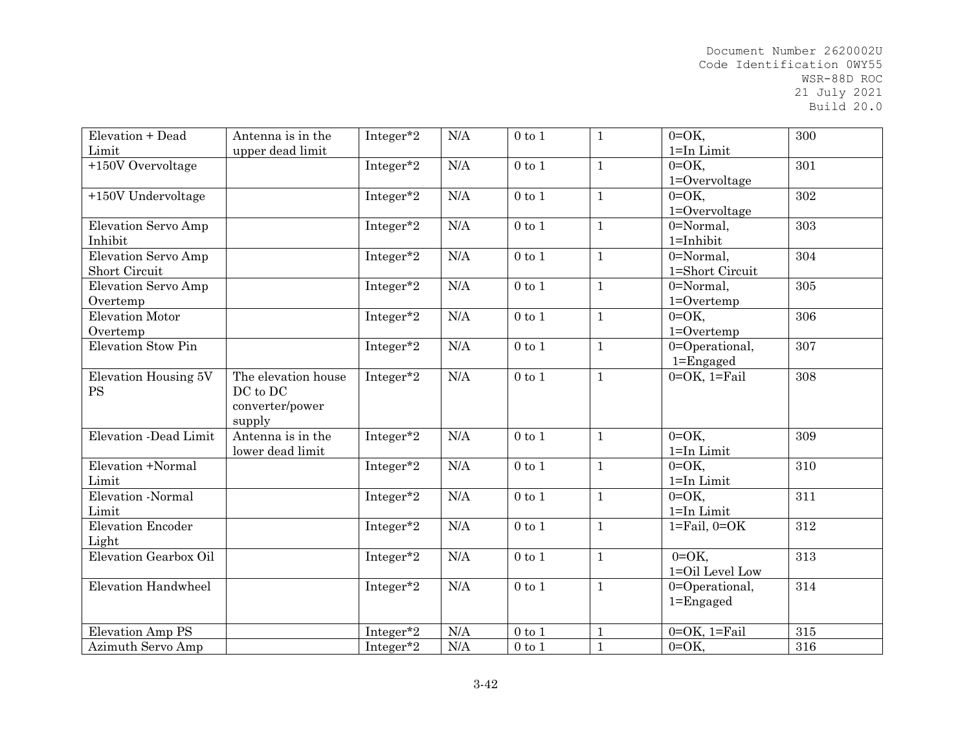| Elevation + Dead          | Antenna is in the   | Integer*2             | N/A | $0$ to $1$ | $\mathbf{1}$ | $0=OK$ ,                         | 300 |
|---------------------------|---------------------|-----------------------|-----|------------|--------------|----------------------------------|-----|
| Limit                     | upper dead limit    |                       |     |            |              | 1=In Limit                       |     |
| $+150V$ Overvoltage       |                     | Integer*2             | N/A | $0$ to $1$ | $\mathbf{1}$ | $0=OK$ ,                         | 301 |
|                           |                     |                       |     |            |              | $1 =$ Overvoltage                |     |
| +150V Undervoltage        |                     | Integer*2             | N/A | $0$ to $1$ | $\mathbf{1}$ | $0=OK$ ,                         | 302 |
|                           |                     |                       |     |            |              | $1 = 0$ vervoltage               |     |
| Elevation Servo Amp       |                     | Integer*2             | N/A | $0$ to $1$ | $\mathbf{1}$ | 0=Normal,                        | 303 |
| Inhibit                   |                     |                       |     |            |              | $1 = Inhibit$                    |     |
| Elevation Servo Amp       |                     | Integer*2             | N/A | $0$ to $1$ | $\mathbf{1}$ | 0=Normal,                        | 304 |
| Short Circuit             |                     |                       |     |            |              | 1=Short Circuit                  |     |
| Elevation Servo Amp       |                     | Integer*2             | N/A | $0$ to $1$ | $\mathbf{1}$ | 0=Normal,                        | 305 |
| Overtemp                  |                     |                       |     |            |              | $1 =$ Overtemp                   |     |
| Elevation Motor           |                     | Integer*2             | N/A | $0$ to $1$ | $\mathbf{1}$ | $0=OK$ ,                         | 306 |
| Overtemp                  |                     |                       |     |            |              | $1 = 0$ vertemp                  |     |
| <b>Elevation Stow Pin</b> |                     | Integer*2             | N/A | $0$ to $1$ | $\mathbf{1}$ | 0=Operational,                   | 307 |
|                           |                     |                       |     |            |              | $1 =$ Engaged                    |     |
| Elevation Housing 5V      | The elevation house | Integer*2             | N/A | $0$ to $1$ | $\mathbf{1}$ | $0=OK$ , $1=Tail$                | 308 |
| <b>PS</b>                 | DC to DC            |                       |     |            |              |                                  |     |
|                           | converter/power     |                       |     |            |              |                                  |     |
|                           | supply              |                       |     |            |              |                                  |     |
| Elevation -Dead Limit     | Antenna is in the   | Integer*2             | N/A | $0$ to $1$ | $\mathbf{1}$ | $0=OK$ ,                         | 309 |
|                           | lower dead limit    |                       |     |            |              | 1=In Limit                       |     |
| Elevation +Normal         |                     | Integer*2             | N/A | $0$ to $1$ | $\mathbf{1}$ | $0=OK$ ,                         | 310 |
| Limit                     |                     |                       |     |            |              | 1=In Limit                       |     |
| Elevation -Normal         |                     |                       | N/A | $0$ to $1$ | $\mathbf{1}$ | $0=OK$ ,                         | 311 |
|                           |                     | Integer <sup>*2</sup> |     |            |              |                                  |     |
| Limit                     |                     |                       |     |            |              | $1 = In Limit$                   |     |
| <b>Elevation Encoder</b>  |                     | Integer*2             | N/A | $0$ to $1$ | $\mathbf{1}$ | $1 = \text{Fail}, 0 = \text{OK}$ | 312 |
| Light                     |                     |                       |     |            |              |                                  |     |
| Elevation Gearbox Oil     |                     | Integer*2             | N/A | $0$ to $1$ | $\mathbf{1}$ | $0=OK$                           | 313 |
|                           |                     |                       |     |            |              | 1=Oil Level Low                  |     |
| Elevation Handwheel       |                     | Integer*2             | N/A | $0$ to $1$ | $\mathbf{1}$ | 0=Operational,                   | 314 |
|                           |                     |                       |     |            |              | $1 =$ Engaged                    |     |
|                           |                     |                       |     |            |              |                                  |     |
| <b>Elevation Amp PS</b>   |                     | Integer*2             | N/A | $0$ to $1$ | $\mathbf{1}$ | $0=OK$ , $1=Fall$                | 315 |
| Azimuth Servo Amp         |                     | Integer*2             | N/A | $0$ to $1$ | $\mathbf{1}$ | $0=OK$ ,                         | 316 |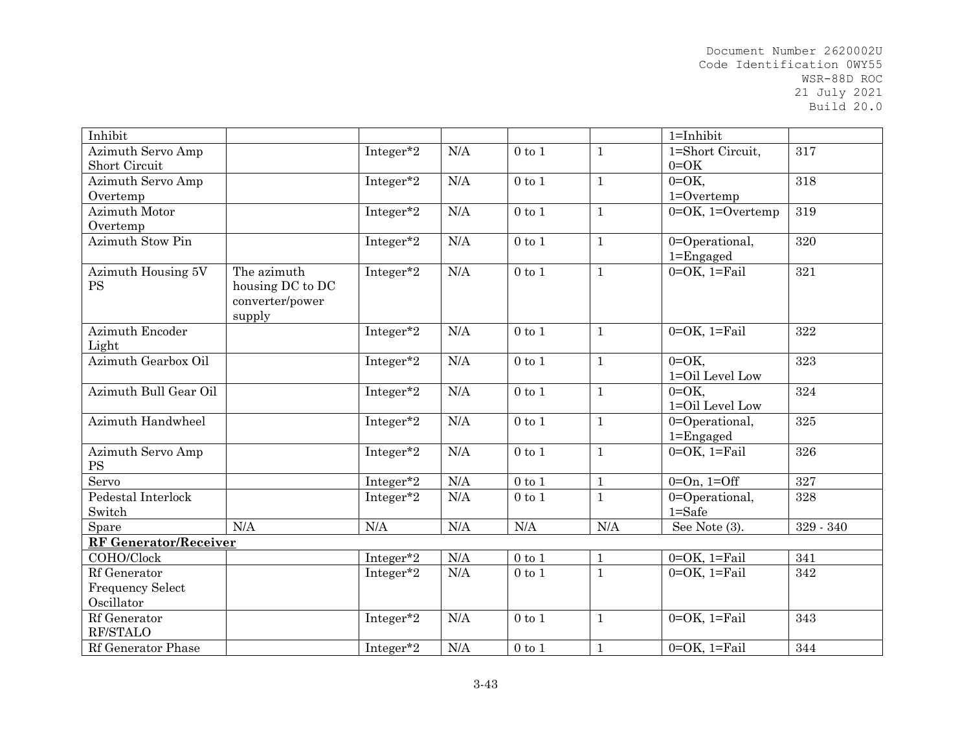| Inhibit                         |                                                              |           |           |              |              | $1 = Inhibit$                   |             |
|---------------------------------|--------------------------------------------------------------|-----------|-----------|--------------|--------------|---------------------------------|-------------|
| Azimuth Servo Amp               |                                                              | Integer*2 | N/A       | $0$ to $1$   | $\mathbf{1}$ | 1=Short Circuit,                | 317         |
| Short Circuit                   |                                                              |           |           |              |              | $0=OK$                          |             |
| Azimuth Servo Amp               |                                                              | Integer*2 | N/A       | $0$ to $1$   | $\mathbf{1}$ | $0=OK$ ,                        | 318         |
| Overtemp                        |                                                              |           |           |              |              | $1 = 0$ vertemp                 |             |
| Azimuth Motor                   |                                                              | Integer*2 | N/A       | $0$ to $1$   | $\mathbf{1}$ | $0=OK$ , 1=Overtemp             | 319         |
| Overtemp                        |                                                              |           |           |              |              |                                 |             |
| Azimuth Stow Pin                |                                                              | Integer*2 | $\rm N/A$ | $0$ to $1$   | $\mathbf{1}$ | 0=Operational,<br>$1 =$ Engaged | 320         |
| Azimuth Housing 5V<br><b>PS</b> | The azimuth<br>housing DC to DC<br>converter/power<br>supply | Integer*2 | N/A       | $0$ to $1$   | $\mathbf{1}$ | $0=OK$ , $1=Tail$               | 321         |
| Azimuth Encoder<br>Light        |                                                              | Integer*2 | N/A       | $0$ to $1$   | $\mathbf{1}$ | $0=OK$ , $1=Tail$               | 322         |
| Azimuth Gearbox Oil             |                                                              | Integer*2 | N/A       | $0$ to $1$   | $\mathbf{1}$ | $0=OK$ ,<br>1=Oil Level Low     | 323         |
| Azimuth Bull Gear Oil           |                                                              | Integer*2 | N/A       | $0$ to $1$   | $\mathbf{1}$ | $0=OK$ ,<br>1=Oil Level Low     | 324         |
| Azimuth Handwheel               |                                                              | Integer*2 | N/A       | $0$ to $1$   | $\mathbf{1}$ | 0=Operational,<br>$1 =$ Engaged | 325         |
| Azimuth Servo Amp<br><b>PS</b>  |                                                              | Integer*2 | $\rm N/A$ | $0$ to $1$   | $\mathbf{1}$ | $0=OK$ , $1=Fail$               | 326         |
| Servo                           |                                                              | Integer*2 | N/A       | $0$ to $1\,$ | $1\,$        | $0=On, 1=Off$                   | 327         |
| Pedestal Interlock<br>Switch    |                                                              | Integer*2 | N/A       | $0$ to $1$   | $\mathbf{1}$ | 0=Operational,<br>$1 = Safe$    | 328         |
| Spare                           | N/A                                                          | N/A       | N/A       | N/A          | N/A          | See Note (3).                   | $329 - 340$ |
| <b>RF Generator/Receiver</b>    |                                                              |           |           |              |              |                                 |             |
| COHO/Clock                      |                                                              | Integer*2 | N/A       | $0$ to $1$   | $\mathbf{1}$ | $0=OK$ , $1=Fe$ il              | 341         |
| Rf Generator                    |                                                              | Integer*2 | $\rm N/A$ | $0$ to $1$   | $\mathbf{1}$ | $0=OK$ , $1=Tail$               | 342         |
| <b>Frequency Select</b>         |                                                              |           |           |              |              |                                 |             |
| Oscillator                      |                                                              |           |           |              |              |                                 |             |
| Rf Generator                    |                                                              | Integer*2 | N/A       | $0$ to $1$   | $\mathbf{1}$ | $0=OK$ , $1=Tail$               | 343         |
| RF/STALO                        |                                                              |           |           |              |              |                                 |             |
| Rf Generator Phase              |                                                              | Integer*2 | N/A       | $0$ to $1$   | $\mathbf{1}$ | $0=OK$ , $1=Fe$ il              | 344         |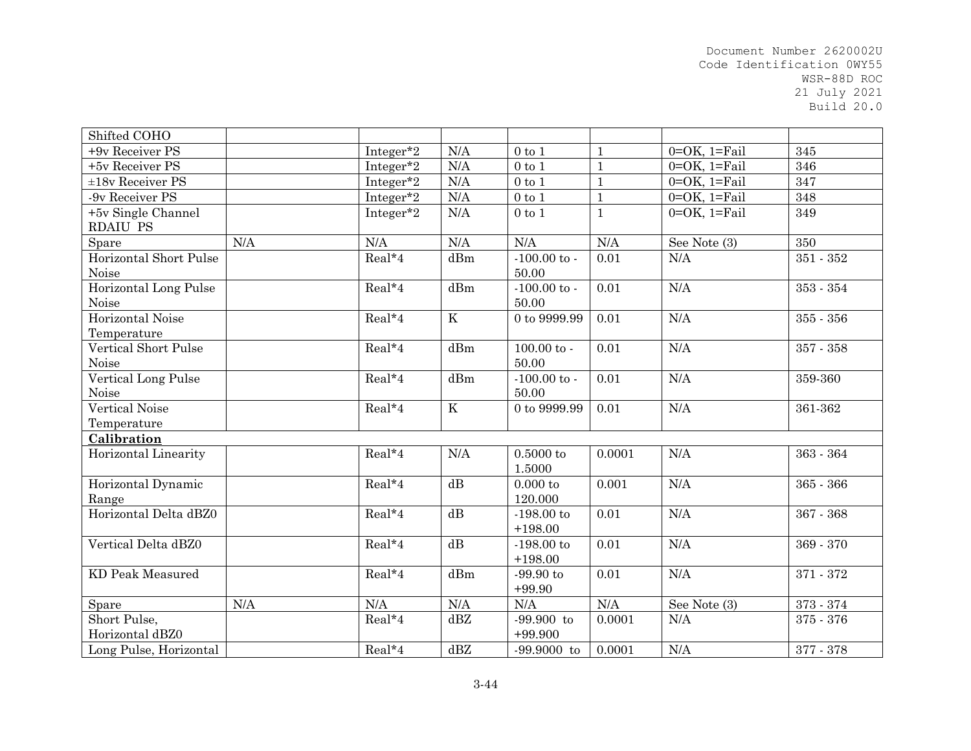| Shifted COHO                |           |           |                         |                  |              |                     |             |
|-----------------------------|-----------|-----------|-------------------------|------------------|--------------|---------------------|-------------|
| +9v Receiver PS             |           | Integer*2 | N/A                     | $0$ to $1$       | $\mathbf{1}$ | $0=OK$ , $1=Fi$ ail | 345         |
| +5v Receiver PS             |           | Integer*2 | N/A                     | $0$ to $1$       | $\mathbf{1}$ | $0=OK$ , $1=Fi$ ail | 346         |
| $±18v$ Receiver PS          |           | Integer*2 | N/A                     | $0$ to $1$       | $1\,$        | $0=OK$ , $1=Fi$ ail | 347         |
| -9v Receiver PS             |           | Integer*2 | $\rm N/A$               | $0$ to $1$       | $\mathbf 1$  | $0=OK$ , $1=Fi$ ail | 348         |
| +5v Single Channel          |           | Integer*2 | N/A                     | $0$ to $1$       | $\mathbf{1}$ | $0=OK$ , $1=Fi$ ail | 349         |
| <b>RDAIU PS</b>             |           |           |                         |                  |              |                     |             |
| Spare                       | N/A       | N/A       | $\rm N/A$               | N/A              | N/A          | See Note (3)        | 350         |
| Horizontal Short Pulse      |           | Real*4    | dBm                     | $-100.00$ to $-$ | 0.01         | N/A                 | $351 - 352$ |
| Noise                       |           |           |                         | 50.00            |              |                     |             |
| Horizontal Long Pulse       |           | Real*4    | dBm                     | $-100.00$ to $-$ | 0.01         | N/A                 | $353 - 354$ |
| Noise                       |           |           |                         | 50.00            |              |                     |             |
| Horizontal Noise            |           | Real*4    | $\overline{\mathbf{K}}$ | 0 to 9999.99     | 0.01         | N/A                 | $355 - 356$ |
| Temperature                 |           |           |                         |                  |              |                     |             |
| <b>Vertical Short Pulse</b> |           | Real*4    | dBm                     | $100.00 to -$    | 0.01         | N/A                 | $357 - 358$ |
| Noise                       |           |           |                         | 50.00            |              |                     |             |
| Vertical Long Pulse         |           | Real*4    | dBm                     | $-100.00$ to $-$ | 0.01         | N/A                 | 359-360     |
| Noise                       |           |           |                         | 50.00            |              |                     |             |
| Vertical Noise              |           | $Real*4$  | $\rm K$                 | 0 to 9999.99     | 0.01         | N/A                 | 361-362     |
| Temperature                 |           |           |                         |                  |              |                     |             |
| Calibration                 |           |           |                         |                  |              |                     |             |
| Horizontal Linearity        |           | Real*4    | N/A                     | 0.5000 to        | 0.0001       | N/A                 | 363 - 364   |
|                             |           |           |                         | 1.5000           |              |                     |             |
| Horizontal Dynamic          |           | Real*4    | dB                      | $0.000$ to       | 0.001        | N/A                 | 365 - 366   |
| Range                       |           |           |                         | 120.000          |              |                     |             |
| Horizontal Delta dBZ0       |           | Real*4    | dB                      | $-198.00$ to     | 0.01         | N/A                 | 367 - 368   |
|                             |           |           |                         | $+198.00$        |              |                     |             |
| Vertical Delta dBZ0         |           | Real*4    | $\mathrm{dB}$           | $-198.00 to$     | 0.01         | N/A                 | 369 - 370   |
|                             |           |           |                         | $+198.00$        |              |                     |             |
| <b>KD Peak Measured</b>     |           | Real*4    | dBm                     | $-99.90$ to      | 0.01         | $\rm N/A$           | 371 - 372   |
|                             |           |           |                         | $+99.90$         |              |                     |             |
| Spare                       | $\rm N/A$ | N/A       | N/A                     | N/A              | N/A          | See Note (3)        | $373 - 374$ |
| Short Pulse,                |           | $Real*4$  | dBZ                     | $-99.900$ to     | 0.0001       | N/A                 | 375 - 376   |
| Horizontal dBZ0             |           |           |                         | $+99.900$        |              |                     |             |
| Long Pulse, Horizontal      |           | $Real*4$  | dBZ                     | $-99.9000$ to    | 0.0001       | N/A                 | $377 - 378$ |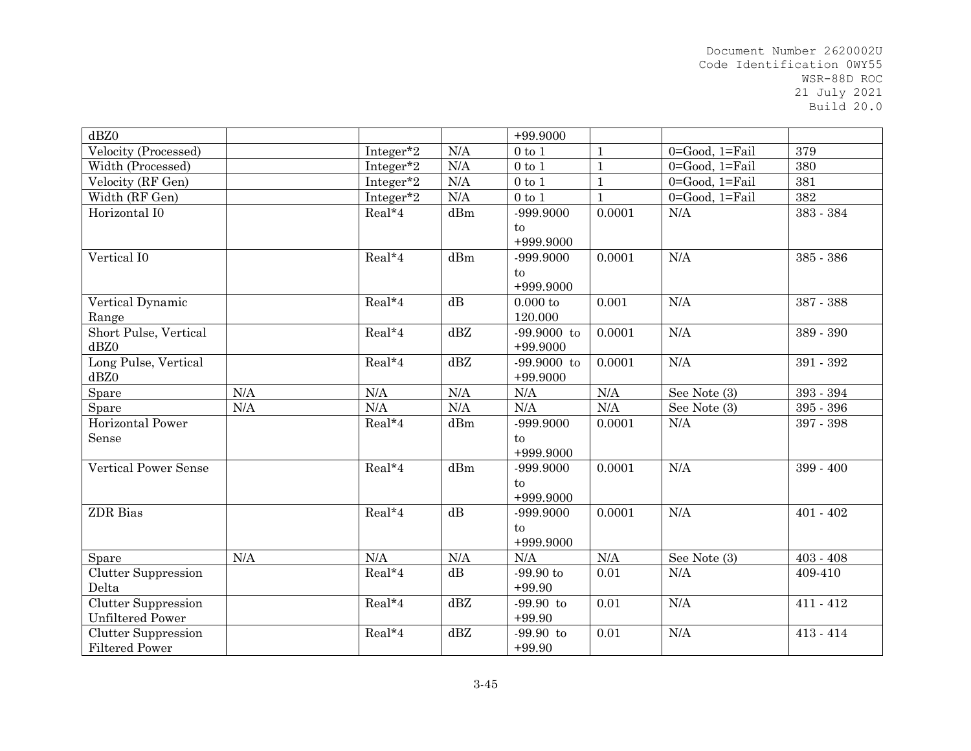| dBZ0                                |     |           |           | $+99.9000$       |              |                         |             |
|-------------------------------------|-----|-----------|-----------|------------------|--------------|-------------------------|-------------|
| Velocity (Processed)                |     | Integer*2 | N/A       | $0$ to $1$       | $\mathbf{1}$ | $0 = Good$ , $1 = Fail$ | 379         |
| Width (Processed)                   |     | Integer*2 | N/A       | $0$ to $1$       | $\mathbf{1}$ | 0=Good, 1=Fail          | 380         |
| Velocity (RF Gen)                   |     | Integer*2 | N/A       | $0$ to $1$       | $\mathbf{1}$ | $0 = Good$ , $1 = Tail$ | 381         |
| Width (RF Gen)                      |     | Integer*2 | $\rm N/A$ | $0$ to $1$       | $\mathbf{1}$ | $0 = Good$ , $1 = Fail$ | 382         |
| Horizontal I0                       |     | Real*4    | dBm       | -999.9000        | 0.0001       | N/A                     | 383 - 384   |
|                                     |     |           |           | to               |              |                         |             |
|                                     |     |           |           | $+999.9000$      |              |                         |             |
| Vertical I0                         |     | Real*4    | dBm       | -999.9000        | 0.0001       | N/A                     | 385 - 386   |
|                                     |     |           |           | to               |              |                         |             |
|                                     |     |           |           | +999.9000        |              |                         |             |
| Vertical Dynamic                    |     | Real*4    | dB        | $0.000$ to       | 0.001        | N/A                     | 387 - 388   |
| Range                               |     |           |           | 120.000          |              |                         |             |
| Short Pulse, Vertical               |     | Real*4    | dBZ       | $-99.9000$ to    | 0.0001       | N/A                     | 389 - 390   |
| dBZ0                                |     |           |           | $+99.9000$       |              |                         |             |
| Long Pulse, Vertical                |     | Real*4    | dBZ       | $-99.9000$ to    | 0.0001       | N/A                     | 391 - 392   |
| dBZ0                                |     |           |           | $+99.9000$       |              |                         |             |
| Spare                               | N/A | $\rm N/A$ | N/A       | $\rm N/A$        | $\rm N/A$    | See Note (3)            | $393 - 394$ |
| Spare                               | N/A | N/A       | $\rm N/A$ | $\rm N/A$        | N/A          | See Note (3)            | $395 - 396$ |
| Horizontal Power                    |     | Real*4    | dBm       | -999.9000        | 0.0001       | N/A                     | 397 - 398   |
| Sense                               |     |           |           | to               |              |                         |             |
|                                     |     |           |           | +999.9000        |              |                         |             |
| <b>Vertical Power Sense</b>         |     | Real*4    | dBm       | -999.9000        | 0.0001       | N/A                     | 399 - 400   |
|                                     |     |           |           | to               |              |                         |             |
|                                     |     |           |           | +999.9000        |              |                         |             |
| <b>ZDR</b> Bias                     |     | Real*4    | dB        | -999.9000        | 0.0001       | N/A                     | $401 - 402$ |
|                                     |     |           |           | to               |              |                         |             |
| Spare                               | N/A | $\rm N/A$ | N/A       | +999.9000<br>N/A | N/A          | See Note (3)            | $403 - 408$ |
|                                     |     | Real*4    | dB        | $-99.90$ to      |              | N/A                     |             |
| <b>Clutter Suppression</b><br>Delta |     |           |           | $+99.90$         | 0.01         |                         | 409-410     |
| Clutter Suppression                 |     | Real*4    | dBZ       | $-99.90$ to      | 0.01         | N/A                     | $411 - 412$ |
| <b>Unfiltered Power</b>             |     |           |           | $+99.90$         |              |                         |             |
| <b>Clutter Suppression</b>          |     | Real*4    | dBZ       | $-99.90$ to      | 0.01         | N/A                     | $413 - 414$ |
| <b>Filtered Power</b>               |     |           |           | $+99.90$         |              |                         |             |
|                                     |     |           |           |                  |              |                         |             |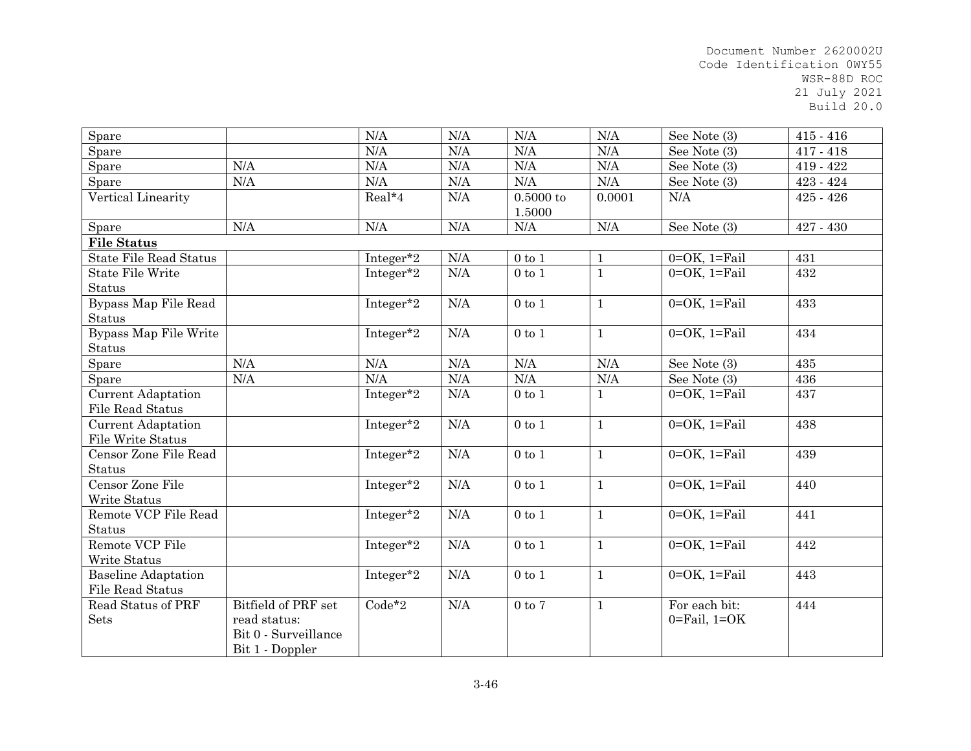| Spare                         |                      | N/A       | N/A       | N/A          | N/A          | See Note (3)                 | $415 - 416$ |
|-------------------------------|----------------------|-----------|-----------|--------------|--------------|------------------------------|-------------|
| Spare                         |                      | N/A       | N/A       | $\rm N/A$    | $\rm N/A$    | See Note (3)                 | $417 - 418$ |
| Spare                         | N/A                  | N/A       | N/A       | $\rm N/A$    | N/A          | See Note (3)                 | 419 - 422   |
| Spare                         | N/A                  | $\rm N/A$ | N/A       | N/A          | N/A          | See Note (3)                 | $423 - 424$ |
| Vertical Linearity            |                      | Real*4    | N/A       | 0.5000 to    | 0.0001       | N/A                          | $425 - 426$ |
|                               |                      |           |           | 1.5000       |              |                              |             |
| Spare                         | $\rm N/A$            | N/A       | $\rm N/A$ | N/A          | $\rm N/A$    | See Note (3)                 | $427 - 430$ |
| <b>File Status</b>            |                      |           |           |              |              |                              |             |
| <b>State File Read Status</b> |                      | Integer*2 | $\rm N/A$ | $0$ to $1$   | $\mathbf{1}$ | $0=OK$ , $1=Fi$ ail          | 431         |
| <b>State File Write</b>       |                      | Integer*2 | N/A       | $0$ to $1$   | $\mathbf{1}$ | $0=OK$ , $1=Fi$ ail          | 432         |
| <b>Status</b>                 |                      |           |           |              |              |                              |             |
| Bypass Map File Read          |                      | Integer*2 | N/A       | $0$ to $1$   | $\mathbf{1}$ | $0=OK$ , $1=Tail$            | 433         |
| <b>Status</b>                 |                      |           |           |              |              |                              |             |
| Bypass Map File Write         |                      | Integer*2 | N/A       | $0$ to $1$   | $\mathbf{1}$ | $0=OK$ , $1=Tail$            | 434         |
| <b>Status</b>                 |                      |           |           |              |              |                              |             |
| Spare                         | N/A                  | N/A       | N/A       | N/A          | N/A          | See Note (3)                 | 435         |
| Spare                         | N/A                  | N/A       | $\rm N/A$ | N/A          | $\rm N/A$    | See Note (3)                 | 436         |
| <b>Current Adaptation</b>     |                      | Integer*2 | N/A       | $0$ to $1$   | $\mathbf 1$  | $0=OK$ , $1=Fi$ ail          | 437         |
| <b>File Read Status</b>       |                      |           |           |              |              |                              |             |
| <b>Current Adaptation</b>     |                      | Integer*2 | N/A       | $0$ to $1\,$ | $\mathbf{1}$ | $0=OK$ , $1=Tail$            | 438         |
| File Write Status             |                      |           |           |              |              |                              |             |
| Censor Zone File Read         |                      | Integer*2 | $\rm N/A$ | $0$ to $1$   | $\mathbf{1}$ | $0=OK$ , $1=Fi$ ail          | 439         |
| <b>Status</b>                 |                      |           |           |              |              |                              |             |
| Censor Zone File              |                      | Integer*2 | N/A       | $0$ to $1$   | $\mathbf{1}$ | $0=OK$ , $1=Fi$ ail          | 440         |
| Write Status                  |                      |           |           |              |              |                              |             |
| Remote VCP File Read          |                      | Integer*2 | N/A       | $0$ to $1$   | $\mathbf{1}$ | $0=OK$ , $1=Fi$ ail          | 441         |
| <b>Status</b>                 |                      |           |           |              |              |                              |             |
| Remote VCP File               |                      | Integer*2 | N/A       | $0$ to $1$   | $\mathbf{1}$ | $0=OK$ , $1=Tail$            | 442         |
| Write Status                  |                      |           |           |              |              |                              |             |
| <b>Baseline Adaptation</b>    |                      | Integer*2 | $\rm N/A$ | $0$ to $1\,$ | $\mathbf{1}$ | $0=OK$ , $1=Tail$            | 443         |
| File Read Status              |                      |           |           |              |              |                              |             |
| Read Status of PRF            | Bitfield of PRF set  | $Code*2$  | N/A       | $0$ to $7$   | $\mathbf{1}$ | For each bit:                | 444         |
| <b>Sets</b>                   | read status:         |           |           |              |              | $0 = \text{Fail}$ , $1 = OK$ |             |
|                               | Bit 0 - Surveillance |           |           |              |              |                              |             |
|                               | Bit 1 - Doppler      |           |           |              |              |                              |             |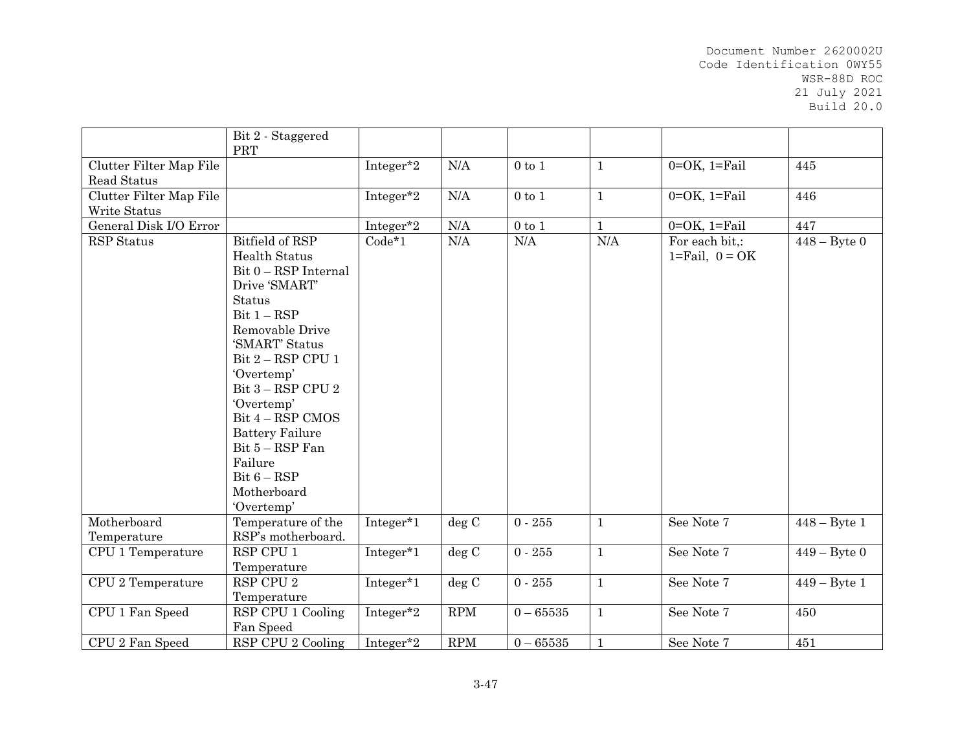|                                        | Bit 2 - Staggered<br>PRT                                                                                                                                                                                                                                                                                                                                        |           |                      |                  |              |                                                    |                 |
|----------------------------------------|-----------------------------------------------------------------------------------------------------------------------------------------------------------------------------------------------------------------------------------------------------------------------------------------------------------------------------------------------------------------|-----------|----------------------|------------------|--------------|----------------------------------------------------|-----------------|
| Clutter Filter Map File<br>Read Status |                                                                                                                                                                                                                                                                                                                                                                 | Integer*2 | N/A                  | $0$ to $1$       | $\mathbf{1}$ | $0=OK$ , $1=Fi$ ail                                | 445             |
| Clutter Filter Map File                |                                                                                                                                                                                                                                                                                                                                                                 | Integer*2 | N/A                  | $0$ to $1$       | $\mathbf{1}$ | $0=OK$ , $1=Fi$ ail                                | 446             |
| Write Status                           |                                                                                                                                                                                                                                                                                                                                                                 |           |                      |                  |              |                                                    |                 |
| General Disk I/O Error                 |                                                                                                                                                                                                                                                                                                                                                                 | Integer*2 | $\rm N/A$            | $0\ {\rm to}\ 1$ | $\mathbf{1}$ | $0=OK$ , $1=Fi$ ail                                | 447             |
| <b>RSP</b> Status                      | Bitfield of RSP<br><b>Health Status</b><br>Bit 0 - RSP Internal<br>Drive 'SMART'<br><b>Status</b><br>$Bit 1 - RSP$<br>Removable Drive<br>'SMART' Status<br>Bit $2 - RSP$ CPU 1<br>'Overtemp'<br>Bit $3 - RSP$ CPU $2$<br>'Overtemp'<br>Bit 4 - RSP CMOS<br><b>Battery Failure</b><br>Bit $5 - RSP$ Fan<br>Failure<br>$Bit 6 - RSP$<br>Motherboard<br>'Overtemp' | $Code*1$  | $\rm N/A$            | $\rm N/A$        | $\rm N/A$    | For each bit,:<br>$1 = \text{Tail}, 0 = \text{OK}$ | $448 - B$ yte 0 |
| Motherboard<br>Temperature             | Temperature of the<br>RSP's motherboard.                                                                                                                                                                                                                                                                                                                        | Integer*1 | deg C                | $0 - 255$        | $\mathbf{1}$ | See Note 7                                         | $448 - B$ yte 1 |
| CPU 1 Temperature                      | RSP CPU 1                                                                                                                                                                                                                                                                                                                                                       | Integer*1 | deg C                | $0 - 255$        | $\mathbf{1}$ | See Note 7                                         | $449 -$ Byte 0  |
|                                        | Temperature                                                                                                                                                                                                                                                                                                                                                     |           |                      |                  |              |                                                    |                 |
| CPU 2 Temperature                      | RSP CPU 2                                                                                                                                                                                                                                                                                                                                                       | Integer*1 | deg C                | $0 - 255$        | $\mathbf{1}$ | See Note 7                                         | $449 - B$ yte 1 |
|                                        | Temperature                                                                                                                                                                                                                                                                                                                                                     |           |                      |                  |              |                                                    |                 |
| CPU 1 Fan Speed                        | RSP CPU 1 Cooling                                                                                                                                                                                                                                                                                                                                               | Integer*2 | RPM                  | $0 - 65535$      | $\mathbf{1}$ | See Note 7                                         | 450             |
|                                        | Fan Speed                                                                                                                                                                                                                                                                                                                                                       |           |                      |                  |              |                                                    |                 |
| CPU 2 Fan Speed                        | RSP CPU 2 Cooling                                                                                                                                                                                                                                                                                                                                               | Integer*2 | $\operatorname{RPM}$ | $0 - 65535$      | $\mathbf{1}$ | See Note 7                                         | 451             |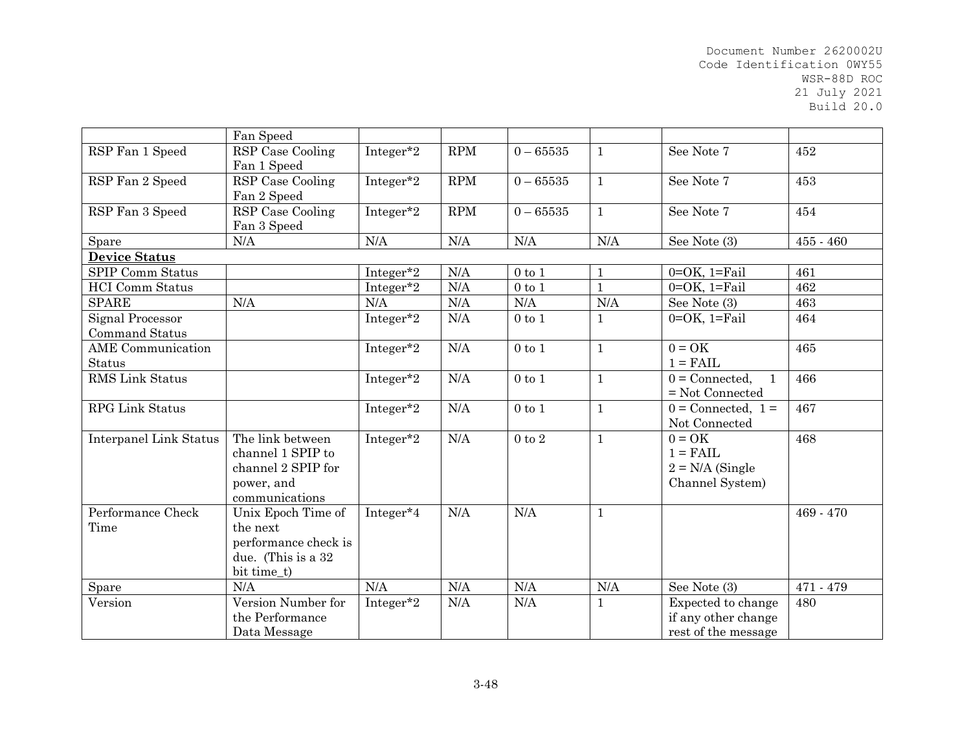|                               | Fan Speed            |              |            |              |              |                                  |             |
|-------------------------------|----------------------|--------------|------------|--------------|--------------|----------------------------------|-------------|
| RSP Fan 1 Speed               | RSP Case Cooling     | Integer*2    | <b>RPM</b> | $0 - 65535$  | $\mathbf{1}$ | See Note 7                       | 452         |
|                               | Fan 1 Speed          |              |            |              |              |                                  |             |
| RSP Fan 2 Speed               | RSP Case Cooling     | Integer*2    | <b>RPM</b> | $0 - 65535$  | $\mathbf{1}$ | See Note 7                       | 453         |
|                               | Fan 2 Speed          |              |            |              |              |                                  |             |
| RSP Fan 3 Speed               | RSP Case Cooling     | Integer*2    | <b>RPM</b> | $0 - 65535$  | $\mathbf{1}$ | See Note 7                       | 454         |
|                               | Fan 3 Speed          |              |            |              |              |                                  |             |
| Spare                         | N/A                  | $\rm N/A$    | N/A        | N/A          | N/A          | See Note (3)                     | $455 - 460$ |
| <b>Device Status</b>          |                      |              |            |              |              |                                  |             |
| <b>SPIP Comm Status</b>       |                      | Integer*2    | N/A        | $0$ to 1     | $\mathbf{1}$ | $0=OK$ , $1=Fi$ ail              | 461         |
| <b>HCI</b> Comm Status        |                      | Integer*2    | N/A        | $0$ to $1$   | $\mathbf{1}$ | $0=OK$ , $1=Fi$ ail              | 462         |
| <b>SPARE</b>                  | N/A                  | N/A          | N/A        | N/A          | N/A          | See Note (3)                     | 463         |
| Signal Processor              |                      | Integer*2    | N/A        | $0$ to $1\,$ | $\mathbf{1}$ | $0=OK$ , $1=Fi$ ail              | 464         |
| <b>Command Status</b>         |                      |              |            |              |              |                                  |             |
| <b>AME</b> Communication      |                      | Integer*2    | N/A        | $0$ to $1$   | $\mathbf{1}$ | $0 = OK$                         | 465         |
| Status                        |                      |              |            |              |              | $1 = \text{FAIL}$                |             |
| RMS Link Status               |                      | Integer*2    | N/A        | $0$ to $1$   | $\mathbf{1}$ | $0 =$ Connected,<br>$\mathbf{1}$ | 466         |
|                               |                      |              |            |              |              | $=$ Not Connected                |             |
| <b>RPG Link Status</b>        |                      | Integer*2    | N/A        | $0$ to $1$   | $\mathbf{1}$ | $0 =$ Connected, $1 =$           | 467         |
|                               |                      |              |            |              |              | Not Connected                    |             |
| <b>Interpanel Link Status</b> | The link between     | Integer*2    | N/A        | $0$ to $2$   | $\mathbf{1}$ | $0 = OK$                         | 468         |
|                               | channel 1 SPIP to    |              |            |              |              | $1 = \text{FAIL}$                |             |
|                               | channel 2 SPIP for   |              |            |              |              | $2 = N/A$ (Single                |             |
|                               | power, and           |              |            |              |              | Channel System)                  |             |
|                               | communications       |              |            |              |              |                                  |             |
| Performance Check             | Unix Epoch Time of   | Integer*4    | N/A        | N/A          | $\mathbf 1$  |                                  | 469 - 470   |
| Time                          | the next             |              |            |              |              |                                  |             |
|                               | performance check is |              |            |              |              |                                  |             |
|                               | due. (This is a 32   |              |            |              |              |                                  |             |
|                               | bit time_t)          |              |            |              |              |                                  |             |
| Spare                         | N/A                  | N/A          | $\rm N/A$  | $\rm N/A$    | N/A          | See Note (3)                     | 471 - 479   |
| Version                       | Version Number for   | Integer* $2$ | N/A        | N/A          | $\mathbf{1}$ | Expected to change               | 480         |
|                               | the Performance      |              |            |              |              | if any other change              |             |
|                               | Data Message         |              |            |              |              | rest of the message              |             |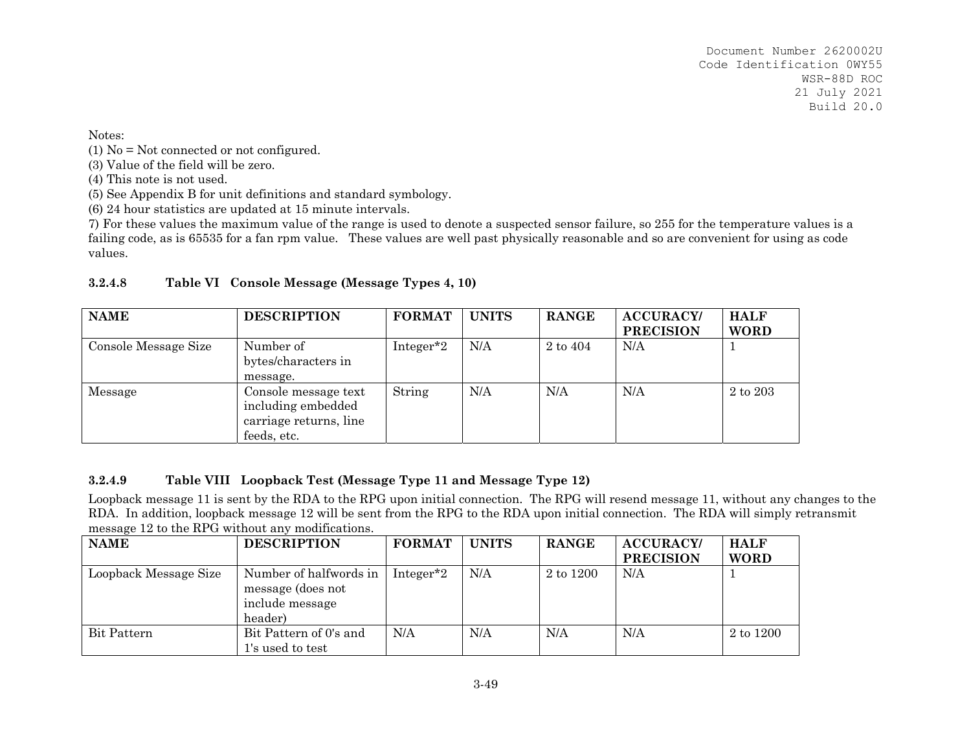Notes:

(1) No = Not connected or not configured.

(3) Value of the field will be zero.

(4) This note is not used.

(5) See Appendix B for unit definitions and standard symbology.

(6) 24 hour statistics are updated at 15 minute intervals.

7) For these values the maximum value of the range is used to denote a suspected sensor failure, so 255 for the temperature values is a failing code, as is 65535 for a fan rpm value. These values are well past physically reasonable and so are convenient for using as code values.

| <b>NAME</b>          | <b>DESCRIPTION</b>                                                                  | <b>FORMAT</b> | <b>UNITS</b> | <b>RANGE</b> | <b>ACCURACY/</b><br><b>PRECISION</b> | <b>HALF</b><br><b>WORD</b> |
|----------------------|-------------------------------------------------------------------------------------|---------------|--------------|--------------|--------------------------------------|----------------------------|
| Console Message Size | Number of<br>bytes/characters in<br>message.                                        | Integer*2     | N/A          | $2$ to $404$ | N/A                                  |                            |
| Message              | Console message text<br>including embedded<br>carriage returns, line<br>feeds, etc. | String        | N/A          | N/A          | N/A                                  | 2 to 203                   |

### **3.2.4.8Table VI Console Message (Message Types 4, 10)**

## **3.2.4.9Table VIII Loopback Test (Message Type 11 and Message Type 12)**

Loopback message 11 is sent by the RDA to the RPG upon initial connection. The RPG will resend message 11, without any changes to the RDA. In addition, loopback message 12 will be sent from the RPG to the RDA upon initial connection. The RDA will simply retransmit message 12 to the RPG without any modifications.

| <b>NAME</b>           | <b>DESCRIPTION</b>                                                        | <b>FORMAT</b>         | <b>UNITS</b> | <b>RANGE</b> | <b>ACCURACY/</b><br><b>PRECISION</b> | <b>HALF</b><br><b>WORD</b> |
|-----------------------|---------------------------------------------------------------------------|-----------------------|--------------|--------------|--------------------------------------|----------------------------|
| Loopback Message Size | Number of halfwords in<br>message (does not<br>include message<br>header) | Integer <sup>*2</sup> | N/A          | 2 to 1200    | N/A                                  |                            |
| Bit Pattern           | Bit Pattern of 0's and<br>1's used to test                                | N/A                   | N/A          | N/A          | N/A                                  | 2 to 1200                  |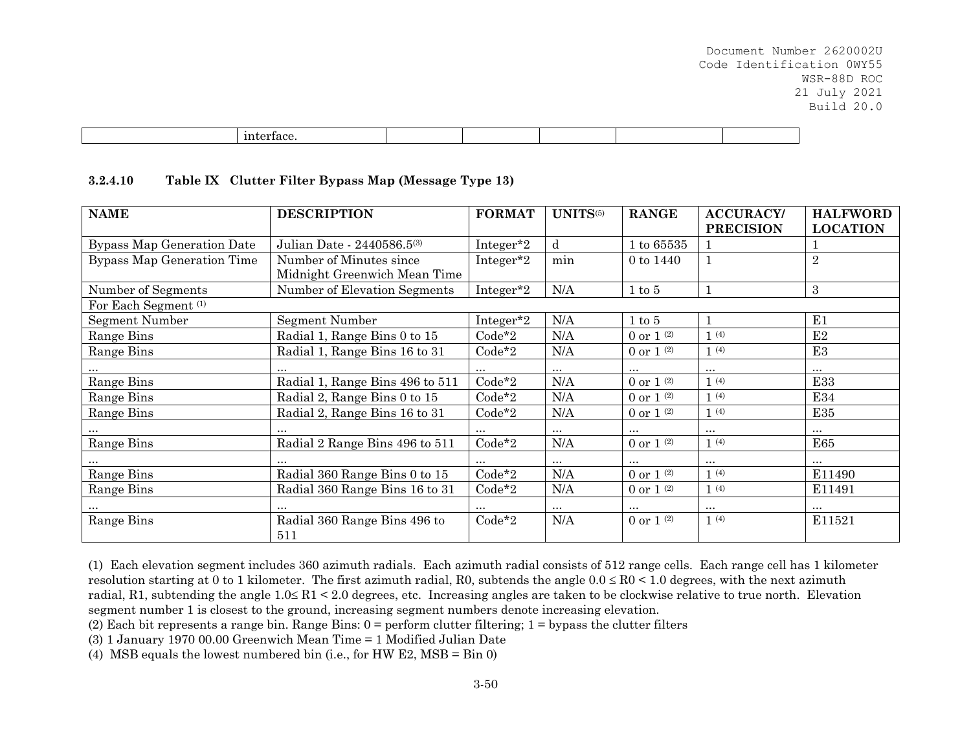| ٦Y<br>$\overline{\phantom{a}}$<br>. |  |  |  |
|-------------------------------------|--|--|--|

#### **3.2.4.10Table IX Clutter Filter Bypass Map (Message Type 13)**

| <b>NAME</b>                       | <b>DESCRIPTION</b>                  | <b>FORMAT</b> | UNITS(5) | <b>RANGE</b>                        | <b>ACCURACY/</b> | <b>HALFWORD</b> |
|-----------------------------------|-------------------------------------|---------------|----------|-------------------------------------|------------------|-----------------|
|                                   |                                     |               |          |                                     | <b>PRECISION</b> | <b>LOCATION</b> |
| <b>Bypass Map Generation Date</b> | Julian Date - 2440586.5(3)          | Integer*2     | d        | $1\ {\rm to}\ 65535$                |                  |                 |
| Bypass Map Generation Time        | Number of Minutes since             | Integer*2     | min      | 0 to 1440                           |                  | $\sqrt{2}$      |
|                                   | Midnight Greenwich Mean Time        |               |          |                                     |                  |                 |
| Number of Segments                | Number of Elevation Segments        | Integer*2     | N/A      | $1 \text{ to } 5$                   |                  | 3               |
| For Each Segment <sup>(1)</sup>   |                                     |               |          |                                     |                  |                 |
| Segment Number                    | Segment Number                      | Integer*2     | N/A      | $1 \text{ to } 5$                   |                  | E1              |
| Range Bins                        | Radial 1, Range Bins 0 to 15        | $Code*2$      | N/A      | 0 or 1 $(2)$                        | 1(4)             | E2              |
| Range Bins                        | Radial 1, Range Bins 16 to 31       | $Code*2$      | N/A      | 0 or $1^{(2)}$                      | 1(4)             | E <sub>3</sub>  |
|                                   | $\cdots$                            | $\cdots$      | $\cdots$ | $\cdots$                            | $\cdots$         | $\cdots$        |
| Range Bins                        | Radial 1, Range Bins 496 to 511     | $Code*2$      | N/A      | 0 or $1^{(2)}$                      | 1(4)             | <b>E33</b>      |
| Range Bins                        | Radial 2, Range Bins 0 to 15        | $Code*2$      | N/A      | 0 or $1^{(2)}$                      | 1(4)             | E34             |
| Range Bins                        | Radial 2, Range Bins 16 to 31       | Code*2        | N/A      | 0 or $1^{(2)}$                      | 1(4)             | E35             |
|                                   | $\cdots$                            | $\cdots$      | $\cdots$ | $\cdots$                            | $\cdots$         | $\cdots$        |
| Range Bins                        | Radial 2 Range Bins 496 to 511      | $Code*2$      | N/A      | 0 or 1 $^{\scriptscriptstyle{(2)}}$ | 1(4)             | <b>E65</b>      |
|                                   |                                     |               | $\cdots$ | $\cdots$                            | $\cdots$         | $\cdots$        |
| Range Bins                        | Radial 360 Range Bins 0 to 15       | $Code*2$      | N/A      | 0 or $1^{(2)}$                      | 1(4)             | E11490          |
| Range Bins                        | Radial 360 Range Bins 16 to 31      | $Code*2$      | N/A      | 0 or 1 $(2)$                        | 1(4)             | E11491          |
|                                   |                                     |               | $\cdots$ | $\ddotsc$                           | $\cdots$         | $\cdots$        |
| Range Bins                        | Radial 360 Range Bins 496 to<br>511 | $Code*2$      | N/A      | 0 or $1^{(2)}$                      | 1(4)             | E11521          |

(1) Each elevation segment includes 360 azimuth radials. Each azimuth radial consists of 512 range cells. Each range cell has 1 kilometer resolution starting at 0 to 1 kilometer. The first azimuth radial, R0, subtends the angle  $0.0 \leq R0 \leq 1.0$  degrees, with the next azimuth radial, R1, subtending the angle  $1.0 \leq R1 \leq 2.0$  degrees, etc. Increasing angles are taken to be clockwise relative to true north. Elevation segment number 1 is closest to the ground, increasing segment numbers denote increasing elevation.

(2) Each bit represents a range bin. Range Bins:  $0 =$  perform clutter filtering;  $1 =$  bypass the clutter filters

(3) 1 January 1970 00.00 Greenwich Mean Time = 1 Modified Julian Date

(4) MSB equals the lowest numbered bin (i.e., for HW E2, MSB = Bin 0)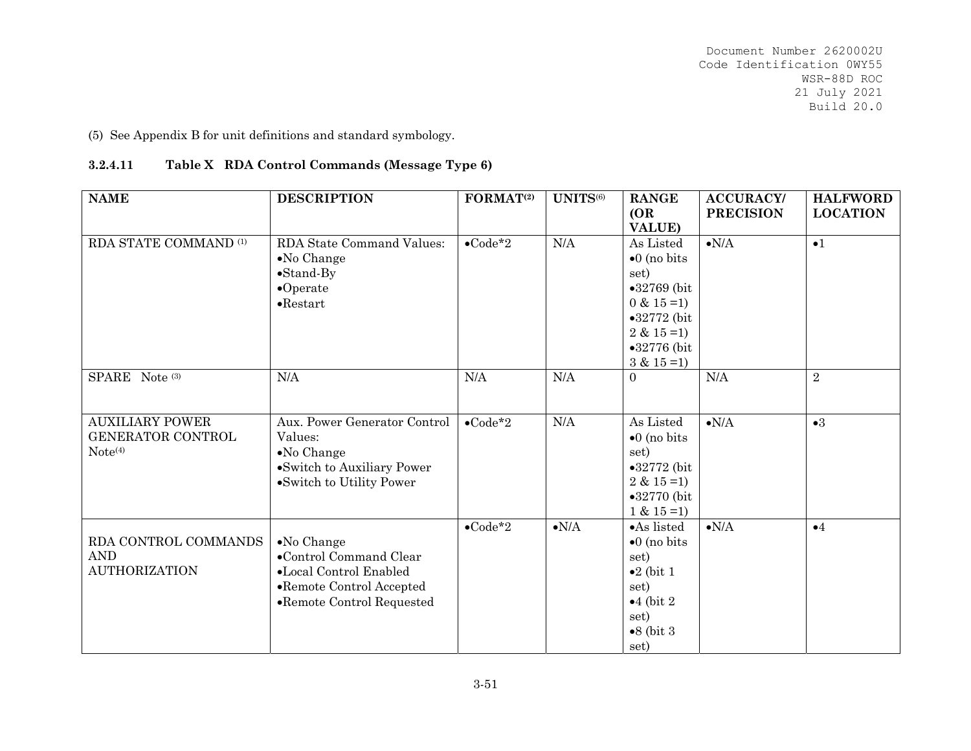(5) See Appendix B for unit definitions and standard symbology.

# **3.2.4.11Table X RDA Control Commands (Message Type 6)**

| <b>NAME</b>                                                               | <b>DESCRIPTION</b>                                                                                                               | FORMAT <sup>(2)</sup>                               | UNITS(6)           | <b>RANGE</b><br>(OR)<br><b>VALUE)</b>                                                                                                                      | <b>ACCURACY/</b><br><b>PRECISION</b> | <b>HALFWORD</b><br><b>LOCATION</b> |
|---------------------------------------------------------------------------|----------------------------------------------------------------------------------------------------------------------------------|-----------------------------------------------------|--------------------|------------------------------------------------------------------------------------------------------------------------------------------------------------|--------------------------------------|------------------------------------|
| RDA STATE COMMAND <sup>(1)</sup>                                          | <b>RDA State Command Values:</b><br>$\bullet$ No Change<br>$\bullet$ Stand-By<br>$\bullet$ Operate<br>$\bullet$ Restart          | $\bullet$ Code*2                                    | N/A                | As Listed<br>$\bullet$ 0 (no bits<br>set)<br>$•32769$ (bit<br>$0 & 15 = 1$<br>$\bullet 32772$ (bit<br>$2 & 15 = 1$<br>$\bullet 32776$ (bit<br>$3 & 15 = 1$ | $\bullet{\rm N/A}$                   | $\bullet$ 1                        |
| SPARE Note (3)                                                            | N/A                                                                                                                              | $\rm N/A$                                           | N/A                | $\Omega$                                                                                                                                                   | N/A                                  | $\overline{2}$                     |
| <b>AUXILIARY POWER</b><br><b>GENERATOR CONTROL</b><br>Note <sup>(4)</sup> | Aux. Power Generator Control<br>Values:<br>$\bullet$ No Change<br>•Switch to Auxiliary Power<br>•Switch to Utility Power         | $\bullet$ Code <sup><math>\overline{2}</math></sup> | N/A                | As Listed<br>$\bullet$ 0 (no bits<br>set)<br>$\bullet 32772$ (bit<br>$2 & 15 = 1$<br>$\bullet 32770$ (bit<br>$1 & 15 = 1$                                  | $\bullet{\rm N/A}$                   | $\bullet 3$                        |
| RDA CONTROL COMMANDS<br><b>AND</b><br><b>AUTHORIZATION</b>                | $\bullet$ No Change<br>•Control Command Clear<br>•Local Control Enabled<br>•Remote Control Accepted<br>•Remote Control Requested | $\bullet$ Code*2                                    | $\bullet{\rm N/A}$ | •As listed<br>$\bullet$ 0 (no bits<br>set)<br>$\bullet 2$ (bit 1<br>set)<br>$\bullet$ 4 (bit 2)<br>set)<br>$\bullet 8$ (bit 3<br>set)                      | $\bullet{\rm N/A}$                   | $\bullet 4$                        |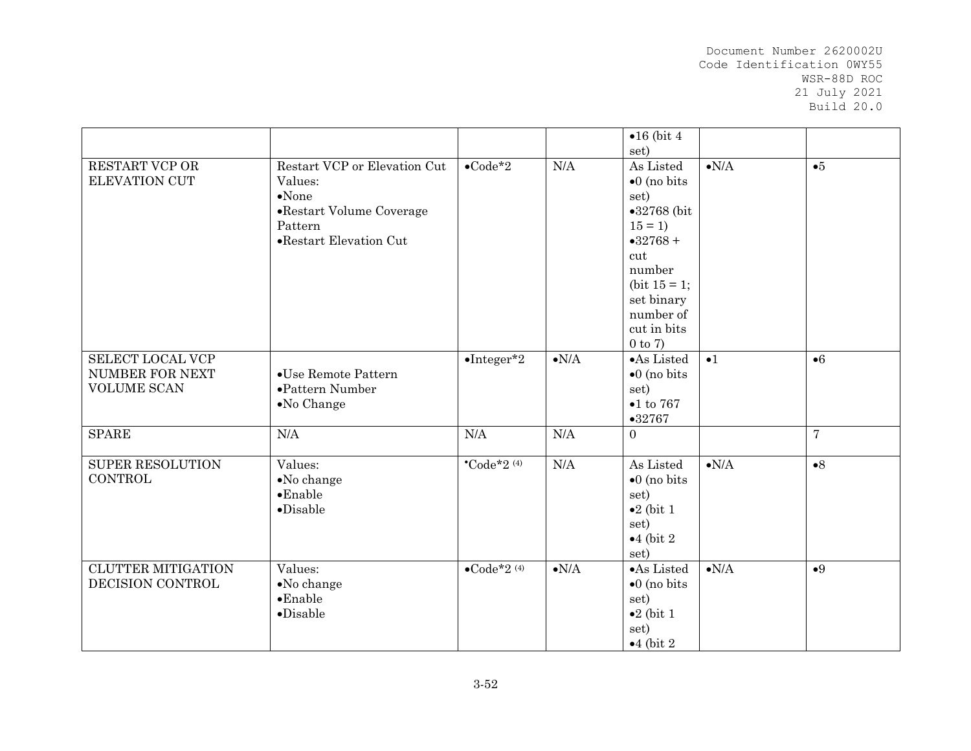|                           |                              |                                    |                    | $\bullet 16$ (bit 4  |                    |                |
|---------------------------|------------------------------|------------------------------------|--------------------|----------------------|--------------------|----------------|
|                           |                              |                                    |                    | set)                 |                    |                |
| RESTART VCP OR            | Restart VCP or Elevation Cut | $\bullet$ Code*2                   | N/A                | As Listed            | $\bullet{\rm N/A}$ | •5             |
| <b>ELEVATION CUT</b>      | Values:                      |                                    |                    | $\bullet$ 0 (no bits |                    |                |
|                           | $\bullet$ None               |                                    |                    | set)                 |                    |                |
|                           | •Restart Volume Coverage     |                                    |                    | $•32768$ (bit        |                    |                |
|                           | Pattern                      |                                    |                    | $15 = 1$             |                    |                |
|                           | •Restart Elevation Cut       |                                    |                    | $•32768+$            |                    |                |
|                           |                              |                                    |                    | cut                  |                    |                |
|                           |                              |                                    |                    | number               |                    |                |
|                           |                              |                                    |                    | (bit $15 = 1$ ;      |                    |                |
|                           |                              |                                    |                    | set binary           |                    |                |
|                           |                              |                                    |                    | number of            |                    |                |
|                           |                              |                                    |                    | cut in bits          |                    |                |
|                           |                              |                                    |                    |                      |                    |                |
|                           |                              |                                    |                    | $0$ to $7)$          |                    |                |
| SELECT LOCAL VCP          |                              | $\bullet$ Integer*2                | $\bullet{\rm N/A}$ | •As Listed           | $\bullet$ 1        | $\bullet 6$    |
| NUMBER FOR NEXT           | •Use Remote Pattern          |                                    |                    | $\bullet$ 0 (no bits |                    |                |
| <b>VOLUME SCAN</b>        | $\bullet$ Pattern Number     |                                    |                    | set)                 |                    |                |
|                           | $\bullet$ No Change          |                                    |                    | $\bullet$ 1 to 767   |                    |                |
|                           |                              |                                    |                    | •32767               |                    |                |
| <b>SPARE</b>              | N/A                          | N/A                                | N/A                | $\overline{0}$       |                    | $\overline{7}$ |
|                           |                              |                                    |                    |                      |                    |                |
| <b>SUPER RESOLUTION</b>   | Values:                      | $^{\bullet}$ Code*2 <sup>(4)</sup> | N/A                | As Listed            | $\bullet{\rm N/A}$ | $\bullet 8$    |
| <b>CONTROL</b>            | •No change                   |                                    |                    | $\bullet$ 0 (no bits |                    |                |
|                           | $\bullet$ Enable             |                                    |                    | set)                 |                    |                |
|                           | $\bullet$ Disable            |                                    |                    | $\bullet 2$ (bit 1   |                    |                |
|                           |                              |                                    |                    | set)                 |                    |                |
|                           |                              |                                    |                    | $\bullet$ 4 (bit 2)  |                    |                |
|                           |                              |                                    |                    | set)                 |                    |                |
| <b>CLUTTER MITIGATION</b> | Values:                      | $\bullet$ Code*2 $(4)$             | $\bullet{\rm N/A}$ | •As Listed           | $\bullet{\rm N/A}$ | •9             |
| DECISION CONTROL          | •No change                   |                                    |                    | $\bullet$ 0 (no bits |                    |                |
|                           | $\bullet$ Enable             |                                    |                    |                      |                    |                |
|                           |                              |                                    |                    | set)                 |                    |                |
|                           | $\noindent$ Disable          |                                    |                    | $\bullet 2$ (bit 1   |                    |                |
|                           |                              |                                    |                    | set)                 |                    |                |
|                           |                              |                                    |                    | $\bullet$ 4 (bit 2)  |                    |                |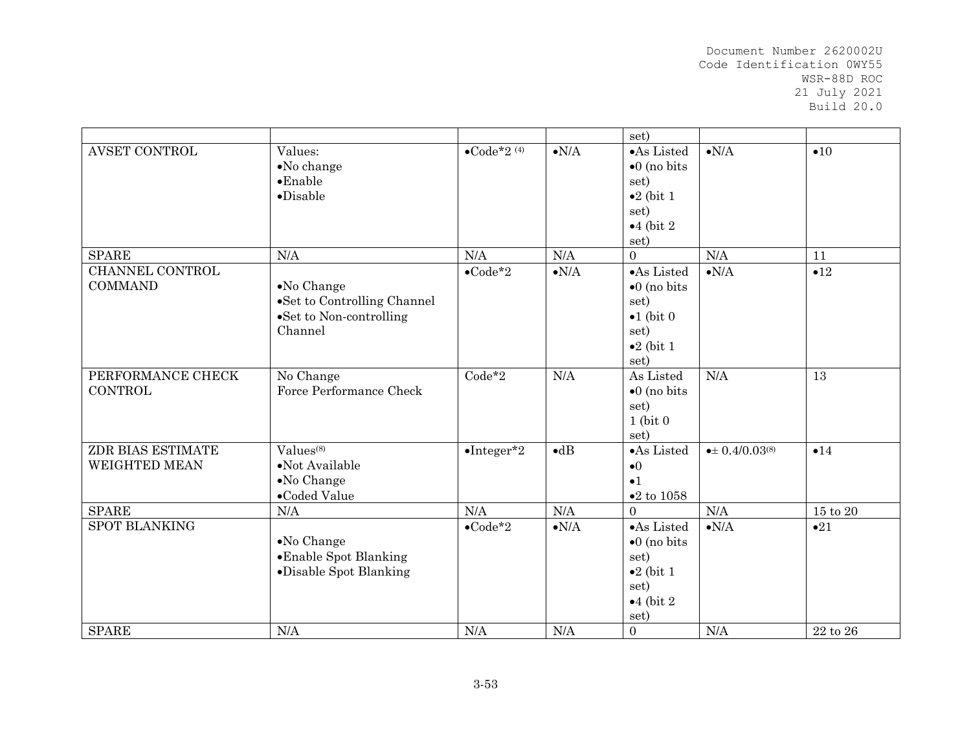|                      |                             |                        |                    | set)                   |                              |                |
|----------------------|-----------------------------|------------------------|--------------------|------------------------|------------------------------|----------------|
| <b>AVSET CONTROL</b> | Values:                     | $\bullet$ Code*2 $(4)$ | $\bullet N/A$      | •As Listed             | $\bullet N/A$                | •10            |
|                      | $\bullet$ No change         |                        |                    | $\bullet$ 0 (no bits   |                              |                |
|                      | $\bullet$ Enable            |                        |                    | set)                   |                              |                |
|                      | $\bullet$ Disable           |                        |                    | $\bullet 2$ (bit 1     |                              |                |
|                      |                             |                        |                    | set)                   |                              |                |
|                      |                             |                        |                    | $\bullet$ 4 (bit 2)    |                              |                |
|                      |                             |                        |                    | set)                   |                              |                |
| <b>SPARE</b>         | N/A                         | N/A                    | $\rm N/A$          | $\Omega$               | $\rm N/A$                    | 11             |
| CHANNEL CONTROL      |                             | $\bullet$ Code*2       | $\bullet{\rm N/A}$ | $\bullet$ As Listed    | $\bullet{\rm N/A}$           | •12            |
| <b>COMMAND</b>       | $\bullet$ No Change         |                        |                    | $\bullet$ 0 (no bits   |                              |                |
|                      | •Set to Controlling Channel |                        |                    | set)                   |                              |                |
|                      | •Set to Non-controlling     |                        |                    | $\bullet 1$ (bit 0)    |                              |                |
|                      | Channel                     |                        |                    | set)                   |                              |                |
|                      |                             |                        |                    | $\bullet 2$ (bit 1     |                              |                |
|                      |                             |                        |                    | set)                   |                              |                |
| PERFORMANCE CHECK    | No Change                   | $Code*2$               | N/A                | As Listed              | N/A                          | 13             |
| <b>CONTROL</b>       | Force Performance Check     |                        |                    | $\bullet$ 0 (no bits   |                              |                |
|                      |                             |                        |                    | set)                   |                              |                |
|                      |                             |                        |                    | $1$ (bit $0$           |                              |                |
|                      |                             |                        |                    | set)                   |                              |                |
| ZDR BIAS ESTIMATE    | Values <sup>(8)</sup>       | $\bullet$ Integer*2    | $\bullet$ dB       | •As Listed             | $\bullet \pm 0.4/0.03^{(8)}$ | •14            |
| <b>WEIGHTED MEAN</b> | $\bullet$ Not Available     |                        |                    | $\bullet$ <sup>0</sup> |                              |                |
|                      | $\bullet$ No Change         |                        |                    | $\bullet$ 1            |                              |                |
|                      | •Coded Value                |                        |                    | $\bullet 2$ to $1058$  |                              |                |
| <b>SPARE</b>         | N/A                         | N/A                    | N/A                | $\Omega$               | N/A                          | $15$ to $20\,$ |
| <b>SPOT BLANKING</b> |                             | $\bullet$ Code*2       | $\bullet{\rm N/A}$ | •As Listed             | $\bullet{\rm N/A}$           | •21            |
|                      | $\bullet$ No Change         |                        |                    | $\bullet$ 0 (no bits   |                              |                |
|                      | •Enable Spot Blanking       |                        |                    | set)                   |                              |                |
|                      | •Disable Spot Blanking      |                        |                    | $\bullet 2$ (bit 1     |                              |                |
|                      |                             |                        |                    | set)                   |                              |                |
|                      |                             |                        |                    | $\bullet$ 4 (bit 2)    |                              |                |
|                      |                             |                        |                    | set)                   |                              |                |
| <b>SPARE</b>         | N/A                         | N/A                    | N/A                | $\overline{0}$         | N/A                          | $22$ to $26\,$ |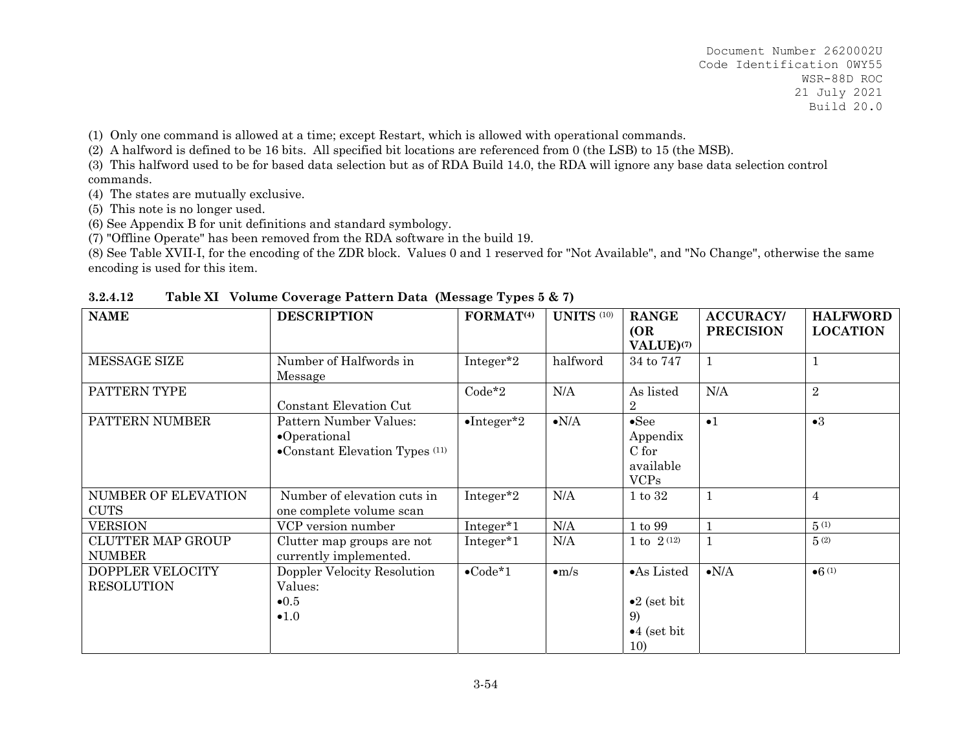(1) Only one command is allowed at a time; except Restart, which is allowed with operational commands.

(2) A halfword is defined to be 16 bits. All specified bit locations are referenced from 0 (the LSB) to 15 (the MSB).

(3) This halfword used to be for based data selection but as of RDA Build 14.0, the RDA will ignore any base data selection control commands.

(4) The states are mutually exclusive.

(5) This note is no longer used.

(6) See Appendix B for unit definitions and standard symbology.

(7) "Offline Operate" has been removed from the RDA software in the build 19.

(8) See Table XVII-I, for the encoding of the ZDR block. Values 0 and 1 reserved for "Not Available", and "No Change", otherwise the same encoding is used for this item.

| <b>NAME</b>                               | <b>DESCRIPTION</b>                                                                           | FORMAT <sup>(4)</sup> | <b>UNITS</b> (10) | <b>RANGE</b><br>(OR)                                                    | <b>ACCURACY/</b><br><b>PRECISION</b> | <b>HALFWORD</b><br><b>LOCATION</b> |
|-------------------------------------------|----------------------------------------------------------------------------------------------|-----------------------|-------------------|-------------------------------------------------------------------------|--------------------------------------|------------------------------------|
| MESSAGE SIZE                              | Number of Halfwords in<br>Message                                                            | Integer*2             | halfword          | VALUE) <sup>(7)</sup><br>34 to 747                                      | 1                                    |                                    |
| PATTERN TYPE                              | Constant Elevation Cut                                                                       | $Code*2$              | N/A               | As listed<br>$\overline{2}$                                             | N/A                                  | $\overline{2}$                     |
| PATTERN NUMBER                            | Pattern Number Values:<br>$\bullet$ Operational<br>$\bullet$ Constant Elevation Types $(11)$ | $\bullet$ Integer*2   | $\bullet N/A$     | $\bullet$ See<br>Appendix<br>C for<br>available<br><b>VCPs</b>          | $\bullet$ 1                          | $\bullet 3$                        |
| NUMBER OF ELEVATION<br><b>CUTS</b>        | Number of elevation cuts in<br>one complete volume scan                                      | Integer*2             | N/A               | 1 to 32                                                                 | $\mathbf{1}$                         | $\overline{4}$                     |
| <b>VERSION</b>                            | VCP version number                                                                           | Integer*1             | N/A               | 1 to 99                                                                 |                                      | 5(1)                               |
| <b>CLUTTER MAP GROUP</b><br><b>NUMBER</b> | Clutter map groups are not<br>currently implemented.                                         | Integer*1             | N/A               | 1 to $2^{(12)}$                                                         | $\mathbf{1}$                         | 5(2)                               |
| DOPPLER VELOCITY<br><b>RESOLUTION</b>     | Doppler Velocity Resolution<br>Values:<br>$\bullet$ 0.5<br>$\bullet 1.0$                     | $\bullet$ Code*1      | $\bullet$ m/s     | •As Listed<br>$\bullet 2$ (set bit<br>9)<br>$\bullet$ 4 (set bit<br>10) | $\bullet{\rm N/A}$                   | $•6^{(1)}$                         |

**3.2.4.12Table XI Volume Coverage Pattern Data (Message Types 5 & 7)**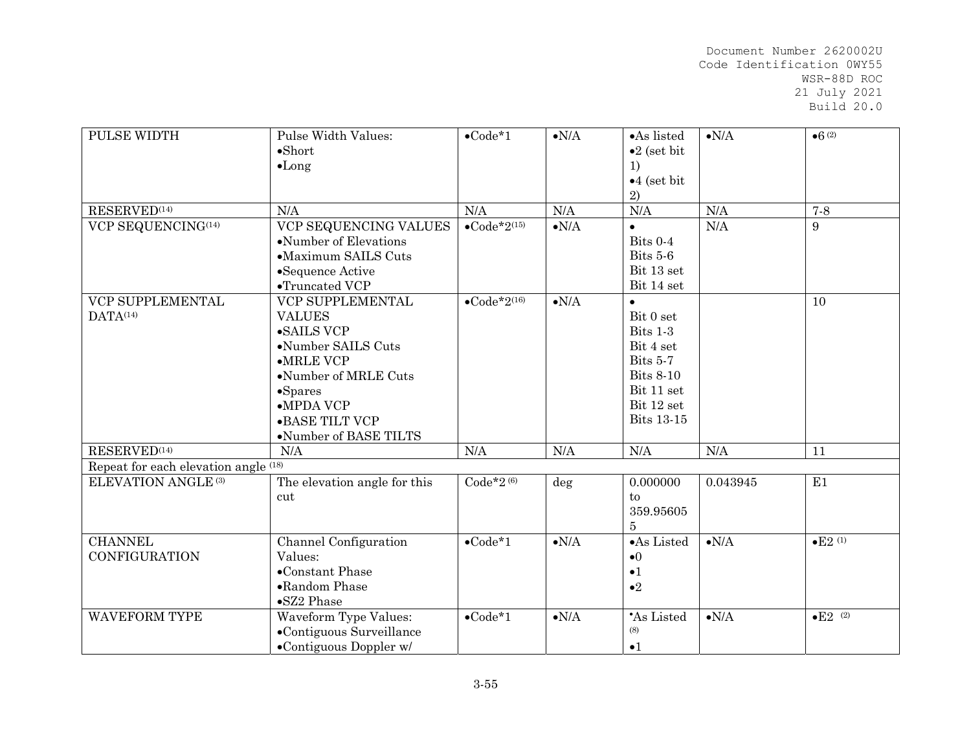| PULSE WIDTH                              | Pulse Width Values:<br>$\bullet$ Short<br>$\bullet$ Long                                                                                                                                                             | $\bullet$ Code*1                 | $\bullet{\rm N/A}$ | •As listed<br>$\bullet 2$ (set bit<br>1)<br>$•4$ (set bit<br>2)                                                                  | $\bullet{\rm N/A}$ | •6(2)              |
|------------------------------------------|----------------------------------------------------------------------------------------------------------------------------------------------------------------------------------------------------------------------|----------------------------------|--------------------|----------------------------------------------------------------------------------------------------------------------------------|--------------------|--------------------|
| $\text{RESERVED}\text{^{(14)}}$          | N/A                                                                                                                                                                                                                  | N/A                              | N/A                | N/A                                                                                                                              | N/A                | $7-8$              |
| VCP SEQUENCING(14)                       | VCP SEQUENCING VALUES<br>•Number of Elevations<br>•Maximum SAILS Cuts<br>•Sequence Active<br>$\bullet$ Truncated VCP                                                                                                 | $\bullet$ Code*2 <sup>(15)</sup> | $\bullet{\rm N/A}$ | $\bullet$<br>Bits 0-4<br>Bits 5-6<br>Bit 13 set<br>Bit 14 set                                                                    | N/A                | 9                  |
| VCP SUPPLEMENTAL<br>DATA <sup>(14)</sup> | VCP SUPPLEMENTAL<br><b>VALUES</b><br>$\bullet$ SAILS VCP<br>•Number SAILS Cuts<br>$\bullet$ MRLE VCP<br>•Number of MRLE Cuts<br>$-Sparses$<br>$\bullet$ MPDA VCP<br>$\bullet$ BASE TILT VCP<br>•Number of BASE TILTS | $\bullet$ Code*2 <sup>(16)</sup> | $\bullet{\rm N/A}$ | $\bullet$<br>Bit 0 set<br>Bits 1-3<br>Bit 4 set<br>Bits 5-7<br><b>Bits 8-10</b><br>Bit 11 set<br>Bit 12 set<br><b>Bits 13-15</b> |                    | 10                 |
| RESERVED <sup>(14)</sup>                 | N/A                                                                                                                                                                                                                  | N/A                              | N/A                | N/A                                                                                                                              | N/A                | 11                 |
| Repeat for each elevation angle (18)     |                                                                                                                                                                                                                      |                                  |                    |                                                                                                                                  |                    |                    |
| <b>ELEVATION ANGLE (3)</b>               | The elevation angle for this<br>cut                                                                                                                                                                                  | $Code*2(6)$                      | deg                | 0.000000<br>to<br>359.95605<br>$\overline{5}$                                                                                    | 0.043945           | E1                 |
| <b>CHANNEL</b><br><b>CONFIGURATION</b>   | Channel Configuration<br>Values:<br>$\bullet$ Constant Phase<br>•Random Phase<br>•SZ2 Phase                                                                                                                          | $\bullet$ Code*1                 | $\bullet{\rm N/A}$ | •As Listed<br>$\bullet$ <sup>0</sup><br>$\bullet$ 1<br>$\bullet 2$                                                               | $\bullet{\rm N/A}$ | •E2 <sup>(1)</sup> |
| <b>WAVEFORM TYPE</b>                     | <b>Waveform Type Values:</b><br>•Contiguous Surveillance<br>•Contiguous Doppler w/                                                                                                                                   | $\bullet$ Code*1                 | $\bullet{\rm N/A}$ | 'As Listed<br>(8)<br>$\bullet$ 1                                                                                                 | $\bullet{\rm N/A}$ | $\bullet$ E2 (2)   |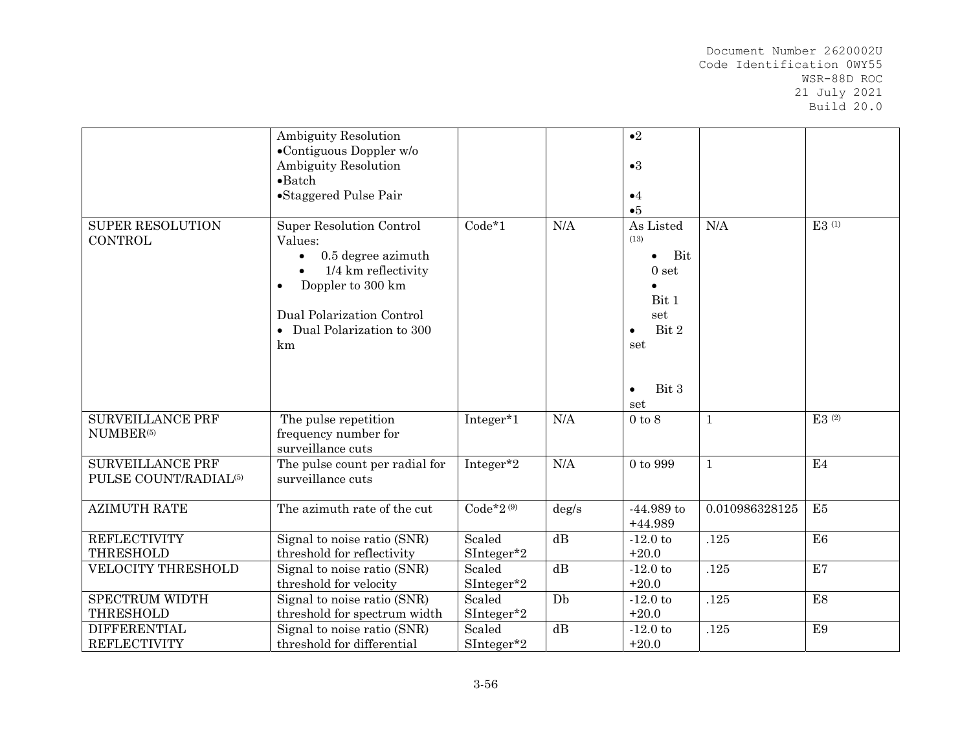|                                                              | <b>Ambiguity Resolution</b><br>$\bullet$ Contiguous Doppler w/o<br>Ambiguity Resolution<br>$\bullet$ Batch<br>•Staggered Pulse Pair                                           |                      |                 | $\bullet$ <sup>2</sup><br>$\bullet 3$<br>$\bullet$ 4<br>•5                                                                          |                |                     |
|--------------------------------------------------------------|-------------------------------------------------------------------------------------------------------------------------------------------------------------------------------|----------------------|-----------------|-------------------------------------------------------------------------------------------------------------------------------------|----------------|---------------------|
| <b>SUPER RESOLUTION</b><br><b>CONTROL</b>                    | <b>Super Resolution Control</b><br>Values:<br>0.5 degree azimuth<br>1/4 km reflectivity<br>Doppler to 300 km<br>Dual Polarization Control<br>• Dual Polarization to 300<br>km | $Code*1$             | N/A             | As Listed<br>(13)<br>Bit<br>$\bullet$<br>0 <sub>set</sub><br>Bit 1<br>set<br>Bit 2<br>$\bullet$<br>set<br>Bit 3<br>$\bullet$<br>set | N/A            | $E3$ <sup>(1)</sup> |
| <b>SURVEILLANCE PRF</b><br>NUMBER <sup>(5)</sup>             | The pulse repetition<br>frequency number for<br>surveillance cuts                                                                                                             | Integer*1            | N/A             | $0$ to $8$                                                                                                                          | $\mathbf{1}$   | $E3^{(2)}$          |
| <b>SURVEILLANCE PRF</b><br>PULSE COUNT/RADIAL <sup>(5)</sup> | The pulse count per radial for<br>surveillance cuts                                                                                                                           | Integer*2            | N/A             | 0 to 999                                                                                                                            | $\mathbf{1}$   | E4                  |
| <b>AZIMUTH RATE</b>                                          | The azimuth rate of the cut                                                                                                                                                   | $Code*2^{(9)}$       | $\deg/s$        | $-44.989$ to<br>$+44.989$                                                                                                           | 0.010986328125 | E <sub>5</sub>      |
| <b>REFLECTIVITY</b><br><b>THRESHOLD</b>                      | Signal to noise ratio (SNR)                                                                                                                                                   | Scaled               | $\overline{dB}$ | $-12.0$ to<br>$+20.0$                                                                                                               | .125           | E <sub>6</sub>      |
| <b>VELOCITY THRESHOLD</b>                                    | threshold for reflectivity<br>Signal to noise ratio (SNR)                                                                                                                     | SInteger*2<br>Scaled | dB              | $-12.0$ to                                                                                                                          | .125           | E7                  |
|                                                              | threshold for velocity                                                                                                                                                        | SInteger*2           |                 | $+20.0$                                                                                                                             |                |                     |
| <b>SPECTRUM WIDTH</b>                                        | Signal to noise ratio (SNR)                                                                                                                                                   | Scaled               | Db              | $-12.0$ to                                                                                                                          | .125           | E <sub>8</sub>      |
| <b>THRESHOLD</b>                                             | threshold for spectrum width                                                                                                                                                  | SInteger*2           |                 | $+20.0$                                                                                                                             |                |                     |
| <b>DIFFERENTIAL</b><br><b>REFLECTIVITY</b>                   | Signal to noise ratio (SNR)<br>threshold for differential                                                                                                                     | Scaled<br>SInteger*2 | dB              | $-12.0$ to<br>$+20.0$                                                                                                               | .125           | E <sub>9</sub>      |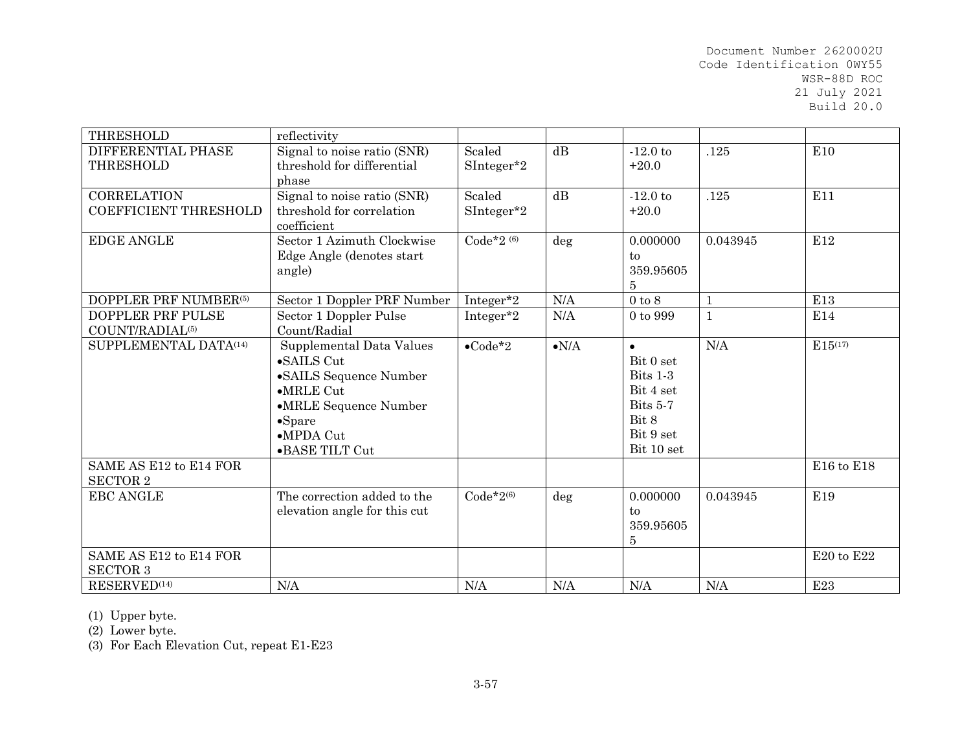| <b>THRESHOLD</b>             | reflectivity                 |                     |                    |                              |              |                 |
|------------------------------|------------------------------|---------------------|--------------------|------------------------------|--------------|-----------------|
| DIFFERENTIAL PHASE           | Signal to noise ratio (SNR)  | Scaled              | dB                 | $-12.0$ to                   | .125         | E10             |
| <b>THRESHOLD</b>             | threshold for differential   | SInteger*2          |                    | $+20.0$                      |              |                 |
|                              | phase                        |                     |                    |                              |              |                 |
| <b>CORRELATION</b>           | Signal to noise ratio (SNR)  | Scaled              | $\mathrm{dB}$      | $-12.0$ to                   | .125         | E11             |
| <b>COEFFICIENT THRESHOLD</b> | threshold for correlation    | $\text{SInteger*2}$ |                    | $+20.0$                      |              |                 |
|                              | coefficient                  |                     |                    |                              |              |                 |
| <b>EDGE ANGLE</b>            | Sector 1 Azimuth Clockwise   | Code*2 $(6)$        | deg                | 0.000000                     | 0.043945     | E12             |
|                              | Edge Angle (denotes start    |                     |                    | to                           |              |                 |
|                              | angle)                       |                     |                    | 359.95605                    |              |                 |
|                              |                              |                     |                    | 5                            |              |                 |
| DOPPLER PRF NUMBER(5)        | Sector 1 Doppler PRF Number  | Integer*2           | N/A                | $0$ to $8$                   | $\mathbf{1}$ | E13             |
| DOPPLER PRF PULSE            | Sector 1 Doppler Pulse       | Integer*2           | N/A                | 0 to 999                     | 1            | E14             |
| COUNT/RADIAL <sup>(5)</sup>  | Count/Radial                 |                     |                    |                              |              |                 |
| SUPPLEMENTAL DATA(14)        | Supplemental Data Values     | $\bullet$ Code*2    | $\bullet{\rm N/A}$ | $\bullet$                    | N/A          | $E15^{(17)}$    |
|                              | •SAILS Cut                   |                     |                    | Bit 0 set                    |              |                 |
|                              | •SAILS Sequence Number       |                     |                    | Bits 1-3                     |              |                 |
|                              | $\bullet$ MRLE Cut           |                     |                    | Bit 4 set                    |              |                 |
|                              | •MRLE Sequence Number        |                     |                    | Bits 5-7                     |              |                 |
|                              | $\bullet$ Spare              |                     |                    | Bit 8                        |              |                 |
|                              | $\bullet$ MPDA Cut           |                     |                    | Bit 9 set                    |              |                 |
|                              | •BASE TILT Cut               |                     |                    | ${\rm Bit}$ $10$ ${\rm set}$ |              |                 |
| SAME AS E12 to E14 FOR       |                              |                     |                    |                              |              | E16 to E18      |
| <b>SECTOR 2</b>              |                              |                     |                    |                              |              |                 |
| <b>EBC ANGLE</b>             | The correction added to the  | $Code*2^{(6)}$      | deg                | 0.000000                     | 0.043945     | E19             |
|                              | elevation angle for this cut |                     |                    | to                           |              |                 |
|                              |                              |                     |                    | 359.95605                    |              |                 |
|                              |                              |                     |                    | 5                            |              |                 |
| SAME AS E12 to E14 FOR       |                              |                     |                    |                              |              | E20 to E22      |
| <b>SECTOR 3</b>              |                              |                     |                    |                              |              |                 |
| RESERVED <sup>(14)</sup>     | N/A                          | N/A                 | N/A                | N/A                          | N/A          | E <sub>23</sub> |

(1) Upper byte.

(2) Lower byte.

(3) For Each Elevation Cut, repeat E1-E23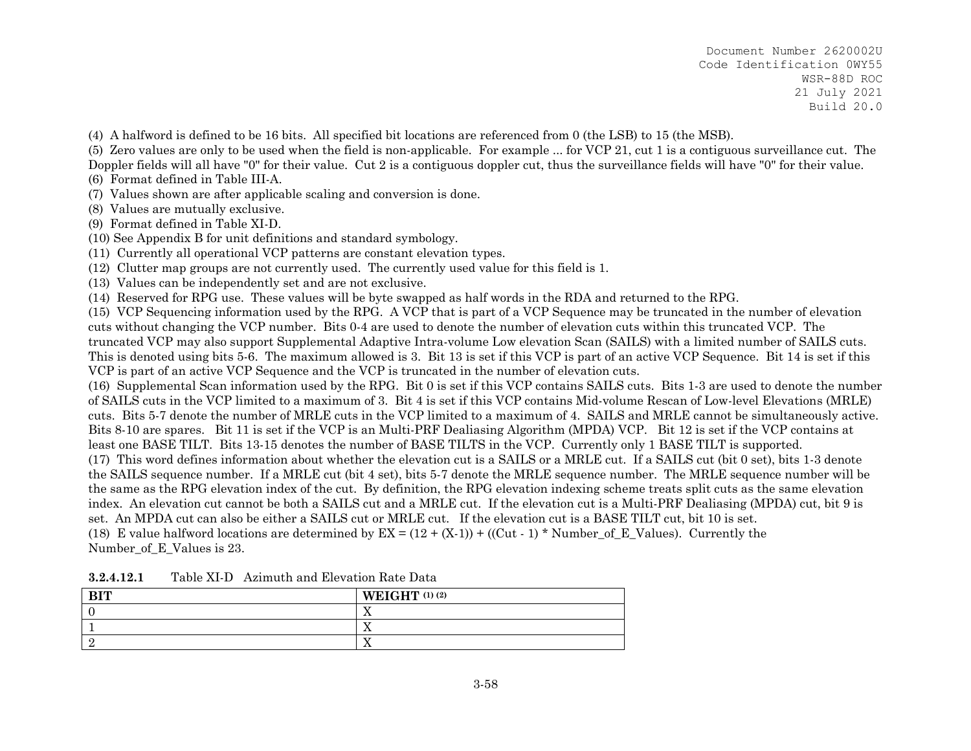- (4) A halfword is defined to be 16 bits. All specified bit locations are referenced from 0 (the LSB) to 15 (the MSB).
- (5) Zero values are only to be used when the field is non-applicable. For example ... for VCP 21, cut 1 is a contiguous surveillance cut. The Doppler fields will all have "0" for their value. Cut 2 is a contiguous doppler cut, thus the surveillance fields will have "0" for their value.
- (6) Format defined in Table III-A.
- (7) Values shown are after applicable scaling and conversion is done.
- (8) Values are mutually exclusive.
- (9) Format defined in Table XI-D.
- (10) See Appendix B for unit definitions and standard symbology.
- (11) Currently all operational VCP patterns are constant elevation types.
- (12) Clutter map groups are not currently used. The currently used value for this field is 1.
- (13) Values can be independently set and are not exclusive.
- (14) Reserved for RPG use. These values will be byte swapped as half words in the RDA and returned to the RPG.

(15) VCP Sequencing information used by the RPG. A VCP that is part of a VCP Sequence may be truncated in the number of elevation cuts without changing the VCP number. Bits 0-4 are used to denote the number of elevation cuts within this truncated VCP. The truncated VCP may also support Supplemental Adaptive Intra-volume Low elevation Scan (SAILS) with a limited number of SAILS cuts. This is denoted using bits 5-6. The maximum allowed is 3. Bit 13 is set if this VCP is part of an active VCP Sequence. Bit 14 is set if this VCP is part of an active VCP Sequence and the VCP is truncated in the number of elevation cuts.

(16) Supplemental Scan information used by the RPG. Bit 0 is set if this VCP contains SAILS cuts. Bits 1-3 are used to denote the number of SAILS cuts in the VCP limited to a maximum of 3. Bit 4 is set if this VCP contains Mid-volume Rescan of Low-level Elevations (MRLE) cuts. Bits 5-7 denote the number of MRLE cuts in the VCP limited to a maximum of 4. SAILS and MRLE cannot be simultaneously active. Bits 8-10 are spares. Bit 11 is set if the VCP is an Multi-PRF Dealiasing Algorithm (MPDA) VCP. Bit 12 is set if the VCP contains at least one BASE TILT. Bits 13-15 denotes the number of BASE TILTS in the VCP. Currently only 1 BASE TILT is supported. (17) This word defines information about whether the elevation cut is a SAILS or a MRLE cut. If a SAILS cut (bit 0 set), bits 1-3 denote

the SAILS sequence number. If a MRLE cut (bit 4 set), bits 5-7 denote the MRLE sequence number. The MRLE sequence number will be the same as the RPG elevation index of the cut. By definition, the RPG elevation indexing scheme treats split cuts as the same elevation index. An elevation cut cannot be both a SAILS cut and a MRLE cut. If the elevation cut is a Multi-PRF Dealiasing (MPDA) cut, bit 9 is set. An MPDA cut can also be either a SAILS cut or MRLE cut. If the elevation cut is a BASE TILT cut, bit 10 is set.

(18) E value halfword locations are determined by  $EX = (12 + (X-1)) + ((Cut - 1) * Number of E Values)$ . Currently the Number\_of\_E\_Values is 23.

| $n_{\rm T}$ | WEIGHT $(1)$ $(2)$       |
|-------------|--------------------------|
|             | . .                      |
|             | $\overline{\phantom{a}}$ |
|             |                          |

**3.2.4.12.1**Table XI-D Azimuth and Elevation Rate Data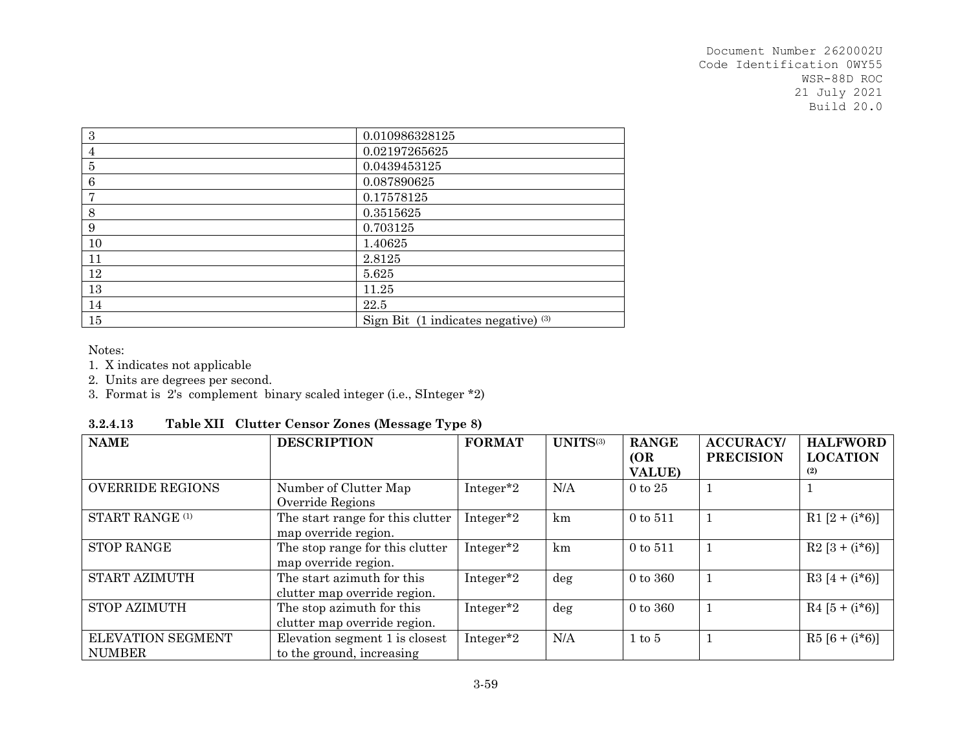| $\sqrt{3}$      | 0.010986328125                      |
|-----------------|-------------------------------------|
| $\overline{4}$  | 0.02197265625                       |
| 5               | 0.0439453125                        |
| $6\phantom{1}6$ | 0.087890625                         |
| 7               | 0.17578125                          |
| 8               | 0.3515625                           |
| 9               | 0.703125                            |
| 10              | 1.40625                             |
| 11              | 2.8125                              |
| 12              | 5.625                               |
| 13              | 11.25                               |
| 14              | 22.5                                |
| 15              | Sign Bit (1 indicates negative) (3) |

Notes:

1. X indicates not applicable

2. Units are degrees per second.

3. Format is 2's complement binary scaled integer (i.e., SInteger \*2)

| 3.2.4.13 |  | Table XII Clutter Censor Zones (Message Type 8) |  |
|----------|--|-------------------------------------------------|--|
|----------|--|-------------------------------------------------|--|

| <b>NAME</b>                               | <b>DESCRIPTION</b>                                          | <b>FORMAT</b>         | UNITS(3) | <b>RANGE</b><br>(OR<br><b>VALUE</b> ) | <b>ACCURACY/</b><br><b>PRECISION</b> | <b>HALFWORD</b><br><b>LOCATION</b><br>(2) |
|-------------------------------------------|-------------------------------------------------------------|-----------------------|----------|---------------------------------------|--------------------------------------|-------------------------------------------|
| <b>OVERRIDE REGIONS</b>                   | Number of Clutter Map<br>Override Regions                   | Integer <sup>*2</sup> | N/A      | $0$ to $25$                           |                                      |                                           |
| START RANGE <sup>(1)</sup>                | The start range for this clutter<br>map override region.    | Integer <sup>*2</sup> | km       | $0 \text{ to } 511$                   |                                      | R1 $[2 + (i*6)]$                          |
| <b>STOP RANGE</b>                         | The stop range for this clutter<br>map override region.     | Integer <sup>*2</sup> | km       | $0 \text{ to } 511$                   |                                      | $R2 [3 + (i*6)]$                          |
| START AZIMUTH                             | The start azimuth for this<br>clutter map override region.  | Integer <sup>*2</sup> | $\deg$   | $0 \text{ to } 360$                   |                                      | $R3 [4 + (i*6)]$                          |
| <b>STOP AZIMUTH</b>                       | The stop azimuth for this<br>clutter map override region.   | Integer <sup>*2</sup> | deg      | $0 \text{ to } 360$                   |                                      | $R4 [5 + (i*6)]$                          |
| <b>ELEVATION SEGMENT</b><br><b>NUMBER</b> | Elevation segment 1 is closest<br>to the ground, increasing | Integer*2             | N/A      | $1 \text{ to } 5$                     |                                      | $R5 [6 + (i*6)]$                          |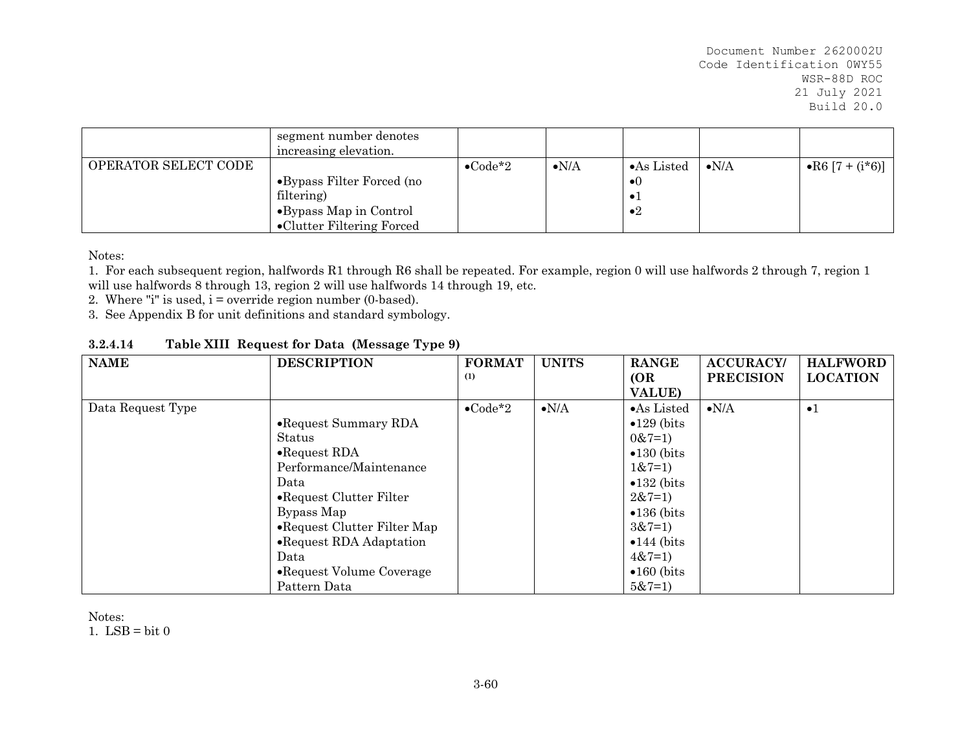|                      | segment number denotes<br>increasing elevation. |                  |               |                     |                     |                  |
|----------------------|-------------------------------------------------|------------------|---------------|---------------------|---------------------|------------------|
| OPERATOR SELECT CODE |                                                 | $\bullet$ Code*2 | $\bullet N/A$ | $\bullet$ As Listed | $\bullet\text{N/A}$ | • R6 [7 + (i*6)] |
|                      | •Bypass Filter Forced (no                       |                  |               | $\bullet()$         |                     |                  |
|                      | filtering)                                      |                  |               | $\bullet$           |                     |                  |
|                      | •Bypass Map in Control                          |                  |               | $\bullet 2$         |                     |                  |
|                      | •Clutter Filtering Forced                       |                  |               |                     |                     |                  |

Notes:

1. For each subsequent region, halfwords R1 through R6 shall be repeated. For example, region 0 will use halfwords 2 through 7, region 1 will use halfwords 8 through 13, region 2 will use halfwords 14 through 19, etc.

2. Where "i" is used,  $i =$  override region number (0-based).

3. See Appendix B for unit definitions and standard symbology.

| 3.2.4.14 | Table XIII Request for Data (Message Type 9) |  |
|----------|----------------------------------------------|--|
|----------|----------------------------------------------|--|

| <b>NAME</b>       | <b>DESCRIPTION</b>           | <b>FORMAT</b>    | <b>UNITS</b>  | <b>RANGE</b>         | <b>ACCURACY/</b> | <b>HALFWORD</b> |
|-------------------|------------------------------|------------------|---------------|----------------------|------------------|-----------------|
|                   |                              | (1)              |               | <b>(OR</b>           | <b>PRECISION</b> | <b>LOCATION</b> |
|                   |                              |                  |               | <b>VALUE</b> )       |                  |                 |
| Data Request Type |                              | $\bullet$ Code*2 | $\bullet N/A$ | $\bullet$ As Listed  | $\bullet N/A$    | $\bullet$ 1     |
|                   | • Request Summary RDA        |                  |               | $\bullet$ 129 (bits) |                  |                 |
|                   | Status                       |                  |               | $0&7=1$              |                  |                 |
|                   | $\bullet$ Request RDA        |                  |               | $\bullet$ 130 (bits) |                  |                 |
|                   | Performance/Maintenance      |                  |               | $1&7=1$              |                  |                 |
|                   | Data                         |                  |               | $\bullet$ 132 (bits) |                  |                 |
|                   | • Request Clutter Filter     |                  |               | $2&7=1$              |                  |                 |
|                   | Bypass Map                   |                  |               | $\bullet$ 136 (bits) |                  |                 |
|                   | • Request Clutter Filter Map |                  |               | $3&7=1$              |                  |                 |
|                   | • Request RDA Adaptation     |                  |               | $\bullet$ 144 (bits) |                  |                 |
|                   | Data                         |                  |               | $4&7=1$              |                  |                 |
|                   | • Request Volume Coverage    |                  |               | $\bullet$ 160 (bits) |                  |                 |
|                   | Pattern Data                 |                  |               | $5&7=1$              |                  |                 |

Notes:

1. LSB = bit  $0$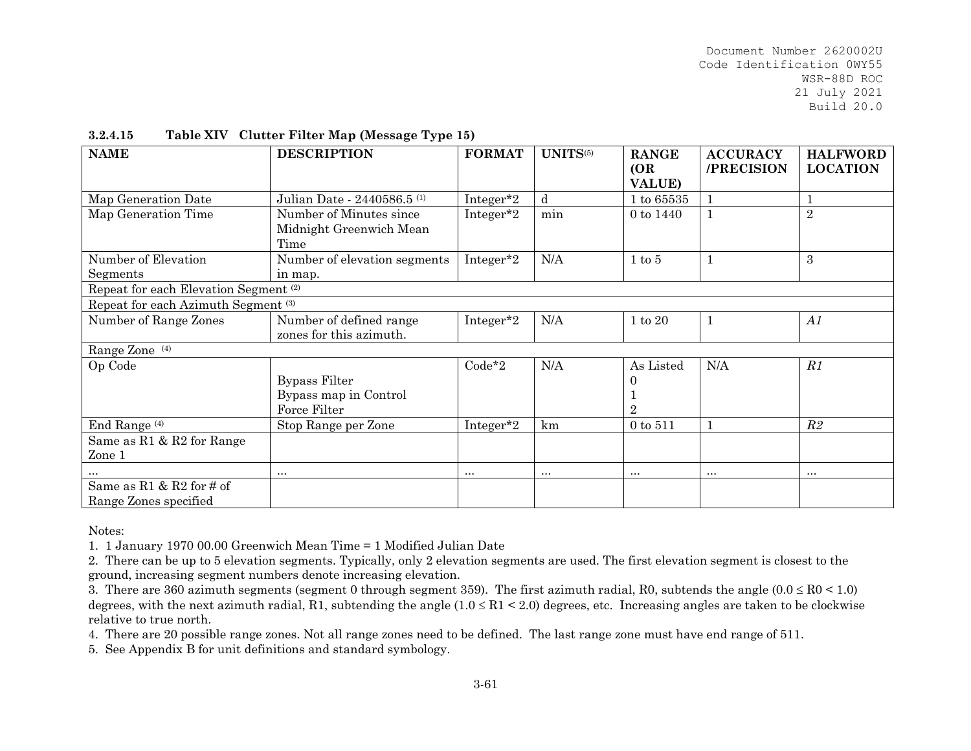| <b>NAME</b>                                      | <b>DESCRIPTION</b>                     | <b>FORMAT</b>         | UNITS(5)  | <b>RANGE</b><br>(OR) | <b>ACCURACY</b><br>/PRECISION | <b>HALFWORD</b><br><b>LOCATION</b> |
|--------------------------------------------------|----------------------------------------|-----------------------|-----------|----------------------|-------------------------------|------------------------------------|
|                                                  |                                        |                       |           | <b>VALUE)</b>        |                               |                                    |
| Map Generation Date                              | Julian Date - 2440586.5 <sup>(1)</sup> | Integer*2             | d         | $1$ to $65535$       |                               |                                    |
| Map Generation Time                              | Number of Minutes since                | Integer <sup>*2</sup> | min       | 0 to 1440            | $\mathbf{1}$                  | $\sqrt{2}$                         |
|                                                  | Midnight Greenwich Mean                |                       |           |                      |                               |                                    |
|                                                  | Time                                   |                       |           |                      |                               |                                    |
| Number of Elevation                              | Number of elevation segments           | Integer*2             | N/A       | $1 \text{ to } 5$    | 1                             | 3                                  |
| Segments                                         | in map.                                |                       |           |                      |                               |                                    |
| Repeat for each Elevation Segment <sup>(2)</sup> |                                        |                       |           |                      |                               |                                    |
| Repeat for each Azimuth Segment <sup>(3)</sup>   |                                        |                       |           |                      |                               |                                    |
| Number of Range Zones                            | Number of defined range                | Integer <sup>*2</sup> | N/A       | $1 \text{ to } 20$   | $\mathbf{1}$                  | A1                                 |
|                                                  | zones for this azimuth.                |                       |           |                      |                               |                                    |
| Range Zone (4)                                   |                                        |                       |           |                      |                               |                                    |
| Op Code                                          |                                        | $Code*2$              | N/A       | As Listed            | N/A                           | R1                                 |
|                                                  | Bypass Filter                          |                       |           |                      |                               |                                    |
|                                                  | Bypass map in Control                  |                       |           |                      |                               |                                    |
|                                                  | Force Filter                           |                       |           | $\overline{2}$       |                               |                                    |
| End Range <sup>(4)</sup>                         | Stop Range per Zone                    | Integer*2             | km        | 0 to 511             |                               | R2                                 |
| Same as $R1 & R2$ for Range                      |                                        |                       |           |                      |                               |                                    |
| Zone 1                                           |                                        |                       |           |                      |                               |                                    |
|                                                  | $\cdots$                               | $\cdots$              | $\ddotsc$ | $\cdots$             | $\cdots$                      | $\cdots$                           |
| Same as $R1 & R2$ for # of                       |                                        |                       |           |                      |                               |                                    |
| Range Zones specified                            |                                        |                       |           |                      |                               |                                    |

### **3.2.4.15Table XIV Clutter Filter Map (Message Type 15)**

Notes:

1. 1 January 1970 00.00 Greenwich Mean Time = 1 Modified Julian Date

2. There can be up to 5 elevation segments. Typically, only 2 elevation segments are used. The first elevation segment is closest to the ground, increasing segment numbers denote increasing elevation.

4. There are 20 possible range zones. Not all range zones need to be defined. The last range zone must have end range of 511.

5. See Appendix B for unit definitions and standard symbology.

<sup>3.</sup> There are 360 azimuth segments (segment 0 through segment 359). The first azimuth radial, R0, subtends the angle  $(0.0 \leq R0 \leq 1.0)$ degrees, with the next azimuth radial, R1, subtending the angle  $(1.0 \le R1 \le 2.0)$  degrees, etc. Increasing angles are taken to be clockwise relative to true north.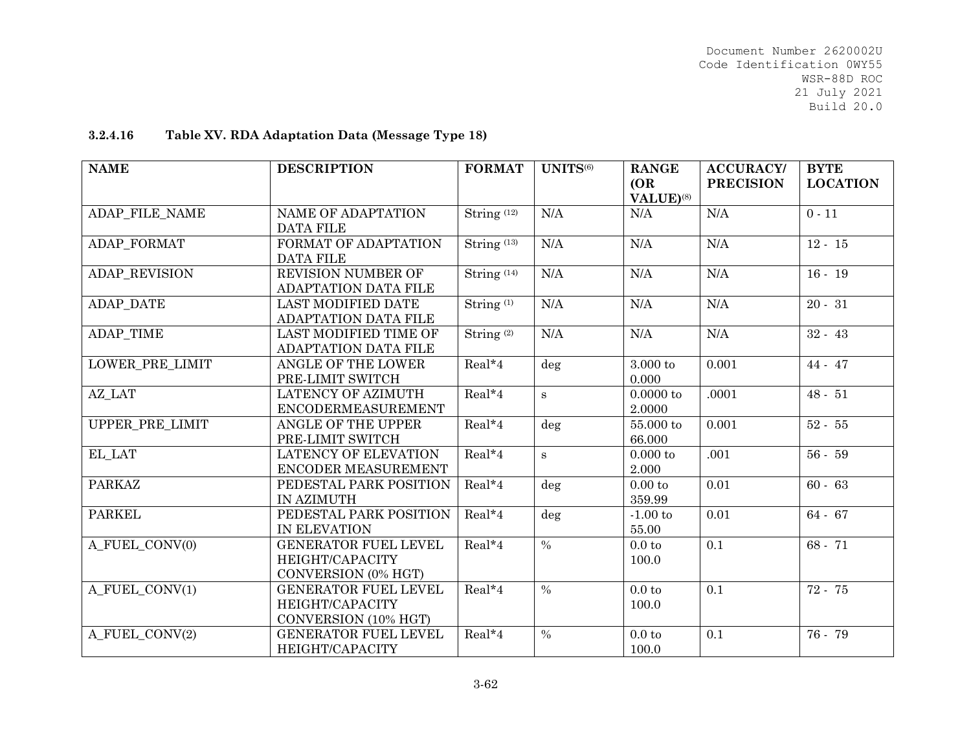# **3.2.4.16Table XV. RDA Adaptation Data (Message Type 18)**

| <b>NAME</b>            | <b>DESCRIPTION</b>                                                     | <b>FORMAT</b>                   | UNITS <sup>(6)</sup>     | <b>RANGE</b><br>(OR)<br>VALUE) <sup>(8)</sup> | <b>ACCURACY/</b><br><b>PRECISION</b> | <b>BYTE</b><br><b>LOCATION</b> |
|------------------------|------------------------------------------------------------------------|---------------------------------|--------------------------|-----------------------------------------------|--------------------------------------|--------------------------------|
| ADAP FILE NAME         | NAME OF ADAPTATION<br><b>DATA FILE</b>                                 | String <sup>(12)</sup>          | N/A                      | N/A                                           | N/A                                  | $0 - 11$                       |
| ADAP FORMAT            | FORMAT OF ADAPTATION<br><b>DATA FILE</b>                               | String <sup>(13)</sup>          | N/A                      | N/A                                           | N/A                                  | $12 - 15$                      |
| ADAP_REVISION          | REVISION NUMBER OF<br>ADAPTATION DATA FILE                             | $\overline{\text{String}}$ (14) | N/A                      | N/A                                           | N/A                                  | $16 - 19$                      |
| ADAP_DATE              | <b>LAST MODIFIED DATE</b><br>ADAPTATION DATA FILE                      | String <sup>(1)</sup>           | N/A                      | N/A                                           | N/A                                  | $20 - 31$                      |
| ADAP_TIME              | LAST MODIFIED TIME OF<br>ADAPTATION DATA FILE                          | String <sup>(2)</sup>           | N/A                      | N/A                                           | N/A                                  | $32 - 43$                      |
| <b>LOWER PRE LIMIT</b> | <b>ANGLE OF THE LOWER</b><br>PRE-LIMIT SWITCH                          | $Real*4$                        | $\deg$                   | $3.000$ to<br>0.000                           | 0.001                                | 44 - 47                        |
| AZ LAT                 | LATENCY OF AZIMUTH<br><b>ENCODERMEASUREMENT</b>                        | Real*4                          | $\mathbf{s}$             | 0.0000 to<br>2.0000                           | .0001                                | $48 - 51$                      |
| UPPER_PRE_LIMIT        | ANGLE OF THE UPPER<br>PRE-LIMIT SWITCH                                 | Real*4                          | deg                      | 55.000 to<br>66.000                           | 0.001                                | $52 - 55$                      |
| EL LAT                 | <b>LATENCY OF ELEVATION</b><br>ENCODER MEASUREMENT                     | Real*4                          | $\mathbf s$              | $0.000$ to<br>2.000                           | .001                                 | $56 - 59$                      |
| <b>PARKAZ</b>          | PEDESTAL PARK POSITION<br>IN AZIMUTH                                   | Real*4                          | deg                      | 0.00 to<br>359.99                             | 0.01                                 | $60 - 63$                      |
| <b>PARKEL</b>          | PEDESTAL PARK POSITION<br>IN ELEVATION                                 | Real*4                          | deg                      | $-1.00$ to<br>55.00                           | 0.01                                 | $64 - 67$                      |
| A FUEL CONV(0)         | <b>GENERATOR FUEL LEVEL</b><br>HEIGHT/CAPACITY<br>CONVERSION (0% HGT)  | Real*4                          | $\overline{\frac{0}{6}}$ | 0.0 <sub>to</sub><br>100.0                    | 0.1                                  | $68 - 71$                      |
| A_FUEL_CONV(1)         | <b>GENERATOR FUEL LEVEL</b><br>HEIGHT/CAPACITY<br>CONVERSION (10% HGT) | Real*4                          | $\overline{\frac{0}{6}}$ | 0.0 <sub>to</sub><br>100.0                    | 0.1                                  | 72 - 75                        |
| A_FUEL_CONV(2)         | <b>GENERATOR FUEL LEVEL</b><br>HEIGHT/CAPACITY                         | Real*4                          | $\%$                     | 0.0 <sub>to</sub><br>100.0                    | 0.1                                  | 76 - 79                        |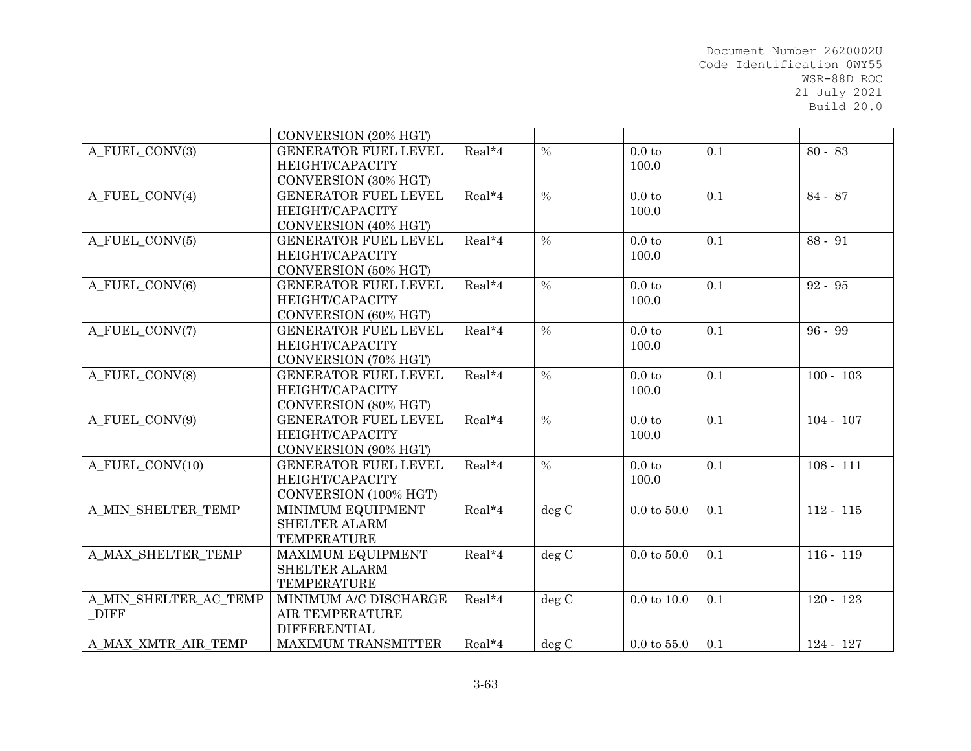|                       | CONVERSION (20% HGT)        |          |               |                        |     |             |
|-----------------------|-----------------------------|----------|---------------|------------------------|-----|-------------|
| A FUEL CONV(3)        | <b>GENERATOR FUEL LEVEL</b> | $Real*4$ | $\frac{0}{0}$ | 0.0 <sub>to</sub>      | 0.1 | $80 - 83$   |
|                       | HEIGHT/CAPACITY             |          |               | 100.0                  |     |             |
|                       | CONVERSION (30% HGT)        |          |               |                        |     |             |
| A FUEL CONV(4)        | <b>GENERATOR FUEL LEVEL</b> | Real*4   | $\frac{0}{0}$ | 0.0 <sub>to</sub>      | 0.1 | 84 - 87     |
|                       | HEIGHT/CAPACITY             |          |               | 100.0                  |     |             |
|                       | CONVERSION (40% HGT)        |          |               |                        |     |             |
| A_FUEL_CONV(5)        | <b>GENERATOR FUEL LEVEL</b> | $Real*4$ | $\frac{0}{0}$ | 0.0 <sub>to</sub>      | 0.1 | 88 - 91     |
|                       | HEIGHT/CAPACITY             |          |               | 100.0                  |     |             |
|                       | CONVERSION (50% HGT)        |          |               |                        |     |             |
| A FUEL CONV(6)        | <b>GENERATOR FUEL LEVEL</b> | Real*4   | $\frac{0}{0}$ | 0.0 <sub>to</sub>      | 0.1 | $92 - 95$   |
|                       | HEIGHT/CAPACITY             |          |               | 100.0                  |     |             |
|                       | CONVERSION (60% HGT)        |          |               |                        |     |             |
| A FUEL CONV(7)        | <b>GENERATOR FUEL LEVEL</b> | Real*4   | $\frac{0}{0}$ | 0.0 <sub>to</sub>      | 0.1 | 96 - 99     |
|                       | HEIGHT/CAPACITY             |          |               | 100.0                  |     |             |
|                       | CONVERSION (70% HGT)        |          |               |                        |     |             |
| A FUEL CONV(8)        | <b>GENERATOR FUEL LEVEL</b> | Real*4   | $\frac{0}{0}$ | 0.0 <sub>to</sub>      | 0.1 | $100 - 103$ |
|                       | HEIGHT/CAPACITY             |          |               | 100.0                  |     |             |
|                       | CONVERSION (80% HGT)        |          |               |                        |     |             |
| A FUEL CONV(9)        | <b>GENERATOR FUEL LEVEL</b> | $Real*4$ | $\frac{0}{0}$ | 0.0 <sub>to</sub>      | 0.1 | $104 - 107$ |
|                       | HEIGHT/CAPACITY             |          |               | 100.0                  |     |             |
|                       | CONVERSION (90% HGT)        |          |               |                        |     |             |
| A FUEL CONV(10)       | <b>GENERATOR FUEL LEVEL</b> | $Real*4$ | $\frac{0}{0}$ | 0.0 <sub>to</sub>      | 0.1 | $108 - 111$ |
|                       | HEIGHT/CAPACITY             |          |               | 100.0                  |     |             |
|                       | CONVERSION (100% HGT)       |          |               |                        |     |             |
| A MIN SHELTER TEMP    | MINIMUM EQUIPMENT           | Real*4   | deg C         | $0.0 \text{ to } 50.0$ | 0.1 | $112 - 115$ |
|                       | <b>SHELTER ALARM</b>        |          |               |                        |     |             |
|                       | <b>TEMPERATURE</b>          |          |               |                        |     |             |
| A MAX SHELTER TEMP    | <b>MAXIMUM EQUIPMENT</b>    | Real*4   | deg C         | $0.0 \text{ to } 50.0$ | 0.1 | $116 - 119$ |
|                       | <b>SHELTER ALARM</b>        |          |               |                        |     |             |
|                       | <b>TEMPERATURE</b>          |          |               |                        |     |             |
| A MIN SHELTER AC TEMP | MINIMUM A/C DISCHARGE       | Real*4   | deg C         | $0.0 \text{ to } 10.0$ | 0.1 | $120 - 123$ |
| DIFF                  | <b>AIR TEMPERATURE</b>      |          |               |                        |     |             |
|                       | <b>DIFFERENTIAL</b>         |          |               |                        |     |             |
| A MAX XMTR AIR TEMP   | <b>MAXIMUM TRANSMITTER</b>  | $Real*4$ | deg C         | $0.0 \text{ to } 55.0$ | 0.1 | $124 - 127$ |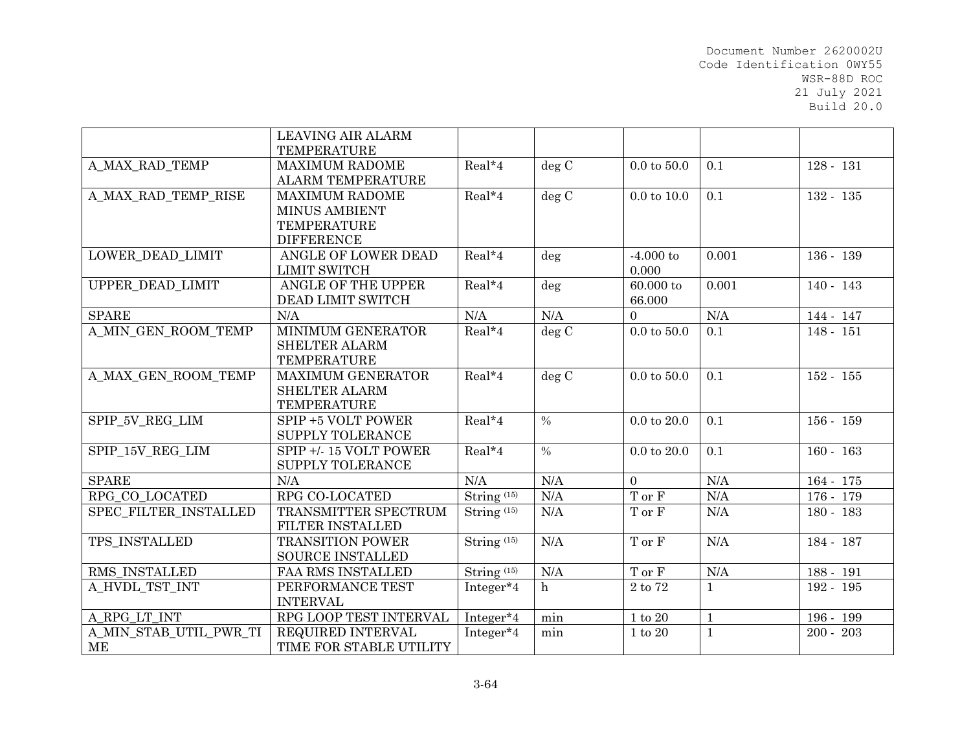|                         | <b>LEAVING AIR ALARM</b> |                        |               |                              |              |             |
|-------------------------|--------------------------|------------------------|---------------|------------------------------|--------------|-------------|
|                         | <b>TEMPERATURE</b>       |                        |               |                              |              |             |
| A MAX RAD TEMP          | <b>MAXIMUM RADOME</b>    | $Real*4$               | deg C         | $0.0 \text{ to } 50.0$       | 0.1          | $128 - 131$ |
|                         | <b>ALARM TEMPERATURE</b> |                        |               |                              |              |             |
| A_MAX_RAD_TEMP_RISE     | <b>MAXIMUM RADOME</b>    | Real*4                 | deg C         | $0.0 \text{ to } 10.0$       | 0.1          | $132 - 135$ |
|                         | <b>MINUS AMBIENT</b>     |                        |               |                              |              |             |
|                         | <b>TEMPERATURE</b>       |                        |               |                              |              |             |
|                         | <b>DIFFERENCE</b>        |                        |               |                              |              |             |
| <b>LOWER DEAD LIMIT</b> | ANGLE OF LOWER DEAD      | Real*4                 | $\deg$        | $-4.000$ to                  | 0.001        | $136 - 139$ |
|                         | <b>LIMIT SWITCH</b>      |                        |               | 0.000                        |              |             |
| UPPER DEAD LIMIT        | ANGLE OF THE UPPER       | Real*4                 | deg           | 60.000 to                    | 0.001        | $140 - 143$ |
|                         | DEAD LIMIT SWITCH        |                        |               | 66.000                       |              |             |
| <b>SPARE</b>            | N/A                      | N/A                    | N/A           | $\Omega$                     | N/A          | 144 - 147   |
| A_MIN_GEN_ROOM_TEMP     | MINIMUM GENERATOR        | Real*4                 | deg C         | $0.0 \text{ to } 50.0$       | 0.1          | $148 - 151$ |
|                         | <b>SHELTER ALARM</b>     |                        |               |                              |              |             |
|                         | <b>TEMPERATURE</b>       |                        |               |                              |              |             |
| A MAX GEN ROOM TEMP     | <b>MAXIMUM GENERATOR</b> | Real*4                 | deg C         | $0.0 \text{ to } 50.0$       | 0.1          | $152 - 155$ |
|                         | <b>SHELTER ALARM</b>     |                        |               |                              |              |             |
|                         | <b>TEMPERATURE</b>       |                        |               |                              |              |             |
| SPIP 5V REG LIM         | SPIP +5 VOLT POWER       | $Real*4$               | $\frac{0}{0}$ | $0.0 \text{ to } 20.0$       | 0.1          | $156 - 159$ |
|                         | SUPPLY TOLERANCE         |                        |               |                              |              |             |
| SPIP 15V REG LIM        | SPIP +/-15 VOLT POWER    | Real*4                 | $\%$          | $0.0$ to $20.0$              | 0.1          | $160 - 163$ |
|                         | SUPPLY TOLERANCE         |                        |               |                              |              |             |
| <b>SPARE</b>            | N/A                      | N/A                    | N/A           | $\overline{0}$               | N/A          | 164 - 175   |
| RPG CO LOCATED          | RPG CO-LOCATED           | String <sup>(15)</sup> | N/A           | $\mathcal T$ or $\mathcal F$ | N/A          | 176 - 179   |
| SPEC FILTER INSTALLED   | TRANSMITTER SPECTRUM     | String <sup>(15)</sup> | N/A           | T or F                       | N/A          | $180 - 183$ |
|                         | FILTER INSTALLED         |                        |               |                              |              |             |
| TPS INSTALLED           | <b>TRANSITION POWER</b>  | String <sup>(15)</sup> | N/A           | T or F                       | N/A          | 184 - 187   |
|                         | <b>SOURCE INSTALLED</b>  |                        |               |                              |              |             |
| RMS INSTALLED           | FAA RMS INSTALLED        | String <sup>(15)</sup> | N/A           | $\mathcal T$ or $\mathcal F$ | N/A          | 188 - 191   |
| A HVDL TST INT          | PERFORMANCE TEST         | Integer*4              | h             | $2$ to $72\,$                | $\mathbf{1}$ | 192 - 195   |
|                         | <b>INTERVAL</b>          |                        |               |                              |              |             |
| A RPG LT INT            | RPG LOOP TEST INTERVAL   | Integer*4              | min           | $1$ to $20$                  | $\mathbf{1}$ | 196 - 199   |
| A MIN STAB UTIL PWR TI  | REQUIRED INTERVAL        | Integer*4              | min           | $1$ to $20\,$                | $\mathbf{1}$ | $200 - 203$ |
| MЕ                      | TIME FOR STABLE UTILITY  |                        |               |                              |              |             |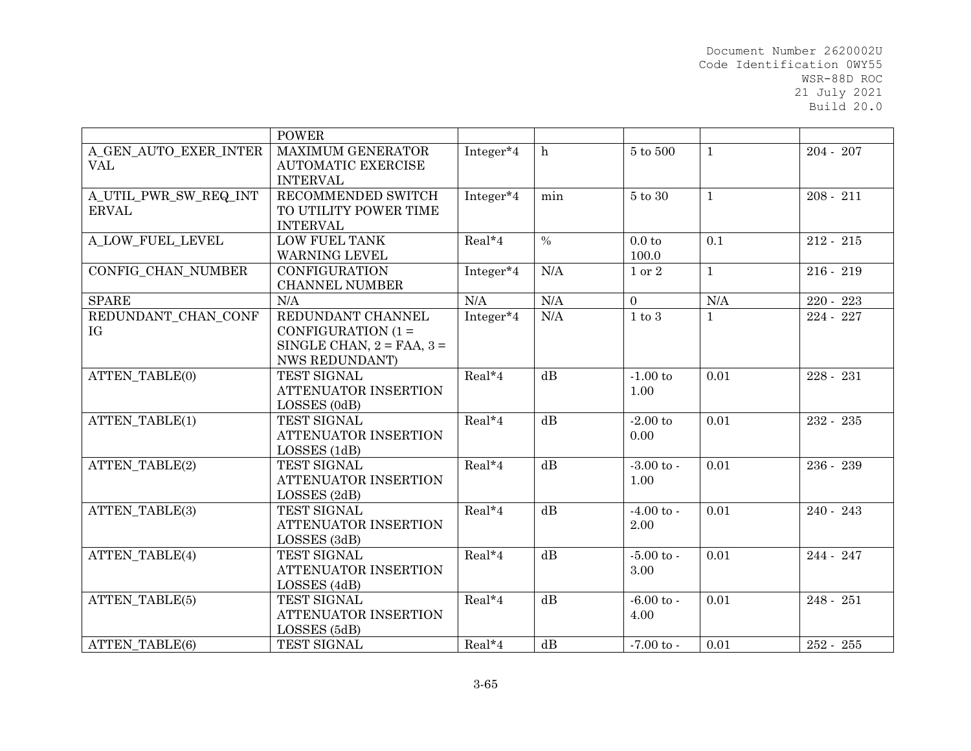|                       | <b>POWER</b>                   |           |               |                       |              |             |
|-----------------------|--------------------------------|-----------|---------------|-----------------------|--------------|-------------|
| A GEN AUTO EXER INTER | <b>MAXIMUM GENERATOR</b>       | Integer*4 | h             | 5 to 500              | $\mathbf{1}$ | $204 - 207$ |
| <b>VAL</b>            | <b>AUTOMATIC EXERCISE</b>      |           |               |                       |              |             |
|                       | <b>INTERVAL</b>                |           |               |                       |              |             |
| A_UTIL_PWR_SW_REQ_INT | RECOMMENDED SWITCH             | Integer*4 | min           | $5$ to $30$           | $\mathbf{1}$ | $208 - 211$ |
| <b>ERVAL</b>          | TO UTILITY POWER TIME          |           |               |                       |              |             |
|                       | <b>INTERVAL</b>                |           |               |                       |              |             |
| A LOW FUEL LEVEL      | <b>LOW FUEL TANK</b>           | Real*4    | $\frac{0}{0}$ | 0.0 <sub>to</sub>     | 0.1          | $212 - 215$ |
|                       | <b>WARNING LEVEL</b>           |           |               | 100.0                 |              |             |
| CONFIG CHAN NUMBER    | <b>CONFIGURATION</b>           | Integer*4 | N/A           | 1 or 2                | $\mathbf{1}$ | $216 - 219$ |
|                       | <b>CHANNEL NUMBER</b>          |           |               |                       |              |             |
| <b>SPARE</b>          | N/A                            | N/A       | N/A           | $\Omega$              | N/A          | 220 - 223   |
| REDUNDANT_CHAN_CONF   | REDUNDANT CHANNEL              | Integer*4 | N/A           | $1$ to $3$            | $\mathbf{1}$ | 224 - 227   |
| IG                    | CONFIGURATION $(1 =$           |           |               |                       |              |             |
|                       | SINGLE CHAN, $2 = FAA$ , $3 =$ |           |               |                       |              |             |
|                       | <b>NWS REDUNDANT)</b>          |           |               |                       |              |             |
| <b>ATTEN TABLE(0)</b> | TEST SIGNAL                    | $Real*4$  | dB            | $-1.00$ to            | 0.01         | $228 - 231$ |
|                       | ATTENUATOR INSERTION           |           |               | 1.00                  |              |             |
|                       | LOSSES (0dB)                   |           |               |                       |              |             |
| ATTEN_TABLE(1)        | TEST SIGNAL                    | Real*4    | dB            | $-2.00$ to            | 0.01         | 232 - 235   |
|                       | ATTENUATOR INSERTION           |           |               | 0.00                  |              |             |
|                       | LOSSES (1dB)                   |           |               |                       |              |             |
| <b>ATTEN TABLE(2)</b> | TEST SIGNAL                    | Real*4    | dB            | $-3.00$ to $-$        | 0.01         | 236 - 239   |
|                       | ATTENUATOR INSERTION           |           |               | 1.00                  |              |             |
|                       | LOSSES (2dB)                   |           |               |                       |              |             |
| <b>ATTEN TABLE(3)</b> | TEST SIGNAL                    | Real*4    | dB            | $-4.00 \text{ to } -$ | 0.01         | $240 - 243$ |
|                       | ATTENUATOR INSERTION           |           |               | 2.00                  |              |             |
|                       | LOSSES (3dB)                   |           |               |                       |              |             |
| <b>ATTEN TABLE(4)</b> | TEST SIGNAL                    | Real*4    | dB            | $-5.00$ to $-$        | 0.01         | 244 - 247   |
|                       | ATTENUATOR INSERTION           |           |               | 3.00                  |              |             |
|                       | LOSSES (4dB)                   |           |               |                       |              |             |
| <b>ATTEN TABLE(5)</b> | TEST SIGNAL                    | Real*4    | dB            | $-6.00$ to $-$        | 0.01         | $248 - 251$ |
|                       | ATTENUATOR INSERTION           |           |               | 4.00                  |              |             |
|                       | LOSSES (5dB)                   |           |               |                       |              |             |
| ATTEN TABLE(6)        | TEST SIGNAL                    | $Real*4$  | dB            | $-7.00 \text{ to }$   | 0.01         | 252 - 255   |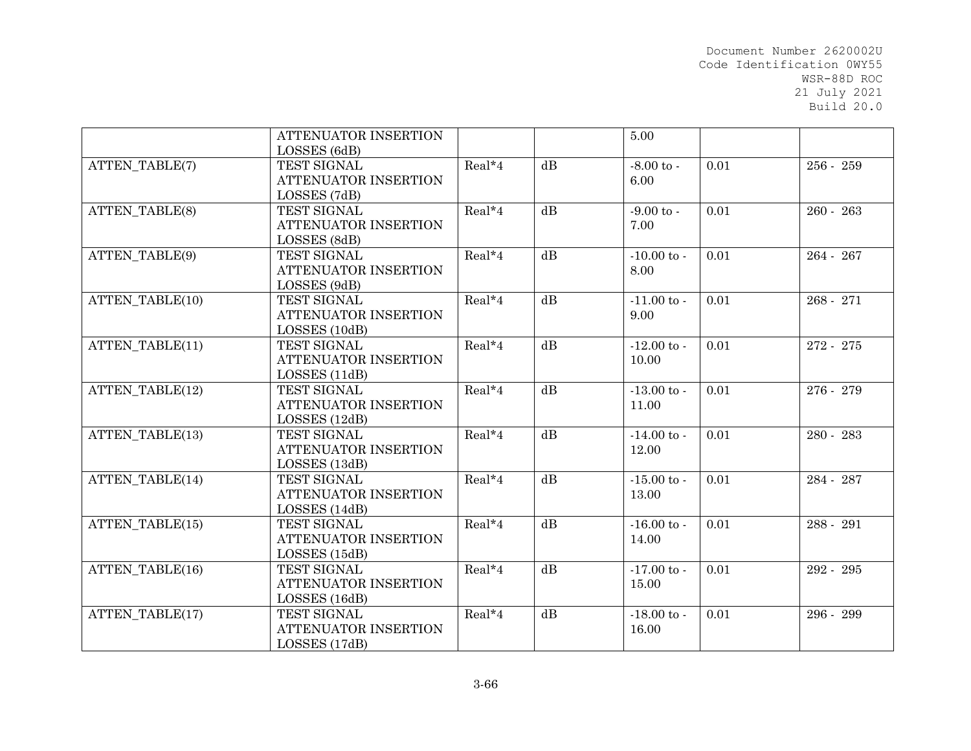|                        | ATTENUATOR INSERTION<br>LOSSES (6dB)                        |          |                 | 5.00                     |      |             |
|------------------------|-------------------------------------------------------------|----------|-----------------|--------------------------|------|-------------|
| <b>ATTEN TABLE(7)</b>  | TEST SIGNAL<br>ATTENUATOR INSERTION<br>LOSSES (7dB)         | Real*4   | dB              | $-8.00$ to $-$<br>6.00   | 0.01 | $256 - 259$ |
| <b>ATTEN TABLE(8)</b>  | TEST SIGNAL<br>ATTENUATOR INSERTION<br>LOSSES (8dB)         | $Real*4$ | $\overline{dB}$ | $-9.00$ to $-$<br>7.00   | 0.01 | $260 - 263$ |
| ATTEN_TABLE(9)         | TEST SIGNAL<br>ATTENUATOR INSERTION<br>LOSSES (9dB)         | Real*4   | dB              | $-10.00$ to $-$<br>8.00  | 0.01 | 264 - 267   |
| ATTEN TABLE(10)        | TEST SIGNAL<br>ATTENUATOR INSERTION<br>LOSSES (10dB)        | Real*4   | $\overline{dB}$ | $-11.00$ to $-$<br>9.00  | 0.01 | $268 - 271$ |
| ATTEN TABLE(11)        | TEST SIGNAL<br>ATTENUATOR INSERTION<br>LOSSES (11dB)        | Real*4   | dB              | $-12.00$ to $-$<br>10.00 | 0.01 | 272 - 275   |
| ATTEN TABLE(12)        | TEST SIGNAL<br>ATTENUATOR INSERTION<br>LOSSES (12dB)        | Real*4   | dB              | $-13.00$ to $-$<br>11.00 | 0.01 | 276 - 279   |
| <b>ATTEN TABLE(13)</b> | TEST SIGNAL<br>ATTENUATOR INSERTION<br>LOSSES (13dB)        | Real*4   | dB              | $-14.00$ to $-$<br>12.00 | 0.01 | 280 - 283   |
| ATTEN_TABLE(14)        | TEST SIGNAL<br><b>ATTENUATOR INSERTION</b><br>LOSSES (14dB) | Real*4   | dB              | $-15.00$ to $-$<br>13.00 | 0.01 | 284 - 287   |
| ATTEN TABLE(15)        | TEST SIGNAL<br>ATTENUATOR INSERTION<br>LOSSES (15dB)        | Real*4   | dB              | $-16.00$ to $-$<br>14.00 | 0.01 | 288 - 291   |
| ATTEN TABLE(16)        | TEST SIGNAL<br>ATTENUATOR INSERTION<br>LOSSES (16dB)        | Real*4   | dB              | $-17.00$ to $-$<br>15.00 | 0.01 | 292 - 295   |
| ATTEN_TABLE(17)        | TEST SIGNAL<br>ATTENUATOR INSERTION<br>LOSSES (17dB)        | Real*4   | dB              | $-18.00$ to $-$<br>16.00 | 0.01 | 296 - 299   |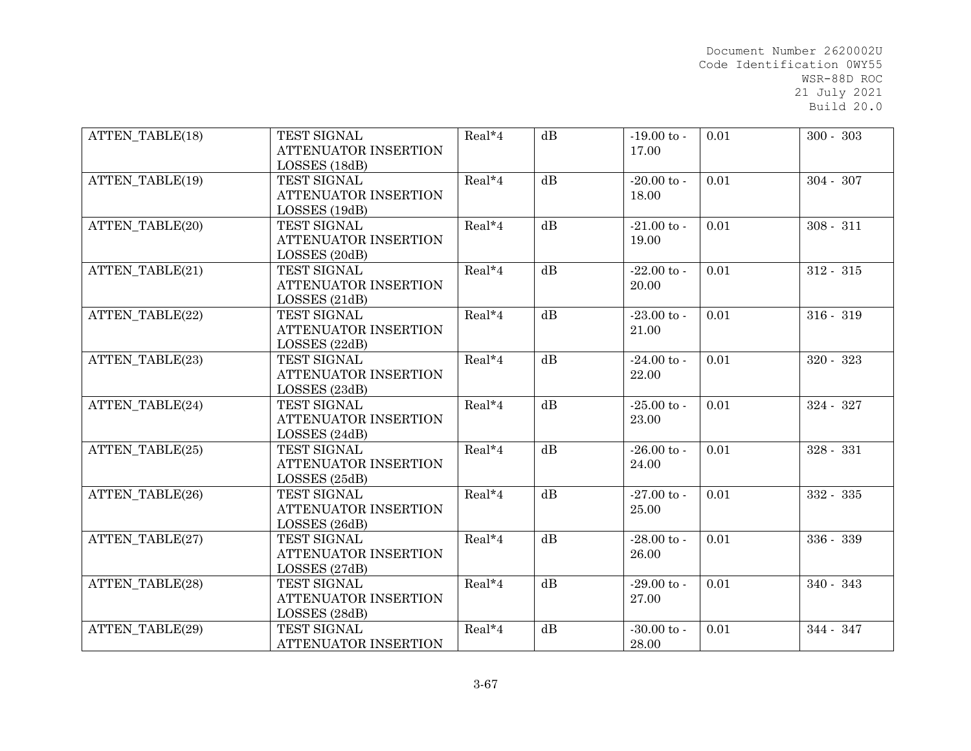| ATTEN TABLE(18)        | TEST SIGNAL<br>ATTENUATOR INSERTION | Real*4 | dB              | $-19.00$ to $-$<br>17.00 | 0.01 | $300 - 303$ |
|------------------------|-------------------------------------|--------|-----------------|--------------------------|------|-------------|
|                        | LOSSES (18dB)                       |        |                 |                          |      |             |
| ATTEN TABLE(19)        | TEST SIGNAL                         | Real*4 | dB              | $-20.00$ to $-$          | 0.01 | $304 - 307$ |
|                        | ATTENUATOR INSERTION                |        |                 | 18.00                    |      |             |
|                        | LOSSES (19dB)                       |        |                 |                          |      |             |
| ATTEN TABLE(20)        | TEST SIGNAL                         | Real*4 | dB              | $-21.00$ to $-$          | 0.01 | $308 - 311$ |
|                        | <b>ATTENUATOR INSERTION</b>         |        |                 | 19.00                    |      |             |
|                        | LOSSES (20dB)                       |        |                 |                          |      |             |
| ATTEN_TABLE(21)        | TEST SIGNAL                         | Real*4 | dB              | $-22.00$ to -            | 0.01 | $312 - 315$ |
|                        | ATTENUATOR INSERTION                |        |                 | 20.00                    |      |             |
|                        | LOSSES (21dB)                       |        |                 |                          |      |             |
| ATTEN TABLE(22)        | TEST SIGNAL                         | Real*4 | dB              | $-23.00$ to $-$          | 0.01 | $316 - 319$ |
|                        | <b>ATTENUATOR INSERTION</b>         |        |                 | 21.00                    |      |             |
|                        | LOSSES (22dB)                       |        |                 |                          |      |             |
| ATTEN TABLE(23)        | TEST SIGNAL                         | Real*4 | dB              | $-24.00$ to -            | 0.01 | $320 - 323$ |
|                        | ATTENUATOR INSERTION                |        |                 | 22.00                    |      |             |
|                        | LOSSES (23dB)                       |        |                 |                          |      |             |
| ATTEN TABLE(24)        | TEST SIGNAL                         | Real*4 | dB              | $-25.00$ to $-$          | 0.01 | $324 - 327$ |
|                        | ATTENUATOR INSERTION                |        |                 | 23.00                    |      |             |
|                        | LOSSES (24dB)                       |        |                 |                          |      |             |
| ATTEN TABLE(25)        | TEST SIGNAL                         | Real*4 | $\overline{dB}$ | $-26.00$ to $-$          | 0.01 | $328 - 331$ |
|                        | ATTENUATOR INSERTION                |        |                 | 24.00                    |      |             |
|                        | LOSSES (25dB)                       |        |                 |                          |      |             |
| ATTEN TABLE(26)        | TEST SIGNAL                         | Real*4 | dB              | $-27.00$ to -            | 0.01 | $332 - 335$ |
|                        | ATTENUATOR INSERTION                |        |                 | 25.00                    |      |             |
|                        | LOSSES (26dB)                       |        |                 |                          |      |             |
| ATTEN TABLE(27)        | TEST SIGNAL                         | Real*4 | $\overline{dB}$ | $-28.00$ to -            | 0.01 | 336 - 339   |
|                        | <b>ATTENUATOR INSERTION</b>         |        |                 | 26.00                    |      |             |
|                        | LOSSES (27dB)                       |        |                 |                          |      |             |
| ATTEN TABLE(28)        | TEST SIGNAL                         | Real*4 | dB              | $-29.00$ to -            | 0.01 | $340 - 343$ |
|                        | ATTENUATOR INSERTION                |        |                 | 27.00                    |      |             |
|                        | LOSSES (28dB)                       |        |                 |                          |      |             |
| <b>ATTEN TABLE(29)</b> | TEST SIGNAL                         | Real*4 | dB              | $-30.00$ to $-$          | 0.01 | 344 - 347   |
|                        | ATTENUATOR INSERTION                |        |                 | 28.00                    |      |             |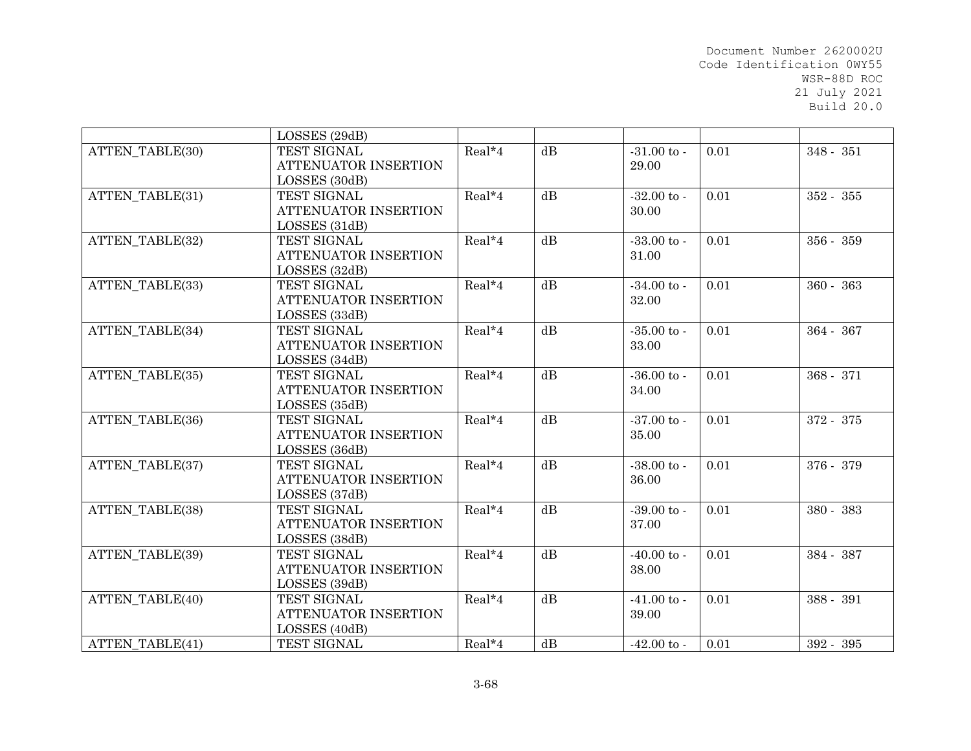|                        | LOSSES (29dB)        |        |    |                 |      |             |
|------------------------|----------------------|--------|----|-----------------|------|-------------|
| ATTEN TABLE(30)        | TEST SIGNAL          | Real*4 | dB | $-31.00$ to $-$ | 0.01 | 348 - 351   |
|                        | ATTENUATOR INSERTION |        |    | 29.00           |      |             |
|                        | LOSSES (30dB)        |        |    |                 |      |             |
| ATTEN TABLE(31)        | TEST SIGNAL          | Real*4 | dB | $-32.00$ to $-$ | 0.01 | $352 - 355$ |
|                        | ATTENUATOR INSERTION |        |    | 30.00           |      |             |
|                        | LOSSES (31dB)        |        |    |                 |      |             |
| ATTEN_TABLE(32)        | TEST SIGNAL          | Real*4 | dB | $-33.00$ to $-$ | 0.01 | 356 - 359   |
|                        | ATTENUATOR INSERTION |        |    | 31.00           |      |             |
|                        | LOSSES (32dB)        |        |    |                 |      |             |
| ATTEN_TABLE(33)        | TEST SIGNAL          | Real*4 | dB | $-34.00$ to $-$ | 0.01 | $360 - 363$ |
|                        | ATTENUATOR INSERTION |        |    | 32.00           |      |             |
|                        | LOSSES (33dB)        |        |    |                 |      |             |
| ATTEN TABLE(34)        | TEST SIGNAL          | Real*4 | dB | $-35.00$ to -   | 0.01 | 364 - 367   |
|                        | ATTENUATOR INSERTION |        |    | 33.00           |      |             |
|                        | LOSSES (34dB)        |        |    |                 |      |             |
| ATTEN TABLE(35)        | TEST SIGNAL          | Real*4 | dB | $-36.00$ to $-$ | 0.01 | $368 - 371$ |
|                        | ATTENUATOR INSERTION |        |    | 34.00           |      |             |
|                        | LOSSES (35dB)        |        |    |                 |      |             |
| ATTEN_TABLE(36)        | TEST SIGNAL          | Real*4 | dB | $-37.00$ to -   | 0.01 | 372 - 375   |
|                        | ATTENUATOR INSERTION |        |    | 35.00           |      |             |
|                        | LOSSES (36dB)        |        |    |                 |      |             |
| ATTEN TABLE(37)        | TEST SIGNAL          | Real*4 | dB | $-38.00$ to $-$ | 0.01 | 376 - 379   |
|                        | ATTENUATOR INSERTION |        |    | 36.00           |      |             |
|                        | LOSSES (37dB)        |        |    |                 |      |             |
| ATTEN TABLE(38)        | TEST SIGNAL          | Real*4 | dB | $-39.00$ to $-$ | 0.01 | 380 - 383   |
|                        | ATTENUATOR INSERTION |        |    | 37.00           |      |             |
|                        | LOSSES (38dB)        |        |    |                 |      |             |
| <b>ATTEN TABLE(39)</b> | TEST SIGNAL          | Real*4 | dB | $-40.00$ to $-$ | 0.01 | 384 - 387   |
|                        | ATTENUATOR INSERTION |        |    | 38.00           |      |             |
|                        | LOSSES (39dB)        |        |    |                 |      |             |
| ATTEN TABLE(40)        | TEST SIGNAL          | Real*4 | dB | $-41.00$ to $-$ | 0.01 | 388 - 391   |
|                        | ATTENUATOR INSERTION |        |    | 39.00           |      |             |
|                        | LOSSES (40dB)        |        |    |                 |      |             |
| ATTEN TABLE(41)        | TEST SIGNAL          | Real*4 | dB | $-42.00$ to -   | 0.01 | 392 - 395   |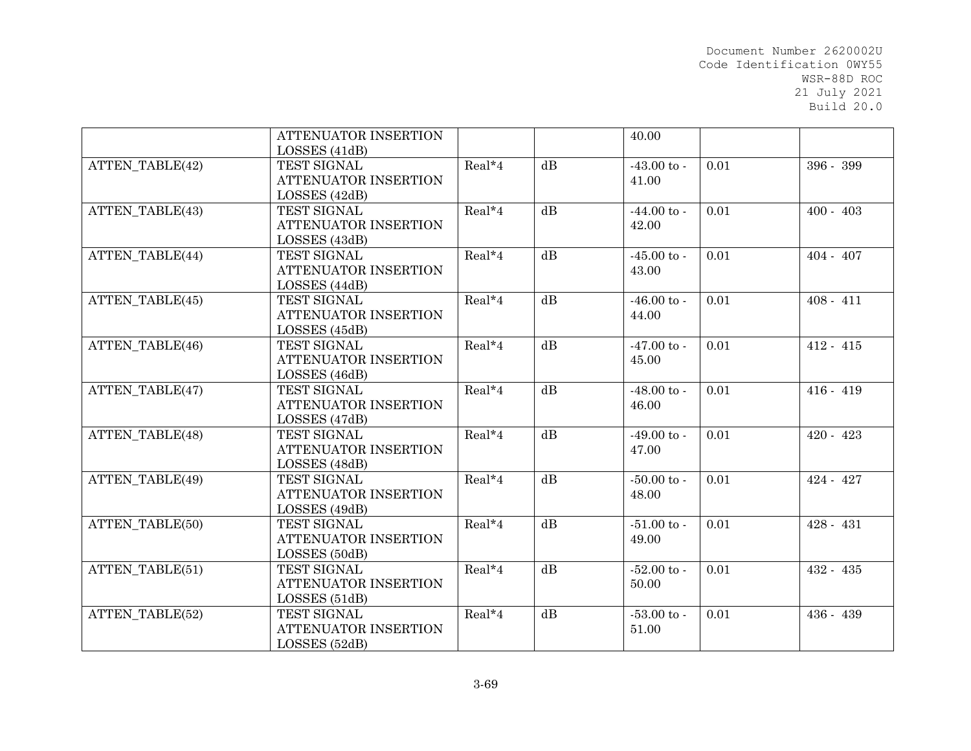|                        | ATTENUATOR INSERTION        |          |    | 40.00                |      |             |
|------------------------|-----------------------------|----------|----|----------------------|------|-------------|
|                        | LOSSES (41dB)               |          |    |                      |      |             |
| <b>ATTEN TABLE(42)</b> | TEST SIGNAL                 | Real*4   | dB | $-43.00$ to $-$      | 0.01 | 396 - 399   |
|                        | <b>ATTENUATOR INSERTION</b> |          |    | 41.00                |      |             |
|                        | LOSSES (42dB)               |          |    |                      |      |             |
| ATTEN TABLE(43)        | TEST SIGNAL                 | Real*4   | dB | $-44.00 \text{ to }$ | 0.01 | $400 - 403$ |
|                        | ATTENUATOR INSERTION        |          |    | 42.00                |      |             |
|                        | LOSSES (43dB)               |          |    |                      |      |             |
| ATTEN TABLE(44)        | TEST SIGNAL                 | Real*4   | dB | $-45.00$ to -        | 0.01 | $404 - 407$ |
|                        | <b>ATTENUATOR INSERTION</b> |          |    | 43.00                |      |             |
|                        | LOSSES (44dB)               |          |    |                      |      |             |
| ATTEN_TABLE(45)        | TEST SIGNAL                 | $Real*4$ | dB | $-46.00$ to $-$      | 0.01 | $408 - 411$ |
|                        | ATTENUATOR INSERTION        |          |    | 44.00                |      |             |
|                        | LOSSES (45dB)               |          |    |                      |      |             |
| ATTEN TABLE(46)        | TEST SIGNAL                 | Real*4   | dB | $-47.00 \text{ to }$ | 0.01 | $412 - 415$ |
|                        | <b>ATTENUATOR INSERTION</b> |          |    | 45.00                |      |             |
|                        | LOSSES (46dB)               |          |    |                      |      |             |
| ATTEN TABLE(47)        | TEST SIGNAL                 | Real*4   | dB | $-48.00$ to $-$      | 0.01 | $416 - 419$ |
|                        | ATTENUATOR INSERTION        |          |    | 46.00                |      |             |
|                        | LOSSES (47dB)               |          |    |                      |      |             |
| <b>ATTEN TABLE(48)</b> | TEST SIGNAL                 | Real*4   | dB | $-49.00 \text{ to }$ | 0.01 | $420 - 423$ |
|                        | <b>ATTENUATOR INSERTION</b> |          |    | 47.00                |      |             |
|                        | LOSSES (48dB)               |          |    |                      |      |             |
| ATTEN TABLE(49)        | TEST SIGNAL                 | Real*4   | dB | $-50.00$ to $-$      | 0.01 | $424 - 427$ |
|                        | ATTENUATOR INSERTION        |          |    | 48.00                |      |             |
|                        | LOSSES (49dB)               |          |    |                      |      |             |
| ATTEN_TABLE(50)        | TEST SIGNAL                 | Real*4   | dB | $-51.00$ to $-$      | 0.01 | $428 - 431$ |
|                        | <b>ATTENUATOR INSERTION</b> |          |    | 49.00                |      |             |
|                        | LOSSES (50dB)               |          |    |                      |      |             |
| ATTEN TABLE(51)        | TEST SIGNAL                 | Real*4   | dB | $-52.00$ to -        | 0.01 | $432 - 435$ |
|                        | <b>ATTENUATOR INSERTION</b> |          |    | 50.00                |      |             |
|                        | LOSSES (51dB)               |          |    |                      |      |             |
| ATTEN_TABLE(52)        | TEST SIGNAL                 | Real*4   | dB | $-53.00$ to -        | 0.01 | 436 - 439   |
|                        | ATTENUATOR INSERTION        |          |    | 51.00                |      |             |
|                        | LOSSES (52dB)               |          |    |                      |      |             |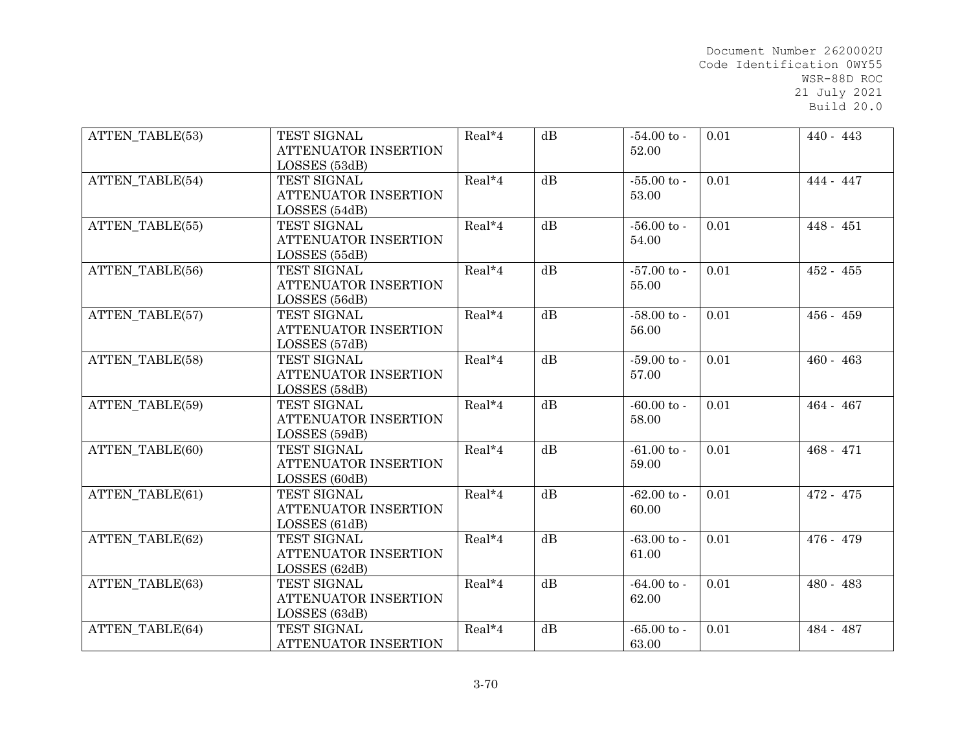| <b>ATTEN TABLE(53)</b> | TEST SIGNAL<br>ATTENUATOR INSERTION                                   | Real*4   | dB              | $-54.00$ to $-$<br>52.00      | 0.01 | $440 - 443$ |
|------------------------|-----------------------------------------------------------------------|----------|-----------------|-------------------------------|------|-------------|
| <b>ATTEN TABLE(54)</b> | LOSSES (53dB)<br>TEST SIGNAL<br>ATTENUATOR INSERTION<br>LOSSES (54dB) | Real*4   | dB              | $-55.00$ to -<br>53.00        | 0.01 | 444 - 447   |
| ATTEN TABLE(55)        | TEST SIGNAL<br>ATTENUATOR INSERTION<br>LOSSES (55dB)                  | Real*4   | dB              | $-56.00 \text{ to }$<br>54.00 | 0.01 | $448 - 451$ |
| ATTEN_TABLE(56)        | TEST SIGNAL<br>ATTENUATOR INSERTION<br>LOSSES (56dB)                  | Real*4   | dB              | $-57.00$ to -<br>55.00        | 0.01 | $452 - 455$ |
| ATTEN TABLE(57)        | TEST SIGNAL<br><b>ATTENUATOR INSERTION</b><br>LOSSES (57dB)           | $Real*4$ | dB              | $-58.00$ to -<br>56.00        | 0.01 | $456 - 459$ |
| ATTEN TABLE(58)        | TEST SIGNAL<br><b>ATTENUATOR INSERTION</b><br>LOSSES (58dB)           | Real*4   | dB              | $-59.00$ to -<br>57.00        | 0.01 | $460 - 463$ |
| <b>ATTEN TABLE(59)</b> | TEST SIGNAL<br>ATTENUATOR INSERTION<br>LOSSES (59dB)                  | Real*4   | dB              | $-60.00$ to $-$<br>58.00      | 0.01 | 464 - 467   |
| ATTEN TABLE(60)        | TEST SIGNAL<br>ATTENUATOR INSERTION<br>LOSSES (60dB)                  | Real*4   | $\overline{dB}$ | $-61.00$ to $-$<br>59.00      | 0.01 | $468 - 471$ |
| ATTEN TABLE(61)        | TEST SIGNAL<br>ATTENUATOR INSERTION<br>LOSSES (61dB)                  | Real*4   | dB              | $-62.00$ to $-$<br>60.00      | 0.01 | 472 - 475   |
| <b>ATTEN TABLE(62)</b> | TEST SIGNAL<br><b>ATTENUATOR INSERTION</b><br>LOSSES (62dB)           | Real*4   | $\overline{dB}$ | $-63.00 to -$<br>61.00        | 0.01 | 476 - 479   |
| ATTEN TABLE(63)        | TEST SIGNAL<br>ATTENUATOR INSERTION<br>LOSSES (63dB)                  | Real*4   | dB              | $-64.00$ to $-$<br>62.00      | 0.01 | 480 - 483   |
| <b>ATTEN TABLE(64)</b> | TEST SIGNAL<br>ATTENUATOR INSERTION                                   | Real*4   | dB              | $-65.00$ to -<br>63.00        | 0.01 | 484 - 487   |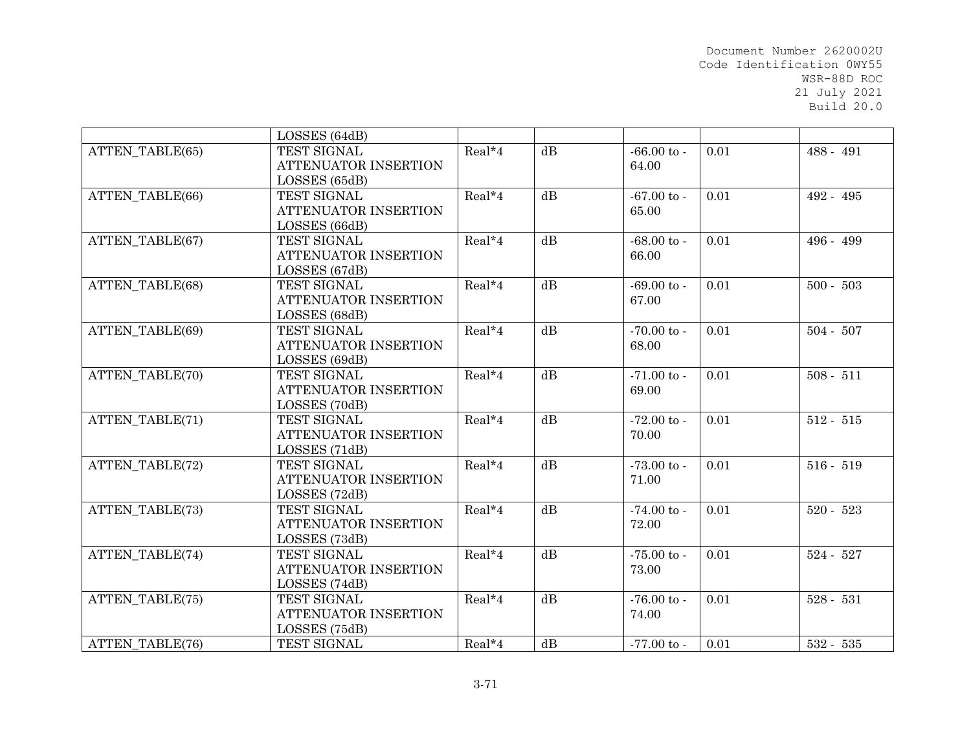|                        | LOSSES (64dB)               |          |    |                      |      |             |
|------------------------|-----------------------------|----------|----|----------------------|------|-------------|
| ATTEN TABLE(65)        | TEST SIGNAL                 | Real*4   | dB | $-66.00$ to $-$      | 0.01 | 488 - 491   |
|                        | ATTENUATOR INSERTION        |          |    | 64.00                |      |             |
|                        | LOSSES (65dB)               |          |    |                      |      |             |
| ATTEN TABLE(66)        | TEST SIGNAL                 | Real*4   | dB | $-67.00 \text{ to }$ | 0.01 | 492 - 495   |
|                        | ATTENUATOR INSERTION        |          |    | 65.00                |      |             |
|                        | LOSSES (66dB)               |          |    |                      |      |             |
| ATTEN TABLE(67)        | TEST SIGNAL                 | Real*4   | dB | $-68.00$ to $-$      | 0.01 | 496 - 499   |
|                        | <b>ATTENUATOR INSERTION</b> |          |    | 66.00                |      |             |
|                        | LOSSES (67dB)               |          |    |                      |      |             |
| ATTEN_TABLE(68)        | TEST SIGNAL                 | Real*4   | dB | $-69.00$ to $-$      | 0.01 | $500 - 503$ |
|                        | ATTENUATOR INSERTION        |          |    | 67.00                |      |             |
|                        | LOSSES (68dB)               |          |    |                      |      |             |
| ATTEN TABLE(69)        | TEST SIGNAL                 | Real*4   | dB | $-70.00$ to $-$      | 0.01 | $504 - 507$ |
|                        | <b>ATTENUATOR INSERTION</b> |          |    | 68.00                |      |             |
|                        | LOSSES (69dB)               |          |    |                      |      |             |
| <b>ATTEN TABLE(70)</b> | TEST SIGNAL                 | Real*4   | dB | $-71.00$ to $-$      | 0.01 | $508 - 511$ |
|                        | <b>ATTENUATOR INSERTION</b> |          |    | 69.00                |      |             |
|                        | LOSSES (70dB)               |          |    |                      |      |             |
| ATTEN TABLE(71)        | TEST SIGNAL                 | Real*4   | dB | $-72.00$ to $-$      | 0.01 | $512 - 515$ |
|                        | ATTENUATOR INSERTION        |          |    | 70.00                |      |             |
|                        | LOSSES (71dB)               |          |    |                      |      |             |
| ATTEN TABLE(72)        | TEST SIGNAL                 | Real*4   | dB | $-73.00$ to $-$      | 0.01 | $516 - 519$ |
|                        | <b>ATTENUATOR INSERTION</b> |          |    | 71.00                |      |             |
|                        | LOSSES (72dB)               |          |    |                      |      |             |
| <b>ATTEN TABLE(73)</b> | TEST SIGNAL                 | $Real*4$ | dB | $-74.00 \text{ to }$ | 0.01 | $520 - 523$ |
|                        | ATTENUATOR INSERTION        |          |    | 72.00                |      |             |
|                        | LOSSES (73dB)               |          |    |                      |      |             |
| ATTEN TABLE(74)        | <b>TEST SIGNAL</b>          | Real*4   | dB | $-75.00 \text{ to }$ | 0.01 | $524 - 527$ |
|                        | <b>ATTENUATOR INSERTION</b> |          |    | 73.00                |      |             |
|                        | LOSSES (74dB)               |          |    |                      |      |             |
| ATTEN_TABLE(75)        | TEST SIGNAL                 | Real*4   | dB | $-76.00$ to $-$      | 0.01 | $528 - 531$ |
|                        | ATTENUATOR INSERTION        |          |    | 74.00                |      |             |
|                        | LOSSES (75dB)               |          |    |                      |      |             |
| ATTEN TABLE(76)        | TEST SIGNAL                 | $Real*4$ | dB | $-77.00$ to $-$      | 0.01 | $532 - 535$ |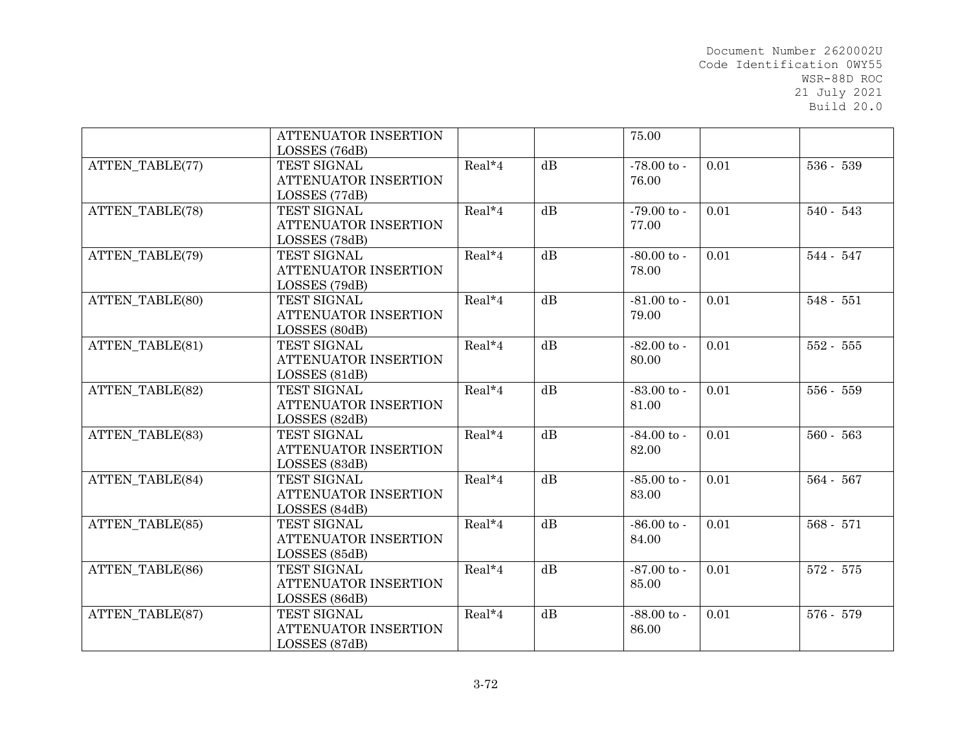|                        | ATTENUATOR INSERTION        |        |    | 75.00                |      |             |
|------------------------|-----------------------------|--------|----|----------------------|------|-------------|
|                        | LOSSES (76dB)               |        |    |                      |      |             |
| ATTEN TABLE(77)        | TEST SIGNAL                 | Real*4 | dB | $-78.00$ to $-$      | 0.01 | 536 - 539   |
|                        | <b>ATTENUATOR INSERTION</b> |        |    | 76.00                |      |             |
|                        | LOSSES (77dB)               |        |    |                      |      |             |
| <b>ATTEN TABLE(78)</b> | <b>TEST SIGNAL</b>          | Real*4 | dB | $-79.00 \text{ to }$ | 0.01 | $540 - 543$ |
|                        | ATTENUATOR INSERTION        |        |    | 77.00                |      |             |
|                        | LOSSES (78dB)               |        |    |                      |      |             |
| ATTEN TABLE(79)        | TEST SIGNAL                 | Real*4 | dB | $-80.00$ to $-$      | 0.01 | 544 - 547   |
|                        | ATTENUATOR INSERTION        |        |    | 78.00                |      |             |
|                        | LOSSES (79dB)               |        |    |                      |      |             |
| ATTEN_TABLE(80)        | TEST SIGNAL                 | Real*4 | dB | $-81.00$ to $-$      | 0.01 | $548 - 551$ |
|                        | ATTENUATOR INSERTION        |        |    | 79.00                |      |             |
|                        | LOSSES (80dB)               |        |    |                      |      |             |
| ATTEN TABLE(81)        | TEST SIGNAL                 | Real*4 | dB | $-82.00$ to $-$      | 0.01 | $552 - 555$ |
|                        | ATTENUATOR INSERTION        |        |    | 80.00                |      |             |
|                        | LOSSES (81dB)               |        |    |                      |      |             |
| <b>ATTEN TABLE(82)</b> | TEST SIGNAL                 | Real*4 | dB | $-83.00$ to -        | 0.01 | 556 - 559   |
|                        | ATTENUATOR INSERTION        |        |    | 81.00                |      |             |
|                        | LOSSES (82dB)               |        |    |                      |      |             |
| <b>ATTEN TABLE(83)</b> | TEST SIGNAL                 | Real*4 | dB | $-84.00 \text{ to }$ | 0.01 | $560 - 563$ |
|                        | ATTENUATOR INSERTION        |        |    | 82.00                |      |             |
|                        | LOSSES (83dB)               |        |    |                      |      |             |
| <b>ATTEN TABLE(84)</b> | TEST SIGNAL                 | Real*4 | dB | $-85.00$ to -        | 0.01 | 564 - 567   |
|                        | ATTENUATOR INSERTION        |        |    | 83.00                |      |             |
|                        | LOSSES (84dB)               |        |    |                      |      |             |
| ATTEN_TABLE(85)        | TEST SIGNAL                 | Real*4 | dB | $-86.00 \text{ to }$ | 0.01 | 568 - 571   |
|                        | ATTENUATOR INSERTION        |        |    | 84.00                |      |             |
|                        | LOSSES (85dB)               |        |    |                      |      |             |
| ATTEN TABLE(86)        | TEST SIGNAL                 | Real*4 | dB | $-87.00 \text{ to }$ | 0.01 | 572 - 575   |
|                        | ATTENUATOR INSERTION        |        |    | 85.00                |      |             |
|                        | LOSSES (86dB)               |        |    |                      |      |             |
| ATTEN_TABLE(87)        | TEST SIGNAL                 | Real*4 | dB | $-88.00$ to -        | 0.01 | 576 - 579   |
|                        | ATTENUATOR INSERTION        |        |    | 86.00                |      |             |
|                        | LOSSES (87dB)               |        |    |                      |      |             |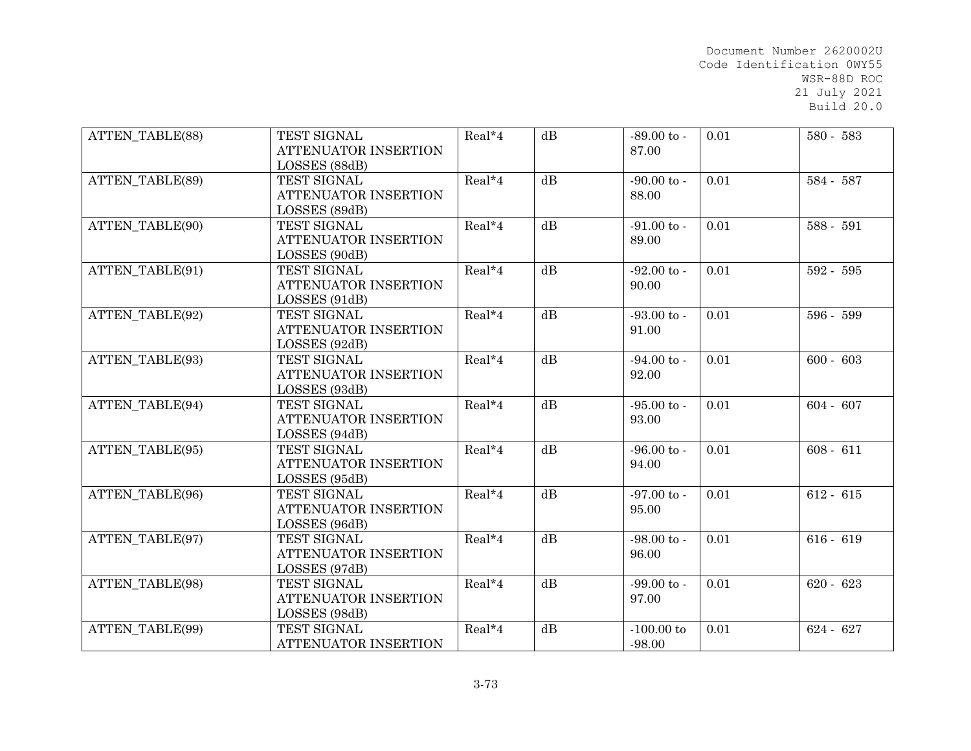| <b>ATTEN TABLE(88)</b> | TEST SIGNAL<br><b>ATTENUATOR INSERTION</b><br>LOSSES (88dB) | Real*4   | dB | $-89.00$ to -<br>87.00          | 0.01 | 580 - 583   |
|------------------------|-------------------------------------------------------------|----------|----|---------------------------------|------|-------------|
| ATTEN TABLE(89)        | TEST SIGNAL<br>ATTENUATOR INSERTION<br>LOSSES (89dB)        | Real*4   | dB | $-90.00$ to $-$<br>88.00        | 0.01 | 584 - 587   |
| ATTEN TABLE(90)        | TEST SIGNAL<br>ATTENUATOR INSERTION<br>LOSSES (90dB)        | Real*4   | dB | $-91.00$ to $-$<br>89.00        | 0.01 | 588 - 591   |
| ATTEN TABLE(91)        | TEST SIGNAL<br>ATTENUATOR INSERTION<br>LOSSES (91dB)        | $Real*4$ | dB | $-92.00$ to $-$<br>90.00        | 0.01 | 592 - 595   |
| ATTEN TABLE(92)        | TEST SIGNAL<br>ATTENUATOR INSERTION<br>LOSSES (92dB)        | $Real*4$ | dB | $-93.00$ to $-$<br>91.00        | 0.01 | 596 - 599   |
| ATTEN TABLE(93)        | TEST SIGNAL<br>ATTENUATOR INSERTION<br>LOSSES (93dB)        | Real*4   | dB | $-94.00$ to $-$<br>92.00        | 0.01 | $600 - 603$ |
| ATTEN TABLE(94)        | TEST SIGNAL<br>ATTENUATOR INSERTION<br>LOSSES (94dB)        | Real*4   | dB | $-95.00 \text{ to }$<br>93.00   | 0.01 | $604 - 607$ |
| ATTEN TABLE(95)        | TEST SIGNAL<br>ATTENUATOR INSERTION<br>LOSSES (95dB)        | Real*4   | dB | $-96.00 \text{ to } -$<br>94.00 | 0.01 | $608 - 611$ |
| ATTEN_TABLE(96)        | TEST SIGNAL<br>ATTENUATOR INSERTION<br>LOSSES (96dB)        | Real*4   | dB | $-97.00$ to $-$<br>95.00        | 0.01 | $612 - 615$ |
| ATTEN TABLE(97)        | <b>TEST SIGNAL</b><br>ATTENUATOR INSERTION<br>LOSSES (97dB) | Real*4   | dB | $-98.00 \text{ to }$<br>96.00   | 0.01 | $616 - 619$ |
| ATTEN TABLE(98)        | TEST SIGNAL<br>ATTENUATOR INSERTION<br>LOSSES (98dB)        | Real*4   | dB | $-99.00$ to $-$<br>97.00        | 0.01 | $620 - 623$ |
| ATTEN TABLE(99)        | TEST SIGNAL<br><b>ATTENUATOR INSERTION</b>                  | Real*4   | dB | $-100.00$ to<br>$-98.00$        | 0.01 | $624 - 627$ |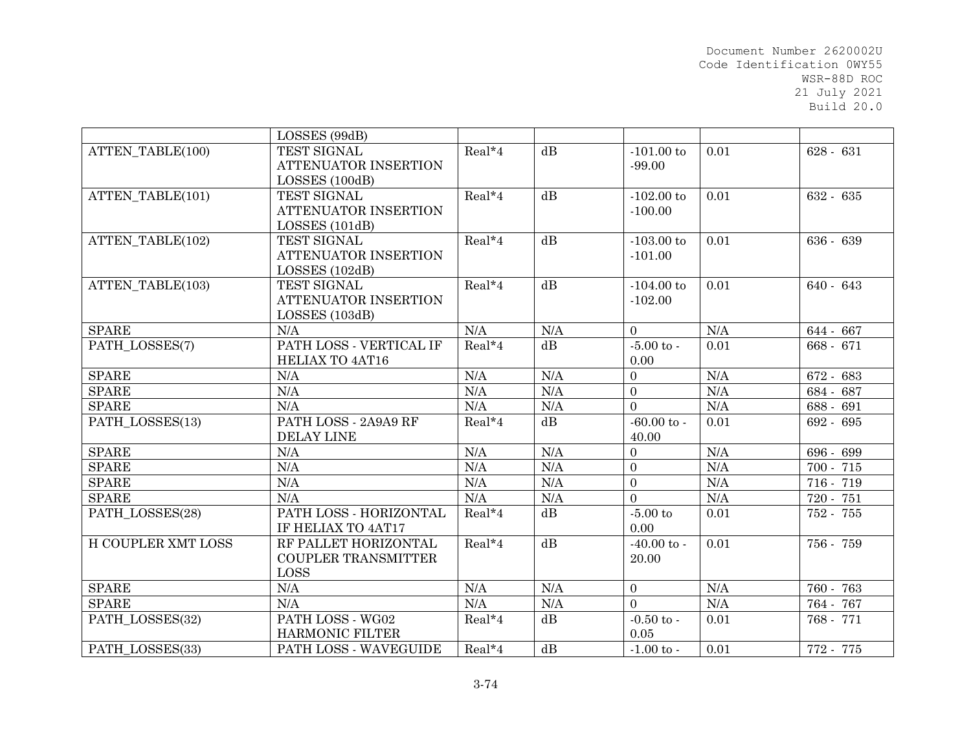|                         | LOSSES (99dB)               |        |     |                     |                     |             |
|-------------------------|-----------------------------|--------|-----|---------------------|---------------------|-------------|
| ATTEN TABLE(100)        | TEST SIGNAL                 | Real*4 | dB  | $-101.00$ to        | 0.01                | $628 - 631$ |
|                         | ATTENUATOR INSERTION        |        |     | $-99.00$            |                     |             |
|                         | LOSSES (100dB)              |        |     |                     |                     |             |
| ATTEN TABLE(101)        | TEST SIGNAL                 | Real*4 | dB  | $-102.00$ to        | 0.01                | 632 - 635   |
|                         | ATTENUATOR INSERTION        |        |     | $-100.00$           |                     |             |
|                         | LOSSES (101dB)              |        |     |                     |                     |             |
| <b>ATTEN TABLE(102)</b> | TEST SIGNAL                 | Real*4 | dB  | $\mbox{-}103.00$ to | 0.01                | 636 - 639   |
|                         | ATTENUATOR INSERTION        |        |     | $-101.00$           |                     |             |
|                         | LOSSES (102dB)              |        |     |                     |                     |             |
| ATTEN TABLE(103)        | TEST SIGNAL                 | Real*4 | dB  | $-104.00$ to        | 0.01                | 640 - 643   |
|                         | ATTENUATOR INSERTION        |        |     | $-102.00$           |                     |             |
|                         | LOSSES (103dB)              |        |     |                     |                     |             |
| <b>SPARE</b>            | N/A                         | N/A    | N/A | $\Omega$            | N/A                 | 644 - 667   |
| PATH LOSSES(7)          | PATH LOSS - VERTICAL IF     | Real*4 | dB  | $-5.00$ to $-$      | 0.01                | 668 - 671   |
|                         | <b>HELIAX TO 4AT16</b>      |        |     | 0.00                |                     |             |
| <b>SPARE</b>            | N/A                         | N/A    | N/A | $\mathbf{0}$        | $\rm N\mskip-1mu M$ | 672 - 683   |
| <b>SPARE</b>            | N/A                         | N/A    | N/A | $\overline{0}$      | N/A                 | 684 - 687   |
| <b>SPARE</b>            | N/A                         | N/A    | N/A | $\Omega$            | N/A                 | 688 - 691   |
| PATH_LOSSES(13)         | PATH LOSS - 2A9A9 RF        | Real*4 | dB  | $-60.00$ to $-$     | 0.01                | 692 - 695   |
|                         | <b>DELAY LINE</b>           |        |     | 40.00               |                     |             |
| <b>SPARE</b>            | N/A                         | N/A    | N/A | $\overline{0}$      | N/A                 | 696 - 699   |
| <b>SPARE</b>            | N/A                         | N/A    | N/A | $\boldsymbol{0}$    | N/A                 | $700 - 715$ |
| <b>SPARE</b>            | N/A                         | N/A    | N/A | $\overline{0}$      | N/A                 | 716 - 719   |
| <b>SPARE</b>            | N/A                         | N/A    | N/A | $\overline{0}$      | N/A                 | 720 - 751   |
| PATH LOSSES(28)         | PATH LOSS - HORIZONTAL      | Real*4 | dB  | $-5.00$ to          | 0.01                | 752 - 755   |
|                         | IF HELIAX TO 4AT17          |        |     | 0.00                |                     |             |
| H COUPLER XMT LOSS      | <b>RF PALLET HORIZONTAL</b> | Real*4 | dB  | $-40.00$ to $-$     | 0.01                | 756 - 759   |
|                         | COUPLER TRANSMITTER         |        |     | 20.00               |                     |             |
|                         | LOSS                        |        |     |                     |                     |             |
| <b>SPARE</b>            | N/A                         | N/A    | N/A | $\overline{0}$      | N/A                 | 760 - 763   |
| <b>SPARE</b>            | N/A                         | N/A    | N/A | $\Omega$            | N/A                 | 764 - 767   |
| PATH LOSSES(32)         | PATH LOSS - WG02            | Real*4 | dB  | $-0.50$ to $-$      | 0.01                | 768 - 771   |
|                         | <b>HARMONIC FILTER</b>      |        |     | 0.05                |                     |             |
| PATH LOSSES(33)         | PATH LOSS - WAVEGUIDE       | Real*4 | dB  | $-1.00$ to $-$      | 0.01                | 772 - 775   |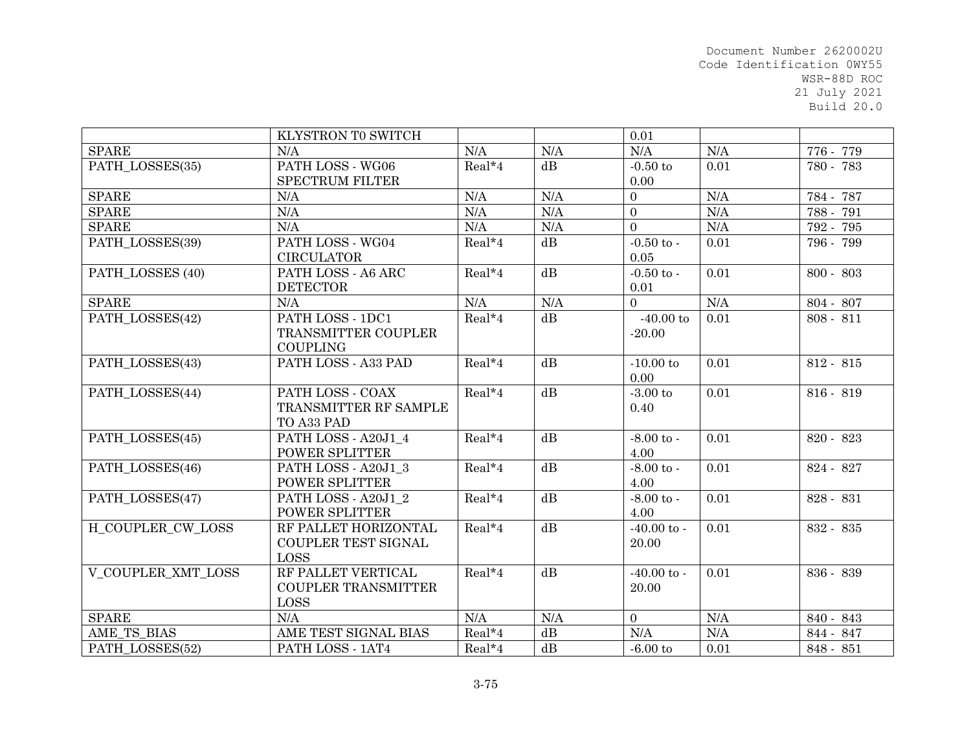|                    | KLYSTRON TO SWITCH         |           |                 | 0.01            |           |             |
|--------------------|----------------------------|-----------|-----------------|-----------------|-----------|-------------|
| <b>SPARE</b>       | N/A                        | N/A       | N/A             | N/A             | N/A       | 776 - 779   |
| PATH_LOSSES(35)    | PATH LOSS - WG06           | Real*4    | dB              | $-0.50$ to      | 0.01      | 780 - 783   |
|                    | <b>SPECTRUM FILTER</b>     |           |                 | 0.00            |           |             |
| <b>SPARE</b>       | N/A                        | N/A       | N/A             | $\overline{0}$  | N/A       | 784 - 787   |
| <b>SPARE</b>       | N/A                        | N/A       | N/A             | $\overline{0}$  | N/A       | 788 - 791   |
| <b>SPARE</b>       | N/A                        | $\rm N/A$ | N/A             | $\overline{0}$  | $\rm N/A$ | 792 - 795   |
| PATH LOSSES(39)    | PATH LOSS - WG04           | Real*4    | dB              | $-0.50$ to $-$  | 0.01      | 796 - 799   |
|                    | <b>CIRCULATOR</b>          |           |                 | 0.05            |           |             |
| PATH_LOSSES (40)   | PATH LOSS - A6 ARC         | Real*4    | dB              | $-0.50$ to $-$  | 0.01      | $800 - 803$ |
|                    | <b>DETECTOR</b>            |           |                 | 0.01            |           |             |
| <b>SPARE</b>       | N/A                        | N/A       | N/A             | $\Omega$        | N/A       | 804 - 807   |
| PATH LOSSES(42)    | PATH LOSS - 1DC1           | Real*4    | dB              | $-40.00$ to     | 0.01      | $808 - 811$ |
|                    | TRANSMITTER COUPLER        |           |                 | $-20.00$        |           |             |
|                    | <b>COUPLING</b>            |           |                 |                 |           |             |
| PATH LOSSES(43)    | PATH LOSS - A33 PAD        | Real*4    | dB              | $-10.00$ to     | 0.01      | 812 - 815   |
|                    |                            |           |                 | 0.00            |           |             |
| PATH LOSSES(44)    | PATH LOSS - COAX           | $Real*4$  | $\overline{dB}$ | $-3.00$ to      | 0.01      | $816 - 819$ |
|                    | TRANSMITTER RF SAMPLE      |           |                 | 0.40            |           |             |
|                    | TO A33 PAD                 |           |                 |                 |           |             |
| PATH LOSSES(45)    | PATH LOSS - A20J1 4        | Real*4    | dB              | $-8.00$ to $-$  | 0.01      | 820 - 823   |
|                    | POWER SPLITTER             |           |                 | 4.00            |           |             |
| PATH LOSSES(46)    | PATH LOSS - A20J1 3        | Real*4    | $\overline{dB}$ | $-8.00$ to $-$  | 0.01      | 824 - 827   |
|                    | POWER SPLITTER             |           |                 | 4.00            |           |             |
| PATH_LOSSES(47)    | PATH LOSS - A20J1 2        | Real*4    | dB              | $-8.00$ to $-$  | 0.01      | 828 - 831   |
|                    | POWER SPLITTER             |           |                 | 4.00            |           |             |
| H COUPLER CW LOSS  | RF PALLET HORIZONTAL       | Real*4    | $\overline{dB}$ | $-40.00$ to $-$ | 0.01      | 832 - 835   |
|                    | COUPLER TEST SIGNAL        |           |                 | 20.00           |           |             |
|                    | <b>LOSS</b>                |           |                 |                 |           |             |
| V COUPLER XMT LOSS | RF PALLET VERTICAL         | Real*4    | dB              | $-40.00$ to $-$ | 0.01      | 836 - 839   |
|                    | <b>COUPLER TRANSMITTER</b> |           |                 | 20.00           |           |             |
|                    | <b>LOSS</b>                |           |                 |                 |           |             |
| <b>SPARE</b>       | N/A                        | N/A       | N/A             | $\overline{0}$  | N/A       | 840 - 843   |
| AME TS BIAS        | AME TEST SIGNAL BIAS       | Real*4    | dB              | N/A             | N/A       | 844 - 847   |
| PATH_LOSSES(52)    | PATH LOSS - 1AT4           | Real*4    | dB              | $-6.00$ to      | 0.01      | 848 - 851   |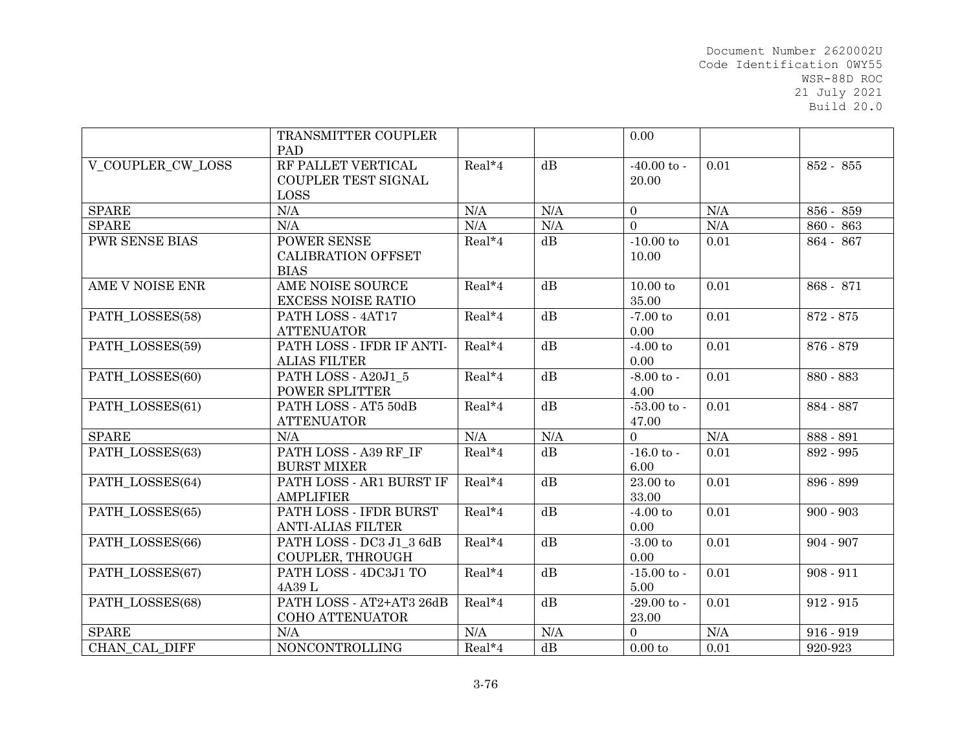|                          | TRANSMITTER COUPLER                                             |          |                 | 0.00                          |      |             |
|--------------------------|-----------------------------------------------------------------|----------|-----------------|-------------------------------|------|-------------|
| <b>V COUPLER CW LOSS</b> | PAD<br>RF PALLET VERTICAL<br>COUPLER TEST SIGNAL<br><b>LOSS</b> | Real*4   | dB              | $-40.00$ to $-$<br>20.00      | 0.01 | 852 - 855   |
| <b>SPARE</b>             | N/A                                                             | N/A      | N/A             | $\overline{0}$                | N/A  | 856 - 859   |
| <b>SPARE</b>             | N/A                                                             | N/A      | N/A             | $\overline{0}$                | N/A  | 860 - 863   |
| <b>PWR SENSE BIAS</b>    | POWER SENSE<br><b>CALIBRATION OFFSET</b><br><b>BIAS</b>         | Real*4   | dB              | $-10.00$ to<br>10.00          | 0.01 | 864 - 867   |
| AME V NOISE ENR          | AME NOISE SOURCE<br><b>EXCESS NOISE RATIO</b>                   | Real*4   | dB              | $10.00$ to<br>35.00           | 0.01 | 868 - 871   |
| PATH_LOSSES(58)          | PATH LOSS - 4AT17<br><b>ATTENUATOR</b>                          | Real*4   | $\overline{dB}$ | $-7.00 \text{ to}$<br>0.00    | 0.01 | 872 - 875   |
| PATH LOSSES(59)          | PATH LOSS - IFDR IF ANTI-<br><b>ALIAS FILTER</b>                | Real*4   | dB              | $-4.00$ to<br>0.00            | 0.01 | 876 - 879   |
| PATH_LOSSES(60)          | PATH LOSS - A20J1 5<br>POWER SPLITTER                           | Real*4   | dB              | $-8.00$ to $-$<br>4.00        | 0.01 | 880 - 883   |
| PATH LOSSES(61)          | PATH LOSS - AT5 50dB<br><b>ATTENUATOR</b>                       | $Real*4$ | dB              | $-53.00 \text{ to }$<br>47.00 | 0.01 | 884 - 887   |
| <b>SPARE</b>             | N/A                                                             | N/A      | N/A             | $\overline{0}$                | N/A  | 888 - 891   |
| PATH LOSSES(63)          | PATH LOSS - A39 RF IF<br><b>BURST MIXER</b>                     | Real*4   | $\overline{dB}$ | $-16.0$ to $-$<br>6.00        | 0.01 | 892 - 995   |
| PATH LOSSES(64)          | PATH LOSS - AR1 BURST IF<br><b>AMPLIFIER</b>                    | Real*4   | dB              | $23.00\ {\rm to}$<br>33.00    | 0.01 | 896 - 899   |
| PATH LOSSES(65)          | PATH LOSS - IFDR BURST<br><b>ANTI-ALIAS FILTER</b>              | Real*4   | dB              | $-4.00$ to<br>0.00            | 0.01 | $900 - 903$ |
| PATH LOSSES(66)          | PATH LOSS - DC3 J1 3 6dB<br>COUPLER, THROUGH                    | Real*4   | $\overline{dB}$ | $-3.00$ to<br>0.00            | 0.01 | $904 - 907$ |
| PATH_LOSSES(67)          | PATH LOSS - 4DC3J1 TO<br>4A39 L                                 | Real*4   | $\overline{dB}$ | $-15.00$ to $-$<br>5.00       | 0.01 | $908 - 911$ |
| PATH_LOSSES(68)          | PATH LOSS - AT2+AT3 26dB<br>COHO ATTENUATOR                     | Real*4   | dB              | $-29.00$ to -<br>23.00        | 0.01 | $912 - 915$ |
| <b>SPARE</b>             | N/A                                                             | N/A      | N/A             | $\Omega$                      | N/A  | $916 - 919$ |
| CHAN CAL DIFF            | <b>NONCONTROLLING</b>                                           | Real*4   | $dB$            | 0.00 to                       | 0.01 | 920-923     |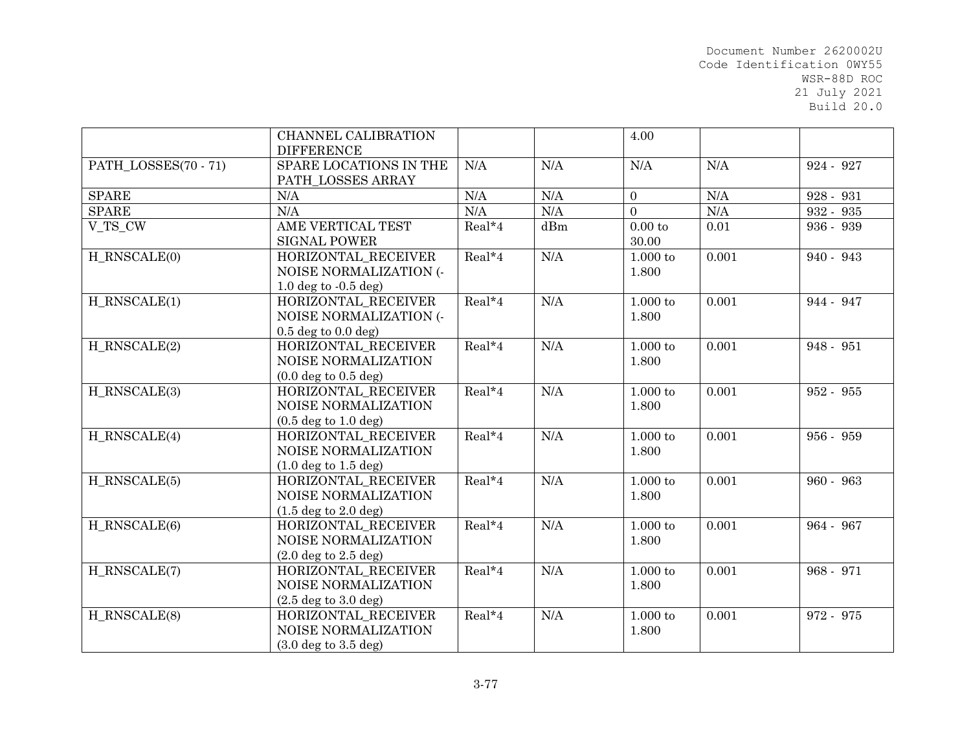|                      | CHANNEL CALIBRATION<br><b>DIFFERENCE</b>                                 |           |     | 4.00                         |           |             |
|----------------------|--------------------------------------------------------------------------|-----------|-----|------------------------------|-----------|-------------|
| PATH LOSSES(70 - 71) | SPARE LOCATIONS IN THE<br>PATH_LOSSES ARRAY                              | N/A       | N/A | N/A                          | N/A       | 924 - 927   |
| <b>SPARE</b>         | N/A                                                                      | N/A       | N/A | $\overline{0}$               | $\rm N/A$ | 928 - 931   |
| <b>SPARE</b>         | N/A                                                                      | $\rm N/A$ | N/A | $\overline{0}$               | $\rm N/A$ | 932 - 935   |
| V_TS_CW              | AME VERTICAL TEST<br><b>SIGNAL POWER</b>                                 | Real*4    | dBm | 0.00 to<br>30.00             | 0.01      | 936 - 939   |
| H_RNSCALE(0)         | HORIZONTAL RECEIVER<br>NOISE NORMALIZATION (-<br>1.0 deg to $-0.5$ deg)  | Real*4    | N/A | $1.000$ to<br>1.800          | 0.001     | 940 - 943   |
| $H_RNSCALE(1)$       | HORIZONTAL_RECEIVER<br>NOISE NORMALIZATION (-<br>$0.5$ deg to $0.0$ deg) | $Real*4$  | N/A | $1.000$ to<br>1.800          | 0.001     | 944 - 947   |
| H RNSCALE(2)         | HORIZONTAL RECEIVER<br>NOISE NORMALIZATION<br>$(0.0 \deg$ to $0.5 \deg)$ | Real*4    | N/A | $1.000$ to<br>1.800          | 0.001     | 948 - 951   |
| H RNSCALE(3)         | HORIZONTAL RECEIVER<br>NOISE NORMALIZATION<br>$(0.5 \deg to 1.0 \deg)$   | Real*4    | N/A | $1.000$ to<br>1.800          | 0.001     | 952 - 955   |
| H RNSCALE(4)         | HORIZONTAL_RECEIVER<br>NOISE NORMALIZATION<br>$(1.0 \deg$ to $1.5 \deg)$ | Real*4    | N/A | $1.000\ {\rm to}\;$<br>1.800 | 0.001     | 956 - 959   |
| H_RNSCALE(5)         | HORIZONTAL RECEIVER<br>NOISE NORMALIZATION<br>$(1.5 \deg to 2.0 \deg)$   | Real*4    | N/A | $1.000$ to<br>1.800          | 0.001     | $960 - 963$ |
| H RNSCALE(6)         | HORIZONTAL_RECEIVER<br>NOISE NORMALIZATION<br>$(2.0 \deg$ to $2.5 \deg)$ | Real*4    | N/A | $1.000$ to<br>1.800          | 0.001     | 964 - 967   |
| H_RNSCALE(7)         | HORIZONTAL_RECEIVER<br>NOISE NORMALIZATION<br>$(2.5 \deg to 3.0 \deg)$   | Real*4    | N/A | $1.000$ to<br>1.800          | 0.001     | 968 - 971   |
| H_RNSCALE(8)         | HORIZONTAL_RECEIVER<br>NOISE NORMALIZATION<br>$(3.0 \deg to 3.5 \deg)$   | Real*4    | N/A | $1.000$ to<br>1.800          | 0.001     | 972 - 975   |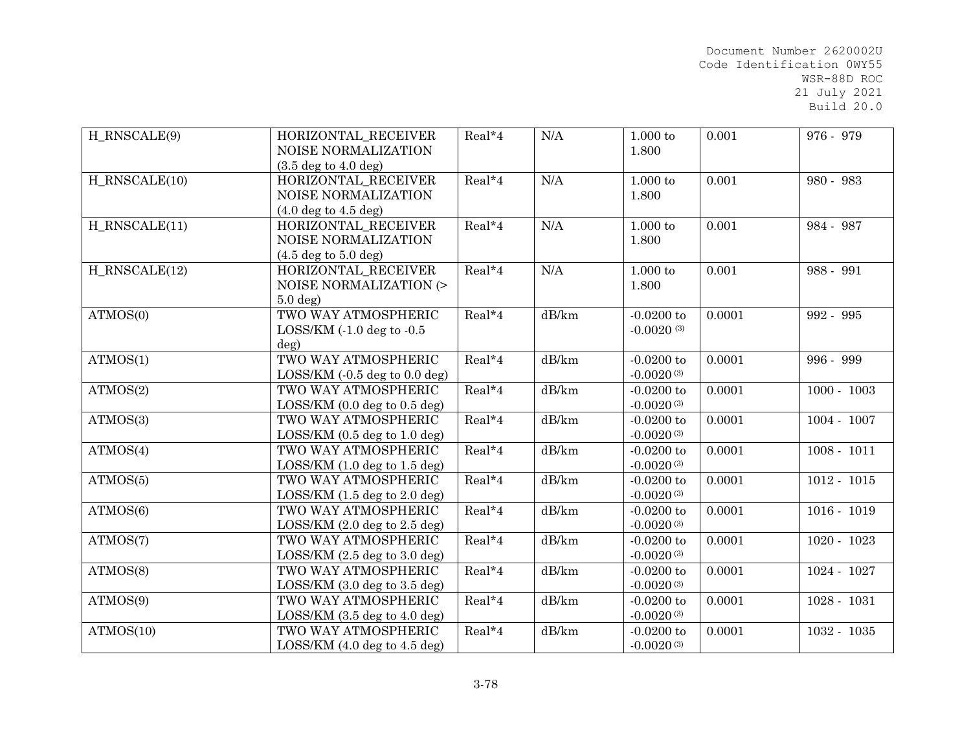| H_RNSCALE(9)    | HORIZONTAL RECEIVER<br>NOISE NORMALIZATION | Real*4 | N/A   | $1.000$ to<br>1.800 | 0.001  | 976 - 979     |
|-----------------|--------------------------------------------|--------|-------|---------------------|--------|---------------|
|                 | $(3.5 \deg to 4.0 \deg)$                   |        |       |                     |        |               |
| H RNSCALE(10)   | HORIZONTAL_RECEIVER                        | Real*4 | N/A   | $1.000\ {\rm to}\$  | 0.001  | 980 - 983     |
|                 | NOISE NORMALIZATION                        |        |       | 1.800               |        |               |
|                 | $(4.0 \deg to 4.5 \deg)$                   |        |       |                     |        |               |
| $H_RNSCALE(11)$ | HORIZONTAL RECEIVER                        | Real*4 | N/A   | $1.000$ to          | 0.001  | 984 - 987     |
|                 | NOISE NORMALIZATION                        |        |       | 1.800               |        |               |
|                 | $(4.5 \deg to 5.0 \deg)$                   |        |       |                     |        |               |
| H RNSCALE(12)   | HORIZONTAL RECEIVER                        | Real*4 | N/A   | $1.000$ to          | 0.001  | 988 - 991     |
|                 | NOISE NORMALIZATION (>                     |        |       | 1.800               |        |               |
|                 | $5.0$ deg)                                 |        |       |                     |        |               |
| ATMOS(0)        | TWO WAY ATMOSPHERIC                        | Real*4 | dB/km | $-0.0200$ to        | 0.0001 | 992 - 995     |
|                 | $LOSSKM$ (-1.0 deg to -0.5                 |        |       | $-0.0020(3)$        |        |               |
|                 | deg)                                       |        |       |                     |        |               |
| ATMOS(1)        | TWO WAY ATMOSPHERIC                        | Real*4 | dB/km | $-0.0200$ to        | 0.0001 | 996 - 999     |
|                 | LOSSKM (0.5 deg to 0.0 deg)                |        |       | $-0.0020(3)$        |        |               |
| ATMOS(2)        | TWO WAY ATMOSPHERIC                        | Real*4 | dB/km | $-0.0200$ to        | 0.0001 | $1000 - 1003$ |
|                 | LOSSKM (0.0 deg to 0.5 deg)                |        |       | $-0.0020(3)$        |        |               |
| ATMOS(3)        | TWO WAY ATMOSPHERIC                        | Real*4 | dB/km | $-0.0200$ to        | 0.0001 | $1004 - 1007$ |
|                 | LOSSKM (0.5 deg to 1.0 deg)                |        |       | $-0.0020(3)$        |        |               |
| ATMOS(4)        | TWO WAY ATMOSPHERIC                        | Real*4 | dB/km | $-0.0200$ to        | 0.0001 | $1008 - 1011$ |
|                 | LOSSKM (1.0 deg to 1.5 deg)                |        |       | $-0.0020(3)$        |        |               |
| ATMOS(5)        | TWO WAY ATMOSPHERIC                        | Real*4 | dB/km | $-0.0200$ to        | 0.0001 | $1012 - 1015$ |
|                 | LOSSKM (1.5 deg to 2.0 deg)                |        |       | $-0.0020(3)$        |        |               |
| ATMOS(6)        | TWO WAY ATMOSPHERIC                        | Real*4 | dB/km | $-0.0200$ to        | 0.0001 | $1016 - 1019$ |
|                 | LOSSKM (2.0 deg to 2.5 deg)                |        |       | $-0.0020(3)$        |        |               |
| ATMOS(7)        | TWO WAY ATMOSPHERIC                        | Real*4 | dB/km | $-0.0200$ to        | 0.0001 | $1020 - 1023$ |
|                 | $LOSSKM$ $(2.5 deg to 3.0 deg)$            |        |       | $-0.0020(3)$        |        |               |
| ATMOS(8)        | TWO WAY ATMOSPHERIC                        | Real*4 | dB/km | $-0.0200$ to        | 0.0001 | 1024 - 1027   |
|                 | $LOSSKM$ (3.0 deg to 3.5 deg)              |        |       | $-0.0020(3)$        |        |               |
| ATMOS(9)        | TWO WAY ATMOSPHERIC                        | Real*4 | dB/km | $-0.0200$ to        | 0.0001 | $1028 - 1031$ |
|                 | LOSS/KM $(3.5 \deg to 4.0 \deg)$           |        |       | $-0.0020(3)$        |        |               |
| ATMOS(10)       | TWO WAY ATMOSPHERIC                        | Real*4 | dB/km | $-0.0200$ to        | 0.0001 | 1032 - 1035   |
|                 | $LOSSKM$ (4.0 deg to 4.5 deg)              |        |       | $-0.0020(3)$        |        |               |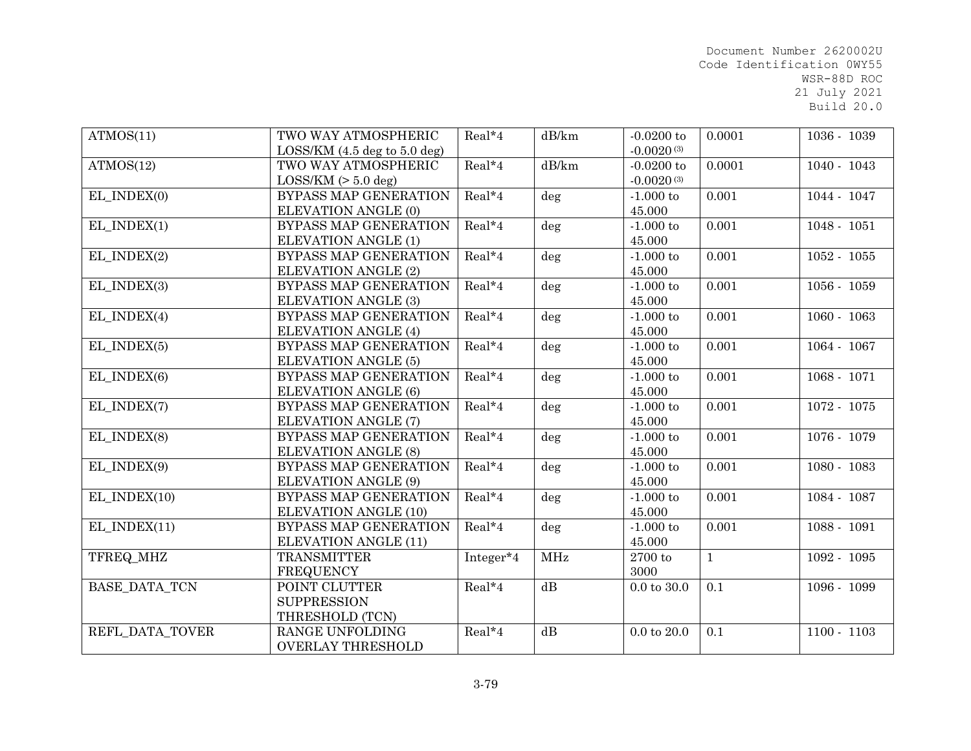| ATMOS(11)                    | TWO WAY ATMOSPHERIC           | Real*4    | dB/km  | $-0.0200$ to           | 0.0001       | 1036 - 1039   |
|------------------------------|-------------------------------|-----------|--------|------------------------|--------------|---------------|
|                              | $LOSSKM$ (4.5 deg to 5.0 deg) |           |        | $-0.0020(3)$           |              |               |
| ATMOS(12)                    | TWO WAY ATMOSPHERIC           | Real*4    | dB/km  | $-0.0200$ to           | 0.0001       | $1040 - 1043$ |
|                              | $LOS/KM (> 5.0$ deg)          |           |        | $-0.0020(3)$           |              |               |
| $EL$ _INDEX $\overline{(0)}$ | BYPASS MAP GENERATION         | Real*4    | deg    | $-1,000$ to            | 0.001        | 1044 - 1047   |
|                              | ELEVATION ANGLE (0)           |           |        | 45.000                 |              |               |
| EL_INDEX(1)                  | <b>BYPASS MAP GENERATION</b>  | Real*4    | $\deg$ | $-1.000$ to            | 0.001        | $1048 - 1051$ |
|                              | ELEVATION ANGLE (1)           |           |        | 45.000                 |              |               |
| EL INDEX(2)                  | <b>BYPASS MAP GENERATION</b>  | Real*4    | deg    | $-1.000$ to            | 0.001        | $1052 - 1055$ |
|                              | <b>ELEVATION ANGLE (2)</b>    |           |        | 45.000                 |              |               |
| EL_INDEX(3)                  | BYPASS MAP GENERATION         | Real*4    | deg    | $-1.000$ to            | 0.001        | $1056 - 1059$ |
|                              | <b>ELEVATION ANGLE (3)</b>    |           |        | 45.000                 |              |               |
| EL INDEX $(4)$               | BYPASS MAP GENERATION         | Real*4    | deg    | $-1.000$ to            | 0.001        | $1060 - 1063$ |
|                              | ELEVATION ANGLE (4)           |           |        | 45.000                 |              |               |
| EL INDEX(5)                  | <b>BYPASS MAP GENERATION</b>  | Real*4    | $\deg$ | $-1.000$ to            | 0.001        | 1064 - 1067   |
|                              | <b>ELEVATION ANGLE (5)</b>    |           |        | 45.000                 |              |               |
| EL INDEX(6)                  | <b>BYPASS MAP GENERATION</b>  | Real*4    | deg    | $-1.000$ to            | 0.001        | $1068 - 1071$ |
|                              | ELEVATION ANGLE (6)           |           |        | 45.000                 |              |               |
| EL_INDEX(7)                  | BYPASS MAP GENERATION         | Real*4    | deg    | $-1.000$ to            | 0.001        | $1072 - 1075$ |
|                              | ELEVATION ANGLE (7)           |           |        | 45.000                 |              |               |
| EL INDEX(8)                  | BYPASS MAP GENERATION         | Real*4    | $\deg$ | $-1.000$ to            | 0.001        | 1076 - 1079   |
|                              | <b>ELEVATION ANGLE (8)</b>    |           |        | 45.000                 |              |               |
| EL_INDEX(9)                  | BYPASS MAP GENERATION         | Real*4    | deg    | $-1.000$ to            | 0.001        | $1080 - 1083$ |
|                              | ELEVATION ANGLE (9)           |           |        | 45.000                 |              |               |
| EL INDEX(10)                 | <b>BYPASS MAP GENERATION</b>  | Real*4    | deg    | $-1.000$ to            | 0.001        | 1084 - 1087   |
|                              | <b>ELEVATION ANGLE (10)</b>   |           |        | 45.000                 |              |               |
| EL INDEX(11)                 | BYPASS MAP GENERATION         | $Real*4$  | deg    | $-1.000$ to            | 0.001        | $1088 - 1091$ |
|                              | <b>ELEVATION ANGLE (11)</b>   |           |        | 45.000                 |              |               |
| TFREQ_MHZ                    | <b>TRANSMITTER</b>            | Integer*4 | MHz    | 2700 to                | $\mathbf{1}$ | $1092 - 1095$ |
|                              | <b>FREQUENCY</b>              |           |        | 3000                   |              |               |
| <b>BASE DATA TCN</b>         | POINT CLUTTER                 | Real*4    | dB     | $0.0 \text{ to } 30.0$ | 0.1          | 1096 - 1099   |
|                              | <b>SUPPRESSION</b>            |           |        |                        |              |               |
|                              | THRESHOLD (TCN)               |           |        |                        |              |               |
| REFL DATA TOVER              | RANGE UNFOLDING               | Real*4    | dB     | $0.0$ to $20.0$        | 0.1          | $1100 - 1103$ |
|                              | <b>OVERLAY THRESHOLD</b>      |           |        |                        |              |               |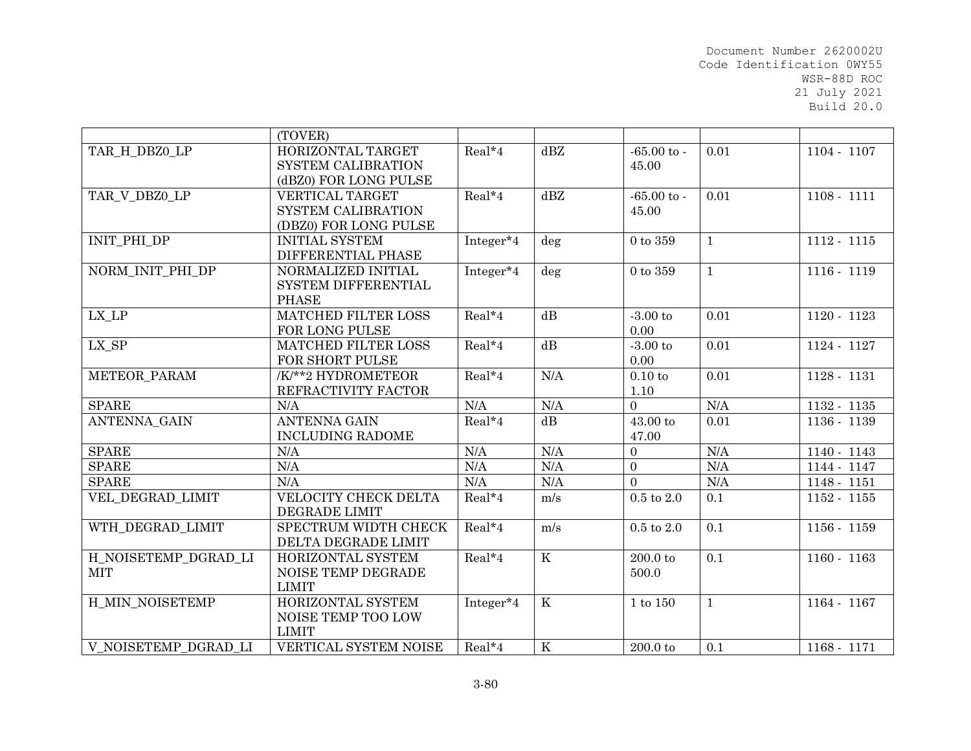|                                 | (TOVER)                    |                       |                         |                   |              |               |
|---------------------------------|----------------------------|-----------------------|-------------------------|-------------------|--------------|---------------|
| TAR H DBZ0 LP                   | HORIZONTAL TARGET          | Real*4                | dBZ                     | $-65.00$ to -     | 0.01         | 1104 - 1107   |
|                                 | SYSTEM CALIBRATION         |                       |                         | 45.00             |              |               |
|                                 | (dBZ0) FOR LONG PULSE      |                       |                         |                   |              |               |
| TAR V DBZ0 LP                   | <b>VERTICAL TARGET</b>     | Real*4                | dBZ                     | $-65.00$ to $-$   | 0.01         | $1108 - 1111$ |
|                                 | SYSTEM CALIBRATION         |                       |                         | 45.00             |              |               |
|                                 | (DBZ0) FOR LONG PULSE      |                       |                         |                   |              |               |
| INIT_PHI_DP                     | <b>INITIAL SYSTEM</b>      | Integer*4             | deg                     | $0$ to $359\,$    | $\mathbf{1}$ | $1112 - 1115$ |
|                                 | DIFFERENTIAL PHASE         |                       |                         |                   |              |               |
| NORM_INIT_PHI_DP                | NORMALIZED INITIAL         | Integer <sup>*4</sup> | deg                     | $0$ to $359\,$    | $\mathbf{1}$ | 1116 - 1119   |
|                                 | SYSTEM DIFFERENTIAL        |                       |                         |                   |              |               |
|                                 | <b>PHASE</b>               |                       |                         |                   |              |               |
| $LX$ <sub><math>L</math>P</sub> | MATCHED FILTER LOSS        | $Real*4$              | $\overline{dB}$         | $-3.00$ to        | 0.01         | 1120 - 1123   |
|                                 | FOR LONG PULSE             |                       |                         | 0.00              |              |               |
| LX_SP                           | <b>MATCHED FILTER LOSS</b> | Real*4                | dB                      | $-3.00$ to        | 0.01         | 1124 - 1127   |
|                                 | FOR SHORT PULSE            |                       |                         | 0.00              |              |               |
| METEOR PARAM                    | /K/**2 HYDROMETEOR         | $Real*4$              | N/A                     | 0.10 to           | 0.01         | 1128 - 1131   |
|                                 | REFRACTIVITY FACTOR        |                       |                         | $1.10\,$          |              |               |
| <b>SPARE</b>                    | N/A                        | N/A                   | N/A                     | $\overline{0}$    | N/A          | 1132 - 1135   |
| ANTENNA_GAIN                    | <b>ANTENNA GAIN</b>        | Real*4                | dB                      | $43.00$ to        | 0.01         | $1136 - 1139$ |
|                                 | <b>INCLUDING RADOME</b>    |                       |                         | 47.00             |              |               |
| <b>SPARE</b>                    | N/A                        | N/A                   | N/A                     | $\overline{0}$    | N/A          | 1140 - 1143   |
| <b>SPARE</b>                    | N/A                        | N/A                   | N/A                     | $\Omega$          | N/A          | 1144 - 1147   |
| <b>SPARE</b>                    | N/A                        | N/A                   | N/A                     | $\Omega$          | N/A          | 1148 - 1151   |
| VEL DEGRAD LIMIT                | VELOCITY CHECK DELTA       | Real*4                | m/s                     | $0.5$ to $2.0\,$  | 0.1          | 1152 - 1155   |
|                                 | <b>DEGRADE LIMIT</b>       |                       |                         |                   |              |               |
| WTH DEGRAD LIMIT                | SPECTRUM WIDTH CHECK       | Real*4                | m/s                     | $0.5$ to $2.0$    | 0.1          | 1156 - 1159   |
|                                 | DELTA DEGRADE LIMIT        |                       |                         |                   |              |               |
| H NOISETEMP DGRAD LI            | HORIZONTAL SYSTEM          | Real*4                | $\overline{\mathbf{K}}$ | $200.0$ to        | 0.1          | 1160 - 1163   |
| <b>MIT</b>                      | NOISE TEMP DEGRADE         |                       |                         | 500.0             |              |               |
|                                 | <b>LIMIT</b>               |                       |                         |                   |              |               |
| H MIN NOISETEMP                 | HORIZONTAL SYSTEM          | Integer*4             | $\mathbf K$             | $1$ to $150\,$    | $\mathbf{1}$ | 1164 - 1167   |
|                                 | NOISE TEMP TOO LOW         |                       |                         |                   |              |               |
|                                 | <b>LIMIT</b>               |                       |                         |                   |              |               |
| V NOISETEMP DGRAD LI            | VERTICAL SYSTEM NOISE      | Real*4                | $\rm K$                 | $200.0\ {\rm to}$ | 0.1          | 1168 - 1171   |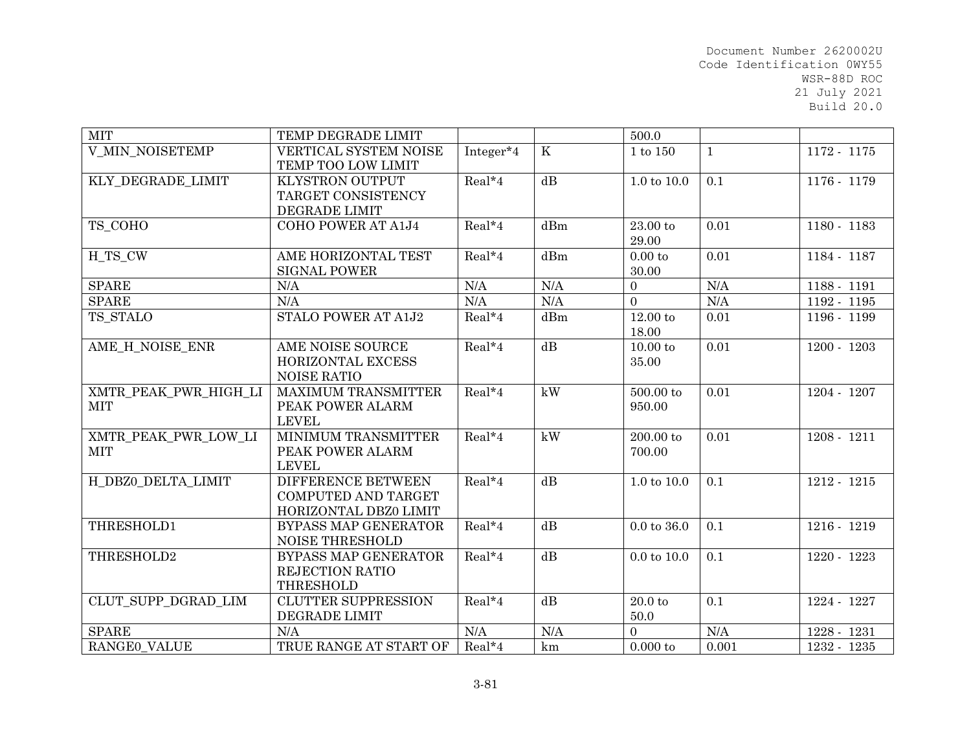| <b>MIT</b>                          | TEMP DEGRADE LIMIT                                                        |           |                 | 500.0                        |              |               |
|-------------------------------------|---------------------------------------------------------------------------|-----------|-----------------|------------------------------|--------------|---------------|
| <b>V_MIN_NOISETEMP</b>              | VERTICAL SYSTEM NOISE<br>TEMP TOO LOW LIMIT                               | Integer*4 | $\rm K$         | 1 to 150                     | $\mathbf{1}$ | 1172 - 1175   |
| KLY_DEGRADE_LIMIT                   | <b>KLYSTRON OUTPUT</b><br>TARGET CONSISTENCY<br>DEGRADE LIMIT             | Real*4    | dB              | $1.0 \text{ to } 10.0$       | 0.1          | 1176 - 1179   |
| TS_COHO                             | COHO POWER AT A1J4                                                        | $Real*4$  | dBm             | 23.00 to<br>29.00            | 0.01         | 1180 - 1183   |
| H TS CW                             | AME HORIZONTAL TEST<br><b>SIGNAL POWER</b>                                | Real*4    | dBm             | 0.00 to<br>30.00             | 0.01         | 1184 - 1187   |
| <b>SPARE</b>                        | N/A                                                                       | N/A       | N/A             | $\overline{0}$               | N/A          | 1188 - 1191   |
| <b>SPARE</b>                        | N/A                                                                       | N/A       | N/A             | $\Omega$                     | N/A          | $1192 - 1195$ |
| TS STALO                            | STALO POWER AT A1J2                                                       | Real*4    | dBm             | $12.00\ {\rm to}\;$<br>18.00 | 0.01         | 1196 - 1199   |
| AME_H_NOISE_ENR                     | AME NOISE SOURCE<br><b>HORIZONTAL EXCESS</b><br>NOISE RATIO               | Real*4    | dB              | $10.00$ to<br>35.00          | 0.01         | $1200 - 1203$ |
| XMTR PEAK PWR HIGH LI<br><b>MIT</b> | <b>MAXIMUM TRANSMITTER</b><br>PEAK POWER ALARM<br><b>LEVEL</b>            | Real*4    | kW              | 500.00 to<br>950.00          | 0.01         | 1204 - 1207   |
| XMTR PEAK PWR LOW LI<br><b>MIT</b>  | MINIMUM TRANSMITTER<br>PEAK POWER ALARM<br><b>LEVEL</b>                   | Real*4    | kW              | 200.00 to<br>700.00          | 0.01         | $1208 - 1211$ |
| H DBZ0 DELTA LIMIT                  | DIFFERENCE BETWEEN<br><b>COMPUTED AND TARGET</b><br>HORIZONTAL DBZ0 LIMIT | Real*4    | dB              | $1.0 \text{ to } 10.0$       | 0.1          | $1212 - 1215$ |
| THRESHOLD1                          | BYPASS MAP GENERATOR<br><b>NOISE THRESHOLD</b>                            | Real*4    | $\overline{dB}$ | $0.0$ to $36.0$              | 0.1          | 1216 - 1219   |
| THRESHOLD2                          | BYPASS MAP GENERATOR<br><b>REJECTION RATIO</b><br><b>THRESHOLD</b>        | Real*4    | dB              | $0.0 \text{ to } 10.0$       | 0.1          | 1220 - 1223   |
| CLUT SUPP DGRAD LIM                 | <b>CLUTTER SUPPRESSION</b><br>DEGRADE LIMIT                               | Real*4    | dB              | 20.0 <sub>to</sub><br>50.0   | 0.1          | 1224 - 1227   |
| <b>SPARE</b>                        | N/A                                                                       | N/A       | N/A             | $\Omega$                     | N/A          | 1228 - 1231   |
| RANGEO VALUE                        | TRUE RANGE AT START OF                                                    | Real*4    | km              | $0.000$ to                   | 0.001        | 1232 - 1235   |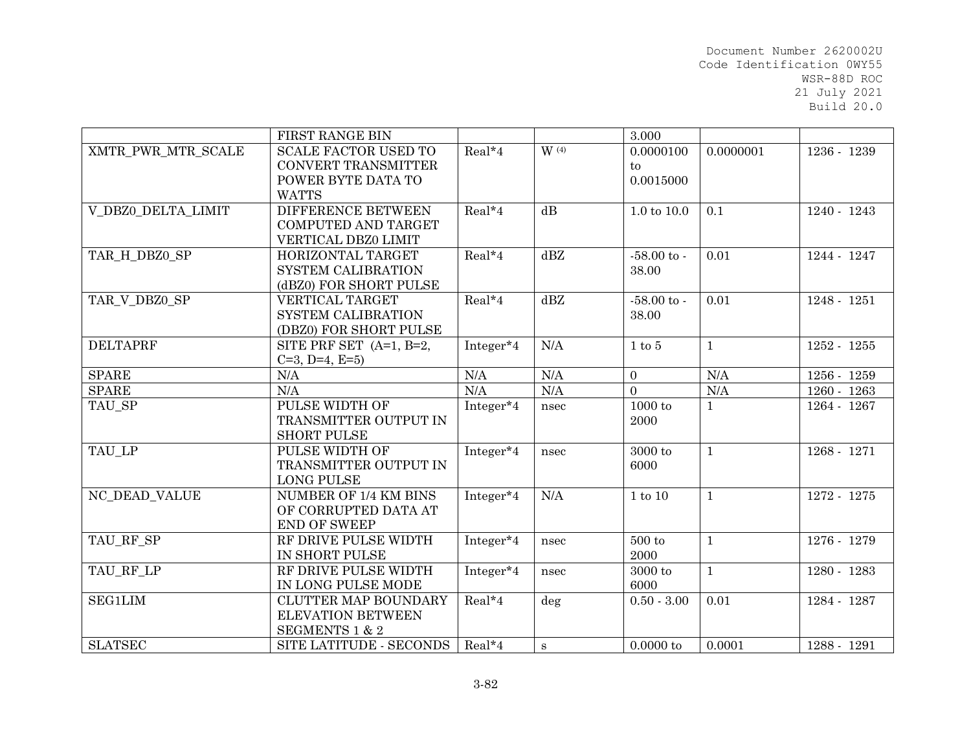|                    | FIRST RANGE BIN             |                       |         | 3.000                  |              |               |
|--------------------|-----------------------------|-----------------------|---------|------------------------|--------------|---------------|
| XMTR PWR MTR SCALE | <b>SCALE FACTOR USED TO</b> | Real*4                | $W$ (4) | 0.0000100              | 0.0000001    | 1236 - 1239   |
|                    | <b>CONVERT TRANSMITTER</b>  |                       |         | $\mathbf{t}$           |              |               |
|                    | POWER BYTE DATA TO          |                       |         | 0.0015000              |              |               |
|                    | <b>WATTS</b>                |                       |         |                        |              |               |
| V DBZ0 DELTA LIMIT | <b>DIFFERENCE BETWEEN</b>   | Real*4                | dB      | $1.0 \text{ to } 10.0$ | 0.1          | 1240 - 1243   |
|                    | COMPUTED AND TARGET         |                       |         |                        |              |               |
|                    | VERTICAL DBZ0 LIMIT         |                       |         |                        |              |               |
| TAR H DBZ0 SP      | HORIZONTAL TARGET           | $Real*4$              | dBZ     | $-58.00 \text{ to }$   | 0.01         | 1244 - 1247   |
|                    | SYSTEM CALIBRATION          |                       |         | 38.00                  |              |               |
|                    | (dBZ0) FOR SHORT PULSE      |                       |         |                        |              |               |
| TAR_V_DBZ0_SP      | <b>VERTICAL TARGET</b>      | Real*4                | dBZ     | $-58.00$ to -          | 0.01         | 1248 - 1251   |
|                    | <b>SYSTEM CALIBRATION</b>   |                       |         | 38.00                  |              |               |
|                    | (DBZ0) FOR SHORT PULSE      |                       |         |                        |              |               |
| <b>DELTAPRF</b>    | SITE PRF SET (A=1, B=2,     | Integer*4             | N/A     | $1$ to $5$             | $\mathbf{1}$ | 1252 - 1255   |
|                    | $C=3$ , D=4, E=5)           |                       |         |                        |              |               |
| <b>SPARE</b>       | N/A                         | N/A                   | N/A     | $\overline{0}$         | N/A          | $1256 - 1259$ |
| <b>SPARE</b>       | N/A                         | N/A                   | N/A     | $\Omega$               | $\rm N/A$    | 1260 - 1263   |
| TAU_SP             | PULSE WIDTH OF              | Integer $\sqrt[4]{4}$ | nsec    | 1000 to                | $\mathbf{1}$ | 1264 - 1267   |
|                    | TRANSMITTER OUTPUT IN       |                       |         | 2000                   |              |               |
|                    | <b>SHORT PULSE</b>          |                       |         |                        |              |               |
| TAU LP             | PULSE WIDTH OF              | Integer*4             | nsec    | 3000 to                | $\mathbf{1}$ | 1268 - 1271   |
|                    | TRANSMITTER OUTPUT IN       |                       |         | 6000                   |              |               |
|                    | <b>LONG PULSE</b>           |                       |         |                        |              |               |
| NC_DEAD_VALUE      | NUMBER OF 1/4 KM BINS       | Integer*4             | N/A     | $1$ to $10$            | $\mathbf{1}$ | 1272 - 1275   |
|                    | OF CORRUPTED DATA AT        |                       |         |                        |              |               |
|                    | <b>END OF SWEEP</b>         |                       |         |                        |              |               |
| TAU_RF_SP          | RF DRIVE PULSE WIDTH        | Integer*4             | nsec    | 500 to                 | $\mathbf{1}$ | 1276 - 1279   |
|                    | IN SHORT PULSE              |                       |         | 2000                   |              |               |
| TAU RF LP          | RF DRIVE PULSE WIDTH        | Integer*4             | nsec    | 3000 to                | $\mathbf{1}$ | 1280 - 1283   |
|                    | IN LONG PULSE MODE          |                       |         | 6000                   |              |               |
| <b>SEG1LIM</b>     | <b>CLUTTER MAP BOUNDARY</b> | Real*4                | deg     | $0.50 - 3.00$          | 0.01         | 1284 - 1287   |
|                    | <b>ELEVATION BETWEEN</b>    |                       |         |                        |              |               |
|                    | <b>SEGMENTS 1 &amp; 2</b>   |                       |         |                        |              |               |
| <b>SLATSEC</b>     | SITE LATITUDE - SECONDS     | $Real*4$              | S       | 0.0000 to              | 0.0001       | 1288 - 1291   |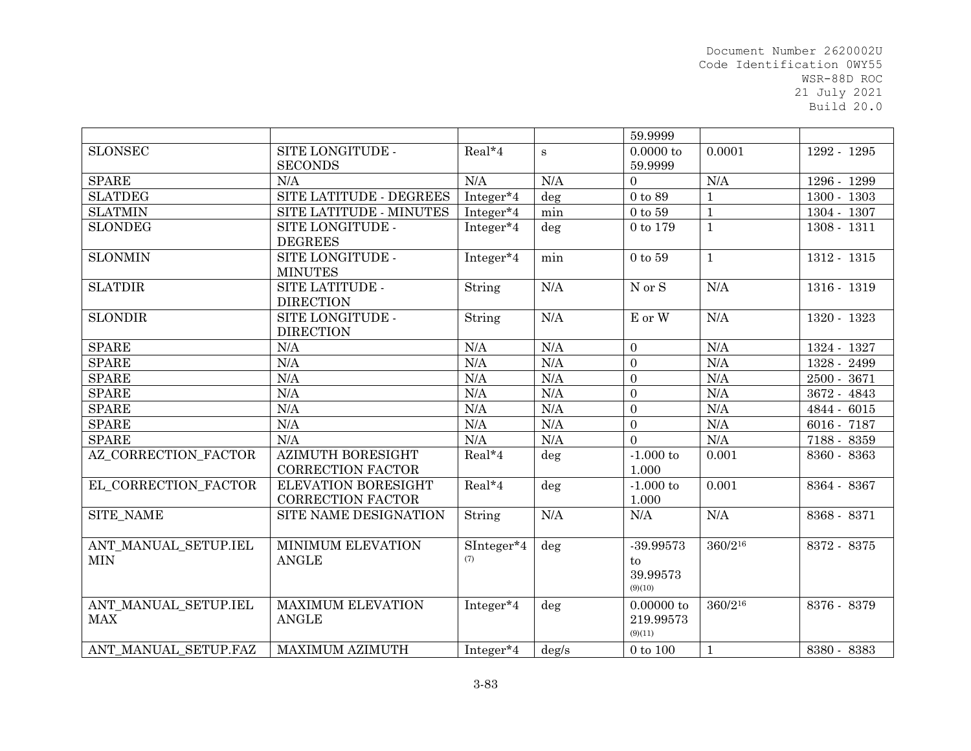|                                    |                                                        |                       |          | 59.9999                                  |                |               |
|------------------------------------|--------------------------------------------------------|-----------------------|----------|------------------------------------------|----------------|---------------|
| <b>SLONSEC</b>                     | SITE LONGITUDE -<br><b>SECONDS</b>                     | Real*4                | S        | $0.0000$ to<br>59.9999                   | 0.0001         | 1292 - 1295   |
| <b>SPARE</b>                       | N/A                                                    | N/A                   | N/A      | $\Omega$                                 | N/A            | 1296 - 1299   |
| <b>SLATDEG</b>                     | SITE LATITUDE - DEGREES                                | Integer <sup>*4</sup> | $\deg$   | $0$ to $89$                              | $\mathbf{1}$   | $1300 - 1303$ |
| <b>SLATMIN</b>                     | SITE LATITUDE - MINUTES                                | Integer*4             | min      | $0$ to $59\,$                            | $\overline{1}$ | 1304 - 1307   |
| <b>SLONDEG</b>                     | SITE LONGITUDE -<br><b>DEGREES</b>                     | Integer*4             | deg      | 0 to 179                                 | $\mathbf{1}$   | 1308 - 1311   |
| <b>SLONMIN</b>                     | SITE LONGITUDE -<br><b>MINUTES</b>                     | Integer*4             | min      | $0$ to $59$                              | $\mathbf{1}$   | 1312 - 1315   |
| <b>SLATDIR</b>                     | SITE LATITUDE -<br><b>DIRECTION</b>                    | String                | N/A      | $\mathrm{N}\text{ or }\mathrm{S}$        | N/A            | 1316 - 1319   |
| <b>SLONDIR</b>                     | SITE LONGITUDE -<br><b>DIRECTION</b>                   | String                | N/A      | E or W                                   | N/A            | 1320 - 1323   |
| <b>SPARE</b>                       | N/A                                                    | N/A                   | N/A      | $\overline{0}$                           | N/A            | 1324 - 1327   |
| <b>SPARE</b>                       | N/A                                                    | N/A                   | N/A      | $\Omega$                                 | N/A            | 1328 - 2499   |
| <b>SPARE</b>                       | N/A                                                    | N/A                   | N/A      | $\Omega$                                 | N/A            | 2500 - 3671   |
| <b>SPARE</b>                       | N/A                                                    | N/A                   | N/A      | $\Omega$                                 | N/A            | 3672 - 4843   |
| <b>SPARE</b>                       | N/A                                                    | N/A                   | N/A      | $\overline{0}$                           | N/A            | 4844 - 6015   |
| <b>SPARE</b>                       | N/A                                                    | N/A                   | N/A      | $\overline{0}$                           | N/A            | 6016 - 7187   |
| <b>SPARE</b>                       | N/A                                                    | N/A                   | N/A      | $\Omega$                                 | N/A            | 7188 - 8359   |
| AZ CORRECTION FACTOR               | <b>AZIMUTH BORESIGHT</b><br><b>CORRECTION FACTOR</b>   | Real*4                | deg      | $-1.000$ to<br>1.000                     | 0.001          | 8360 - 8363   |
| EL CORRECTION FACTOR               | <b>ELEVATION BORESIGHT</b><br><b>CORRECTION FACTOR</b> | Real*4                | deg      | $-1.000$ to<br>1.000                     | 0.001          | 8364 - 8367   |
| SITE_NAME                          | SITE NAME DESIGNATION                                  | String                | N/A      | N/A                                      | N/A            | 8368 - 8371   |
| ANT MANUAL SETUP.IEL<br><b>MIN</b> | MINIMUM ELEVATION<br><b>ANGLE</b>                      | SInteger*4<br>(7)     | deg      | $-39.99573$<br>to<br>39.99573<br>(9)(10) | 360/216        | 8372 - 8375   |
| ANT_MANUAL_SETUP.IEL<br><b>MAX</b> | <b>MAXIMUM ELEVATION</b><br><b>ANGLE</b>               | Integer*4             | deg      | 0.00000 to<br>219.99573<br>(9)(11)       | 360/216        | 8376 - 8379   |
| ANT MANUAL SETUP.FAZ               | <b>MAXIMUM AZIMUTH</b>                                 | Integer*4             | $\deg/s$ | 0 to 100                                 | $\mathbf{1}$   | 8380 - 8383   |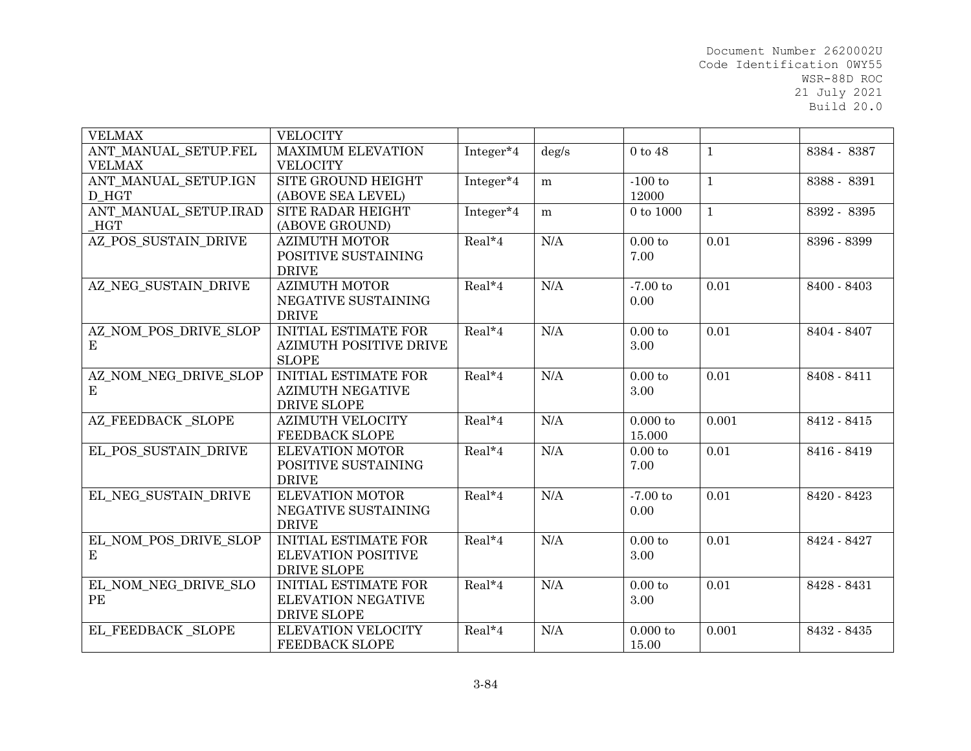| <b>VELMAX</b>         | <b>VELOCITY</b>               |           |       |                  |              |             |
|-----------------------|-------------------------------|-----------|-------|------------------|--------------|-------------|
| ANT_MANUAL_SETUP.FEL  | <b>MAXIMUM ELEVATION</b>      | Integer*4 | deg/s | $0$ to $48$      | $\mathbf{1}$ | 8384 - 8387 |
| <b>VELMAX</b>         | <b>VELOCITY</b>               |           |       |                  |              |             |
| ANT MANUAL SETUP.IGN  | SITE GROUND HEIGHT            | Integer*4 | m     | $-100$ to        | $\mathbf{1}$ | 8388 - 8391 |
| D_HGT                 | (ABOVE SEA LEVEL)             |           |       | 12000            |              |             |
| ANT MANUAL SETUP.IRAD | SITE RADAR HEIGHT             | Integer*4 | m     | 0 to 1000        | $\mathbf{1}$ | 8392 - 8395 |
| <b>HGT</b>            | (ABOVE GROUND)                |           |       |                  |              |             |
| AZ POS SUSTAIN DRIVE  | <b>AZIMUTH MOTOR</b>          | Real*4    | N/A   | 0.00 to          | 0.01         | 8396 - 8399 |
|                       | POSITIVE SUSTAINING           |           |       | 7.00             |              |             |
|                       | <b>DRIVE</b>                  |           |       |                  |              |             |
| AZ NEG SUSTAIN DRIVE  | <b>AZIMUTH MOTOR</b>          | Real*4    | N/A   | $-7.00$ to       | 0.01         | 8400 - 8403 |
|                       | NEGATIVE SUSTAINING           |           |       | 0.00             |              |             |
|                       | <b>DRIVE</b>                  |           |       |                  |              |             |
| AZ_NOM_POS_DRIVE_SLOP | <b>INITIAL ESTIMATE FOR</b>   | Real*4    | N/A   | $0.00\ {\rm to}$ | 0.01         | 8404 - 8407 |
| $\bf E$               | <b>AZIMUTH POSITIVE DRIVE</b> |           |       | 3.00             |              |             |
|                       | <b>SLOPE</b>                  |           |       |                  |              |             |
| AZ NOM NEG DRIVE SLOP | <b>INITIAL ESTIMATE FOR</b>   | $Real*4$  | N/A   | 0.00 to          | 0.01         | 8408 - 8411 |
| $\bf E$               | <b>AZIMUTH NEGATIVE</b>       |           |       | 3.00             |              |             |
|                       | DRIVE SLOPE                   |           |       |                  |              |             |
| AZ FEEDBACK SLOPE     | <b>AZIMUTH VELOCITY</b>       | Real*4    | N/A   | $0.000$ to       | 0.001        | 8412 - 8415 |
|                       | <b>FEEDBACK SLOPE</b>         |           |       | 15.000           |              |             |
| EL POS SUSTAIN DRIVE  | <b>ELEVATION MOTOR</b>        | Real*4    | N/A   | $0.00$ to        | 0.01         | 8416 - 8419 |
|                       | POSITIVE SUSTAINING           |           |       | 7.00             |              |             |
|                       | <b>DRIVE</b>                  |           |       |                  |              |             |
| EL NEG SUSTAIN DRIVE  | <b>ELEVATION MOTOR</b>        | $Real*4$  | N/A   | $-7.00$ to       | 0.01         | 8420 - 8423 |
|                       | NEGATIVE SUSTAINING           |           |       | 0.00             |              |             |
|                       | <b>DRIVE</b>                  |           |       |                  |              |             |
| EL_NOM_POS_DRIVE_SLOP | <b>INITIAL ESTIMATE FOR</b>   | Real*4    | N/A   | $0.00\ {\rm to}$ | 0.01         | 8424 - 8427 |
| Е                     | <b>ELEVATION POSITIVE</b>     |           |       | 3.00             |              |             |
|                       | <b>DRIVE SLOPE</b>            |           |       |                  |              |             |
| EL_NOM_NEG_DRIVE_SLO  | <b>INITIAL ESTIMATE FOR</b>   | Real*4    | N/A   | $0.00\ {\rm to}$ | 0.01         | 8428 - 8431 |
| $\rm{PE}$             | <b>ELEVATION NEGATIVE</b>     |           |       | 3.00             |              |             |
|                       | <b>DRIVE SLOPE</b>            |           |       |                  |              |             |
| EL FEEDBACK SLOPE     | <b>ELEVATION VELOCITY</b>     | Real*4    | N/A   | $0.000$ to       | 0.001        | 8432 - 8435 |
|                       | <b>FEEDBACK SLOPE</b>         |           |       | 15.00            |              |             |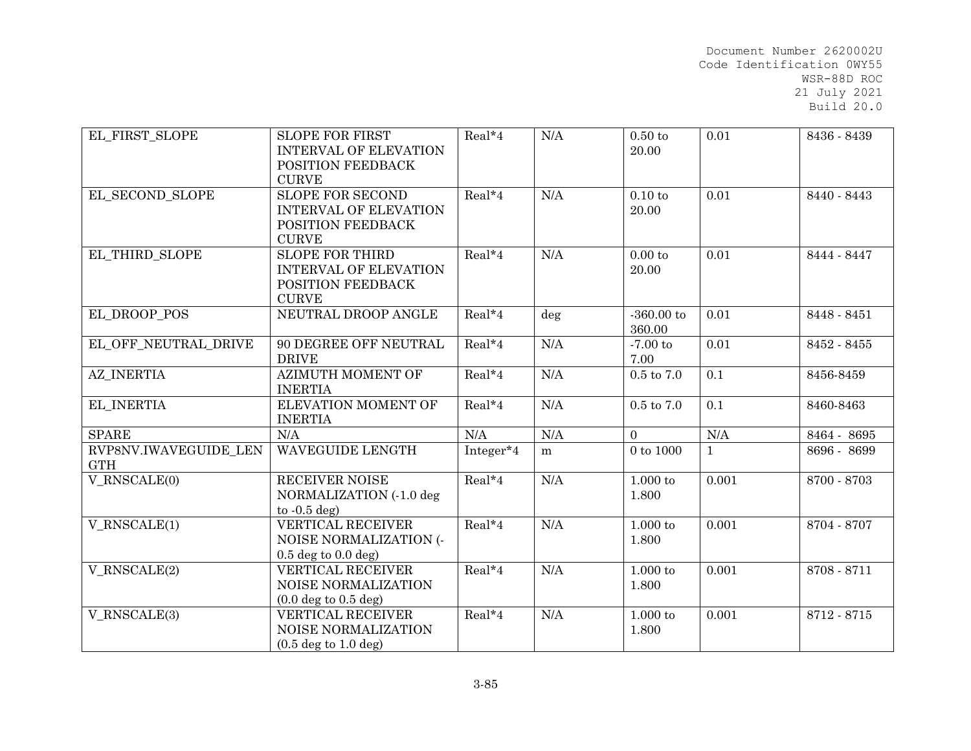| EL FIRST SLOPE                      | <b>SLOPE FOR FIRST</b><br><b>INTERVAL OF ELEVATION</b><br>POSITION FEEDBACK<br><b>CURVE</b>  | Real*4    | N/A | $0.50\ {\rm to}$<br>20.00 | 0.01         | 8436 - 8439 |
|-------------------------------------|----------------------------------------------------------------------------------------------|-----------|-----|---------------------------|--------------|-------------|
| EL SECOND SLOPE                     | <b>SLOPE FOR SECOND</b><br><b>INTERVAL OF ELEVATION</b><br>POSITION FEEDBACK<br><b>CURVE</b> | $Real*4$  | N/A | $0.10$ to<br>20.00        | 0.01         | 8440 - 8443 |
| EL THIRD SLOPE                      | <b>SLOPE FOR THIRD</b><br><b>INTERVAL OF ELEVATION</b><br>POSITION FEEDBACK<br><b>CURVE</b>  | $Real*4$  | N/A | 0.00 to<br>20.00          | 0.01         | 8444 - 8447 |
| EL DROOP POS                        | NEUTRAL DROOP ANGLE                                                                          | Real*4    | deg | $-360.00$ to<br>360.00    | 0.01         | 8448 - 8451 |
| EL OFF NEUTRAL DRIVE                | <b>90 DEGREE OFF NEUTRAL</b><br><b>DRIVE</b>                                                 | $Real*4$  | N/A | $-7.00$ to<br>7.00        | 0.01         | 8452 - 8455 |
| <b>AZ INERTIA</b>                   | <b>AZIMUTH MOMENT OF</b><br><b>INERTIA</b>                                                   | Real*4    | N/A | $0.5$ to $7.0\,$          | 0.1          | 8456-8459   |
| EL_INERTIA                          | ELEVATION MOMENT OF<br><b>INERTIA</b>                                                        | $Real*4$  | N/A | $0.5$ to $7.0\,$          | 0.1          | 8460-8463   |
| <b>SPARE</b>                        | N/A                                                                                          | $\rm N/A$ | N/A | $\overline{0}$            | $\rm N/A$    | 8464 - 8695 |
| RVP8NV.IWAVEGUIDE LEN<br><b>GTH</b> | WAVEGUIDE LENGTH                                                                             | Integer*4 | m   | $0$ to $1000$             | $\mathbf{1}$ | 8696 - 8699 |
| V_RNSCALE(0)                        | <b>RECEIVER NOISE</b><br>NORMALIZATION (-1.0 deg<br>to $-0.5$ deg)                           | Real*4    | N/A | $1.000$ to<br>1.800       | 0.001        | 8700 - 8703 |
| V RNSCALE(1)                        | <b>VERTICAL RECEIVER</b><br>NOISE NORMALIZATION (-<br>$0.5$ deg to $0.0$ deg)                | Real*4    | N/A | $1.000$ to<br>1.800       | 0.001        | 8704 - 8707 |
| V RNSCALE(2)                        | <b>VERTICAL RECEIVER</b><br>NOISE NORMALIZATION<br>$(0.0 \text{ deg to } 0.5 \text{ deg})$   | Real*4    | N/A | $1.000$ to<br>1.800       | 0.001        | 8708 - 8711 |
| V_RNSCALE(3)                        | VERTICAL RECEIVER<br>NOISE NORMALIZATION<br>$(0.5 \deg to 1.0 \deg)$                         | $Real*4$  | N/A | $1.000$ to<br>1.800       | 0.001        | 8712 - 8715 |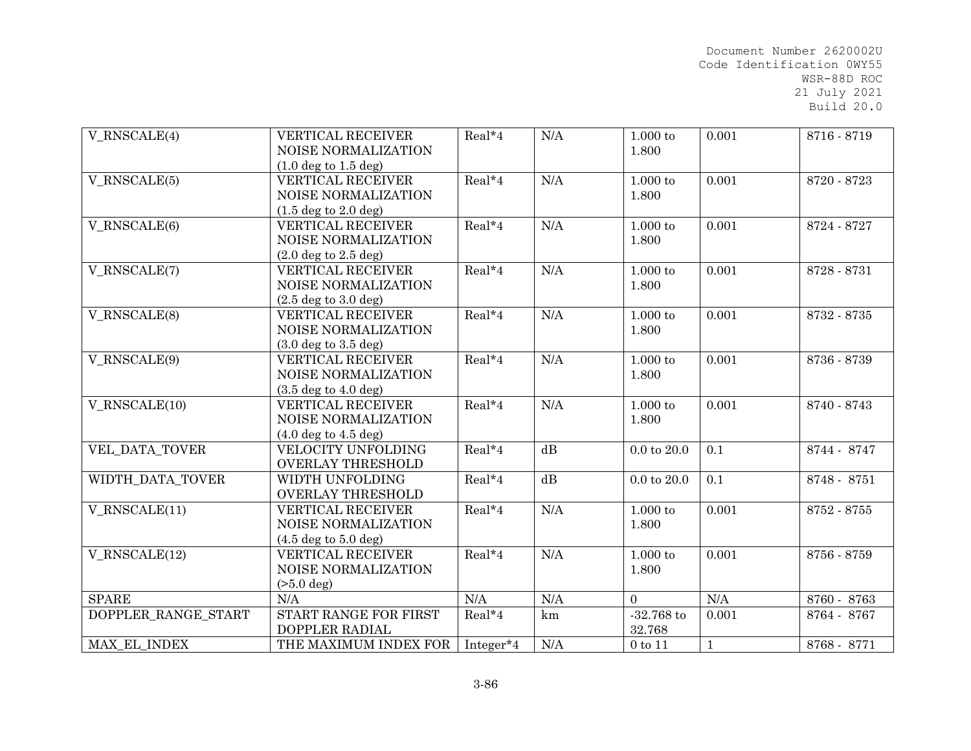| $V_RNSCALE(4)$      | <b>VERTICAL RECEIVER</b><br>NOISE NORMALIZATION | Real*4    | N/A | $1.000$ to<br>1.800 | 0.001        | 8716 - 8719 |
|---------------------|-------------------------------------------------|-----------|-----|---------------------|--------------|-------------|
|                     | $(1.0 \deg to 1.5 \deg)$                        |           |     |                     |              |             |
| V RNSCALE(5)        | <b>VERTICAL RECEIVER</b>                        | Real*4    | N/A | $1.000$ to          | 0.001        | 8720 - 8723 |
|                     | NOISE NORMALIZATION                             |           |     | 1.800               |              |             |
|                     | $(1.5 \deg to 2.0 \deg)$                        |           |     |                     |              |             |
| V RNSCALE(6)        | <b>VERTICAL RECEIVER</b>                        | Real*4    | N/A | $1.000$ to          | 0.001        | 8724 - 8727 |
|                     | NOISE NORMALIZATION                             |           |     | 1.800               |              |             |
|                     | $(2.0 \deg$ to $2.5 \deg)$                      |           |     |                     |              |             |
| V_RNSCALE(7)        | <b>VERTICAL RECEIVER</b>                        | Real*4    | N/A | $1.000$ to          | 0.001        | 8728 - 8731 |
|                     | NOISE NORMALIZATION                             |           |     | 1.800               |              |             |
|                     | $(2.5 \deg to 3.0 \deg)$                        |           |     |                     |              |             |
| V_RNSCALE(8)        | <b>VERTICAL RECEIVER</b>                        | Real*4    | N/A | $1.000$ to          | 0.001        | 8732 - 8735 |
|                     | NOISE NORMALIZATION                             |           |     | 1.800               |              |             |
|                     | $(3.0 \deg to 3.5 \deg)$                        |           |     |                     |              |             |
| V RNSCALE(9)        | <b>VERTICAL RECEIVER</b>                        | Real*4    | N/A | $1.000$ to          | 0.001        | 8736 - 8739 |
|                     | NOISE NORMALIZATION                             |           |     | 1.800               |              |             |
|                     | $(3.5 \deg to 4.0 \deg)$                        |           |     |                     |              |             |
| V RNSCALE(10)       | VERTICAL RECEIVER                               | Real*4    | N/A | 1.000 to            | 0.001        | 8740 - 8743 |
|                     | NOISE NORMALIZATION                             |           |     | 1.800               |              |             |
|                     | $(4.0 \deg to 4.5 \deg)$                        |           |     |                     |              |             |
| VEL_DATA_TOVER      | VELOCITY UNFOLDING                              | Real*4    | dB  | $0.0$ to $20.0$     | 0.1          | 8744 - 8747 |
|                     | <b>OVERLAY THRESHOLD</b>                        |           |     |                     |              |             |
| WIDTH_DATA_TOVER    | WIDTH UNFOLDING                                 | Real*4    | dB  | $0.0$ to $20.0$     | 0.1          | 8748 - 8751 |
|                     | <b>OVERLAY THRESHOLD</b>                        |           |     |                     |              |             |
| V_RNSCALE(11)       | <b>VERTICAL RECEIVER</b>                        | Real*4    | N/A | $1.000$ to          | 0.001        | 8752 - 8755 |
|                     | NOISE NORMALIZATION                             |           |     | 1.800               |              |             |
|                     | $(4.5 \deg to 5.0 \deg)$                        |           |     |                     |              |             |
| V RNSCALE(12)       | <b>VERTICAL RECEIVER</b>                        | Real*4    | N/A | $1.000$ to          | 0.001        | 8756 - 8759 |
|                     | NOISE NORMALIZATION                             |           |     | 1.800               |              |             |
|                     | $(>5.0 \text{ deg})$                            |           |     |                     |              |             |
| <b>SPARE</b>        | N/A                                             | N/A       | N/A | $\Omega$            | N/A          | 8760 - 8763 |
| DOPPLER RANGE START | START RANGE FOR FIRST                           | $Real*4$  | km  | $\mbox{-}32.768$ to | 0.001        | 8764 - 8767 |
|                     | DOPPLER RADIAL                                  |           |     | 32.768              |              |             |
| MAX EL INDEX        | THE MAXIMUM INDEX FOR                           | Integer*4 | N/A | $0$ to $11$         | $\mathbf{1}$ | 8768 - 8771 |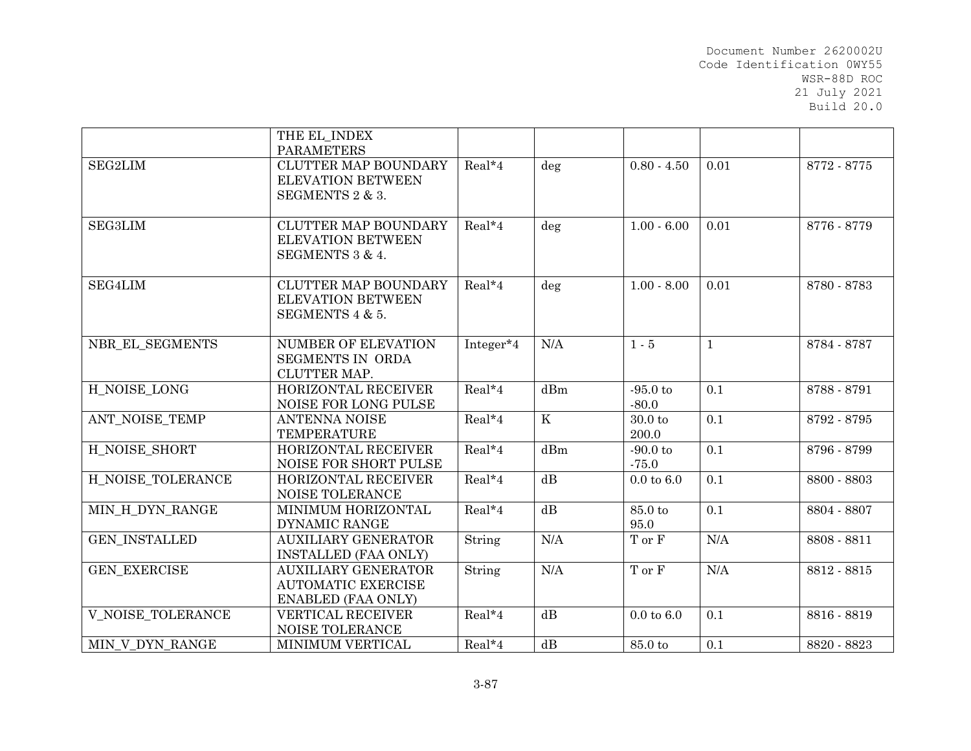|                          | THE EL INDEX<br><b>PARAMETERS</b>                                                    |           |         |                              |              |             |
|--------------------------|--------------------------------------------------------------------------------------|-----------|---------|------------------------------|--------------|-------------|
| <b>SEG2LIM</b>           | <b>CLUTTER MAP BOUNDARY</b><br><b>ELEVATION BETWEEN</b><br>SEGMENTS 2 & 3.           | Real*4    | $\deg$  | $0.80 - 4.50$                | 0.01         | 8772 - 8775 |
| <b>SEG3LIM</b>           | <b>CLUTTER MAP BOUNDARY</b><br><b>ELEVATION BETWEEN</b><br>SEGMENTS 3 & 4.           | $Real*4$  | deg     | $1.00 - 6.00$                | 0.01         | 8776 - 8779 |
| SEG4LIM                  | <b>CLUTTER MAP BOUNDARY</b><br><b>ELEVATION BETWEEN</b><br>SEGMENTS 4 & 5.           | Real*4    | deg     | $1.00 - 8.00$                | 0.01         | 8780 - 8783 |
| NBR_EL_SEGMENTS          | NUMBER OF ELEVATION<br><b>SEGMENTS IN ORDA</b><br>CLUTTER MAP.                       | Integer*4 | N/A     | $1 - 5$                      | $\mathbf{1}$ | 8784 - 8787 |
| H NOISE LONG             | HORIZONTAL RECEIVER<br>NOISE FOR LONG PULSE                                          | Real*4    | dBm     | $-95.0$ to<br>$-80.0$        | 0.1          | 8788 - 8791 |
| ANT NOISE TEMP           | <b>ANTENNA NOISE</b><br><b>TEMPERATURE</b>                                           | Real*4    | $\rm K$ | 30.0 <sub>to</sub><br>200.0  | 0.1          | 8792 - 8795 |
| H_NOISE_SHORT            | HORIZONTAL RECEIVER<br>NOISE FOR SHORT PULSE                                         | Real*4    | dBm     | $-90.0$ to<br>$-75.0$        | 0.1          | 8796 - 8799 |
| H NOISE_TOLERANCE        | HORIZONTAL RECEIVER<br><b>NOISE TOLERANCE</b>                                        | Real*4    | dB      | $0.0 \text{ to } 6.0$        | 0.1          | 8800 - 8803 |
| MIN H DYN RANGE          | MINIMUM HORIZONTAL<br><b>DYNAMIC RANGE</b>                                           | Real*4    | dB      | 85.0 to<br>95.0              | 0.1          | 8804 - 8807 |
| <b>GEN INSTALLED</b>     | <b>AUXILIARY GENERATOR</b><br><b>INSTALLED (FAA ONLY)</b>                            | String    | N/A     | $\mathcal T$ or $\mathcal F$ | N/A          | 8808 - 8811 |
| <b>GEN EXERCISE</b>      | <b>AUXILIARY GENERATOR</b><br><b>AUTOMATIC EXERCISE</b><br><b>ENABLED (FAA ONLY)</b> | String    | N/A     | T or F                       | N/A          | 8812 - 8815 |
| <b>V_NOISE_TOLERANCE</b> | <b>VERTICAL RECEIVER</b><br>NOISE TOLERANCE                                          | Real*4    | dB      | $0.0 \text{ to } 6.0$        | 0.1          | 8816 - 8819 |
| MIN V DYN RANGE          | MINIMUM VERTICAL                                                                     | Real*4    | dB      | $85.0\ {\rm to}$             | 0.1          | 8820 - 8823 |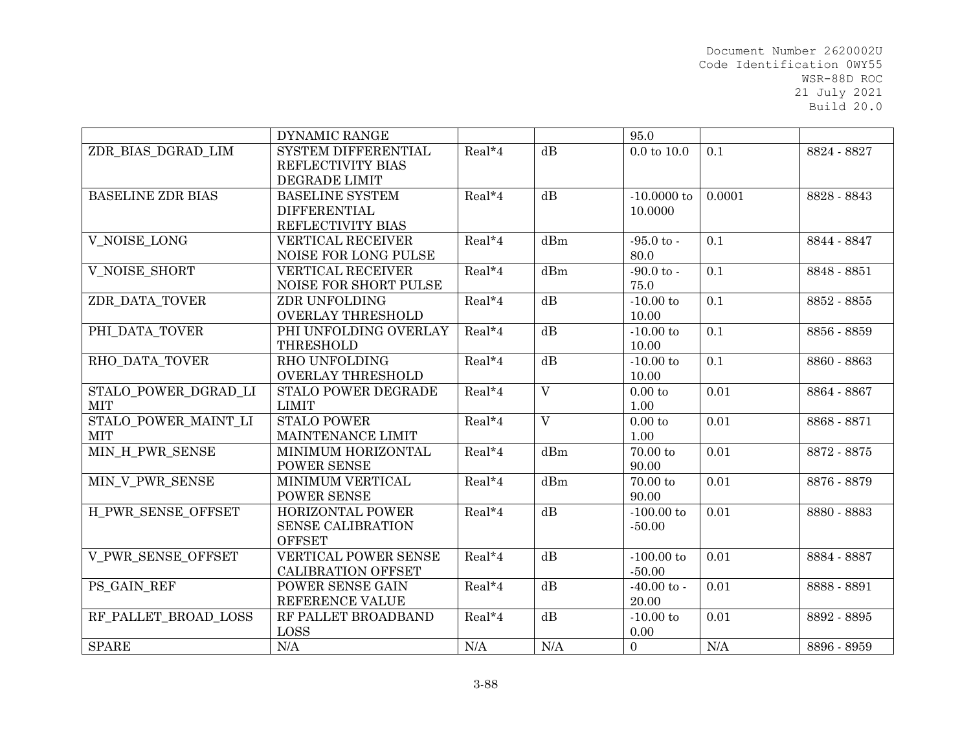|                          | <b>DYNAMIC RANGE</b>       |          |                | 95.0                   |           |             |
|--------------------------|----------------------------|----------|----------------|------------------------|-----------|-------------|
| ZDR BIAS DGRAD LIM       | <b>SYSTEM DIFFERENTIAL</b> | Real*4   | dB             | $0.0 \text{ to } 10.0$ | 0.1       | 8824 - 8827 |
|                          | REFLECTIVITY BIAS          |          |                |                        |           |             |
|                          | <b>DEGRADE LIMIT</b>       |          |                |                        |           |             |
| <b>BASELINE ZDR BIAS</b> | <b>BASELINE SYSTEM</b>     | Real*4   | dB             | $-10.0000$ to          | 0.0001    | 8828 - 8843 |
|                          | <b>DIFFERENTIAL</b>        |          |                | 10.0000                |           |             |
|                          | REFLECTIVITY BIAS          |          |                |                        |           |             |
| V NOISE LONG             | <b>VERTICAL RECEIVER</b>   | $Real*4$ | dBm            | $-95.0 \text{ to }$    | 0.1       | 8844 - 8847 |
|                          | NOISE FOR LONG PULSE       |          |                | 80.0                   |           |             |
| V_NOISE_SHORT            | <b>VERTICAL RECEIVER</b>   | Real*4   | dBm            | $-90.0$ to $-$         | 0.1       | 8848 - 8851 |
|                          | NOISE FOR SHORT PULSE      |          |                | 75.0                   |           |             |
| ZDR_DATA_TOVER           | ZDR UNFOLDING              | Real*4   | dB             | $-10.00$ to            | 0.1       | 8852 - 8855 |
|                          | <b>OVERLAY THRESHOLD</b>   |          |                | 10.00                  |           |             |
| PHI DATA TOVER           | PHI UNFOLDING OVERLAY      | Real*4   | dB             | $-10.00$ to            | 0.1       | 8856 - 8859 |
|                          | THRESHOLD                  |          |                | 10.00                  |           |             |
| RHO DATA TOVER           | RHO UNFOLDING              | Real*4   | dB             | $-10.00$ to            | 0.1       | 8860 - 8863 |
|                          | <b>OVERLAY THRESHOLD</b>   |          |                | 10.00                  |           |             |
| STALO POWER DGRAD LI     | <b>STALO POWER DEGRADE</b> | Real*4   | $\overline{V}$ | 0.00 to                | 0.01      | 8864 - 8867 |
| <b>MIT</b>               | <b>LIMIT</b>               |          |                | 1.00                   |           |             |
| STALO POWER MAINT LI     | <b>STALO POWER</b>         | Real*4   | $\overline{V}$ | 0.00 to                | 0.01      | 8868 - 8871 |
| <b>MIT</b>               | MAINTENANCE LIMIT          |          |                | 1.00                   |           |             |
| MIN H PWR SENSE          | MINIMUM HORIZONTAL         | Real*4   | dBm            | $70.00\ {\rm to}$      | 0.01      | 8872 - 8875 |
|                          | <b>POWER SENSE</b>         |          |                | 90.00                  |           |             |
| MIN V PWR SENSE          | <b>MINIMUM VERTICAL</b>    | Real*4   | dBm            | $70.00$ to             | 0.01      | 8876 - 8879 |
|                          | <b>POWER SENSE</b>         |          |                | 90.00                  |           |             |
| H PWR SENSE OFFSET       | <b>HORIZONTAL POWER</b>    | Real*4   | dB             | $-100.00$ to           | 0.01      | 8880 - 8883 |
|                          | <b>SENSE CALIBRATION</b>   |          |                | $-50.00$               |           |             |
|                          | <b>OFFSET</b>              |          |                |                        |           |             |
| V_PWR_SENSE_OFFSET       | VERTICAL POWER SENSE       | Real*4   | dB             | $-100.00$ to           | 0.01      | 8884 - 8887 |
|                          | <b>CALIBRATION OFFSET</b>  |          |                | $-50.00$               |           |             |
| PS GAIN REF              | POWER SENSE GAIN           | Real*4   | dB             | $-40.00$ to $-$        | 0.01      | 8888 - 8891 |
|                          | REFERENCE VALUE            |          |                | 20.00                  |           |             |
| RF PALLET BROAD LOSS     | RF PALLET BROADBAND        | Real*4   | dB             | $-10.00$ to            | 0.01      | 8892 - 8895 |
|                          | LOSS                       |          |                | 0.00                   |           |             |
| <b>SPARE</b>             | N/A                        | N/A      | N/A            | $\overline{0}$         | $\rm N/A$ | 8896 - 8959 |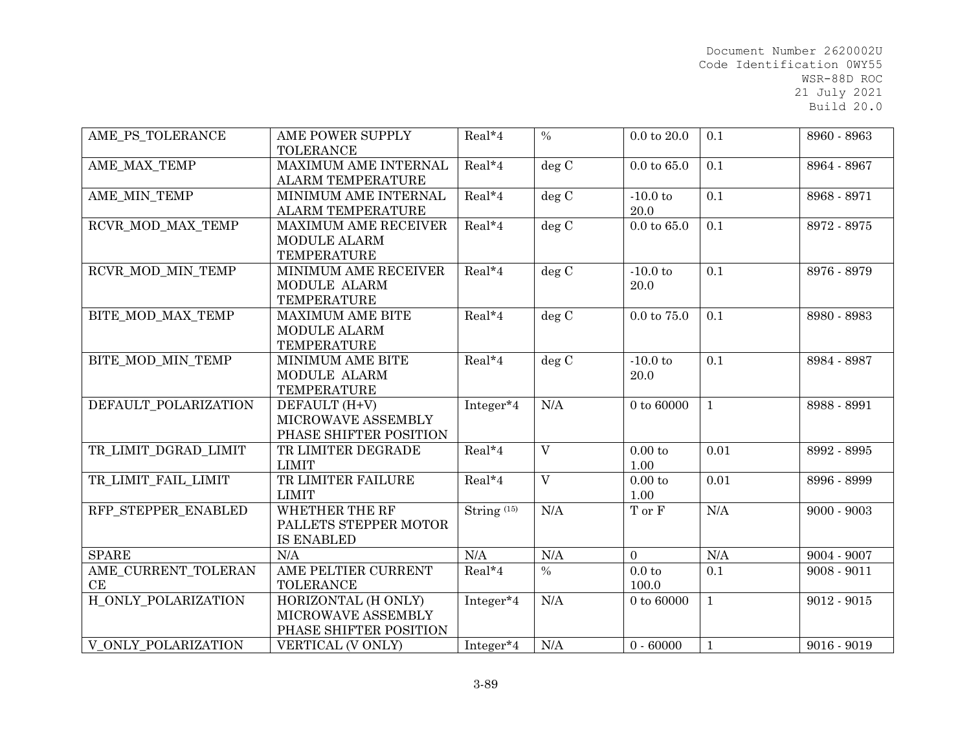| AME PS TOLERANCE          | AME POWER SUPPLY<br><b>TOLERANCE</b>                                     | Real*4                 | $\frac{0}{0}$           | $0.0$ to $20.0$            | 0.1          | 8960 - 8963   |
|---------------------------|--------------------------------------------------------------------------|------------------------|-------------------------|----------------------------|--------------|---------------|
| AME MAX TEMP              | MAXIMUM AME INTERNAL<br><b>ALARM TEMPERATURE</b>                         | Real*4                 | deg C                   | $0.0 \text{ to } 65.0$     | 0.1          | 8964 - 8967   |
| AME MIN TEMP              | MINIMUM AME INTERNAL<br><b>ALARM TEMPERATURE</b>                         | Real*4                 | deg C                   | $-10.0$ to<br>20.0         | 0.1          | 8968 - 8971   |
| RCVR MOD MAX TEMP         | <b>MAXIMUM AME RECEIVER</b><br><b>MODULE ALARM</b><br><b>TEMPERATURE</b> | Real*4                 | deg C                   | $0.0 \text{ to } 65.0$     | 0.1          | 8972 - 8975   |
| RCVR MOD MIN TEMP         | MINIMUM AME RECEIVER<br>MODULE ALARM<br><b>TEMPERATURE</b>               | Real*4                 | deg C                   | $-10.0$ to<br>20.0         | 0.1          | 8976 - 8979   |
| BITE MOD MAX TEMP         | <b>MAXIMUM AME BITE</b><br>MODULE ALARM<br><b>TEMPERATURE</b>            | Real*4                 | deg C                   | $0.0 \text{ to } 75.0$     | 0.1          | 8980 - 8983   |
| BITE MOD MIN TEMP         | MINIMUM AME BITE<br>MODULE ALARM<br><b>TEMPERATURE</b>                   | Real*4                 | deg C                   | $-10.0$ to<br>20.0         | 0.1          | 8984 - 8987   |
| DEFAULT POLARIZATION      | DEFAULT (H+V)<br>MICROWAVE ASSEMBLY<br>PHASE SHIFTER POSITION            | Integer*4              | N/A                     | $0 \text{ to } 60000$      | $\mathbf{1}$ | 8988 - 8991   |
| TR LIMIT DGRAD LIMIT      | TR LIMITER DEGRADE<br><b>LIMIT</b>                                       | Real*4                 | $\overline{V}$          | 0.00 to<br>1.00            | 0.01         | 8992 - 8995   |
| TR LIMIT FAIL LIMIT       | TR LIMITER FAILURE<br><b>LIMIT</b>                                       | $Real*4$               | $\overline{\mathbf{V}}$ | $0.00\ {\rm to}$<br>1.00   | 0.01         | 8996 - 8999   |
| RFP STEPPER ENABLED       | WHETHER THE RF<br>PALLETS STEPPER MOTOR<br><b>IS ENABLED</b>             | String <sup>(15)</sup> | N/A                     | T or F                     | N/A          | $9000 - 9003$ |
| <b>SPARE</b>              | N/A                                                                      | N/A                    | N/A                     | $\overline{0}$             | N/A          | 9004 - 9007   |
| AME_CURRENT_TOLERAN<br>CE | AME PELTIER CURRENT<br><b>TOLERANCE</b>                                  | Real*4                 | $\%$                    | 0.0 <sub>to</sub><br>100.0 | 0.1          | $9008 - 9011$ |
| H ONLY POLARIZATION       | HORIZONTAL (H ONLY)<br>MICROWAVE ASSEMBLY<br>PHASE SHIFTER POSITION      | Integer*4              | N/A                     | $0$ to $60000\,$           | $\mathbf{1}$ | $9012 - 9015$ |
| V ONLY POLARIZATION       | VERTICAL (V ONLY)                                                        | Integer*4              | N/A                     | $0 - 60000$                | $\mathbf{1}$ | $9016 - 9019$ |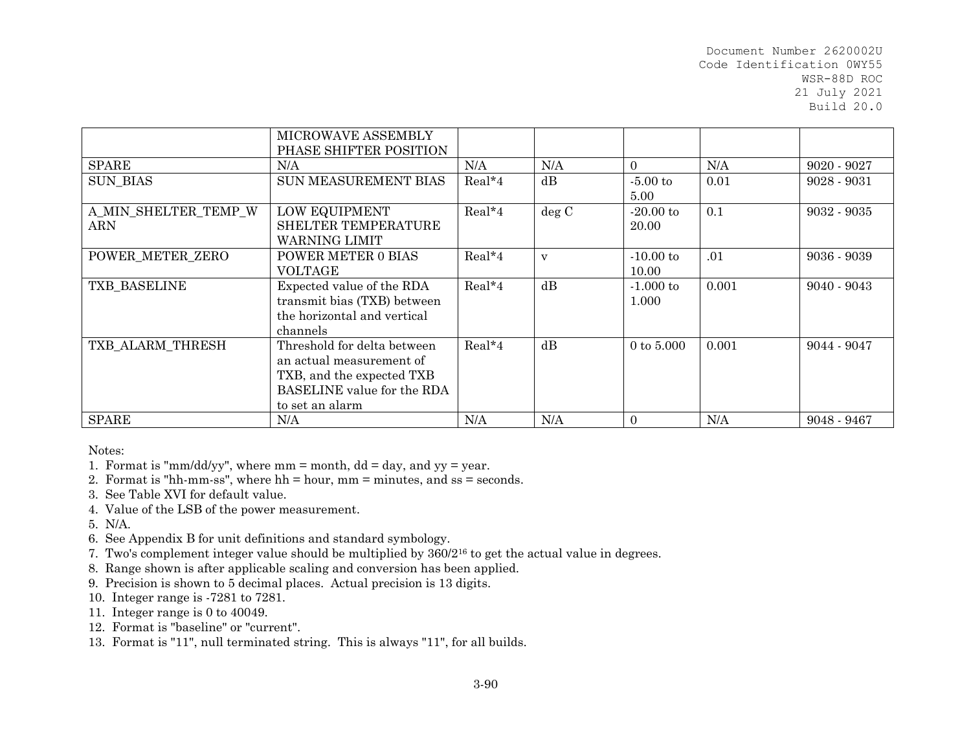|                      | MICROWAVE ASSEMBLY<br>PHASE SHIFTER POSITION |          |       |              |       |               |
|----------------------|----------------------------------------------|----------|-------|--------------|-------|---------------|
| <b>SPARE</b>         | N/A                                          | N/A      | N/A   | $\Omega$     | N/A   | $9020 - 9027$ |
| <b>SUN BIAS</b>      | <b>SUN MEASUREMENT BIAS</b>                  | $Real*4$ | dB    | $-5.00$ to   | 0.01  | $9028 - 9031$ |
|                      |                                              |          |       | 5.00         |       |               |
| A MIN SHELTER TEMP W | LOW EQUIPMENT                                | Real*4   | deg C | $-20.00$ to  | 0.1   | $9032 - 9035$ |
| ARN                  | SHELTER TEMPERATURE                          |          |       | 20.00        |       |               |
|                      | WARNING LIMIT                                |          |       |              |       |               |
| POWER METER ZERO     | POWER METER 0 BIAS                           | Real*4   | V     | $-10.00$ to  | .01   | $9036 - 9039$ |
|                      | <b>VOLTAGE</b>                               |          |       | 10.00        |       |               |
| TXB BASELINE         | Expected value of the RDA                    | $Real*4$ | dB    | $-1.000$ to  | 0.001 | $9040 - 9043$ |
|                      | transmit bias (TXB) between                  |          |       | 1.000        |       |               |
|                      | the horizontal and vertical                  |          |       |              |       |               |
|                      | channels                                     |          |       |              |       |               |
| TXB ALARM THRESH     | Threshold for delta between                  | $Real*4$ | dB    | 0 to $5.000$ | 0.001 | $9044 - 9047$ |
|                      | an actual measurement of                     |          |       |              |       |               |
|                      | TXB, and the expected TXB                    |          |       |              |       |               |
|                      | BASELINE value for the RDA                   |          |       |              |       |               |
|                      | to set an alarm                              |          |       |              |       |               |
| <b>SPARE</b>         | N/A                                          | N/A      | N/A   | $\Omega$     | N/A   | 9048 - 9467   |

Notes:

1. Format is "mm/dd/yy", where mm = month, dd = day, and yy = year.

2. Format is "hh-mm-ss", where hh = hour, mm = minutes, and ss = seconds.

3. See Table XVI for default value.

4. Value of the LSB of the power measurement.

5. N/A.

6. See Appendix B for unit definitions and standard symbology.

7. Two's complement integer value should be multiplied by 360/216 to get the actual value in degrees.

8. Range shown is after applicable scaling and conversion has been applied.

9. Precision is shown to 5 decimal places. Actual precision is 13 digits.

10. Integer range is -7281 to 7281.

11. Integer range is 0 to 40049.

12. Format is "baseline" or "current".

13. Format is "11", null terminated string. This is always "11", for all builds.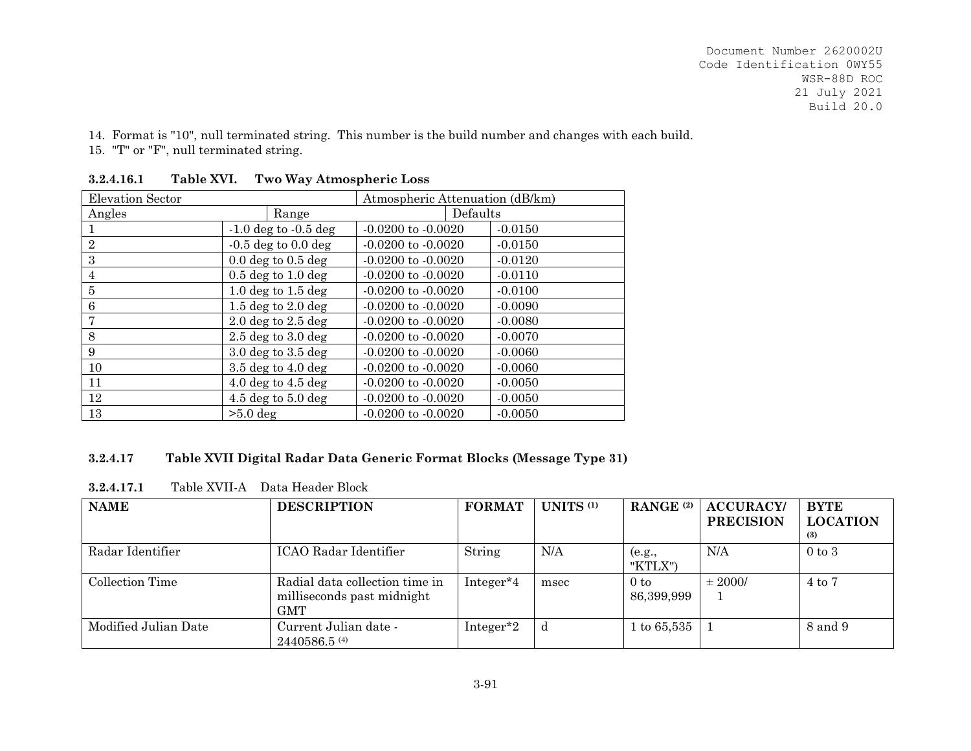14. Format is "10", null terminated string. This number is the build number and changes with each build. 15. "T" or "F", null terminated string.

| Elevation Sector |                                       | Atmospheric Attenuation (dB/km) |           |
|------------------|---------------------------------------|---------------------------------|-----------|
| Angles           | Range                                 | Defaults                        |           |
|                  | $-1.0$ deg to $-0.5$ deg              | $-0.0200$ to $-0.0020$          | $-0.0150$ |
| $\mathbf{2}$     | $-0.5$ deg to $0.0$ deg               | $-0.0200$ to $-0.0020$          | $-0.0150$ |
| 3                | $0.0 \text{ deg to } 0.5 \text{ deg}$ | $-0.0200$ to $-0.0020$          | $-0.0120$ |
| $\overline{4}$   | $0.5$ deg to $1.0$ deg                | $-0.0200$ to $-0.0020$          | $-0.0110$ |
| 5                | 1.0 deg to $1.5$ deg                  | $-0.0200$ to $-0.0020$          | $-0.0100$ |
| 6                | 1.5 deg to $2.0$ deg                  | $-0.0200$ to $-0.0020$          | $-0.0090$ |
| 7                | $2.0$ deg to $2.5$ deg                | $-0.0200$ to $-0.0020$          | $-0.0080$ |
| 8                | $2.5$ deg to $3.0$ deg                | $-0.0200$ to $-0.0020$          | $-0.0070$ |
| 9                | $3.0$ deg to $3.5$ deg                | $-0.0200$ to $-0.0020$          | $-0.0060$ |
| 10               | $3.5$ deg to $4.0$ deg                | $-0.0200$ to $-0.0020$          | $-0.0060$ |
| 11               | $4.0 \text{ deg to } 4.5 \text{ deg}$ | $-0.0200$ to $-0.0020$          | $-0.0050$ |
| 12               | 4.5 deg to $5.0$ deg                  | $-0.0200$ to $-0.0020$          | $-0.0050$ |
| 13               | $>5.0$ deg                            | $-0.0200$ to $-0.0020$          | $-0.0050$ |

**3.2.4.16.1Table XVI. Two Way Atmospheric Loss** 

## **3.2.4.17Table XVII Digital Radar Data Generic Format Blocks (Message Type 31)**

| <b>NAME</b>          | <b>DESCRIPTION</b>                                                  | <b>FORMAT</b>         | UNITS <sup>(1)</sup> | RANGE <sup>(2)</sup>          | <b>ACCURACY</b><br><b>PRECISION</b> | <b>BYTE</b><br><b>LOCATION</b><br>(3) |
|----------------------|---------------------------------------------------------------------|-----------------------|----------------------|-------------------------------|-------------------------------------|---------------------------------------|
| Radar Identifier     | ICAO Radar Identifier                                               | String                | N/A                  | (e.g.,<br>"KTLX")             | N/A                                 | $0 \text{ to } 3$                     |
| Collection Time      | Radial data collection time in<br>milliseconds past midnight<br>GMT | Integer <sup>*4</sup> | msec                 | 0 <sub>to</sub><br>86,399,999 | $\pm 2000/$                         | 4 to 7                                |
| Modified Julian Date | Current Julian date -<br>$2440586.5$ <sup>(4)</sup>                 | Integer <sup>*2</sup> | d                    | $1\,\mathrm{to}\,65,\!535$    |                                     | 8 and 9                               |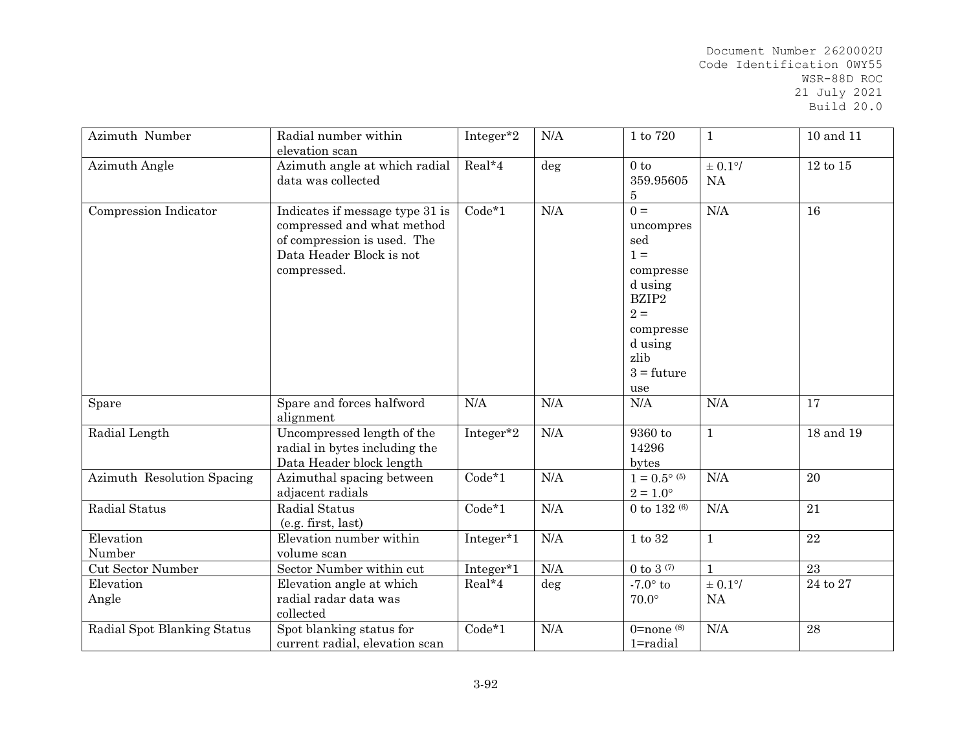| Azimuth Number              | Radial number within<br>elevation scan                                                                                                  | $Integer*2$ | N/A    | $1$ to $720\,$                                                                                                                      | $\mathbf{1}$     | 10 and 11       |
|-----------------------------|-----------------------------------------------------------------------------------------------------------------------------------------|-------------|--------|-------------------------------------------------------------------------------------------------------------------------------------|------------------|-----------------|
| Azimuth Angle               | Azimuth angle at which radial<br>data was collected                                                                                     | $Real*4$    | deg    | 0 <sub>to</sub><br>359.95605<br>$\bf 5$                                                                                             | $\pm$ 0.1%<br>NA | $12$ to $15\,$  |
| Compression Indicator       | Indicates if message type 31 is<br>compressed and what method<br>of compression is used. The<br>Data Header Block is not<br>compressed. | $Code*1$    | N/A    | $0 =$<br>uncompres<br>sed<br>$1 =$<br>compresse<br>d using<br>BZIP2<br>$2 =$<br>compresse<br>d using<br>zlib<br>$3 = future$<br>use | N/A              | 16              |
| Spare                       | Spare and forces halfword<br>alignment                                                                                                  | N/A         | N/A    | $\rm N/A$                                                                                                                           | N/A              | 17              |
| Radial Length               | Uncompressed length of the<br>radial in bytes including the<br>Data Header block length                                                 | Integer*2   | N/A    | 9360 to<br>14296<br>bytes                                                                                                           | $\mathbf{1}$     | 18 and 19       |
| Azimuth Resolution Spacing  | Azimuthal spacing between<br>adjacent radials                                                                                           | $Code*1$    | N/A    | $1 = 0.5^{\circ}$ (5)<br>$2 = 1.0^{\circ}$                                                                                          | N/A              | 20              |
| Radial Status               | Radial Status<br>(e.g. first, last)                                                                                                     | $Code*1$    | N/A    | 0 to 132 $(6)$                                                                                                                      | N/A              | 21              |
| Elevation<br>Number         | Elevation number within<br>volume scan                                                                                                  | Integer*1   | N/A    | $1$ to $32\,$                                                                                                                       | $\mathbf{1}$     | 22              |
| <b>Cut Sector Number</b>    | Sector Number within cut                                                                                                                | Integer*1   | N/A    | 0 to 3 $(7)$                                                                                                                        | $\mathbf{1}$     | $\overline{23}$ |
| Elevation<br>Angle          | Elevation angle at which<br>radial radar data was<br>collected                                                                          | Real*4      | $\deg$ | $-7.0^\circ$ to<br>$70.0^\circ$                                                                                                     | $\pm$ 0.1%<br>NA | $24$ to $27\,$  |
| Radial Spot Blanking Status | Spot blanking status for<br>current radial, elevation scan                                                                              | $Code*1$    | N/A    | $0$ =none $(8)$<br>1=radial                                                                                                         | N/A              | 28              |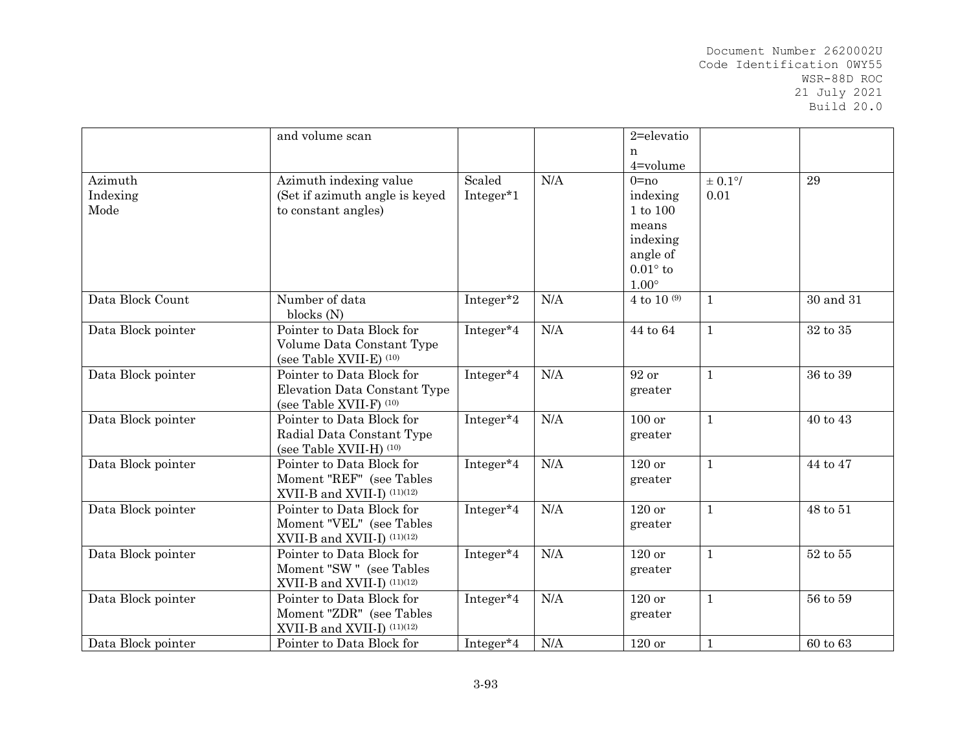|                    | and volume scan                |           |     | 2=elevatio             |              |                |
|--------------------|--------------------------------|-----------|-----|------------------------|--------------|----------------|
|                    |                                |           |     | n                      |              |                |
|                    |                                |           |     | 4=volume               |              |                |
| Azimuth            | Azimuth indexing value         | Scaled    | N/A | $0 = no$               | $\pm$ 0.1%   | 29             |
| Indexing           | (Set if azimuth angle is keyed | Integer*1 |     | indexing               | 0.01         |                |
| Mode               | to constant angles)            |           |     | $1$ to $100\,$         |              |                |
|                    |                                |           |     | means                  |              |                |
|                    |                                |           |     | indexing               |              |                |
|                    |                                |           |     | angle of               |              |                |
|                    |                                |           |     | $0.01^{\circ}$ to      |              |                |
| Data Block Count   | Number of data                 |           |     | $1.00^\circ$           |              |                |
|                    | blocks $(N)$                   | Integer*2 | N/A | $4$ to $10\,$ $^{(9)}$ | $\mathbf{1}$ | 30 and 31      |
| Data Block pointer | Pointer to Data Block for      | Integer*4 | N/A | $44$ to $64\,$         | $\mathbf{1}$ | $32$ to $35\,$ |
|                    | Volume Data Constant Type      |           |     |                        |              |                |
|                    | (see Table XVII-E) (10)        |           |     |                        |              |                |
| Data Block pointer | Pointer to Data Block for      | Integer*4 | N/A | 92 or                  | $\mathbf{1}$ | 36 to 39       |
|                    | Elevation Data Constant Type   |           |     | greater                |              |                |
|                    | (see Table XVII-F) (10)        |           |     |                        |              |                |
| Data Block pointer | Pointer to Data Block for      | Integer*4 | N/A | 100 or                 | $\mathbf{1}$ | 40 to 43       |
|                    | Radial Data Constant Type      |           |     | greater                |              |                |
|                    | (see Table XVII-H) (10)        |           |     |                        |              |                |
| Data Block pointer | Pointer to Data Block for      | Integer*4 | N/A | $120$ or               | $\mathbf{1}$ | 44 to 47       |
|                    | Moment "REF" (see Tables       |           |     | greater                |              |                |
|                    | XVII-B and XVII-I) $(11)(12)$  |           |     |                        |              |                |
| Data Block pointer | Pointer to Data Block for      | Integer*4 | N/A | $120$ or               | $\mathbf{1}$ | $48$ to $51\,$ |
|                    | Moment "VEL" (see Tables       |           |     | greater                |              |                |
|                    | XVII-B and XVII-I) $(11)(12)$  |           |     |                        |              |                |
| Data Block pointer | Pointer to Data Block for      | Integer*4 | N/A | $120$ or               | $\mathbf{1}$ | $52$ to $55\,$ |
|                    | Moment "SW" (see Tables        |           |     | greater                |              |                |
|                    | XVII-B and XVII-I) (11)(12)    |           |     |                        |              |                |
| Data Block pointer | Pointer to Data Block for      | Integer*4 | N/A | $120$ or               | $\mathbf{1}$ | 56 to 59       |
|                    | Moment "ZDR" (see Tables       |           |     | greater                |              |                |
|                    | XVII-B and XVII-I) $(11)(12)$  |           |     |                        |              |                |
| Data Block pointer | Pointer to Data Block for      | Integer*4 | N/A | $120$ or               | $\mathbf{1}$ | 60 to 63       |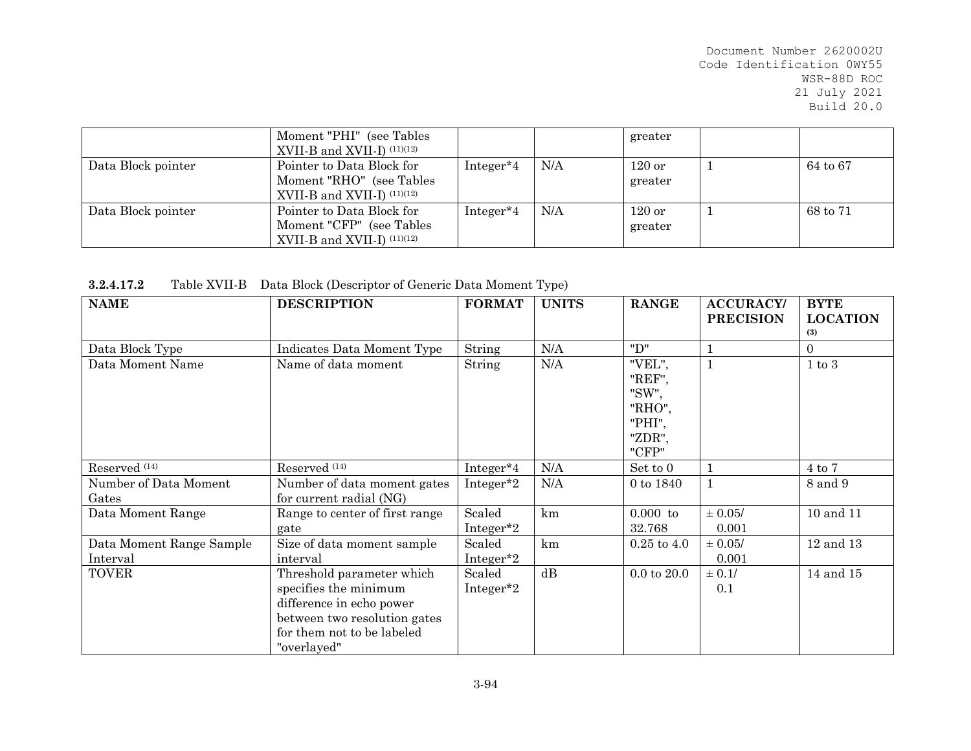|                    | Moment "PHI" (see Tables<br>XVII-B and XVII-I) $(11)(12)$                              |           |     | greater             |          |
|--------------------|----------------------------------------------------------------------------------------|-----------|-----|---------------------|----------|
| Data Block pointer | Pointer to Data Block for<br>Moment "RHO" (see Tables<br>XVII-B and XVII-I) $(11)(12)$ | Integer*4 | N/A | $120$ or<br>greater | 64 to 67 |
| Data Block pointer | Pointer to Data Block for<br>Moment "CFP" (see Tables<br>XVII-B and XVII-I) $(11)(12)$ | Integer*4 | N/A | $120$ or<br>greater | 68 to 71 |

**3.2.4.17.2**Table XVII-B Data Block (Descriptor of Generic Data Moment Type)

| <b>NAME</b>              | <b>DESCRIPTION</b>             | <b>FORMAT</b>         | <b>UNITS</b> | <b>RANGE</b>    | <b>ACCURACY/</b><br><b>PRECISION</b> | <b>BYTE</b><br><b>LOCATION</b> |
|--------------------------|--------------------------------|-----------------------|--------------|-----------------|--------------------------------------|--------------------------------|
|                          |                                |                       |              |                 |                                      | (3)                            |
| Data Block Type          | Indicates Data Moment Type     | String                | N/A          | "D"             |                                      | $\Omega$                       |
| Data Moment Name         | Name of data moment            | String                | N/A          | "VEL",          |                                      | $1 \text{ to } 3$              |
|                          |                                |                       |              | "REF",          |                                      |                                |
|                          |                                |                       |              | "SW",           |                                      |                                |
|                          |                                |                       |              | "RHO",          |                                      |                                |
|                          |                                |                       |              | "PHI",          |                                      |                                |
|                          |                                |                       |              | "ZDR",          |                                      |                                |
|                          |                                |                       |              | "CFP"           |                                      |                                |
| Reserved <sup>(14)</sup> | Reserved <sup>(14)</sup>       | Integer <sup>*4</sup> | N/A          | Set to 0        |                                      | $4$ to $7$                     |
| Number of Data Moment    | Number of data moment gates    | Integer*2             | N/A          | 0 to 1840       | $\mathbf{1}$                         | 8 and 9                        |
| Gates                    | for current radial (NG)        |                       |              |                 |                                      |                                |
| Data Moment Range        | Range to center of first range | Scaled                | km           | $0.000$ to      | $\pm$ 0.05/                          | 10 and 11                      |
|                          | gate                           | Integer <sup>*2</sup> |              | 32.768          | 0.001                                |                                |
| Data Moment Range Sample | Size of data moment sample     | Scaled                | km           | $0.25$ to $4.0$ | $\pm$ 0.05/                          | $12$ and $13\,$                |
| Interval                 | interval                       | Integer <sup>*2</sup> |              |                 | 0.001                                |                                |
| <b>TOVER</b>             | Threshold parameter which      | Scaled                | dB           | $0.0$ to $20.0$ | $\pm$ 0.1/                           | 14 and 15                      |
|                          | specifies the minimum          | Integer <sup>*2</sup> |              |                 | 0.1                                  |                                |
|                          | difference in echo power       |                       |              |                 |                                      |                                |
|                          | between two resolution gates   |                       |              |                 |                                      |                                |
|                          | for them not to be labeled     |                       |              |                 |                                      |                                |
|                          | "overlayed"                    |                       |              |                 |                                      |                                |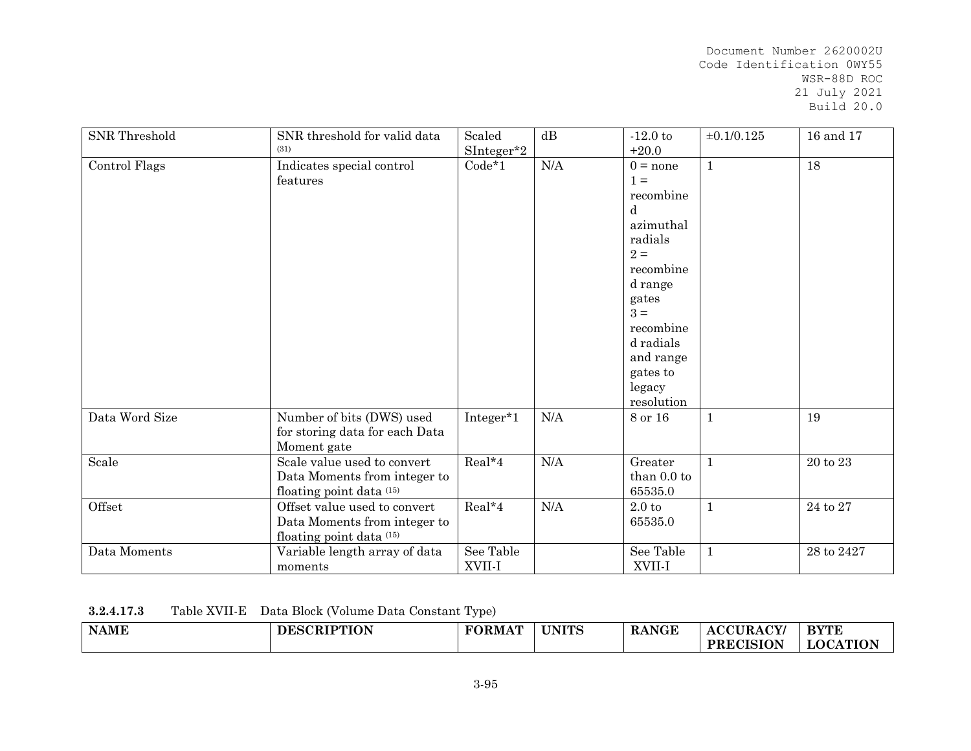| SNR Threshold  | SNR threshold for valid data<br>(31)                                                     | Scaled<br>SInteger*2 | dB        | $-12.0$ to<br>$+20.0$                                                                                                                                                                       | $\pm 0.1/0.125$ | 16 and 17      |
|----------------|------------------------------------------------------------------------------------------|----------------------|-----------|---------------------------------------------------------------------------------------------------------------------------------------------------------------------------------------------|-----------------|----------------|
| Control Flags  | Indicates special control<br>features                                                    | $Code*1$             | N/A       | $0 = none$<br>$1 =$<br>recombine<br>d<br>azimuthal<br>radials<br>$2 =$<br>recombine<br>d range<br>gates<br>$3 =$<br>recombine<br>d radials<br>and range<br>gates to<br>legacy<br>resolution | $\mathbf{1}$    | 18             |
| Data Word Size | Number of bits (DWS) used<br>for storing data for each Data<br>Moment gate               | Integer*1            | $\rm N/A$ | 8 or 16                                                                                                                                                                                     | $\mathbf{1}$    | 19             |
| Scale          | Scale value used to convert<br>Data Moments from integer to<br>floating point data (15)  | $Real*4$             | $\rm N/A$ | Greater<br>than 0.0 to<br>65535.0                                                                                                                                                           | $\mathbf{1}$    | 20 to 23       |
| Offset         | Offset value used to convert<br>Data Moments from integer to<br>floating point data (15) | Real*4               | $\rm N/A$ | 2.0 t<br>65535.0                                                                                                                                                                            | $\mathbf{1}$    | $24$ to $27\,$ |
| Data Moments   | Variable length array of data<br>moments                                                 | See Table<br>XVII-I  |           | See Table<br>XVII-I                                                                                                                                                                         | $\mathbf{1}$    | 28 to 2427     |

| 3.2.4.17.3 |  | Table XVII-E Data Block (Volume Data Constant Type) |  |
|------------|--|-----------------------------------------------------|--|
|------------|--|-----------------------------------------------------|--|

| <b>NAME</b> | <b>DESCRIPTION</b> | <b>FORMAT</b> | <b>UNITS</b> | <b>RANGE</b> | <b>CCURACY</b><br>AC | <b>BYTE</b>         |
|-------------|--------------------|---------------|--------------|--------------|----------------------|---------------------|
|             |                    |               |              |              | <b>PRECISION</b>     | <b>ATION</b><br>LOC |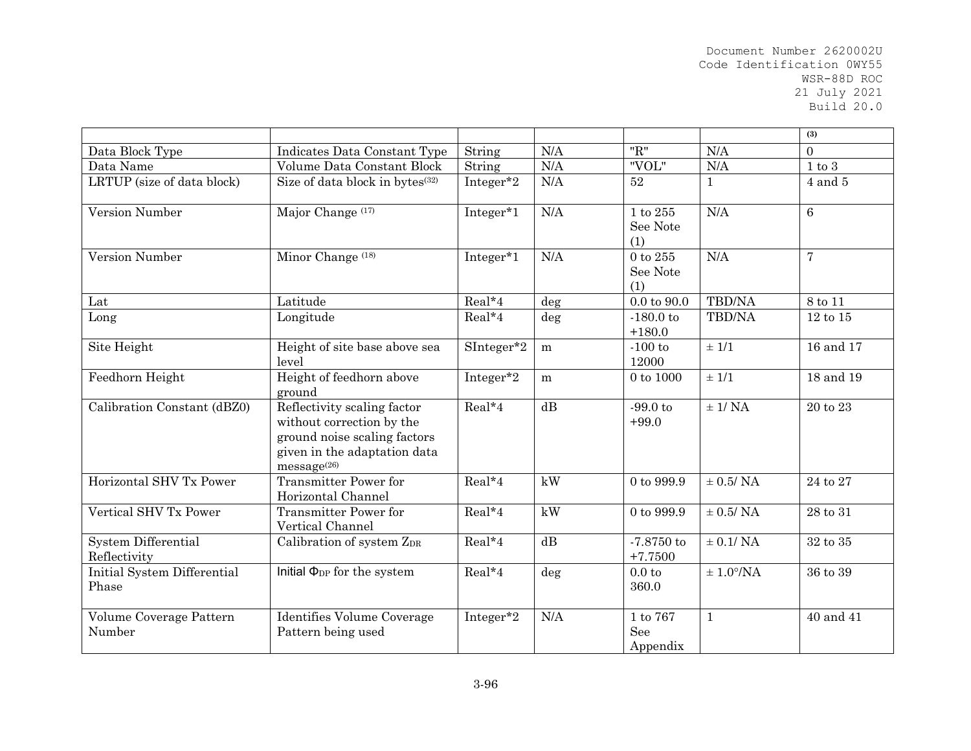|                                      |                                                                                                                                         |            |        |                                   |                       | (3)            |
|--------------------------------------|-----------------------------------------------------------------------------------------------------------------------------------------|------------|--------|-----------------------------------|-----------------------|----------------|
| Data Block Type                      | Indicates Data Constant Type                                                                                                            | String     | N/A    | "R"                               | N/A                   | $\Omega$       |
| Data Name                            | Volume Data Constant Block                                                                                                              | String     | N/A    | "VOL"                             | N/A                   | $1$ to $3\,$   |
| LRTUP (size of data block)           | Size of data block in bytes <sup>(32)</sup>                                                                                             | Integer*2  | N/A    | $52\,$                            | $\mathbf{1}$          | $4$ and $5$    |
| Version Number                       | Major Change (17)                                                                                                                       | Integer*1  | N/A    | $1$ to $255\,$<br>See Note<br>(1) | N/A                   | 6              |
| Version Number                       | Minor Change <sup>(18)</sup>                                                                                                            | Integer*1  | N/A    | 0 to 255<br>See Note<br>(1)       | N/A                   | $\overline{7}$ |
| Lat                                  | Latitude                                                                                                                                | Real*4     | deg    | $0.0 \text{ to } 90.0$            | <b>TBD/NA</b>         | 8 to 11        |
| Long                                 | Longitude                                                                                                                               | Real*4     | $\deg$ | $-180.0$ to<br>$+180.0$           | TBD/NA                | 12 to 15       |
| Site Height                          | Height of site base above sea<br>level                                                                                                  | SInteger*2 | m      | $-100$ to<br>12000                | ± 1/1                 | 16 and 17      |
| Feedhorn Height                      | Height of feedhorn above<br>ground                                                                                                      | Integer*2  | m      | 0 to 1000                         | ± 1/1                 | 18 and 19      |
| Calibration Constant (dBZ0)          | Reflectivity scaling factor<br>without correction by the<br>ground noise scaling factors<br>given in the adaptation data<br>message(26) | Real*4     | dB     | $-99.0$ to<br>$+99.0$             | $±$ 1/ NA             | 20 to 23       |
| Horizontal SHV Tx Power              | Transmitter Power for<br>Horizontal Channel                                                                                             | Real*4     | kW     | 0 to 999.9                        | $\pm$ 0.5/ NA         | $24$ to $27\,$ |
| Vertical SHV Tx Power                | Transmitter Power for<br>Vertical Channel                                                                                               | Real*4     | kW     | 0 to 999.9                        | $\pm$ 0.5/ NA         | 28 to 31       |
| System Differential<br>Reflectivity  | Calibration of system ZDR                                                                                                               | Real*4     | dB     | $-7.8750$ to<br>$+7.7500$         | $\pm$ 0.1/ NA         | 32 to 35       |
| Initial System Differential<br>Phase | Initial $\Phi_{DP}$ for the system                                                                                                      | Real*4     | deg    | 0.0 <sub>to</sub><br>360.0        | $\pm 1.0^{\circ}$ /NA | 36 to 39       |
| Volume Coverage Pattern<br>Number    | Identifies Volume Coverage<br>Pattern being used                                                                                        | Integer*2  | N/A    | 1 to 767<br>See<br>Appendix       | $1\,$                 | 40 and 41      |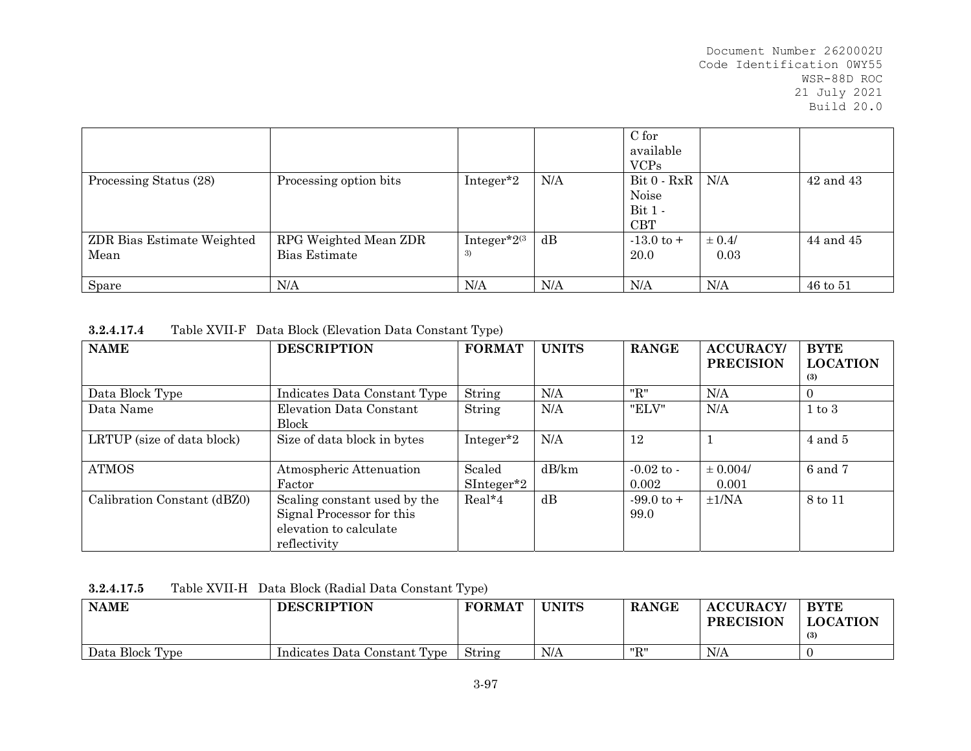|                                    |                                        |                          |     | C for<br>available<br><b>VCPs</b>                 |                    |           |
|------------------------------------|----------------------------------------|--------------------------|-----|---------------------------------------------------|--------------------|-----------|
| Processing Status (28)             | Processing option bits                 | Integer <sup>*2</sup>    | N/A | $Bit 0 - RxR$<br>Noise<br>$Bit 1 -$<br><b>CBT</b> | N/A                | 42 and 43 |
| ZDR Bias Estimate Weighted<br>Mean | RPG Weighted Mean ZDR<br>Bias Estimate | Integer* $2^{(3)}$<br>3) | dB  | $-13.0 \text{ to } +$<br>20.0                     | $\pm 0.4/$<br>0.03 | 44 and 45 |
| Spare                              | N/A                                    | N/A                      | N/A | N/A                                               | N/A                | 46 to 51  |

| <b>NAME</b>                 | <b>DESCRIPTION</b>           | <b>FORMAT</b>         | <b>UNITS</b> | <b>RANGE</b>          | <b>ACCURACY/</b><br><b>PRECISION</b> | <b>BYTE</b><br><b>LOCATION</b> |  |
|-----------------------------|------------------------------|-----------------------|--------------|-----------------------|--------------------------------------|--------------------------------|--|
|                             |                              |                       |              |                       |                                      | (3)                            |  |
| Data Block Type             | Indicates Data Constant Type | String                | N/A          | "R"                   | N/A                                  | $\theta$                       |  |
| Data Name                   | Elevation Data Constant      | String                | N/A          | "ELV"                 | N/A                                  | $1 \text{ to } 3$              |  |
|                             | <b>Block</b>                 |                       |              |                       |                                      |                                |  |
| LRTUP (size of data block)  | Size of data block in bytes  | Integer <sup>*2</sup> | N/A          | 12                    |                                      | $4$ and $5$                    |  |
|                             |                              |                       |              |                       |                                      |                                |  |
| <b>ATMOS</b>                | Atmospheric Attenuation      | Scaled                | dB/km        | $-0.02$ to $-$        | $\pm 0.004/$                         | 6 and 7                        |  |
|                             | Factor                       | $SInteger^*2$         |              | 0.002                 | 0.001                                |                                |  |
| Calibration Constant (dBZ0) | Scaling constant used by the | $Real*4$              | dB           | $-99.0 \text{ to } +$ | $\pm 1/NA$                           | 8 to 11                        |  |
|                             | Signal Processor for this    |                       |              | 99.0                  |                                      |                                |  |
|                             | elevation to calculate       |                       |              |                       |                                      |                                |  |
|                             | reflectivity                 |                       |              |                       |                                      |                                |  |

| 3.2.4.17.5 |  | Table XVII-H Data Block (Radial Data Constant Type) |
|------------|--|-----------------------------------------------------|
|------------|--|-----------------------------------------------------|

| <b>NAME</b>     | <b>DESCRIPTION</b>           | <b>FORMAT</b> | <b>UNITS</b> | <b>RANGE</b> | <b>ACCURACY</b><br><b>PRECISION</b> | <b>BYTE</b><br><b>LOCATION</b><br>(3) |
|-----------------|------------------------------|---------------|--------------|--------------|-------------------------------------|---------------------------------------|
| Data Block Type | Indicates Data Constant Type | String        | N/A          | "R"          | N/A                                 |                                       |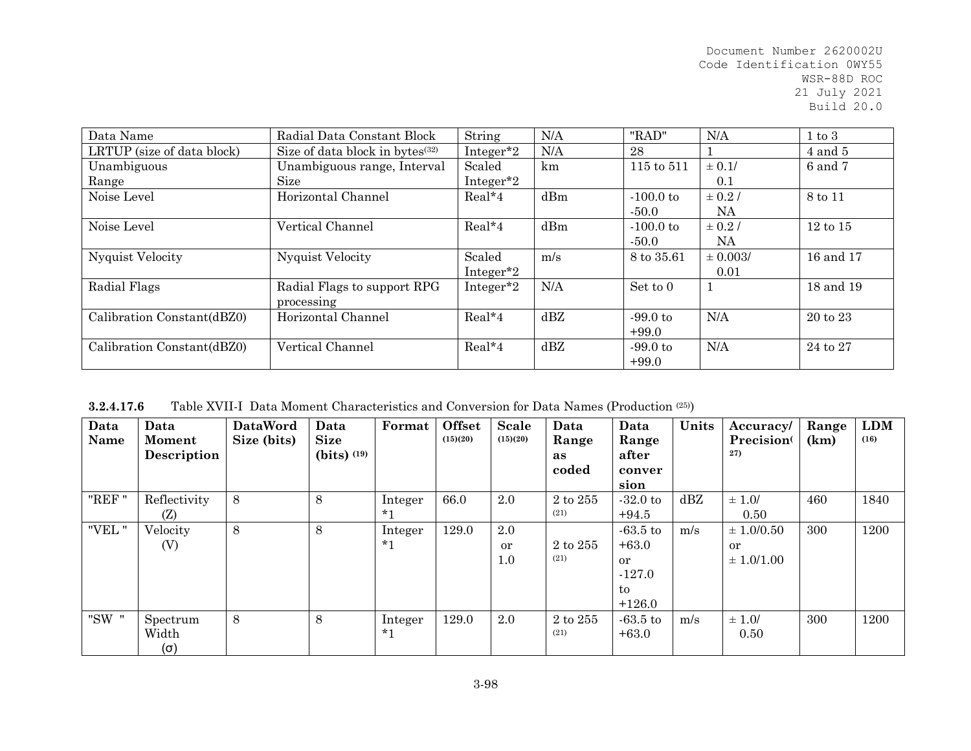| Data Name                  | Radial Data Constant Block                  | String                | N/A | "RAD"       | N/A          | $1 \text{ to } 3$   |
|----------------------------|---------------------------------------------|-----------------------|-----|-------------|--------------|---------------------|
| LRTUP (size of data block) | Size of data block in bytes <sup>(32)</sup> | Integer <sup>*2</sup> | N/A | 28          |              | $4$ and $5$         |
| Unambiguous                | Unambiguous range, Interval                 | Scaled                | km  | 115 to 511  | $\pm 0.1/$   | 6 and 7             |
| Range                      | Size                                        | Integer <sup>*2</sup> |     |             | 0.1          |                     |
| Noise Level                | Horizontal Channel                          | Real*4                | dBm | $-100.0$ to | $\pm$ 0.2/   | 8 to 11             |
|                            |                                             |                       |     | $-50.0$     | NA           |                     |
| Noise Level                | Vertical Channel                            | $Real*4$              | dBm | $-100.0$ to | $\pm$ 0.2/   | $12 \text{ to } 15$ |
|                            |                                             |                       |     | $-50.0$     | NA.          |                     |
| <b>Nyquist Velocity</b>    | <b>Nyquist Velocity</b>                     | Scaled                | m/s | 8 to 35.61  | $\pm 0.003/$ | 16 and 17           |
|                            |                                             | Integer <sup>*2</sup> |     |             | 0.01         |                     |
| Radial Flags               | Radial Flags to support RPG                 | Integer <sup>*2</sup> | N/A | Set to 0    |              | 18 and 19           |
|                            | processing                                  |                       |     |             |              |                     |
| Calibration Constant(dBZ0) | Horizontal Channel                          | $Real*4$              | dBZ | $-99.0$ to  | N/A          | $20 \text{ to } 23$ |
|                            |                                             |                       |     | $+99.0$     |              |                     |
| Calibration Constant(dBZ0) | Vertical Channel                            | Real*4                | dBZ | $-99.0$ to  | N/A          | 24 to 27            |
|                            |                                             |                       |     | $+99.0$     |              |                     |

**3.2.4.17.6**Table XVII-I Data Moment Characteristics and Conversion for Data Names (Production (25))

| Data<br>Name | Data<br>Moment<br>Description   | <b>DataWord</b><br>Size (bits) | Data<br><b>Size</b><br>$(bits)$ $(19)$ | Format             | <b>Offset</b><br>(15)(20) | <b>Scale</b><br>(15)(20) | Data<br>Range<br>as<br>coded | Data<br>Range<br>after<br>conver<br>sion                             | Units | Accuracy/<br>Precision <sup>(</sup><br>27)        | Range<br>(km) | <b>LDM</b><br>(16) |
|--------------|---------------------------------|--------------------------------|----------------------------------------|--------------------|---------------------------|--------------------------|------------------------------|----------------------------------------------------------------------|-------|---------------------------------------------------|---------------|--------------------|
| "REF"        | Reflectivity<br>(Z)             | 8                              | 8                                      | Integer<br>$*1$    | 66.0                      | 2.0                      | 2 to 255<br>(21)             | $-32.0$ to<br>$+94.5$                                                | dBZ   | $\pm 1.0/$<br>0.50                                | 460           | 1840               |
| "VEL"        | Velocity<br>(V)                 | 8                              | 8                                      | Integer<br>$*_{1}$ | 129.0                     | 2.0<br>or<br>1.0         | 2 to 255<br>(21)             | $-63.5$ to<br>$+63.0$<br><sub>or</sub><br>$-127.0$<br>to<br>$+126.0$ | m/s   | $\pm 1.0/0.50$<br><sub>or</sub><br>$\pm 1.0/1.00$ | 300           | 1200               |
| "SW "        | Spectrum<br>Width<br>$(\sigma)$ | 8                              | 8                                      | Integer<br>$*_{1}$ | 129.0                     | 2.0                      | 2 to 255<br>(21)             | $-63.5$ to<br>$+63.0$                                                | m/s   | $\pm 1.0/$<br>0.50                                | 300           | 1200               |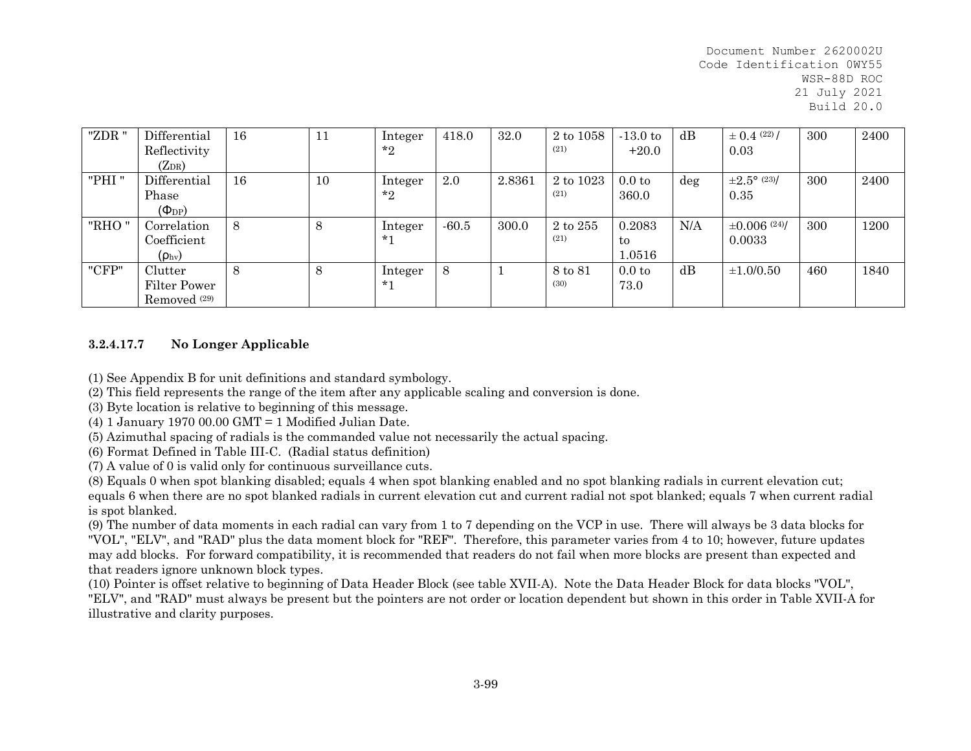| "ZDR " | Differential<br>Reflectivity                                | 16    | 11 | Integer<br>$*_{2}$ | 418.0   | 32.0   | 2 to 1058<br>(21) | $-13.0$ to<br>$+20.0$      | dB     | $\pm$ 0.4 (22)/<br>0.03         | 300 | 2400 |
|--------|-------------------------------------------------------------|-------|----|--------------------|---------|--------|-------------------|----------------------------|--------|---------------------------------|-----|------|
| "PHI"  | $(Z_{DR})$<br>Differential<br>Phase<br>$(\Phi_{\text{DP}})$ | 16    | 10 | Integer<br>$*_{2}$ | 2.0     | 2.8361 | 2 to 1023<br>(21) | 0.0 <sub>to</sub><br>360.0 | $\deg$ | $\pm 2.5^{\circ}$ (23)/<br>0.35 | 300 | 2400 |
| "RHO"  | Correlation<br>Coefficient<br>$(\rho_{\rm hv})$             | $8\,$ | 8  | Integer<br>$*_{1}$ | $-60.5$ | 300.0  | 2 to 255<br>(21)  | 0.2083<br>to<br>1.0516     | N/A    | $\pm 0.006$ (24)/<br>0.0033     | 300 | 1200 |
| "CFP"  | Clutter<br>Filter Power<br>Removed <sup>(29)</sup>          | 8     | 8  | Integer<br>$*1$    | 8       |        | 8 to 81<br>(30)   | 0.0 <sub>to</sub><br>73.0  | dB     | $\pm 1.0/0.50$                  | 460 | 1840 |

## **3.2.4.17.7No Longer Applicable**

(1) See Appendix B for unit definitions and standard symbology.

(2) This field represents the range of the item after any applicable scaling and conversion is done.

(3) Byte location is relative to beginning of this message.

(4) 1 January 1970 00.00 GMT = 1 Modified Julian Date.

(5) Azimuthal spacing of radials is the commanded value not necessarily the actual spacing.

(6) Format Defined in Table III-C. (Radial status definition)

(7) A value of 0 is valid only for continuous surveillance cuts.

(8) Equals 0 when spot blanking disabled; equals 4 when spot blanking enabled and no spot blanking radials in current elevation cut; equals 6 when there are no spot blanked radials in current elevation cut and current radial not spot blanked; equals 7 when current radial is spot blanked.

(9) The number of data moments in each radial can vary from 1 to 7 depending on the VCP in use. There will always be 3 data blocks for "VOL", "ELV", and "RAD" plus the data moment block for "REF". Therefore, this parameter varies from 4 to 10; however, future updates may add blocks. For forward compatibility, it is recommended that readers do not fail when more blocks are present than expected and that readers ignore unknown block types.

(10) Pointer is offset relative to beginning of Data Header Block (see table XVII-A). Note the Data Header Block for data blocks "VOL", "ELV", and "RAD" must always be present but the pointers are not order or location dependent but shown in this order in Table XVII-A for illustrative and clarity purposes.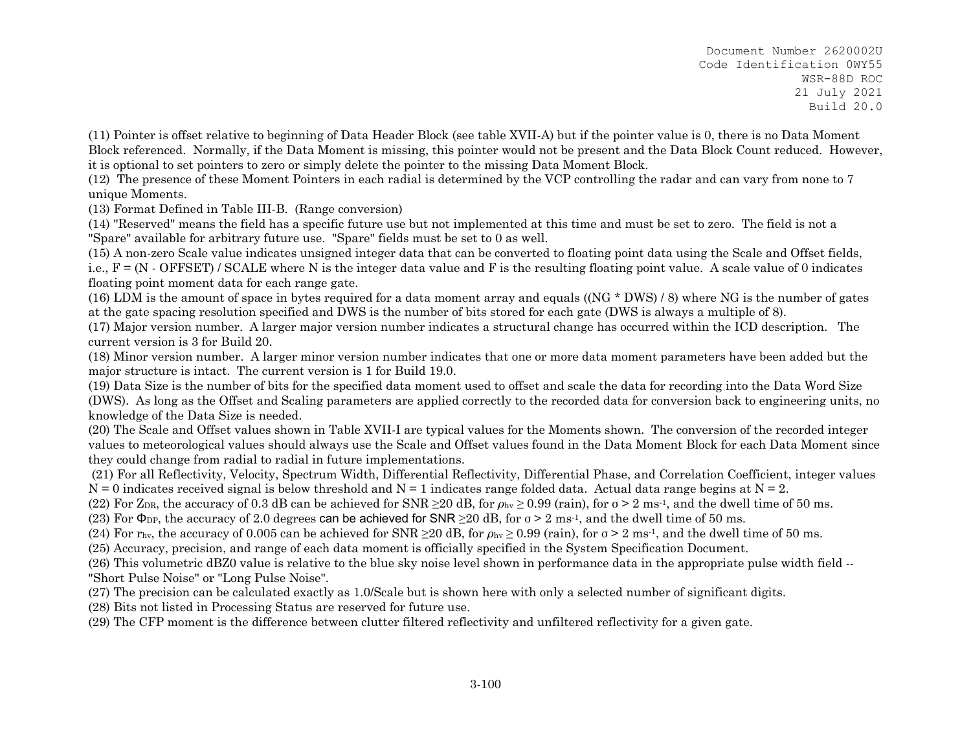(11) Pointer is offset relative to beginning of Data Header Block (see table XVII-A) but if the pointer value is 0, there is no Data Moment Block referenced. Normally, if the Data Moment is missing, this pointer would not be present and the Data Block Count reduced. However, it is optional to set pointers to zero or simply delete the pointer to the missing Data Moment Block.

(12) The presence of these Moment Pointers in each radial is determined by the VCP controlling the radar and can vary from none to 7 unique Moments.

(13) Format Defined in Table III-B. (Range conversion)

(14) "Reserved" means the field has a specific future use but not implemented at this time and must be set to zero. The field is not a "Spare" available for arbitrary future use. "Spare" fields must be set to 0 as well.

(15) A non-zero Scale value indicates unsigned integer data that can be converted to floating point data using the Scale and Offset fields, i.e.,  $F = (N - OFFSET) / SCALE$  where N is the integer data value and F is the resulting floating point value. A scale value of 0 indicates floating point moment data for each range gate.

(16) LDM is the amount of space in bytes required for a data moment array and equals ((NG \* DWS) / 8) where NG is the number of gates at the gate spacing resolution specified and DWS is the number of bits stored for each gate (DWS is always a multiple of 8).

(17) Major version number. A larger major version number indicates a structural change has occurred within the ICD description. The current version is 3 for Build 20.

(18) Minor version number. A larger minor version number indicates that one or more data moment parameters have been added but the major structure is intact. The current version is 1 for Build 19.0.

(19) Data Size is the number of bits for the specified data moment used to offset and scale the data for recording into the Data Word Size (DWS). As long as the Offset and Scaling parameters are applied correctly to the recorded data for conversion back to engineering units, no knowledge of the Data Size is needed.

(20) The Scale and Offset values shown in Table XVII-I are typical values for the Moments shown. The conversion of the recorded integer values to meteorological values should always use the Scale and Offset values found in the Data Moment Block for each Data Moment since they could change from radial to radial in future implementations.

 (21) For all Reflectivity, Velocity, Spectrum Width, Differential Reflectivity, Differential Phase, and Correlation Coefficient, integer values  $N = 0$  indicates received signal is below threshold and  $N = 1$  indicates range folded data. Actual data range begins at  $N = 2$ .

(22) For Z<sub>DR</sub>, the accuracy of 0.3 dB can be achieved for SNR  $\geq$  20 dB, for  $\rho_{\text{hv}} \geq 0.99$  (rain), for  $\sigma > 2$  ms<sup>-1</sup>, and the dwell time of 50 ms.

(23) For  $\Phi_{\text{DP}}$ , the accuracy of 2.0 degrees can be achieved for SNR  $\geq$  20 dB, for  $\sigma > 2$  ms<sup>-1</sup>, and the dwell time of 50 ms.

(24) For r<sub>hv</sub>, the accuracy of 0.005 can be achieved for SNR  $\geq$  20 dB, for  $\rho_{hv} \geq 0.99$  (rain), for  $\sigma > 2$  ms<sup>-1</sup>, and the dwell time of 50 ms.

(25) Accuracy, precision, and range of each data moment is officially specified in the System Specification Document.

(26) This volumetric dBZ0 value is relative to the blue sky noise level shown in performance data in the appropriate pulse width field -- "Short Pulse Noise" or "Long Pulse Noise".

- (27) The precision can be calculated exactly as 1.0/Scale but is shown here with only a selected number of significant digits.
- (28) Bits not listed in Processing Status are reserved for future use.
- (29) The CFP moment is the difference between clutter filtered reflectivity and unfiltered reflectivity for a given gate.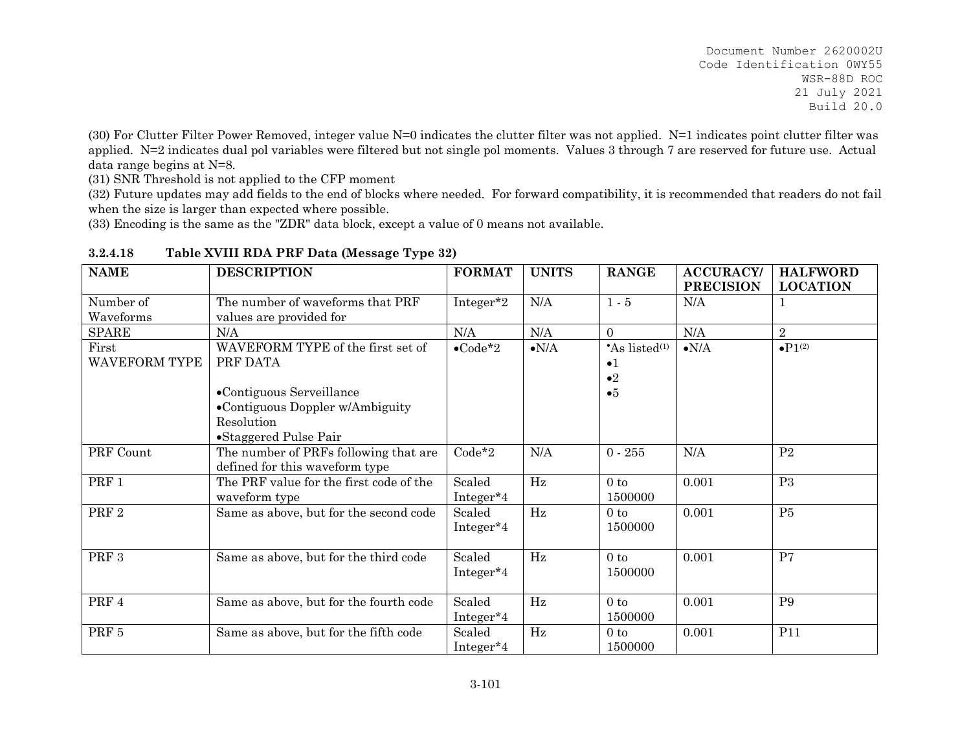(30) For Clutter Filter Power Removed, integer value N=0 indicates the clutter filter was not applied. N=1 indicates point clutter filter was applied. N=2 indicates dual pol variables were filtered but not single pol moments. Values 3 through 7 are reserved for future use. Actual data range begins at N=8.

(31) SNR Threshold is not applied to the CFP moment

(32) Future updates may add fields to the end of blocks where needed. For forward compatibility, it is recommended that readers do not fail when the size is larger than expected where possible.

(33) Encoding is the same as the "ZDR" data block, except a value of 0 means not available.

| <b>NAME</b>                   | <b>DESCRIPTION</b>                                                                                                                                  | <b>FORMAT</b>                   | <b>UNITS</b>  | <b>RANGE</b>                                                   | <b>ACCURACY</b><br><b>PRECISION</b> | <b>HALFWORD</b><br><b>LOCATION</b> |
|-------------------------------|-----------------------------------------------------------------------------------------------------------------------------------------------------|---------------------------------|---------------|----------------------------------------------------------------|-------------------------------------|------------------------------------|
| Number of<br>Waveforms        | The number of waveforms that PRF<br>values are provided for                                                                                         | Integer <sup>*2</sup>           | N/A           | $1 - 5$                                                        | N/A                                 | 1                                  |
| <b>SPARE</b>                  | N/A                                                                                                                                                 | N/A                             | N/A           | $\Omega$                                                       | N/A                                 | 2                                  |
| First<br><b>WAVEFORM TYPE</b> | WAVEFORM TYPE of the first set of<br>PRF DATA<br>•Contiguous Serveillance<br>•Contiguous Doppler w/Ambiguity<br>Resolution<br>•Staggered Pulse Pair | $\bullet$ Code*2                | $\bullet N/A$ | $As$ listed <sup>(1)</sup><br>$\bullet$ 1<br>$\bullet 2$<br>•5 | $\bullet N/A$                       | $\bullet P1^{(2)}$                 |
| PRF Count                     | The number of PRFs following that are<br>defined for this waveform type                                                                             | $Code*2$                        | N/A           | $0 - 255$                                                      | N/A                                 | P <sub>2</sub>                     |
| PRF 1                         | The PRF value for the first code of the<br>waveform type                                                                                            | Scaled<br>Integer <sup>*4</sup> | Hz            | 0 <sub>to</sub><br>1500000                                     | 0.001                               | P <sub>3</sub>                     |
| PRF <sub>2</sub>              | Same as above, but for the second code                                                                                                              | Scaled<br>Integer <sup>*4</sup> | Hz            | 0 <sub>to</sub><br>1500000                                     | 0.001                               | P5                                 |
| PRF <sub>3</sub>              | Same as above, but for the third code                                                                                                               | Scaled<br>Integer <sup>*4</sup> | Hz            | 0 <sub>to</sub><br>1500000                                     | 0.001                               | P7                                 |
| PRF 4                         | Same as above, but for the fourth code                                                                                                              | Scaled<br>Integer <sup>*4</sup> | $\rm Hz$      | $0$ to<br>1500000                                              | 0.001                               | P <sub>9</sub>                     |
| PRF 5                         | Same as above, but for the fifth code                                                                                                               | Scaled<br>Integer <sup>*4</sup> | $\rm Hz$      | 0 <sub>to</sub><br>1500000                                     | 0.001                               | P11                                |

#### **3.2.4.18Table XVIII RDA PRF Data (Message Type 32)**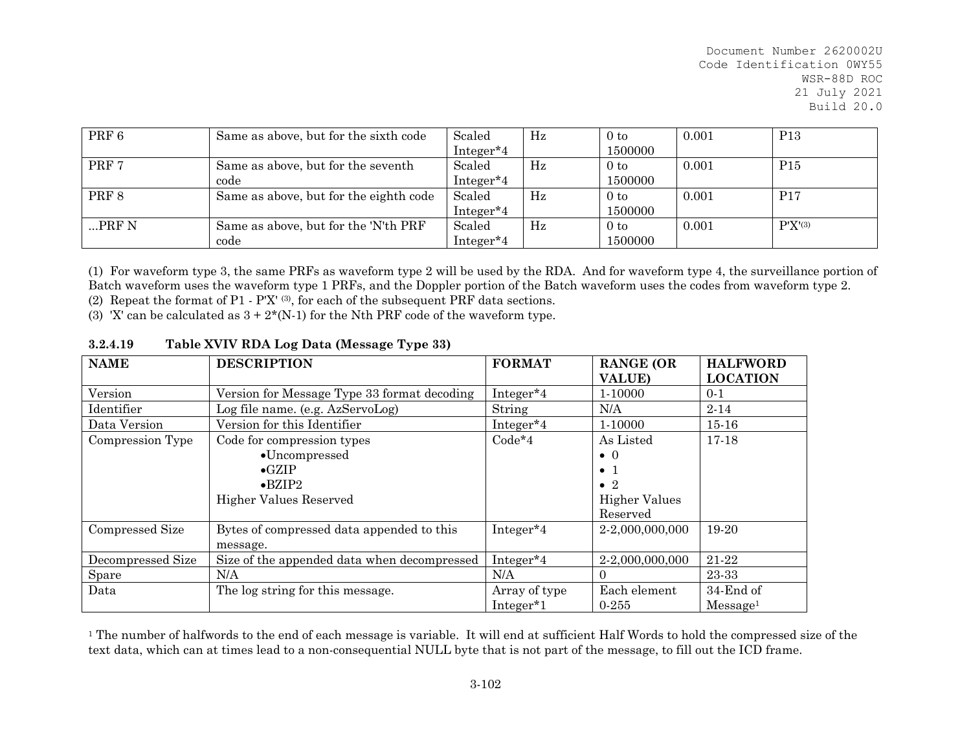| PRF 6    | Same as above, but for the sixth code  | Scaled                | $_{\rm Hz}$ | 0 <sub>to</sub> | 0.001 | <b>P13</b>      |
|----------|----------------------------------------|-----------------------|-------------|-----------------|-------|-----------------|
|          |                                        | Integer <sup>*4</sup> |             | 1500000         |       |                 |
| PRF 7    | Same as above, but for the seventh     | Scaled                | $_{\rm Hz}$ | 0 <sub>to</sub> | 0.001 | P <sub>15</sub> |
|          | code                                   | Integer <sup>*4</sup> |             | 1500000         |       |                 |
| PRF 8    | Same as above, but for the eighth code | Scaled                | $_{\rm Hz}$ | 0 <sub>to</sub> | 0.001 | P17             |
|          |                                        | Integer <sup>*4</sup> |             | 1500000         |       |                 |
| $$ PRF N | Same as above, but for the 'N'th PRF   | Scaled                | $_{\rm Hz}$ | 0 <sub>to</sub> | 0.001 | $P'X'^{(3)}$    |
|          | code                                   | Integer*4             |             | 1500000         |       |                 |

(1) For waveform type 3, the same PRFs as waveform type 2 will be used by the RDA. And for waveform type 4, the surveillance portion of Batch waveform uses the waveform type 1 PRFs, and the Doppler portion of the Batch waveform uses the codes from waveform type 2.

(2) Repeat the format of P1 - P'X' (3), for each of the subsequent PRF data sections.

(3) 'X' can be calculated as  $3 + 2*(N-1)$  for the Nth PRF code of the waveform type.

| <b>NAME</b>       | <b>DESCRIPTION</b>                          | <b>FORMAT</b>         | <b>RANGE (OR</b>     | <b>HALFWORD</b>      |
|-------------------|---------------------------------------------|-----------------------|----------------------|----------------------|
|                   |                                             |                       | <b>VALUE)</b>        | <b>LOCATION</b>      |
| Version           | Version for Message Type 33 format decoding | Integer*4             | 1-10000              | $0-1$                |
| Identifier        | Log file name. (e.g. AzServoLog)            | String                | N/A                  | $2 - 14$             |
| Data Version      | Version for this Identifier                 | Integer*4             | 1-10000              | $15 - 16$            |
| Compression Type  | Code for compression types                  | $Code*4$              | As Listed            | 17-18                |
|                   | $\bullet$ Uncompressed                      |                       | $\bullet$ 0          |                      |
|                   | $\bullet$ GZIP                              |                       | $\bullet$ 1          |                      |
|                   | $\bullet$ BZIP2                             |                       | $\bullet$ 2          |                      |
|                   | <b>Higher Values Reserved</b>               |                       | <b>Higher Values</b> |                      |
|                   |                                             |                       | Reserved             |                      |
| Compressed Size   | Bytes of compressed data appended to this   | Integer*4             | 2-2,000,000,000      | $19-20$              |
|                   | message.                                    |                       |                      |                      |
| Decompressed Size | Size of the appended data when decompressed | Integer <sup>*4</sup> | 2-2,000,000,000      | 21-22                |
| Spare             | N/A                                         | N/A                   | $\Omega$             | 23-33                |
| Data              | The log string for this message.            | Array of type         | Each element         | 34-End of            |
|                   |                                             | Integer*1             | $0 - 255$            | Message <sup>1</sup> |

#### **3.2.4.19Table XVIV RDA Log Data (Message Type 33)**

<sup>1</sup> The number of halfwords to the end of each message is variable. It will end at sufficient Half Words to hold the compressed size of the text data, which can at times lead to a non-consequential NULL byte that is not part of the message, to fill out the ICD frame.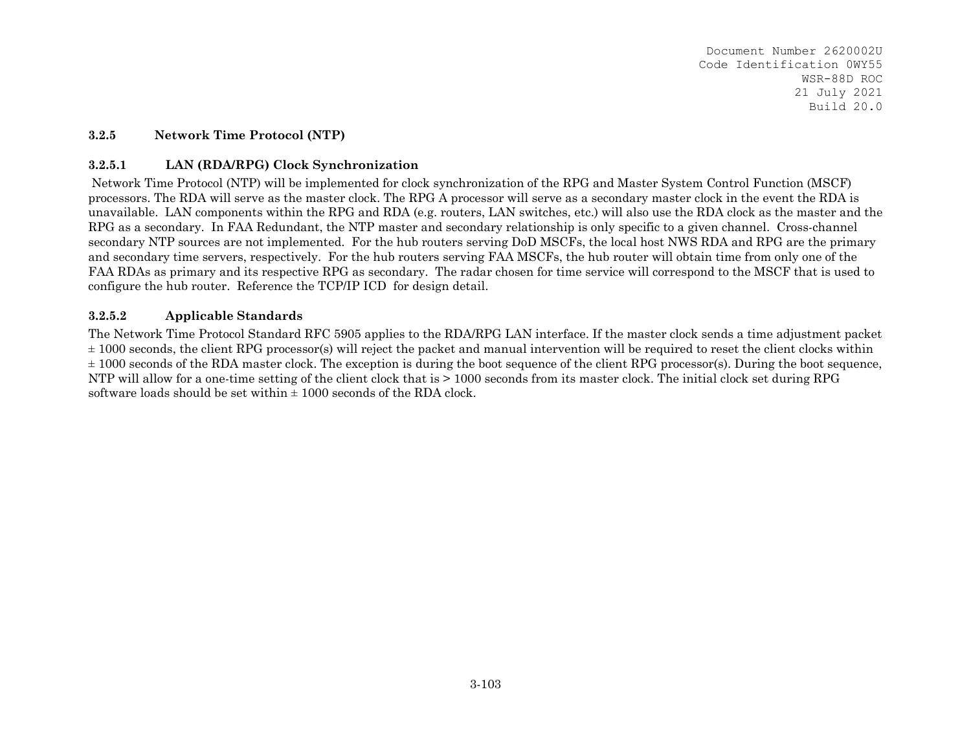#### **3.2.5Network Time Protocol (NTP)**

#### **3.2.5.1LAN (RDA/RPG) Clock Synchronization**

 Network Time Protocol (NTP) will be implemented for clock synchronization of the RPG and Master System Control Function (MSCF) processors. The RDA will serve as the master clock. The RPG A processor will serve as a secondary master clock in the event the RDA is unavailable. LAN components within the RPG and RDA (e.g. routers, LAN switches, etc.) will also use the RDA clock as the master and the RPG as a secondary. In FAA Redundant, the NTP master and secondary relationship is only specific to a given channel. Cross-channel secondary NTP sources are not implemented. For the hub routers serving DoD MSCFs, the local host NWS RDA and RPG are the primary and secondary time servers, respectively. For the hub routers serving FAA MSCFs, the hub router will obtain time from only one of the FAA RDAs as primary and its respective RPG as secondary. The radar chosen for time service will correspond to the MSCF that is used to configure the hub router. Reference the TCP/IP ICD for design detail.

#### **3.2.5.2Applicable Standards**

The Network Time Protocol Standard RFC 5905 applies to the RDA/RPG LAN interface. If the master clock sends a time adjustment packet  $\pm$  1000 seconds, the client RPG processor(s) will reject the packet and manual intervention will be required to reset the client clocks within  $\pm$  1000 seconds of the RDA master clock. The exception is during the boot sequence of the client RPG processor(s). During the boot sequence, NTP will allow for a one-time setting of the client clock that is > 1000 seconds from its master clock. The initial clock set during RPG software loads should be set within  $\pm 1000$  seconds of the RDA clock.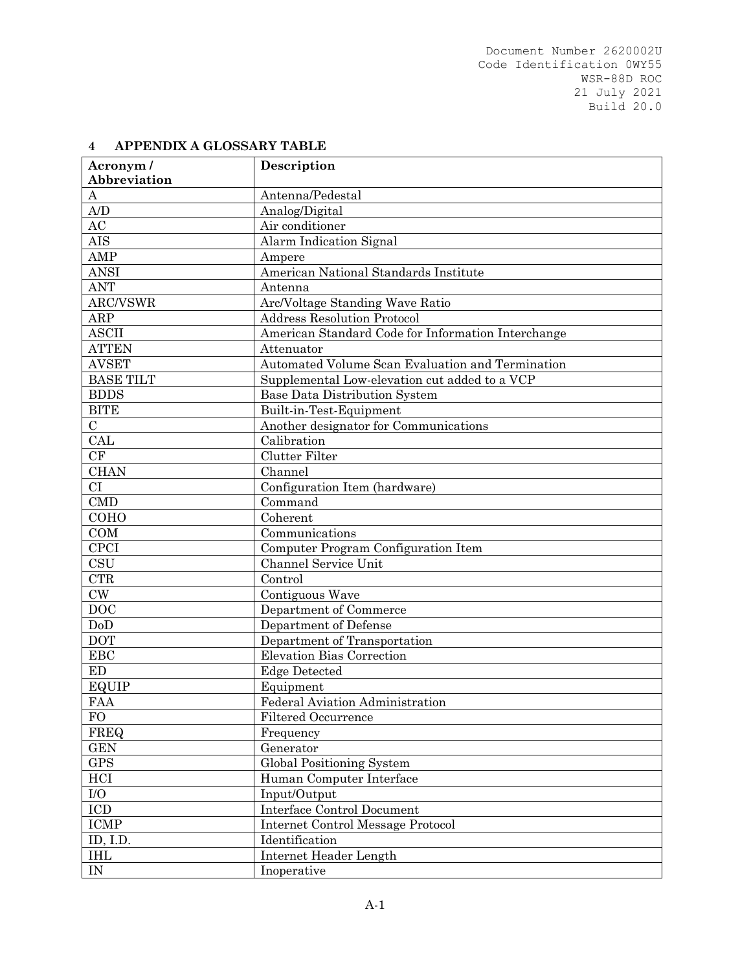| Acronym/         | Description                                        |
|------------------|----------------------------------------------------|
| Abbreviation     |                                                    |
| $\boldsymbol{A}$ | Antenna/Pedestal                                   |
| A/D              | Analog/Digital                                     |
| AC               | Air conditioner                                    |
| <b>AIS</b>       | Alarm Indication Signal                            |
| AMP              | Ampere                                             |
| <b>ANSI</b>      | American National Standards Institute              |
| <b>ANT</b>       | Antenna                                            |
| ARC/VSWR         | Arc/Voltage Standing Wave Ratio                    |
| ARP              | <b>Address Resolution Protocol</b>                 |
| <b>ASCII</b>     | American Standard Code for Information Interchange |
| <b>ATTEN</b>     | Attenuator                                         |
| <b>AVSET</b>     | Automated Volume Scan Evaluation and Termination   |
| <b>BASE TILT</b> | Supplemental Low-elevation cut added to a VCP      |
| <b>BDDS</b>      | <b>Base Data Distribution System</b>               |
| <b>BITE</b>      | Built-in-Test-Equipment                            |
| $\mathbf C$      | Another designator for Communications              |
| CAL              | Calibration                                        |
| CF               | <b>Clutter Filter</b>                              |
| <b>CHAN</b>      | Channel                                            |
| CI               | Configuration Item (hardware)                      |
| <b>CMD</b>       | Command                                            |
| COHO             | Coherent                                           |
| COM              | Communications                                     |
| <b>CPCI</b>      | Computer Program Configuration Item                |
| <b>CSU</b>       | Channel Service Unit                               |
| <b>CTR</b>       | Control                                            |
| $\mathrm{CW}$    | Contiguous Wave                                    |
| DOC              | Department of Commerce                             |
| DoD              | Department of Defense                              |
| <b>DOT</b>       | Department of Transportation                       |
| EBC              | Elevation Bias Correction                          |
| ED               | <b>Edge Detected</b>                               |
| EQUIP            | Equipment                                          |
| <b>FAA</b>       | Federal Aviation Administration                    |
| <b>FO</b>        | Filtered Occurrence                                |
| FREQ             | Frequency                                          |
| <b>GEN</b>       | Generator                                          |
| <b>GPS</b>       | Global Positioning System                          |
| HCI              | Human Computer Interface                           |
| $\rm I/O$        | Input/Output                                       |
| $\rm{ICD}$       | <b>Interface Control Document</b>                  |
| ICMP             | <b>Internet Control Message Protocol</b>           |
| ID, I.D.         | Identification                                     |
| <b>IHL</b>       | Internet Header Length                             |
| ${\rm IN}$       | Inoperative                                        |

# **4 APPENDIX A GLOSSARY TABLE**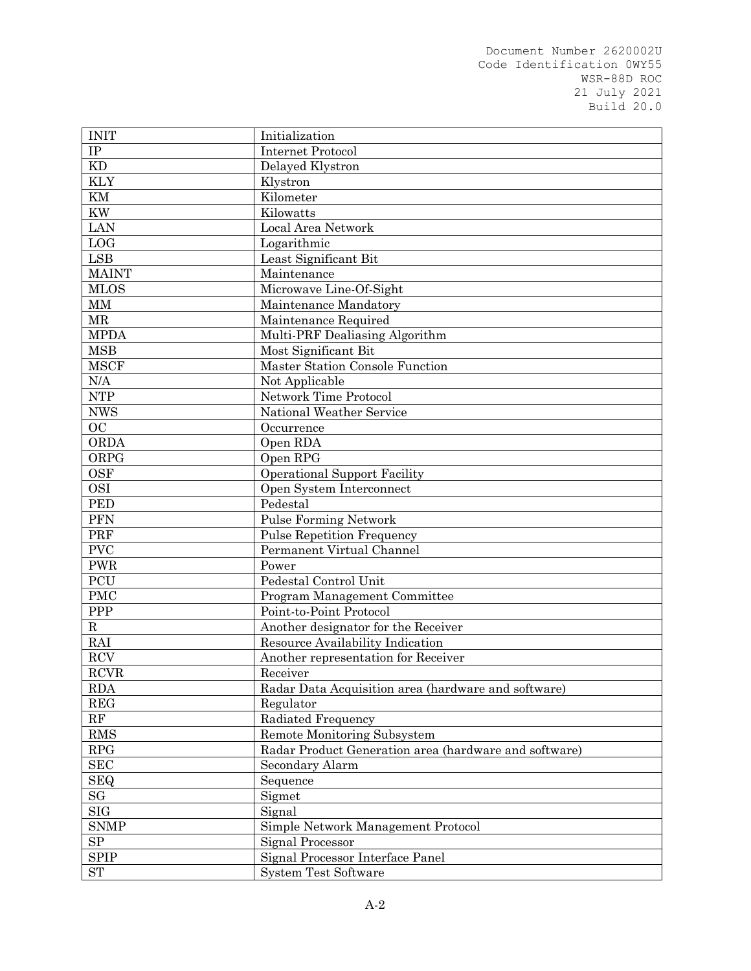| <b>INIT</b>         | Initialization                                        |
|---------------------|-------------------------------------------------------|
| IP                  | <b>Internet Protocol</b>                              |
| KD                  | Delayed Klystron                                      |
| <b>KLY</b>          | Klystron                                              |
| KM                  | Kilometer                                             |
| <b>KW</b>           | Kilowatts                                             |
| <b>LAN</b>          | Local Area Network                                    |
| LOG                 | Logarithmic                                           |
| LSB                 | Least Significant Bit                                 |
| <b>MAINT</b>        | Maintenance                                           |
| <b>MLOS</b>         | Microwave Line-Of-Sight                               |
| $\mbox{MM}$         | Maintenance Mandatory                                 |
| <b>MR</b>           | Maintenance Required                                  |
| <b>MPDA</b>         | Multi-PRF Dealiasing Algorithm                        |
| <b>MSB</b>          | Most Significant Bit                                  |
| <b>MSCF</b>         | Master Station Console Function                       |
| N/A                 | Not Applicable                                        |
| <b>NTP</b>          | Network Time Protocol                                 |
| <b>NWS</b>          | National Weather Service                              |
| <b>OC</b>           | Occurrence                                            |
| ORDA                | Open RDA                                              |
| ORPG                | Open RPG                                              |
| <b>OSF</b>          | <b>Operational Support Facility</b>                   |
| <b>OSI</b>          | Open System Interconnect                              |
| <b>PED</b>          | Pedestal                                              |
| <b>PFN</b>          | <b>Pulse Forming Network</b>                          |
| PRF                 | <b>Pulse Repetition Frequency</b>                     |
| <b>PVC</b>          | Permanent Virtual Channel                             |
| <b>PWR</b>          | Power                                                 |
| PCU                 | Pedestal Control Unit                                 |
| <b>PMC</b>          | Program Management Committee                          |
| ${\rm PPP}$         | Point-to-Point Protocol                               |
| ${\bf R}$           | Another designator for the Receiver                   |
| RAI                 | Resource Availability Indication                      |
| RCV                 | Another representation for Receiver                   |
| <b>RCVR</b>         | Receiver                                              |
| <b>RDA</b>          | Radar Data Acquisition area (hardware and software)   |
| REG                 | Regulator                                             |
| RF                  | Radiated Frequency                                    |
| <b>RMS</b>          | Remote Monitoring Subsystem                           |
| RPG                 | Radar Product Generation area (hardware and software) |
| <b>SEC</b>          | Secondary Alarm                                       |
| <b>SEQ</b>          | Sequence                                              |
| $\operatorname{SG}$ | Sigmet                                                |
| $_{\mathrm{SIG}}$   | Signal                                                |
| <b>SNMP</b>         | Simple Network Management Protocol                    |
| ${\rm SP}$          | Signal Processor                                      |
| <b>SPIP</b>         | Signal Processor Interface Panel                      |
| ST                  | <b>System Test Software</b>                           |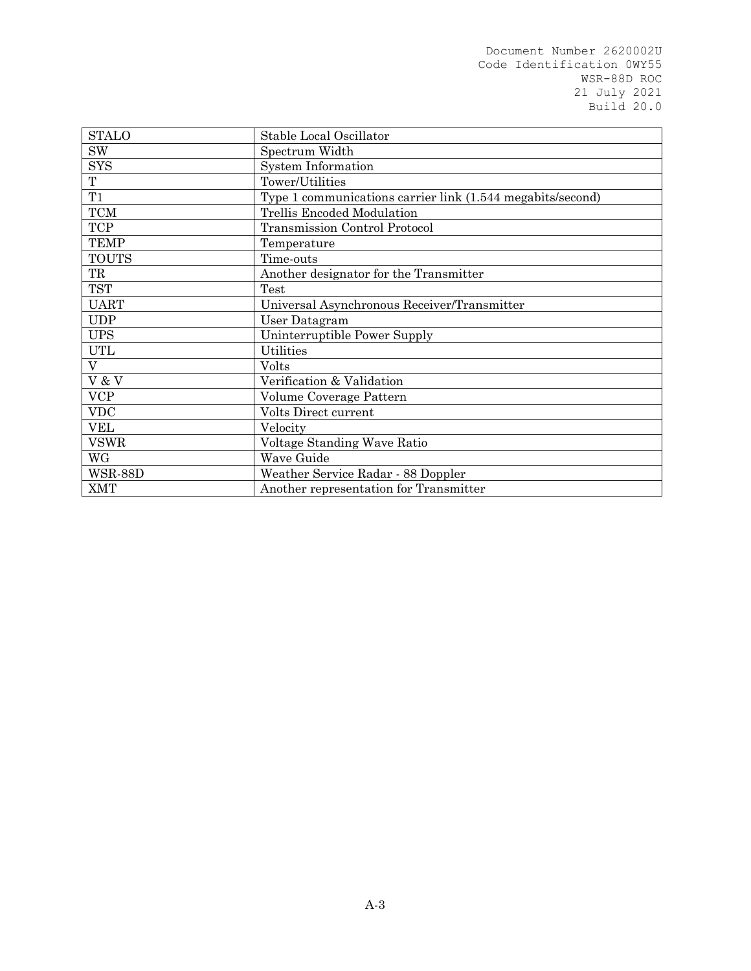| <b>STALO</b>   | Stable Local Oscillator                                    |
|----------------|------------------------------------------------------------|
| <b>SW</b>      | Spectrum Width                                             |
| <b>SYS</b>     | <b>System Information</b>                                  |
| T              | Tower/Utilities                                            |
| T1             | Type 1 communications carrier link (1.544 megabits/second) |
| <b>TCM</b>     | Trellis Encoded Modulation                                 |
| <b>TCP</b>     | <b>Transmission Control Protocol</b>                       |
| <b>TEMP</b>    | Temperature                                                |
| <b>TOUTS</b>   | Time-outs                                                  |
| TR             | Another designator for the Transmitter                     |
| <b>TST</b>     | Test                                                       |
| <b>UART</b>    | Universal Asynchronous Receiver/Transmitter                |
| <b>UDP</b>     | User Datagram                                              |
| <b>UPS</b>     | Uninterruptible Power Supply                               |
| <b>UTL</b>     | Utilities                                                  |
| V              | Volts                                                      |
| V & V          | Verification & Validation                                  |
| <b>VCP</b>     | Volume Coverage Pattern                                    |
| <b>VDC</b>     | Volts Direct current                                       |
| <b>VEL</b>     | Velocity                                                   |
| <b>VSWR</b>    | Voltage Standing Wave Ratio                                |
| WG             | Wave Guide                                                 |
| <b>WSR-88D</b> | Weather Service Radar - 88 Doppler                         |
| <b>XMT</b>     | Another representation for Transmitter                     |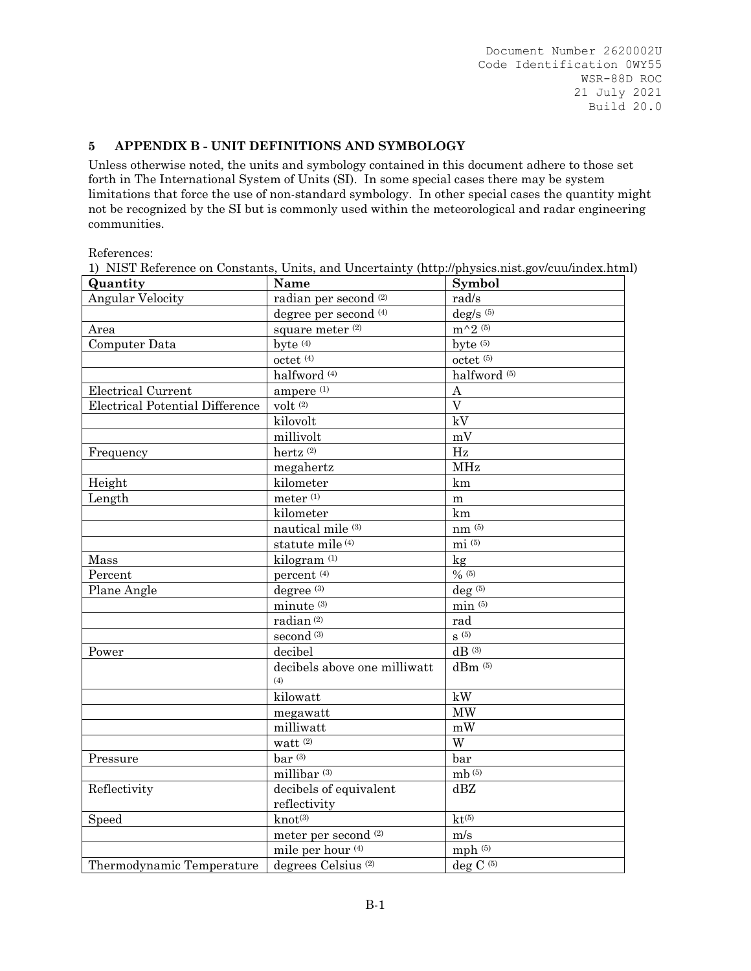## **5 APPENDIX B - UNIT DEFINITIONS AND SYMBOLOGY**

Unless otherwise noted, the units and symbology contained in this document adhere to those set forth in The International System of Units (SI). In some special cases there may be system limitations that force the use of non-standard symbology. In other special cases the quantity might not be recognized by the SI but is commonly used within the meteorological and radar engineering communities.

References:

| Quantity                               | Name                                | Symbol                              |
|----------------------------------------|-------------------------------------|-------------------------------------|
| <b>Angular Velocity</b>                | radian per second <sup>(2)</sup>    | rad/s                               |
|                                        | degree per second <sup>(4)</sup>    | $deg/s$ <sup>(5)</sup>              |
| Area                                   | square meter (2)                    | $m^{\wedge}2^{(5)}$                 |
| Computer Data                          | byte $(4)$                          | byte $(5)$                          |
|                                        | $octet$ <sup><math>(4)</math></sup> | $octet$ <sup><math>(5)</math></sup> |
|                                        | halfword <sup>(4)</sup>             | halfword <sup>(5)</sup>             |
| <b>Electrical Current</b>              | ampere <sup>(1)</sup>               | $\overline{A}$                      |
| <b>Electrical Potential Difference</b> | volt(2)                             | $\overline{\rm V}$                  |
|                                        | kilovolt                            | kV                                  |
|                                        | millivolt                           | mV                                  |
| Frequency                              | hertz <sup>(2)</sup>                | Hz                                  |
|                                        | megahertz                           | <b>MHz</b>                          |
| Height                                 | kilometer                           | km                                  |
| Length                                 | meter $^{\left(1\right)}$           | m                                   |
|                                        | kilometer                           | km                                  |
|                                        | nautical mile (3)                   | $nm^{(5)}$                          |
|                                        | statute mile (4)                    | $mi^{(5)}$                          |
| Mass                                   | kilogram <sup>(1)</sup>             | $\log$                              |
| Percent                                | percent <sup>(4)</sup>              | $\sqrt{0(5)}$                       |
| Plane Angle                            | degree <sup>(3)</sup>               | $deg$ <sup>(5)</sup>                |
|                                        | minute <sup>(3)</sup>               | $min$ (5)                           |
|                                        | radian <sup>(2)</sup>               | rad                                 |
|                                        | second <sup>(3)</sup>               | $\mathrm{S}$ $^{(5)}$               |
| Power                                  | decibel                             | $dB$ <sup>(3)</sup>                 |
|                                        | decibels above one milliwatt        | $dBm$ <sup>(5)</sup>                |
|                                        | (4)                                 |                                     |
|                                        | kilowatt                            | kW                                  |
|                                        | megawatt                            | <b>MW</b>                           |
|                                        | milliwatt                           | mW                                  |
|                                        | watt $(2)$                          | W                                   |
| Pressure                               | $bar^{(3)}$                         | bar                                 |
|                                        | millibar <sup>(3)</sup>             | mb <sub>(5)</sub>                   |
| Reflectivity                           | decibels of equivalent              | dBZ                                 |
|                                        | reflectivity                        |                                     |
| Speed                                  | $knot^{(3)}$                        | $kt^{(5)}$                          |
|                                        | meter per second <sup>(2)</sup>     | m/s                                 |
|                                        | mile per hour (4)                   | mph $(5)$                           |
| Thermodynamic Temperature              | degrees Celsius <sup>(2)</sup>      | deg C $\overline{^{(5)}}$           |

1) NIST Reference on Constants, Units, and Uncertainty (http://physics.nist.gov/cuu/index.html)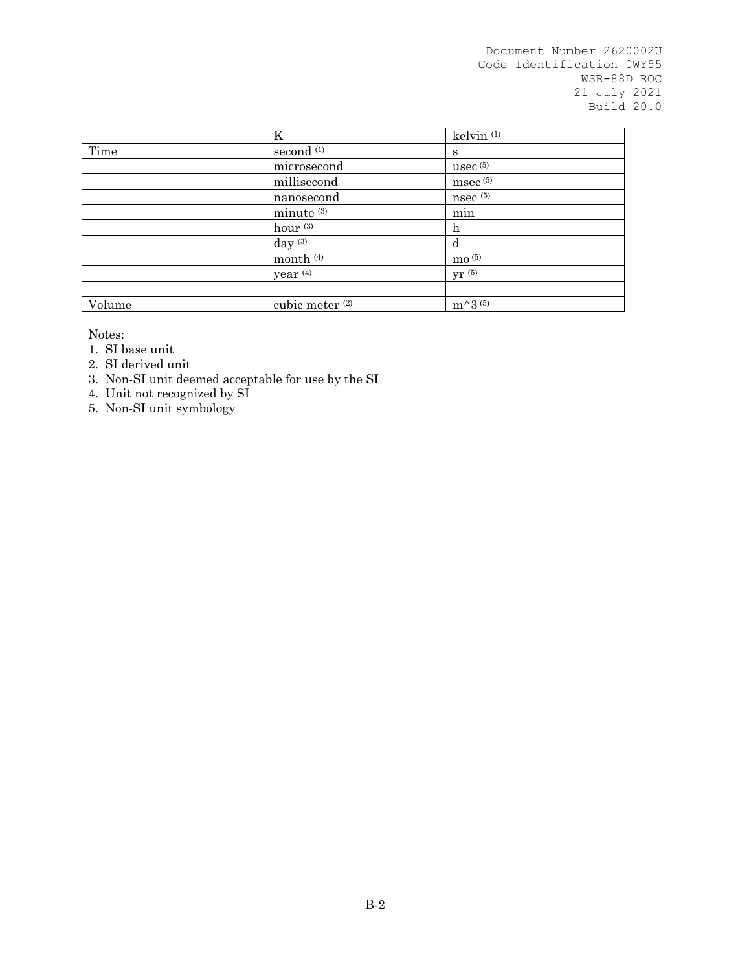|        | K                          | kelvin <sup>(1)</sup> |
|--------|----------------------------|-----------------------|
| Time   | second <sup>(1)</sup>      | S                     |
|        | microsecond                | usec $(5)$            |
|        | millisecond                | msec(5)               |
|        | nanosecond                 | nsec(5)               |
|        | minute <sup>(3)</sup>      | min                   |
|        | hour $(3)$                 | $\mathbf h$           |
|        | day $(3)$                  | d                     |
|        | month <sup>(4)</sup>       | $\,$ mo $(5)$         |
|        | year <sup>(4)</sup>        | yr(5)                 |
|        |                            |                       |
| Volume | cubic meter <sup>(2)</sup> | $m^{\wedge}3^{(5)}$   |

Notes:

- 1. SI base unit
- 2. SI derived unit
- 3. Non-SI unit deemed acceptable for use by the SI
- 4. Unit not recognized by SI
- 5. Non-SI unit symbology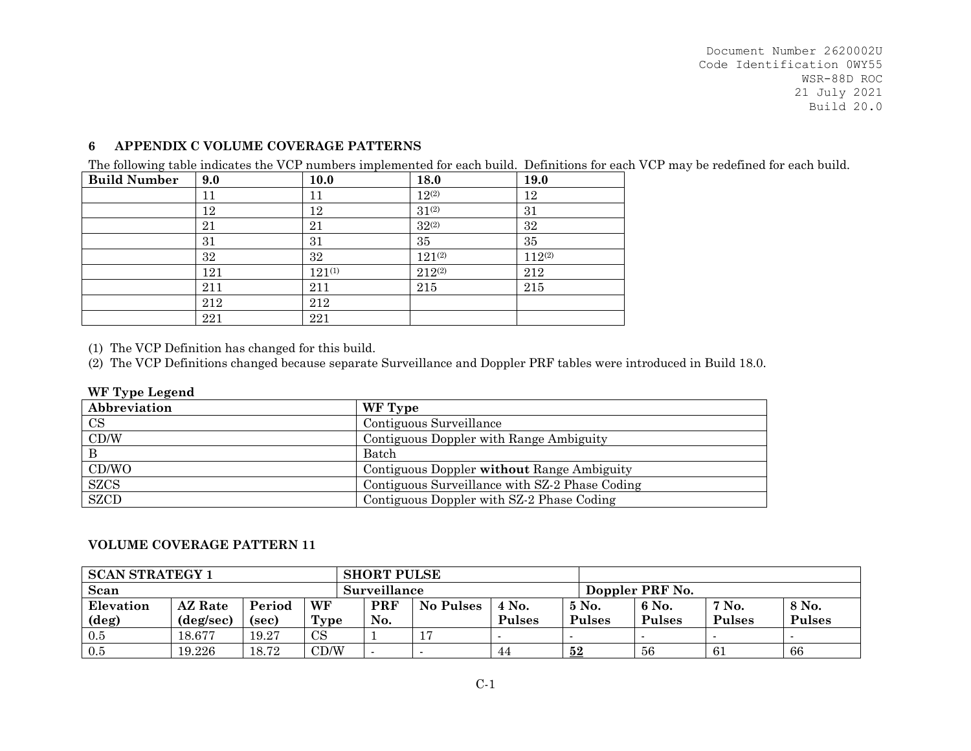#### **6APPENDIX C VOLUME COVERAGE PATTERNS**

The following table indicates the VCP numbers implemented for each build. Definitions for each VCP may be redefined for each build.

| <b>Build Number</b> | 9.0 | <b>10.0</b> | 18.0        | 19.0        |
|---------------------|-----|-------------|-------------|-------------|
|                     | 11  | 11          | $12^{(2)}$  | 12          |
|                     | 12  | 12          | $31^{(2)}$  | 31          |
|                     | 21  | 21          | $32^{(2)}$  | 32          |
|                     | 31  | 31          | 35          | 35          |
|                     | 32  | 32          | $121^{(2)}$ | $112^{(2)}$ |
|                     | 121 | $121^{(1)}$ | $212^{(2)}$ | 212         |
|                     | 211 | 211         | 215         | 215         |
|                     | 212 | 212         |             |             |
|                     | 221 | 221         |             |             |

(1) The VCP Definition has changed for this build.

(2) The VCP Definitions changed because separate Surveillance and Doppler PRF tables were introduced in Build 18.0.

## **WF Type Legend**

| $\sim$ $\sim$ $\sim$ $\sim$ $\sim$ $\sim$ $\sim$ |                                                |
|--------------------------------------------------|------------------------------------------------|
| Abbreviation                                     | WF Type                                        |
| CS                                               | Contiguous Surveillance                        |
| CD/W                                             | Contiguous Doppler with Range Ambiguity        |
|                                                  | Batch                                          |
| CD/WO                                            | Contiguous Doppler without Range Ambiguity     |
| <b>SZCS</b>                                      | Contiguous Surveillance with SZ-2 Phase Coding |
| <b>SZCD</b>                                      | Contiguous Doppler with SZ-2 Phase Coding      |

## **VOLUME COVERAGE PATTERN 11**

| <b>SCAN STRATEGY 1</b> |                |        |           | <b>SHORT PULSE</b> |                  |               |               |                 |               |               |
|------------------------|----------------|--------|-----------|--------------------|------------------|---------------|---------------|-----------------|---------------|---------------|
| Scan                   |                |        |           | Surveillance       |                  |               |               | Doppler PRF No. |               |               |
| Elevation              | <b>AZ</b> Rate | Period | WF        | <b>PRF</b>         | <b>No Pulses</b> | 4 No.         | $5$ No.       | 6 No.           | 7 No.         | 8 No.         |
| $(\deg)$               | (deg/sec)      | (sec)  | Type      | No.                |                  | <b>Pulses</b> | <b>Pulses</b> | <b>Pulses</b>   | <b>Pulses</b> | <b>Pulses</b> |
| $0.5\,$                | 18.677         | 19.27  | <b>CS</b> |                    |                  |               |               |                 |               |               |
| 0.5                    | 19.226         | 18.72  | CD/W      |                    |                  | 44            | $\bf{52}$     | -56             | 61            | 66            |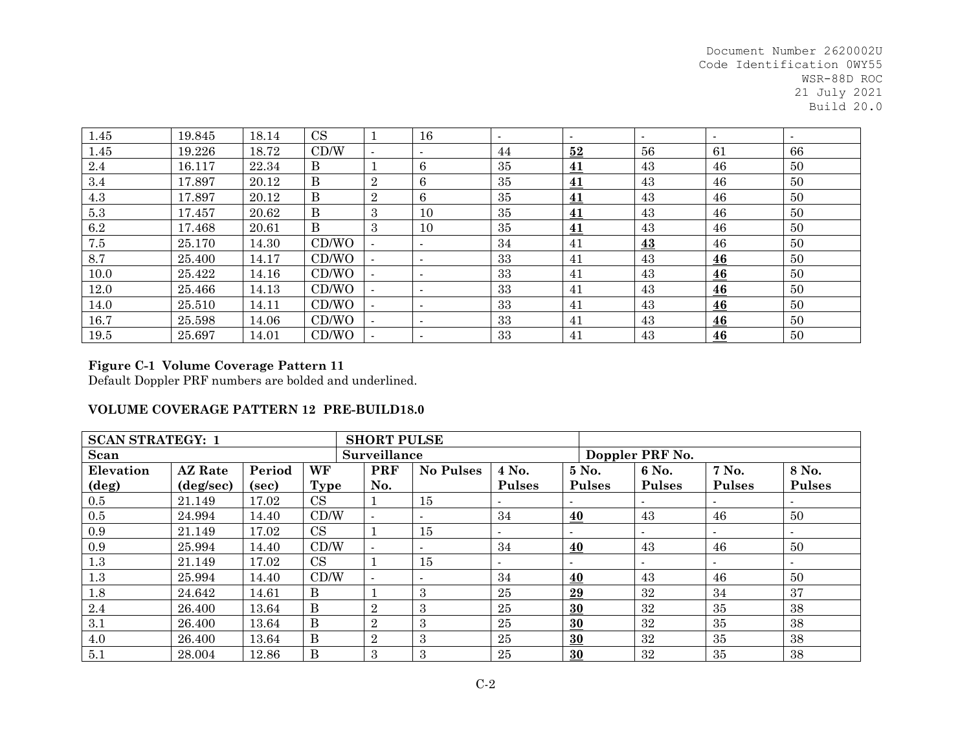| 1.45 | 19.845 | 18.14 | <b>CS</b>    |                          | 16                       | $\blacksquare$ | $\overline{\phantom{a}}$ | $\overline{\phantom{a}}$ | $\sim$ | $\blacksquare$ |
|------|--------|-------|--------------|--------------------------|--------------------------|----------------|--------------------------|--------------------------|--------|----------------|
| 1.45 | 19.226 | 18.72 | CD/W         | $\overline{\phantom{a}}$ | $\overline{\phantom{a}}$ | 44             | 52                       | 56                       | 61     | 66             |
| 2.4  | 16.117 | 22.34 | $\mathbf{B}$ |                          | 6                        | 35             | 41                       | 43                       | 46     | 50             |
| 3.4  | 17.897 | 20.12 | $\mathbf{B}$ | $\overline{2}$           | 6                        | 35             | 41                       | 43                       | 46     | 50             |
| 4.3  | 17.897 | 20.12 | $\mathbf B$  | $\overline{2}$           | 6                        | 35             | 41                       | 43                       | 46     | 50             |
| 5.3  | 17.457 | 20.62 | $\mathbf{B}$ | 3                        | 10                       | 35             | 41                       | 43                       | 46     | 50             |
| 6.2  | 17.468 | 20.61 | B            | 3                        | 10                       | 35             | <u>41</u>                | 43                       | 46     | 50             |
| 7.5  | 25.170 | 14.30 | CD/WO        | $\overline{\phantom{a}}$ | $\overline{\phantom{a}}$ | 34             | 41                       | $\underline{43}$         | 46     | 50             |
| 8.7  | 25.400 | 14.17 | CD/WO        | $\overline{\phantom{a}}$ | $\overline{\phantom{a}}$ | 33             | 41                       | 43                       | 46     | 50             |
| 10.0 | 25.422 | 14.16 | CD/WO        | $\blacksquare$           | $\overline{\phantom{a}}$ | 33             | 41                       | 43                       | 46     | 50             |
| 12.0 | 25.466 | 14.13 | CD/WO        | $\sim$                   |                          | 33             | 41                       | 43                       | 46     | 50             |
| 14.0 | 25.510 | 14.11 | CD/WO        | $\overline{\phantom{a}}$ | $\overline{\phantom{a}}$ | 33             | 41                       | 43                       | 46     | 50             |
| 16.7 | 25.598 | 14.06 | CD/WO        | $\overline{\phantom{a}}$ | $\overline{\phantom{a}}$ | 33             | 41                       | 43                       | 46     | 50             |
| 19.5 | 25.697 | 14.01 | CD/WO        |                          |                          | 33             | 41                       | 43                       | 46     | 50             |

# **Figure C-1 Volume Coverage Pattern 11**

Default Doppler PRF numbers are bolded and underlined.

### **VOLUME COVERAGE PATTERN 12 PRE-BUILD18.0**

| <b>SCAN STRATEGY: 1</b> |                    |        |          | <b>SHORT PULSE</b>       |                  |               |               |                 |               |                          |
|-------------------------|--------------------|--------|----------|--------------------------|------------------|---------------|---------------|-----------------|---------------|--------------------------|
| Scan                    |                    |        |          | Surveillance             |                  |               |               | Doppler PRF No. |               |                          |
| Elevation               | <b>AZ</b> Rate     | Period | WF       | <b>PRF</b>               | <b>No Pulses</b> | 4 No.         | 5 No.         | 6 No.           | 7 No.         | 8 No.                    |
| $(\text{deg})$          | $(\text{deg/sec})$ | (sec)  | Type     | No.                      |                  | <b>Pulses</b> | <b>Pulses</b> | <b>Pulses</b>   | <b>Pulses</b> | <b>Pulses</b>            |
| $0.5\,$                 | 21.149             | 17.02  | CS       |                          | 15               |               |               |                 |               | $\overline{\phantom{a}}$ |
| 0.5                     | 24.994             | 14.40  | CD/W     | $\overline{\phantom{a}}$ | $\blacksquare$   | 34            | 40            | 43              | 46            | 50                       |
| 0.9                     | 21.149             | 17.02  | CS       |                          | 15               |               |               |                 |               | $\overline{\phantom{a}}$ |
| 0.9                     | 25.994             | 14.40  | CD/W     |                          | $\blacksquare$   | 34            | 40            | 43              | 46            | 50                       |
| $1.3\,$                 | 21.149             | 17.02  | CS       |                          | 15               |               |               |                 |               |                          |
| 1.3                     | 25.994             | 14.40  | CD/W     |                          | $\blacksquare$   | 34            | 40            | 43              | 46            | 50                       |
| 1.8                     | 24.642             | 14.61  | B        |                          | 3                | 25            | 29            | 32              | 34            | 37                       |
| 2.4                     | 26.400             | 13.64  | B        | $\overline{2}$           | 3                | 25            | 30            | 32              | 35            | 38                       |
| 3.1                     | 26.400             | 13.64  | $\bf{B}$ | $\overline{2}$           | 3                | 25            | 30            | 32              | 35            | 38                       |
| 4.0                     | 26.400             | 13.64  | B        | $\overline{2}$           | 3                | 25            | 30            | 32              | 35            | 38                       |
| 5.1                     | 28.004             | 12.86  | $\bf{B}$ | 3                        | 3                | 25            | 30            | 32              | 35            | 38                       |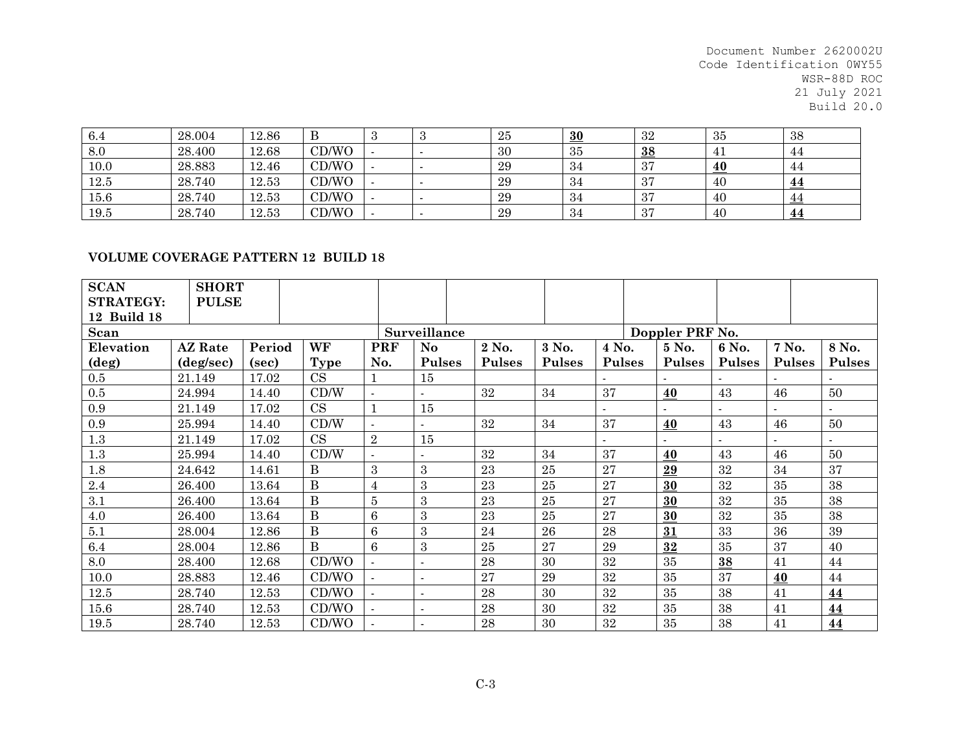| 6.4  | 28.004 | 12.86 | в     |  | 25 | 30  | 32              | 35 | 38        |
|------|--------|-------|-------|--|----|-----|-----------------|----|-----------|
| 8.0  | 28.400 | 12.68 | CD/WO |  | 30 | 35  | $\overline{38}$ | 41 | 44        |
| 10.0 | 28.883 | 12.46 | CD/WO |  | 29 | -34 | 37              | 40 | 44        |
| 12.5 | 28.740 | 12.53 | CD/WO |  | 29 | -34 | 37              | 40 | <u>44</u> |
| 15.6 | 28.740 | 12.53 | CD/WO |  | 29 | -34 | 37              | 40 | 44        |
| 19.5 | 28.740 | 12.53 | CD/WO |  | 29 | -34 | 37              | 40 | <u>44</u> |

#### **VOLUME COVERAGE PATTERN 12 BUILD 18**

| <b>SCAN</b>      | <b>SHORT</b>   |        |              |                  |               |               |               |               |                 |               |               |               |
|------------------|----------------|--------|--------------|------------------|---------------|---------------|---------------|---------------|-----------------|---------------|---------------|---------------|
| <b>STRATEGY:</b> | <b>PULSE</b>   |        |              |                  |               |               |               |               |                 |               |               |               |
| 12 Build 18      |                |        |              |                  |               |               |               |               |                 |               |               |               |
| Scan             |                |        |              |                  | Surveillance  |               |               |               | Doppler PRF No. |               |               |               |
| Elevation        | <b>AZ</b> Rate | Period | WF           | <b>PRF</b>       | No            | 2 No.         | 3 No.         | 4 No.         | 5 No.           | 6 No.         | 7 No.         | 8 No.         |
| $(\text{deg})$   | (deg/sec)      | (sec)  | <b>Type</b>  | No.              | <b>Pulses</b> | <b>Pulses</b> | <b>Pulses</b> | <b>Pulses</b> | <b>Pulses</b>   | <b>Pulses</b> | <b>Pulses</b> | <b>Pulses</b> |
| $0.5\,$          | 21.149         | 17.02  | CS           |                  | 15            |               |               |               |                 |               |               |               |
| $0.5\,$          | 24.994         | 14.40  | CD/W         |                  |               | 32            | 34            | 37            | 40              | 43            | 46            | 50            |
| $0.9\,$          | 21.149         | 17.02  | CS           | $\mathbf{1}$     | 15            |               |               |               |                 |               |               |               |
| $0.9\,$          | 25.994         | 14.40  | CD/W         |                  |               | 32            | 34            | 37            | 40              | 43            | 46            | 50            |
| $1.3\,$          | 21.149         | 17.02  | CS           | $\overline{2}$   | 15            |               |               |               |                 |               |               |               |
| $1.3\,$          | 25.994         | 14.40  | CD/W         |                  |               | 32            | 34            | 37            | 40              | 43            | 46            | 50            |
| 1.8              | 24.642         | 14.61  | B            | 3                | 3             | 23            | 25            | 27            | 29              | 32            | 34            | 37            |
| $2.4\,$          | 26.400         | 13.64  | $\bf{B}$     | $\overline{4}$   | 3             | 23            | 25            | 27            | 30              | 32            | 35            | 38            |
| 3.1              | 26.400         | 13.64  | B            | $\overline{5}$   | 3             | 23            | 25            | 27            | 30              | 32            | 35            | 38            |
| 4.0              | 26.400         | 13.64  | B            | $\boldsymbol{6}$ | 3             | 23            | 25            | 27            | 30              | 32            | 35            | 38            |
| 5.1              | 28.004         | 12.86  | $\mathbf{B}$ | 6                | 3             | 24            | 26            | 28            | 31              | 33            | 36            | 39            |
| $6.4\,$          | 28.004         | 12.86  | <sub>B</sub> | 6                | 3             | $25\,$        | 27            | 29            | 32              | 35            | 37            | 40            |
| $8.0\,$          | 28.400         | 12.68  | CD/WO        | $\overline{a}$   |               | 28            | 30            | 32            | 35              | 38            | 41            | 44            |
| 10.0             | 28.883         | 12.46  | CD/WO        |                  |               | 27            | 29            | 32            | 35              | 37            | 40            | 44            |
| 12.5             | 28.740         | 12.53  | CD/WO        |                  |               | 28            | 30            | 32            | 35              | 38            | 41            | 44            |
| 15.6             | 28.740         | 12.53  | CD/WO        | $\sim$           |               | 28            | 30            | 32            | 35              | 38            | 41            | 44            |
| 19.5             | 28.740         | 12.53  | CD/WO        |                  |               | 28            | 30            | 32            | 35              | 38            | 41            | 44            |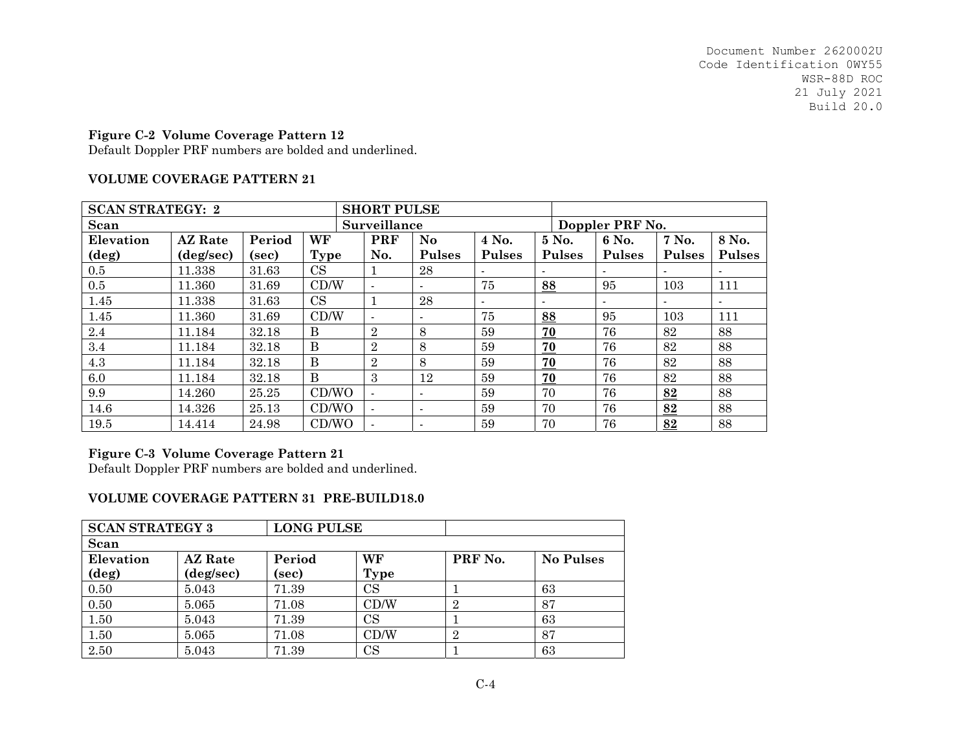## **Figure C-2 Volume Coverage Pattern 12**

Default Doppler PRF numbers are bolded and underlined.

### **VOLUME COVERAGE PATTERN 21**

| <b>SCAN STRATEGY: 2</b> |                    |        |       | <b>SHORT PULSE</b> |                          |                          |                |                 |                |                |
|-------------------------|--------------------|--------|-------|--------------------|--------------------------|--------------------------|----------------|-----------------|----------------|----------------|
| Scan                    |                    |        |       | Surveillance       |                          |                          |                | Doppler PRF No. |                |                |
| Elevation               | <b>AZ</b> Rate     | Period | WF    | <b>PRF</b>         | No                       | 4 No.                    | 5 No.          | 6 No.           | 7 No.          | 8 No.          |
| $(\text{deg})$          | $(\text{deg/sec})$ | (sec)  | Type  | No.                | <b>Pulses</b>            | <b>Pulses</b>            | <b>Pulses</b>  | <b>Pulses</b>   | <b>Pulses</b>  | <b>Pulses</b>  |
| $0.5\,$                 | 11.338             | 31.63  | CS    |                    | 28                       |                          |                |                 | $\blacksquare$ |                |
| 0.5                     | 11.360             | 31.69  | CD/W  | $\overline{a}$     | ۰.                       | 75                       | 88             | 95              | 103            | 111            |
| 1.45                    | 11.338             | 31.63  | CS    |                    | 28                       | $\overline{\phantom{a}}$ | $\blacksquare$ |                 | $\blacksquare$ | $\blacksquare$ |
| 1.45                    | 11.360             | 31.69  | CD/W  | $\overline{a}$     | $\blacksquare$           | 75                       | 88             | 95              | 103            | 111            |
| 2.4                     | 11.184             | 32.18  | B     | 2                  | 8                        | 59                       | 70             | 76              | 82             | 88             |
| 3.4                     | 11.184             | 32.18  | B     | $\overline{2}$     | 8                        | 59                       | 70             | 76              | 82             | 88             |
| 4.3                     | 11.184             | 32.18  | B     | $\overline{2}$     | 8                        | 59                       | 70             | 76              | 82             | 88             |
| 6.0                     | 11.184             | 32.18  | B     | 3                  | 12                       | 59                       | 70             | 76              | 82             | 88             |
| 9.9                     | 14.260             | 25.25  | CD/WO |                    | $\overline{\phantom{0}}$ | 59                       | 70             | 76              | 82             | 88             |
| 14.6                    | 14.326             | 25.13  | CD/WO | $\overline{a}$     | $\blacksquare$           | 59                       | 70             | 76              | 82             | 88             |
| 19.5                    | 14.414             | 24.98  | CD/WO |                    | $\overline{\phantom{0}}$ | 59                       | 70             | 76              | 82             | 88             |

## **Figure C-3 Volume Coverage Pattern 21**

Default Doppler PRF numbers are bolded and underlined.

## **VOLUME COVERAGE PATTERN 31 PRE-BUILD18.0**

| <b>SCAN STRATEGY 3</b> |                | <b>LONG PULSE</b> |             |         |                  |
|------------------------|----------------|-------------------|-------------|---------|------------------|
| Scan                   |                |                   |             |         |                  |
| Elevation              | <b>AZ</b> Rate | Period            | WF          | PRF No. | <b>No Pulses</b> |
| $(\text{deg})$         | (deg/sec)      | (sec)             | Type        |         |                  |
| 0.50                   | 5.043          | 71.39             | $_{\rm CS}$ |         | 63               |
| 0.50                   | 5.065          | 71.08             | CD/W        | 2       | 87               |
| 1.50                   | 5.043          | 71.39             | CS          |         | 63               |
| 1.50                   | 5.065          | 71.08             | CD/W        | 2       | 87               |
| 2.50                   | 5.043          | 71.39             | $_{\rm CS}$ |         | 63               |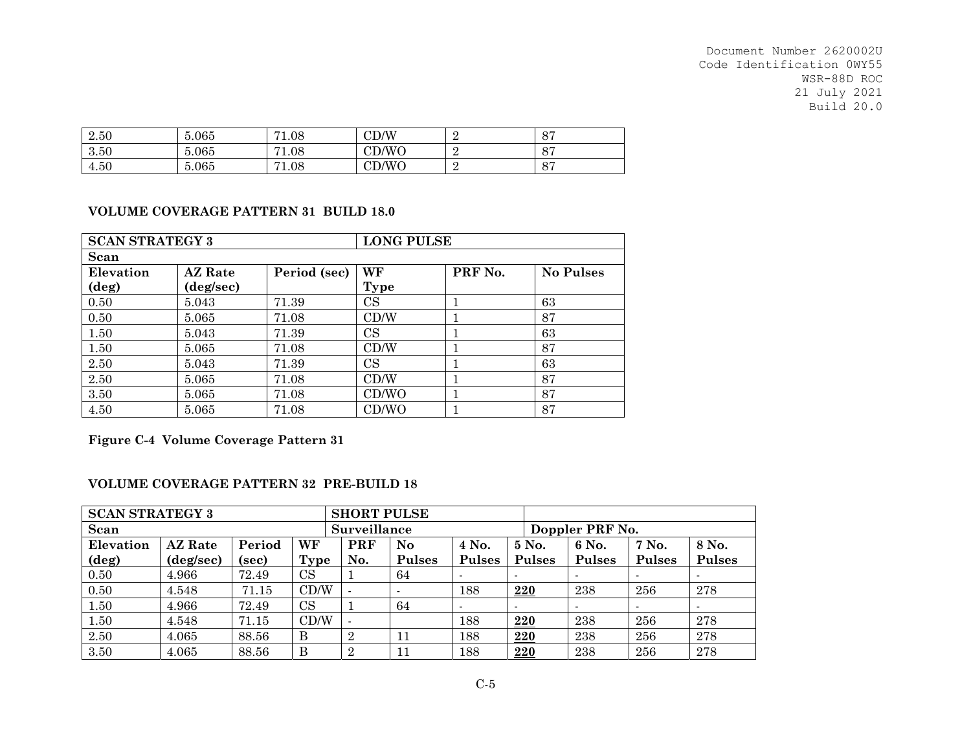| 2.50 | 5.065 | $\mathbf{H}$<br>1.08 | $\mathop{\rm CD/W}\nolimits$ | O <sub>7</sub><br>O.  |
|------|-------|----------------------|------------------------------|-----------------------|
| 3.50 | 5.065 | 71<br>1.08           | CD/WO                        | O <sub>7</sub><br>O I |
| 4.50 | 5.065 | 71<br>1.08           | CD/WO                        | O <sub>7</sub><br>O.  |

### **VOLUME COVERAGE PATTERN 31 BUILD 18.0**

| <b>SCAN STRATEGY 3</b> |                |              | <b>LONG PULSE</b> |         |                  |
|------------------------|----------------|--------------|-------------------|---------|------------------|
| Scan                   |                |              |                   |         |                  |
| Elevation              | <b>AZ</b> Rate | Period (sec) | WF                | PRF No. | <b>No Pulses</b> |
| $(\deg)$               | (deg/sec)      |              | Type              |         |                  |
| 0.50                   | 5.043          | 71.39        | $_{\rm CS}$       |         | 63               |
| 0.50                   | 5.065          | 71.08        | CD/W              |         | 87               |
| 1.50                   | 5.043          | 71.39        | $_{\rm CS}$       |         | 63               |
| 1.50                   | 5.065          | 71.08        | CD/W              |         | 87               |
| 2.50                   | 5.043          | 71.39        | $_{\rm CS}$       |         | 63               |
| 2.50                   | 5.065          | 71.08        | CD/W              |         | 87               |
| 3.50                   | 5.065          | 71.08        | CD/WO             |         | 87               |
| 4.50                   | 5.065          | 71.08        | CD/WO             |         | 87               |

**Figure C-4 Volume Coverage Pattern 31**

## **VOLUME COVERAGE PATTERN 32 PRE-BUILD 18**

| <b>SCAN STRATEGY 3</b>                      |           |       |             | <b>SHORT PULSE</b> |               |               |               |                 |                          |               |
|---------------------------------------------|-----------|-------|-------------|--------------------|---------------|---------------|---------------|-----------------|--------------------------|---------------|
| Scan                                        |           |       |             | Surveillance       |               |               |               | Doppler PRF No. |                          |               |
| WF<br><b>AZ</b> Rate<br>Period<br>Elevation |           |       |             | PRF                | No            | 4 No.         | 5 No.         | 6 No.           | 7 No.                    | 8 No.         |
| (deg)                                       | (deg/sec) | (sec) | <b>Type</b> | No.                | <b>Pulses</b> | <b>Pulses</b> | <b>Pulses</b> | <b>Pulses</b>   | <b>Pulses</b>            | <b>Pulses</b> |
| 0.50                                        | 4.966     | 72.49 | <b>CS</b>   |                    | 64            |               |               |                 |                          |               |
| 0.50                                        | 4.548     | 71.15 | CD/W        |                    |               | 188           | 220           | 238             | 256                      | 278           |
| 1.50                                        | 4.966     | 72.49 | <b>CS</b>   |                    | 64            |               |               |                 | $\overline{\phantom{a}}$ |               |
| 1.50                                        | 4.548     | 71.15 | CD/W        |                    |               | 188           | 220           | 238             | 256                      | 278           |
| 2.50                                        | 4.065     | 88.56 | $\bf{B}$    | $\overline{2}$     | 11            | 188           | 220           | 238             | 256                      | 278           |
| 3.50                                        | 4.065     | 88.56 | B           | റ                  | 11            | 188           | 220           | 238             | 256                      | 278           |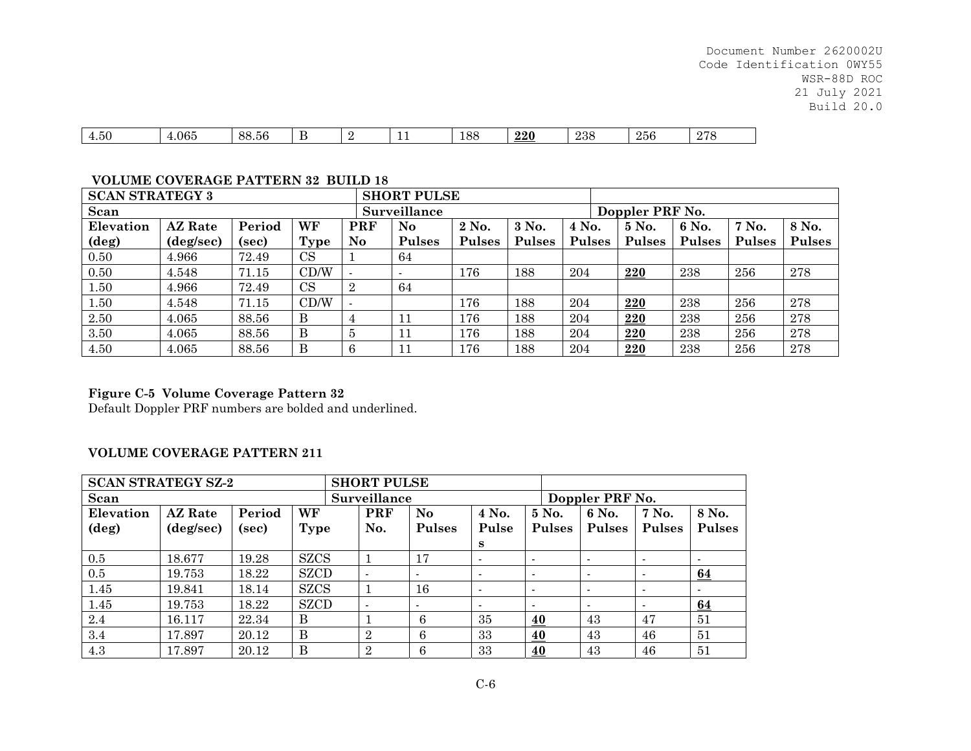| $\sim$ $\sim$<br>__<br>.065<br>00<br>4.OU<br>88.56<br>- |  | . | $\Omega$<br>100 | ററെ<br>22V | ററ<br>400. | 256 | $\Omega$<br>. L |
|---------------------------------------------------------|--|---|-----------------|------------|------------|-----|-----------------|
|---------------------------------------------------------|--|---|-----------------|------------|------------|-----|-----------------|

## **VOLUME COVERAGE PATTERN 32 BUILD 18**

| <b>SCAN STRATEGY 3</b> |                                |       |             |                | <b>SHORT PULSE</b> |               |        |               |                 |               |               |               |
|------------------------|--------------------------------|-------|-------------|----------------|--------------------|---------------|--------|---------------|-----------------|---------------|---------------|---------------|
| Scan                   |                                |       |             |                | Surveillance       |               |        |               | Doppler PRF No. |               |               |               |
| Elevation              | WF<br><b>AZ</b> Rate<br>Period |       |             |                |                    | 2 No.         | 3 No.  | 4 No.         | 5 No.           | 6 No.         | 7 No.         | 8 No.         |
| $(\text{deg})$         | (deg/sec)                      | (sec) | <b>Type</b> | No.            | <b>Pulses</b>      | <b>Pulses</b> | Pulses | <b>Pulses</b> | <b>Pulses</b>   | <b>Pulses</b> | <b>Pulses</b> | <b>Pulses</b> |
| 0.50                   | 4.966                          | 72.49 | CS          |                | 64                 |               |        |               |                 |               |               |               |
| 0.50                   | 4.548                          | 71.15 | CD/W        |                |                    | 176           | 188    | 204           | 220             | 238           | 256           | 278           |
| 1.50                   | 4.966                          | 72.49 | CS          | $\overline{2}$ | 64                 |               |        |               |                 |               |               |               |
| 1.50                   | 4.548                          | 71.15 | CD/W        |                |                    | 176           | 188    | 204           | 220             | 238           | 256           | 278           |
| 2.50                   | 4.065                          | 88.56 | B           | 4              | 11                 | 176           | 188    | 204           | 220             | 238           | 256           | 278           |
| 3.50                   | 4.065                          | 88.56 | B           | $\overline{5}$ | 11                 | 176           | 188    | 204           | 220             | 238           | 256           | 278           |
| 4.50                   | 4.065                          | 88.56 | B           | 6              | 11                 | 176           | 188    | 204           | 220             | 238           | 256           | 278           |

# **Figure C-5 Volume Coverage Pattern 32**

Default Doppler PRF numbers are bolded and underlined.

### **VOLUME COVERAGE PATTERN 211**

| <b>SCAN STRATEGY SZ-2</b>                   |                    |       |             | <b>SHORT PULSE</b> |               |                          |                          |                 |               |                |
|---------------------------------------------|--------------------|-------|-------------|--------------------|---------------|--------------------------|--------------------------|-----------------|---------------|----------------|
| Scan                                        |                    |       |             | Surveillance       |               |                          |                          | Doppler PRF No. |               |                |
| WF<br>Period<br>Elevation<br><b>AZ</b> Rate |                    |       |             | <b>PRF</b>         | No            | 4 No.                    | 5 No.                    | 6 No.           | 7 No.         | 8 No.          |
| $(\deg)$                                    | $(\text{deg/sec})$ | (sec) | Type        | No.                | <b>Pulses</b> | Pulse                    | <b>Pulses</b>            | <b>Pulses</b>   | <b>Pulses</b> | <b>Pulses</b>  |
|                                             |                    |       |             |                    |               | s                        |                          |                 |               |                |
| 0.5                                         | 18.677             | 19.28 | <b>SZCS</b> |                    | 17            | $\overline{\phantom{a}}$ | $\overline{\phantom{a}}$ |                 |               |                |
| 0.5                                         | 19.753             | 18.22 | <b>SZCD</b> |                    |               | $\blacksquare$           | $\blacksquare$           |                 |               | 64             |
| 1.45                                        | 19.841             | 18.14 | <b>SZCS</b> |                    | 16            | $\blacksquare$           | $\blacksquare$           |                 |               | $\blacksquare$ |
| 1.45                                        | 19.753             | 18.22 | <b>SZCD</b> | $\blacksquare$     | $\sim$        | $\,$                     | $\,$                     |                 |               | 64             |
| 2.4                                         | 16.117             | 22.34 | B           |                    | 6             | 35                       | 40                       | 43              | 47            | 51             |
| 3.4                                         | 17.897             | 20.12 | B           | $\overline{2}$     | 6             | 33                       | 40                       | 43              | 46            | 51             |
| 4.3                                         | 17.897             | 20.12 | B           | $\overline{2}$     | 6             | 33                       | 40                       | 43              | 46            | 51             |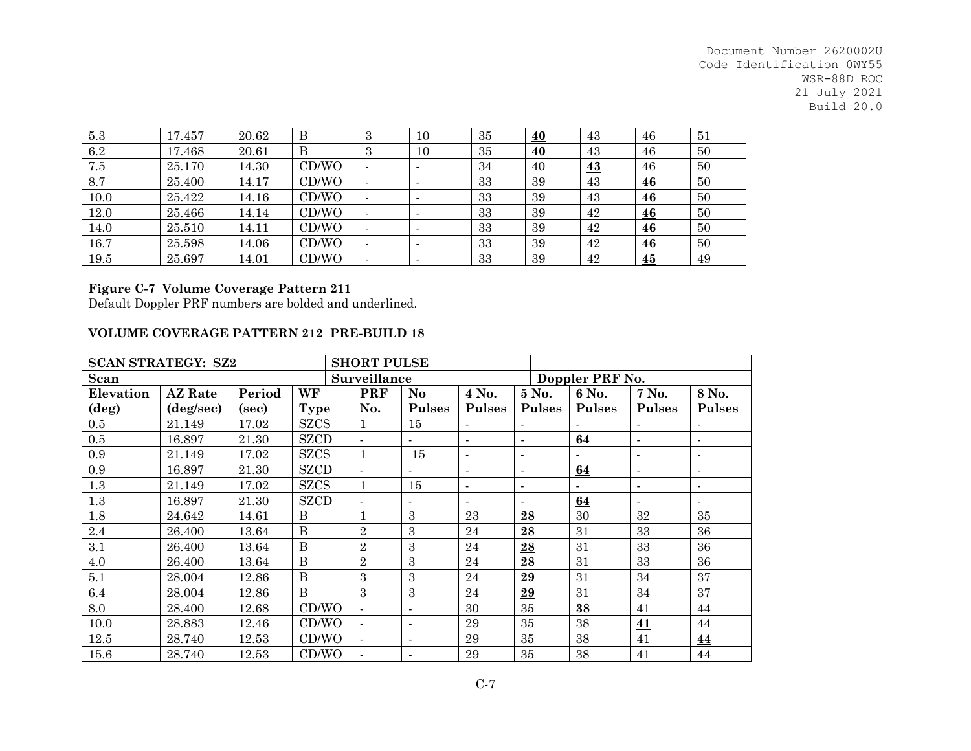| $5.3\,$ | 17.457 | 20.62 | Β     | Ð | 10 | 35 | 40               | 43               | 46 | 51 |
|---------|--------|-------|-------|---|----|----|------------------|------------------|----|----|
| 6.2     | 17.468 | 20.61 | В     | 3 | 10 | 35 | $\underline{40}$ | 43               | 46 | 50 |
| 7.5     | 25.170 | 14.30 | CD/WO |   |    | 34 | 40               | $\underline{43}$ | 46 | 50 |
| 8.7     | 25.400 | 14.17 | CD/WO |   |    | 33 | 39               | 43               | 46 | 50 |
| 10.0    | 25.422 | 14.16 | CD/WO |   |    | 33 | 39               | 43               | 46 | 50 |
| 12.0    | 25.466 | 14.14 | CD/WO |   |    | 33 | 39               | 42               | 46 | 50 |
| 14.0    | 25.510 | 14.11 | CD/WO |   |    | 33 | 39               | 42               | 46 | 50 |
| 16.7    | 25.598 | 14.06 | CD/WO |   |    | 33 | 39               | 42               | 46 | 50 |
| 19.5    | 25.697 | 14.01 | CD/WO |   |    | 33 | 39               | 42               | 45 | 49 |

## **Figure C-7 Volume Coverage Pattern 211**

Default Doppler PRF numbers are bolded and underlined.

### **VOLUME COVERAGE PATTERN 212 PRE-BUILD 18**

|                | <b>SCAN STRATEGY: SZ2</b> |        |              | <b>SHORT PULSE</b> |                |                |                |                 |                |                |  |  |  |
|----------------|---------------------------|--------|--------------|--------------------|----------------|----------------|----------------|-----------------|----------------|----------------|--|--|--|
| Scan           |                           |        |              | Surveillance       |                |                |                | Doppler PRF No. |                |                |  |  |  |
| Elevation      | <b>AZ</b> Rate            | Period | WF           | <b>PRF</b>         | No             | 4 No.          | 5 No.          | 6 No.           | 7 No.          | 8 No.          |  |  |  |
| $(\text{deg})$ | (deg/sec)                 | (sec)  | Type         | No.                | <b>Pulses</b>  | <b>Pulses</b>  | <b>Pulses</b>  | <b>Pulses</b>   | <b>Pulses</b>  | <b>Pulses</b>  |  |  |  |
| 0.5            | 21.149                    | 17.02  | <b>SZCS</b>  |                    | 15             |                | $\sim$         |                 |                |                |  |  |  |
| 0.5            | 16.897                    | 21.30  | <b>SZCD</b>  |                    |                | $\blacksquare$ | $\blacksquare$ | 64              | $\blacksquare$ |                |  |  |  |
| 0.9            | 21.149                    | 17.02  | <b>SZCS</b>  | $\mathbf{1}$       | 15             |                | $\overline{a}$ |                 |                |                |  |  |  |
| 0.9            | 16.897                    | 21.30  | <b>SZCD</b>  | $\mathbf{r}$       | $\blacksquare$ | $\blacksquare$ | $\blacksquare$ | 64              | $\blacksquare$ |                |  |  |  |
| $1.3\,$        | 21.149                    | 17.02  | <b>SZCS</b>  | $\mathbf{1}$       | 15             | $\sim$         | $\blacksquare$ |                 | $\mathbf{r}$   | $\blacksquare$ |  |  |  |
| $1.3\,$        | 16.897                    | 21.30  | <b>SZCD</b>  | $\mathbf{r}$       |                |                | $\overline{a}$ | 64              | $\overline{a}$ |                |  |  |  |
| 1.8            | 24.642                    | 14.61  | B            |                    | 3              | 23             | 28             | 30              | 32             | 35             |  |  |  |
| 2.4            | 26.400                    | 13.64  | $\, {\bf B}$ | $\overline{2}$     | 3              | 24             | 28             | 31              | 33             | 36             |  |  |  |
| 3.1            | 26.400                    | 13.64  | B            | $\overline{2}$     | 3              | 24             | 28             | 31              | 33             | 36             |  |  |  |
| 4.0            | 26.400                    | 13.64  | B            | $\overline{2}$     | 3              | 24             | 28             | 31              | 33             | 36             |  |  |  |
| 5.1            | 28.004                    | 12.86  | $\bf{B}$     | 3                  | 3              | 24             | 29             | 31              | 34             | 37             |  |  |  |
| 6.4            | 28.004                    | 12.86  | B            | 3                  | 3              | 24             | 29             | 31              | 34             | 37             |  |  |  |
| 8.0            | 28.400                    | 12.68  | CD/WO        | $\mathbf{r}$       |                | 30             | 35             | 38              | 41             | 44             |  |  |  |
| 10.0           | 28.883                    | 12.46  | CD/WO        | $\blacksquare$     | $\blacksquare$ | 29             | 35             | 38              | 41             | 44             |  |  |  |
| 12.5           | 28.740                    | 12.53  | CD/WO        | $\blacksquare$     | $\blacksquare$ | 29             | 35             | 38              | 41             | 44             |  |  |  |
| 15.6           | 28.740                    | 12.53  | CD/WO        |                    |                | 29             | 35             | 38              | 41             | 44             |  |  |  |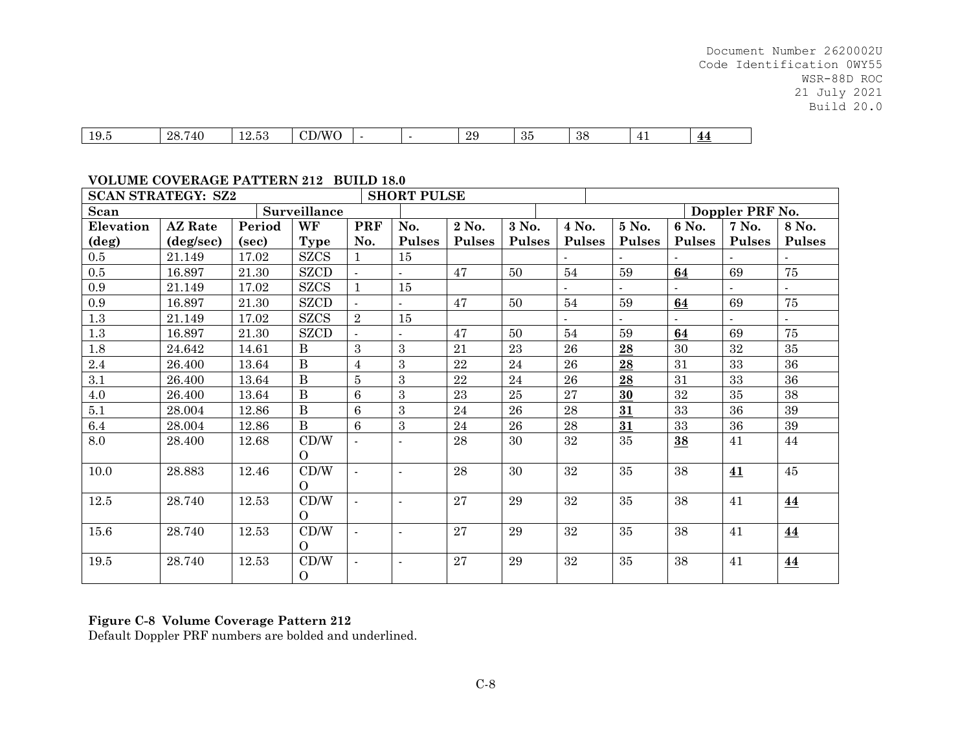| 10 <sup>r</sup><br>10.C | 28<br>$\Delta \Gamma$<br>. این<br>- 11 | . .<br>u | $\mathbf{X}$ $\mathbf{X}$<br>$\sim$ $\sim$<br>'M'<br><u>ັ</u><br>$\sim$ |  |  | ാറ<br>້⊿ ປ | $^{\circ}$<br>ಲಲ | $\Omega$<br>ಎಂ | ∸<br><u>. .</u> | 44<br>. . |
|-------------------------|----------------------------------------|----------|-------------------------------------------------------------------------|--|--|------------|------------------|----------------|-----------------|-----------|
|-------------------------|----------------------------------------|----------|-------------------------------------------------------------------------|--|--|------------|------------------|----------------|-----------------|-----------|

#### **VOLUME COVERAGE PATTERN 212 BUILD 18.0**

| <b>SCAN STRATEGY: SZ2</b> |                    |        |                  |                | <b>SHORT PULSE</b> |               |               |               |               |               |                 |                  |
|---------------------------|--------------------|--------|------------------|----------------|--------------------|---------------|---------------|---------------|---------------|---------------|-----------------|------------------|
| Scan                      |                    |        | Surveillance     |                |                    |               |               |               |               |               | Doppler PRF No. |                  |
| Elevation                 | <b>AZ</b> Rate     | Period | WF               | PRF            | No.                | 2 No.         | 3 No.         | 4 No.         | 5 No.         | 6 No.         | 7 No.           | 8 No.            |
| $(\deg)$                  | $(\text{deg/sec})$ | (sec)  | <b>Type</b>      | No.            | <b>Pulses</b>      | <b>Pulses</b> | <b>Pulses</b> | <b>Pulses</b> | <b>Pulses</b> | <b>Pulses</b> | <b>Pulses</b>   | <b>Pulses</b>    |
| $0.5\,$                   | 21.149             | 17.02  | <b>SZCS</b>      |                | 15                 |               |               |               |               |               |                 |                  |
| $0.5\,$                   | 16.897             | 21.30  | <b>SZCD</b>      | $\sim$         | ÷                  | 47            | 50            | 54            | 59            | 64            | 69              | 75               |
| 0.9                       | 21.149             | 17.02  | <b>SZCS</b>      |                | 15                 |               |               |               |               |               |                 |                  |
| 0.9                       | 16.897             | 21.30  | <b>SZCD</b>      |                |                    | 47            | 50            | 54            | 59            | 64            | 69              | 75               |
| $1.3\,$                   | 21.149             | 17.02  | <b>SZCS</b>      | $\overline{2}$ | 15                 |               |               |               |               |               |                 |                  |
| $1.3\,$                   | 16.897             | 21.30  | <b>SZCD</b>      |                |                    | 47            | 50            | 54            | 59            | 64            | 69              | 75               |
| $1.8\,$                   | 24.642             | 14.61  | B                | 3              | 3                  | 21            | 23            | 26            | 28            | 30            | 32              | 35               |
| 2.4                       | 26.400             | 13.64  | $\bf{B}$         | $\overline{4}$ | 3                  | 22            | 24            | 26            | 28            | 31            | 33              | 36               |
| 3.1                       | 26.400             | 13.64  | $\bf{B}$         | 5              | 3                  | 22            | 24            | 26            | 28            | 31            | 33              | 36               |
| $4.0\,$                   | 26.400             | 13.64  | $\bf{B}$         | 6              | 3                  | 23            | 25            | 27            | 30            | 32            | 35              | 38               |
| 5.1                       | 28.004             | 12.86  | $\bf{B}$         | 6              | 3                  | 24            | 26            | 28            | 31            | 33            | 36              | 39               |
| 6.4                       | 28.004             | 12.86  | $\overline{B}$   | 6              | 3                  | 24            | 26            | 28            | 31            | 33            | 36              | 39               |
| 8.0                       | 28.400             | 12.68  | CD/W             |                | $\blacksquare$     | 28            | 30            | 32            | 35            | 38            | 41              | 44               |
|                           |                    |        | $\Omega$         |                |                    |               |               |               |               |               |                 |                  |
| 10.0                      | 28.883             | 12.46  | CD/W<br>$\Omega$ |                |                    | 28            | 30            | 32            | 35            | 38            | 41              | 45               |
| 12.5                      | 28.740             | 12.53  | CD/W             |                | $\blacksquare$     | 27            | 29            | 32            | 35            | 38            | 41              | 44               |
|                           |                    |        | $\Omega$         |                |                    |               |               |               |               |               |                 |                  |
| 15.6                      | 28.740             | 12.53  | CD/W<br>$\Omega$ |                | $\blacksquare$     | 27            | 29            | 32            | 35            | 38            | 41              | 44               |
| 19.5                      | 28.740             | 12.53  | CD/W             |                | $\blacksquare$     | 27            | 29            | 32            | 35            | 38            | 41              | $\underline{44}$ |
|                           |                    |        | $\overline{O}$   |                |                    |               |               |               |               |               |                 |                  |

## **Figure C-8 Volume Coverage Pattern 212**

Default Doppler PRF numbers are bolded and underlined.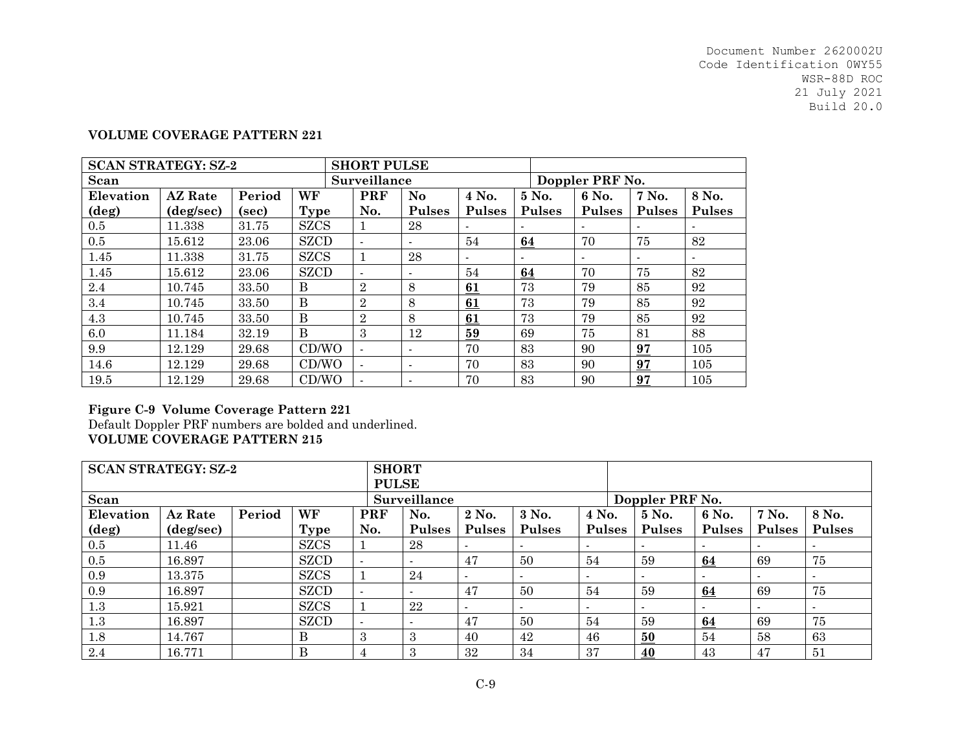### **VOLUME COVERAGE PATTERN 221**

| <b>SCAN STRATEGY: SZ-2</b> |                    |        |             | <b>SHORT PULSE</b>       |                |                          |               |                 |               |               |
|----------------------------|--------------------|--------|-------------|--------------------------|----------------|--------------------------|---------------|-----------------|---------------|---------------|
| Scan                       |                    |        |             | Surveillance             |                |                          |               | Doppler PRF No. |               |               |
| Elevation                  | <b>AZ</b> Rate     | Period | WF          | <b>PRF</b>               | N <sub>o</sub> | 4 No.                    | 5 No.         | 6 No.           | 7 No.         | 8 No.         |
| (deg)                      | $(\text{deg/sec})$ | (sec)  | Type        | No.                      | <b>Pulses</b>  | <b>Pulses</b>            | <b>Pulses</b> | <b>Pulses</b>   | <b>Pulses</b> | <b>Pulses</b> |
| 0.5                        | 11.338             | 31.75  | <b>SZCS</b> |                          | 28             | $\overline{\phantom{a}}$ |               |                 |               |               |
| 0.5                        | 15.612             | 23.06  | <b>SZCD</b> | $\overline{\phantom{a}}$ |                | 54                       | 64            | 70              | 75            | 82            |
| 1.45                       | 11.338             | 31.75  | <b>SZCS</b> |                          | 28             |                          |               |                 |               |               |
| 1.45                       | 15.612             | 23.06  | <b>SZCD</b> |                          |                | 54                       | 64            | 70              | 75            | 82            |
| 2.4                        | 10.745             | 33.50  | B           | $\overline{2}$           | 8              | 61                       | 73            | 79              | 85            | 92            |
| 3.4                        | 10.745             | 33.50  | B           | $\overline{2}$           | 8              | 61                       | 73            | 79              | 85            | 92            |
| 4.3                        | 10.745             | 33.50  | B           | $\overline{2}$           | 8              | 61                       | 73            | 79              | 85            | 92            |
| 6.0                        | 11.184             | 32.19  | B           | 3                        | 12             | 59                       | 69            | 75              | 81            | 88            |
| 9.9                        | 12.129             | 29.68  | CD/WO       | $\blacksquare$           | $\blacksquare$ | 70                       | 83            | 90              | 97            | 105           |
| 14.6                       | 12.129             | 29.68  | CD/WO       | $\blacksquare$           | $\blacksquare$ | 70                       | 83            | 90              | 97            | 105           |
| 19.5                       | 12.129             | 29.68  | CD/WO       | $\blacksquare$           |                | 70                       | 83            | 90              | 97            | 105           |

## **Figure C-9 Volume Coverage Pattern 221**

Default Doppler PRF numbers are bolded and underlined. **VOLUME COVERAGE PATTERN 215**

| <b>SCAN STRATEGY: SZ-2</b> |           |        |             | <b>SHORT</b>             |               |                |               |               |                 |               |               |               |               |  |
|----------------------------|-----------|--------|-------------|--------------------------|---------------|----------------|---------------|---------------|-----------------|---------------|---------------|---------------|---------------|--|
|                            |           |        |             |                          | <b>PULSE</b>  |                |               |               |                 |               |               |               |               |  |
| Scan                       |           |        |             |                          | Surveillance  |                |               |               | Doppler PRF No. |               |               |               |               |  |
| Elevation                  | Az Rate   | Period | WF          | <b>PRF</b>               | No.           | 2 No.          | 3 No.         | 4 No.         |                 | 5 No.         | 6 No.         | 7 No.         | 8 No.         |  |
| $(\text{deg})$             | (deg/sec) |        | Type        | No.                      | <b>Pulses</b> | <b>Pulses</b>  | <b>Pulses</b> | <b>Pulses</b> |                 | <b>Pulses</b> | <b>Pulses</b> | <b>Pulses</b> | <b>Pulses</b> |  |
| $0.5\,$                    | 11.46     |        | <b>SZCS</b> |                          | 28            | $\sim$         |               |               |                 |               | $\sim$        | $\sim$        |               |  |
| 0.5                        | 16.897    |        | <b>SZCD</b> | $\overline{\phantom{a}}$ |               | 47             | 50            | 54            |                 | 59            | 64            | 69            | 75            |  |
| 0.9                        | 13.375    |        | <b>SZCS</b> |                          | 24            | $\blacksquare$ |               |               |                 |               |               | $\sim$        |               |  |
| 0.9                        | 16.897    |        | <b>SZCD</b> |                          |               | 47             | 50            | 54            |                 | 59            | 64            | 69            | 75            |  |
| 1.3                        | 15.921    |        | <b>SZCS</b> |                          | 22            | $\sim$         |               |               |                 |               |               | $\sim$        |               |  |
| 1.3                        | 16.897    |        | <b>SZCD</b> | $\overline{\phantom{a}}$ |               | 47             | 50            | 54            |                 | 59            | 64            | 69            | 75            |  |
| 1.8                        | 14.767    |        | B           | 3                        | 3             | 40             | 42            | 46            |                 | 50            | 54            | 58            | 63            |  |
| 2.4                        | 16.771    |        | B           | 4                        | 3             | 32             | 34            | 37            |                 | 40            | 43            | 47            | 51            |  |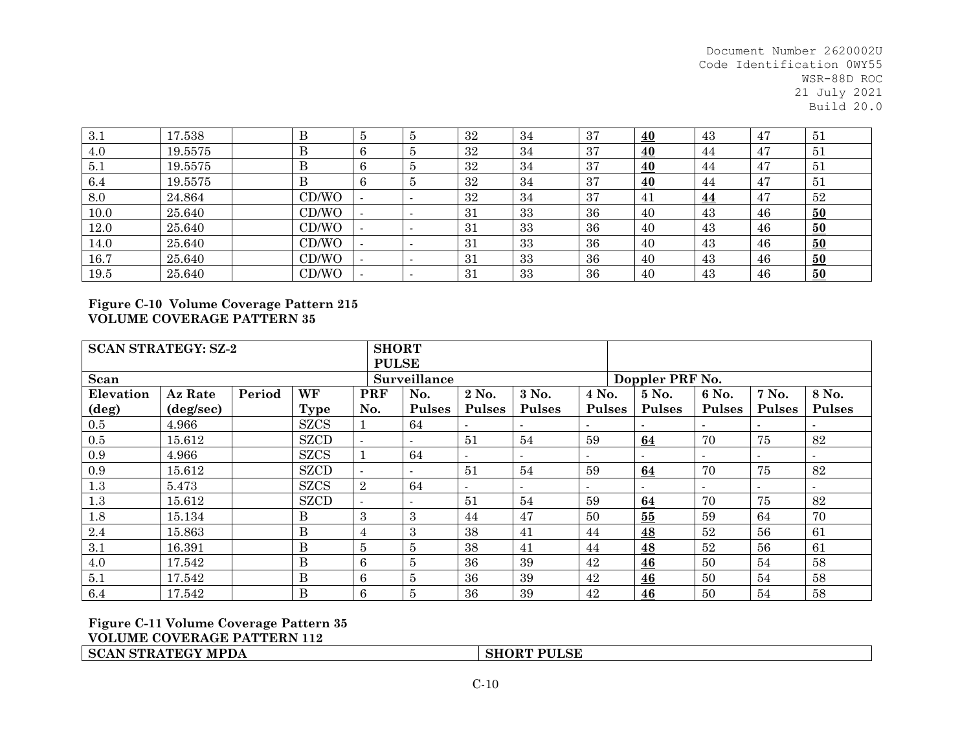| . റ   |         |              |            |         |     |    |    |    |           |    |    |
|-------|---------|--------------|------------|---------|-----|----|----|----|-----------|----|----|
| -5.1  | 17.538  |              |            |         | 32  | 34 | 37 | 40 | 43        | 47 | 51 |
| 4.0   | 19.5575 | $\mathbf{D}$ | $\sqrt{2}$ |         | 32  | 34 | 37 | 40 | 44        | 47 | 51 |
| 1.5.1 | 19.5575 | Б            |            | $\cdot$ | 32  | 34 | 37 | 40 | 44        | 47 | 51 |
| 6.4   | 19.5575 | $\mathbf{D}$ |            |         | 32  | 34 | 37 | 40 | 44        | 47 | 51 |
| 8.0   | 24.864  | CD/WO        |            |         | 32  | 34 | 37 | 41 | <u>44</u> | 47 | 52 |
| 10.0  | 25.640  | CD/WO        |            |         | 31  | 33 | 36 | 40 | 43        | 46 | 50 |
| 12.0  | 25.640  | CD/WO        |            |         | 31  | 33 | 36 | 40 | 43        | 46 | 50 |
| 14.0  | 25.640  | CD/WO        |            |         | 31  | 33 | 36 | 40 | 43        | 46 | 50 |
| 16.7  | 25.640  | CD/WO        |            |         | 31  | 33 | 36 | 40 | 43        | 46 | 50 |
| 19.5  | 25.640  | CD/WO        |            |         | -31 | 33 | 36 | 40 | 43        | 46 | 50 |

## **Figure C-10 Volume Coverage Pattern 215 VOLUME COVERAGE PATTERN 35**

| <b>SCAN STRATEGY: SZ-2</b> |                    |        | <b>SHORT</b> |                          |                          |                          |                          |                          |                 |               |               |               |                          |  |
|----------------------------|--------------------|--------|--------------|--------------------------|--------------------------|--------------------------|--------------------------|--------------------------|-----------------|---------------|---------------|---------------|--------------------------|--|
|                            |                    |        |              | <b>PULSE</b>             |                          |                          |                          |                          |                 |               |               |               |                          |  |
| Scan                       |                    |        |              | Surveillance             |                          |                          |                          |                          | Doppler PRF No. |               |               |               |                          |  |
| Elevation                  | Az Rate            | Period | WF           | PRF                      | No.                      | 2 No.                    | 3 No.                    | 4 No.                    |                 | 5 No.         | 6 No.         | 7 No.         | 8 No.                    |  |
| $(\text{deg})$             | $(\text{deg/sec})$ |        | <b>Type</b>  | No.                      | <b>Pulses</b>            | <b>Pulses</b>            | <b>Pulses</b>            | <b>Pulses</b>            |                 | <b>Pulses</b> | <b>Pulses</b> | <b>Pulses</b> | <b>Pulses</b>            |  |
| 0.5                        | 4.966              |        | <b>SZCS</b>  |                          | 64                       | $\overline{\phantom{a}}$ |                          |                          |                 |               |               |               |                          |  |
| 0.5                        | 15.612             |        | <b>SZCD</b>  | $\blacksquare$           | $\overline{\phantom{a}}$ | 51                       | 54                       | 59                       |                 | 64            | 70            | 75            | 82                       |  |
| 0.9                        | 4.966              |        | <b>SZCS</b>  |                          | 64                       | $\sim$                   |                          |                          |                 |               |               |               | $\overline{\phantom{0}}$ |  |
| 0.9                        | 15.612             |        | <b>SZCD</b>  | $\overline{\phantom{a}}$ |                          | 51                       | 54                       | 59                       |                 | 64            | 70            | 75            | 82                       |  |
| 1.3                        | 5.473              |        | <b>SZCS</b>  | $\overline{2}$           | 64                       | $\overline{\phantom{a}}$ | $\overline{\phantom{a}}$ | $\overline{\phantom{a}}$ |                 |               |               |               | $\overline{\phantom{a}}$ |  |
| $1.3\,$                    | 15.612             |        | <b>SZCD</b>  | $\sim$                   | $\overline{\phantom{a}}$ | 51                       | 54                       | 59                       |                 | 64            | 70            | 75            | 82                       |  |
| 1.8                        | 15.134             |        | Β            | 3                        | 3                        | 44                       | 47                       | 50                       |                 | 55            | 59            | 64            | 70                       |  |
| 2.4                        | 15.863             |        | B            | 4                        | 3                        | 38                       | 41                       | 44                       |                 | <u>48</u>     | 52            | 56            | 61                       |  |
| 3.1                        | 16.391             |        | B            | $\overline{5}$           | $\overline{5}$           | 38                       | 41                       | 44                       |                 | 48            | 52            | 56            | 61                       |  |
| 4.0                        | 17.542             |        | B            | 6                        | $\overline{5}$           | 36                       | 39                       | 42                       |                 | 46            | 50            | 54            | 58                       |  |
| 5.1                        | 17.542             |        | B            | 6                        | 5                        | 36                       | 39                       | 42                       |                 | 46            | 50            | 54            | 58                       |  |
| 6.4                        | 17.542             |        | B            | 6                        | $\overline{5}$           | 36                       | 39                       | 42                       |                 | 46            | 50            | 54            | 58                       |  |

**Figure C-11 Volume Coverage Pattern 35 VOLUME COVERAGE PATTERN 112 SCAN STRATEGY MPDA**

**SHORT PULSE**